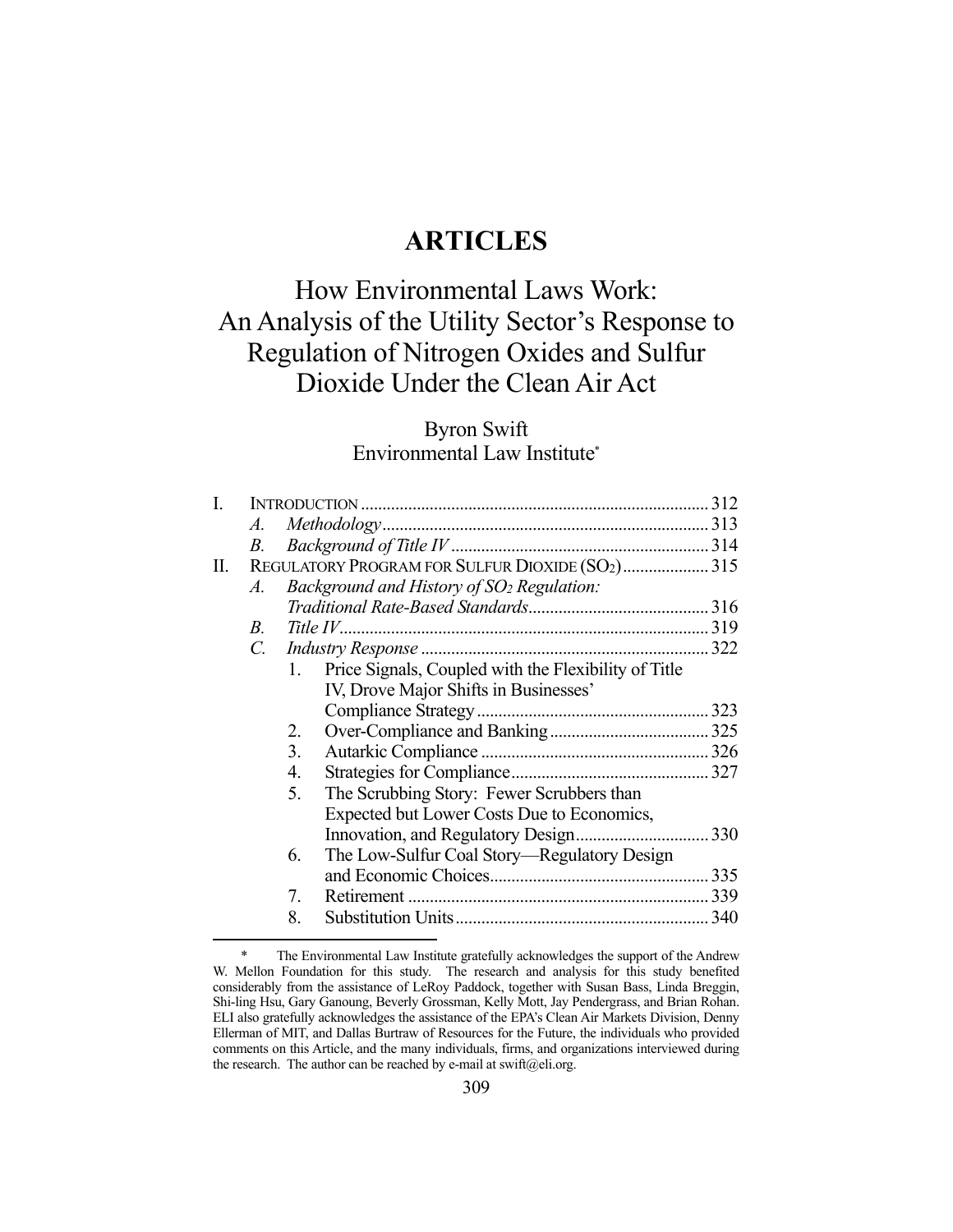## **ARTICLES**

# How Environmental Laws Work: An Analysis of the Utility Sector's Response to Regulation of Nitrogen Oxides and Sulfur Dioxide Under the Clean Air Act

## Byron Swift Environmental Law Institute\*

| I. |                 |              |                                                       |  |
|----|-----------------|--------------|-------------------------------------------------------|--|
|    | А.              |              |                                                       |  |
|    | В.              |              |                                                       |  |
| П. |                 |              | REGULATORY PROGRAM FOR SULFUR DIOXIDE (SO2) 315       |  |
|    | A.              |              | Background and History of SO <sub>2</sub> Regulation: |  |
|    |                 |              |                                                       |  |
|    | $B_{\cdot}$     |              |                                                       |  |
|    | $\mathcal{C}$ . |              |                                                       |  |
|    |                 | $1_{\cdots}$ | Price Signals, Coupled with the Flexibility of Title  |  |
|    |                 |              | IV, Drove Major Shifts in Businesses'                 |  |
|    |                 |              |                                                       |  |
|    |                 | 2.           |                                                       |  |
|    |                 | 3.           |                                                       |  |
|    |                 | 4.           |                                                       |  |
|    |                 | 5.           | The Scrubbing Story: Fewer Scrubbers than             |  |
|    |                 |              | Expected but Lower Costs Due to Economics,            |  |
|    |                 |              |                                                       |  |
|    |                 | 6.           | The Low-Sulfur Coal Story—Regulatory Design           |  |
|    |                 |              |                                                       |  |
|    |                 | 7.           |                                                       |  |
|    |                 | 8.           |                                                       |  |
|    |                 |              |                                                       |  |

 <sup>\*</sup> The Environmental Law Institute gratefully acknowledges the support of the Andrew W. Mellon Foundation for this study. The research and analysis for this study benefited considerably from the assistance of LeRoy Paddock, together with Susan Bass, Linda Breggin, Shi-ling Hsu, Gary Ganoung, Beverly Grossman, Kelly Mott, Jay Pendergrass, and Brian Rohan. ELI also gratefully acknowledges the assistance of the EPA's Clean Air Markets Division, Denny Ellerman of MIT, and Dallas Burtraw of Resources for the Future, the individuals who provided comments on this Article, and the many individuals, firms, and organizations interviewed during the research. The author can be reached by e-mail at swift@eli.org.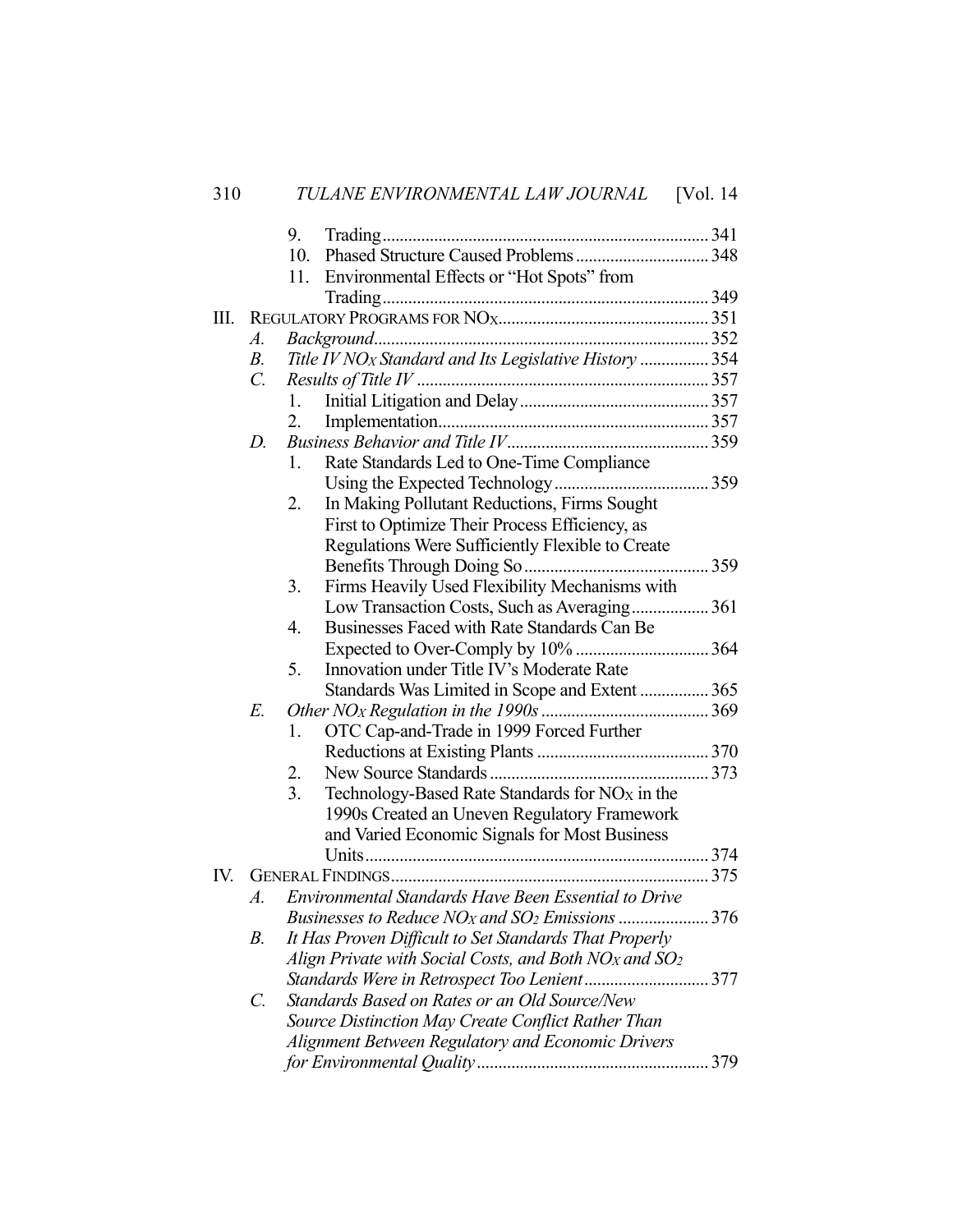|     |                                                                               | 9.                                                     |                                                                    |  |
|-----|-------------------------------------------------------------------------------|--------------------------------------------------------|--------------------------------------------------------------------|--|
|     |                                                                               | 10.                                                    |                                                                    |  |
|     |                                                                               | 11.                                                    | Environmental Effects or "Hot Spots" from                          |  |
|     |                                                                               |                                                        |                                                                    |  |
| Ш.  |                                                                               |                                                        |                                                                    |  |
|     | $A_{\cdot}$                                                                   |                                                        |                                                                    |  |
|     | $B_{\cdot}$                                                                   |                                                        | Title IV NO <sub>X</sub> Standard and Its Legislative History  354 |  |
|     | $\mathcal{C}$ .                                                               |                                                        |                                                                    |  |
|     | 1.                                                                            |                                                        |                                                                    |  |
|     |                                                                               | 2.                                                     |                                                                    |  |
|     | D.                                                                            |                                                        |                                                                    |  |
|     |                                                                               | 1.                                                     | Rate Standards Led to One-Time Compliance                          |  |
|     |                                                                               |                                                        |                                                                    |  |
|     |                                                                               | 2.                                                     | In Making Pollutant Reductions, Firms Sought                       |  |
|     |                                                                               |                                                        | First to Optimize Their Process Efficiency, as                     |  |
|     |                                                                               |                                                        | Regulations Were Sufficiently Flexible to Create                   |  |
|     |                                                                               |                                                        |                                                                    |  |
|     |                                                                               | 3.                                                     | Firms Heavily Used Flexibility Mechanisms with                     |  |
|     |                                                                               |                                                        | Low Transaction Costs, Such as Averaging 361                       |  |
|     |                                                                               | 4.                                                     | Businesses Faced with Rate Standards Can Be                        |  |
|     |                                                                               |                                                        |                                                                    |  |
|     |                                                                               | 5.                                                     | Innovation under Title IV's Moderate Rate                          |  |
|     |                                                                               |                                                        | Standards Was Limited in Scope and Extent  365                     |  |
|     | E.                                                                            |                                                        |                                                                    |  |
|     |                                                                               | 1.                                                     | OTC Cap-and-Trade in 1999 Forced Further                           |  |
|     |                                                                               |                                                        |                                                                    |  |
|     |                                                                               | 2.                                                     |                                                                    |  |
|     |                                                                               | 3.                                                     | Technology-Based Rate Standards for $NOX$ in the                   |  |
|     |                                                                               |                                                        | 1990s Created an Uneven Regulatory Framework                       |  |
|     |                                                                               |                                                        | and Varied Economic Signals for Most Business                      |  |
|     |                                                                               |                                                        |                                                                    |  |
| IV. |                                                                               |                                                        |                                                                    |  |
|     | A.                                                                            |                                                        | Environmental Standards Have Been Essential to Drive               |  |
|     | Businesses to Reduce NO <sub>x</sub> and SO <sub>2</sub> Emissions  376       |                                                        |                                                                    |  |
| В.  |                                                                               | It Has Proven Difficult to Set Standards That Properly |                                                                    |  |
|     | Align Private with Social Costs, and Both NO <sub>X</sub> and SO <sub>2</sub> |                                                        |                                                                    |  |
|     |                                                                               |                                                        |                                                                    |  |
|     | C.                                                                            |                                                        | Standards Based on Rates or an Old Source/New                      |  |
|     | Source Distinction May Create Conflict Rather Than                            |                                                        |                                                                    |  |
|     | Alignment Between Regulatory and Economic Drivers                             |                                                        |                                                                    |  |
|     |                                                                               |                                                        |                                                                    |  |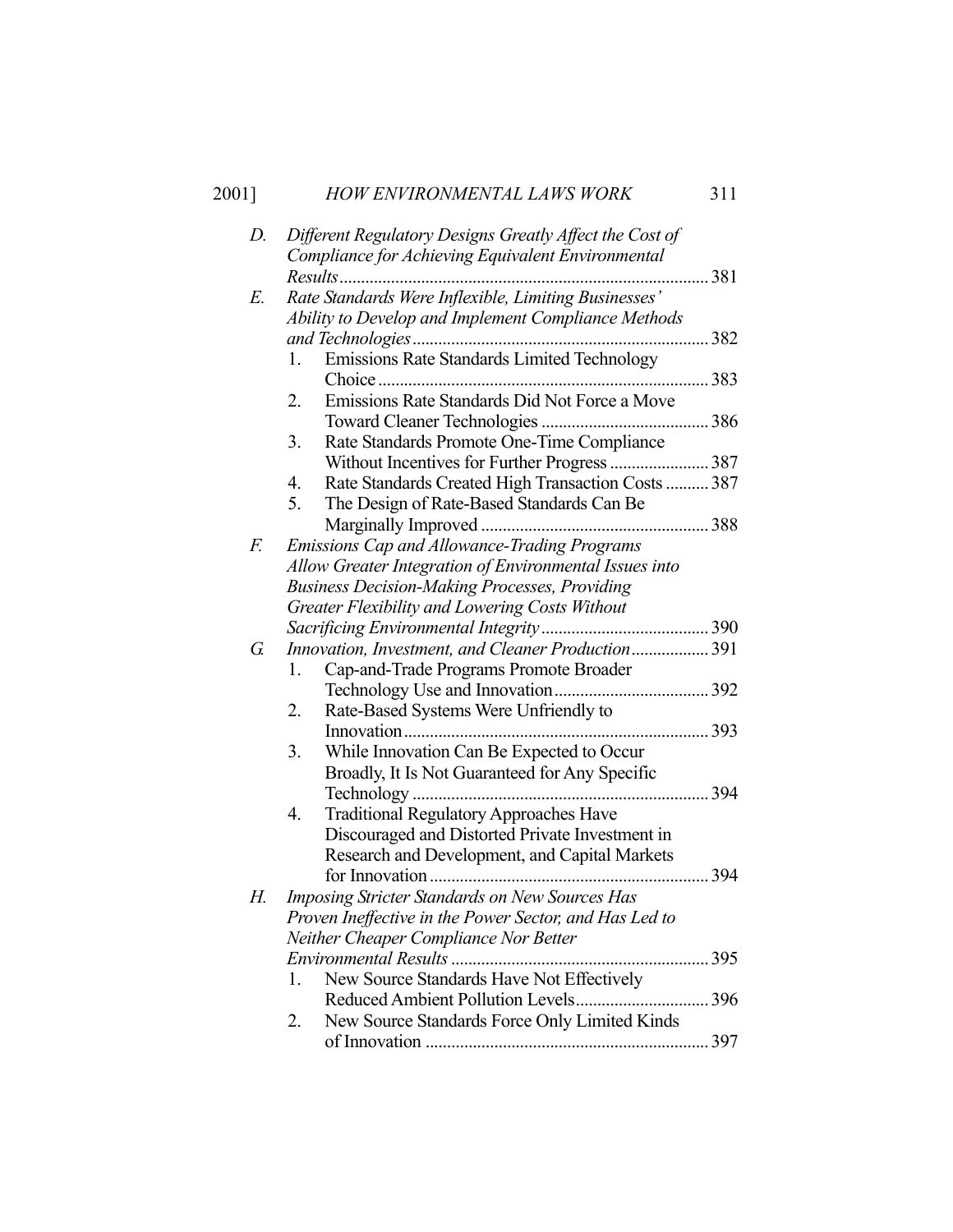## 2001] *HOW ENVIRONMENTAL LAWS WORK* 311

| D. | Different Regulatory Designs Greatly Affect the Cost of                                                         |  |  |  |  |
|----|-----------------------------------------------------------------------------------------------------------------|--|--|--|--|
|    | Compliance for Achieving Equivalent Environmental                                                               |  |  |  |  |
|    | Results                                                                                                         |  |  |  |  |
| Е. | Rate Standards Were Inflexible, Limiting Businesses'                                                            |  |  |  |  |
|    | Ability to Develop and Implement Compliance Methods                                                             |  |  |  |  |
|    | 382                                                                                                             |  |  |  |  |
|    | Emissions Rate Standards Limited Technology<br>1.                                                               |  |  |  |  |
|    | 383<br>Emissions Rate Standards Did Not Force a Move<br>2.                                                      |  |  |  |  |
|    |                                                                                                                 |  |  |  |  |
|    | Rate Standards Promote One-Time Compliance<br>3.                                                                |  |  |  |  |
|    |                                                                                                                 |  |  |  |  |
|    | Rate Standards Created High Transaction Costs  387<br>4.                                                        |  |  |  |  |
|    | 5.<br>The Design of Rate-Based Standards Can Be                                                                 |  |  |  |  |
|    |                                                                                                                 |  |  |  |  |
| F. | <b>Emissions Cap and Allowance-Trading Programs</b>                                                             |  |  |  |  |
|    | Allow Greater Integration of Environmental Issues into                                                          |  |  |  |  |
|    | <b>Business Decision-Making Processes, Providing</b>                                                            |  |  |  |  |
|    | Greater Flexibility and Lowering Costs Without                                                                  |  |  |  |  |
|    |                                                                                                                 |  |  |  |  |
| G. | Innovation, Investment, and Cleaner Production 391                                                              |  |  |  |  |
|    | Cap-and-Trade Programs Promote Broader<br>1.                                                                    |  |  |  |  |
|    |                                                                                                                 |  |  |  |  |
|    | Rate-Based Systems Were Unfriendly to<br>2.                                                                     |  |  |  |  |
|    | 393                                                                                                             |  |  |  |  |
|    | While Innovation Can Be Expected to Occur<br>3.                                                                 |  |  |  |  |
|    | Broadly, It Is Not Guaranteed for Any Specific                                                                  |  |  |  |  |
|    | 394                                                                                                             |  |  |  |  |
|    | <b>Traditional Regulatory Approaches Have</b><br>4.                                                             |  |  |  |  |
|    | Discouraged and Distorted Private Investment in                                                                 |  |  |  |  |
|    | Research and Development, and Capital Markets                                                                   |  |  |  |  |
|    | for Innovation<br>394                                                                                           |  |  |  |  |
| Н. | <b>Imposing Stricter Standards on New Sources Has</b><br>Proven Ineffective in the Power Sector, and Has Led to |  |  |  |  |
|    | Neither Cheaper Compliance Nor Better                                                                           |  |  |  |  |
|    |                                                                                                                 |  |  |  |  |
|    | New Source Standards Have Not Effectively<br>1.                                                                 |  |  |  |  |
|    |                                                                                                                 |  |  |  |  |
|    | New Source Standards Force Only Limited Kinds<br>2.                                                             |  |  |  |  |
|    |                                                                                                                 |  |  |  |  |
|    |                                                                                                                 |  |  |  |  |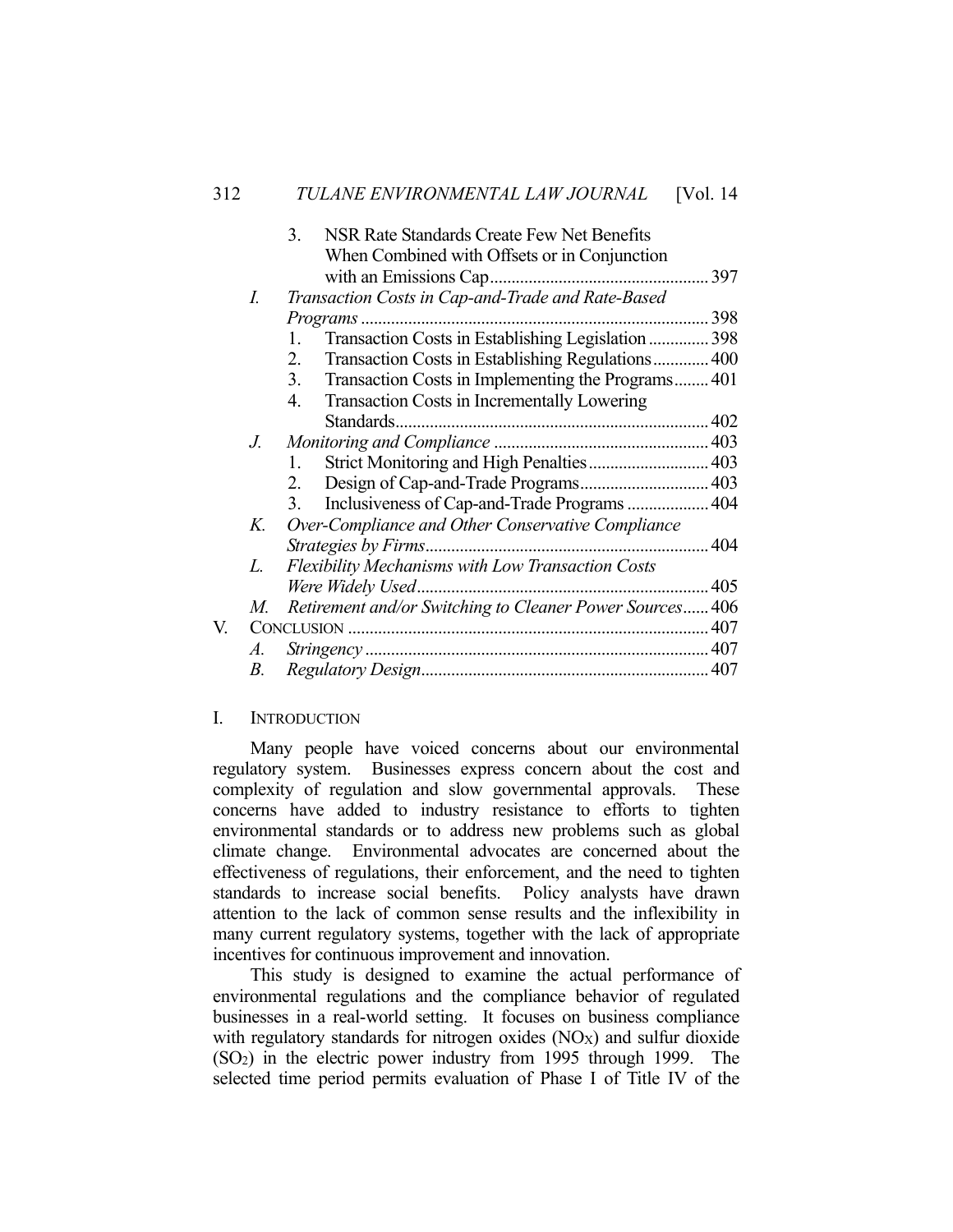|    |             | NSR Rate Standards Create Few Net Benefits<br>3.         |
|----|-------------|----------------------------------------------------------|
|    |             | When Combined with Offsets or in Conjunction             |
|    |             |                                                          |
|    | I.          | Transaction Costs in Cap-and-Trade and Rate-Based        |
|    |             | 398                                                      |
|    |             | Transaction Costs in Establishing Legislation  398<br>1. |
|    |             | Transaction Costs in Establishing Regulations 400<br>2.  |
|    |             | 3.<br>Transaction Costs in Implementing the Programs401  |
|    |             | Transaction Costs in Incrementally Lowering<br>4.        |
|    |             |                                                          |
|    | $J_{\cdot}$ |                                                          |
|    |             | Strict Monitoring and High Penalties 403<br>1.           |
|    |             | Design of Cap-and-Trade Programs 403<br>2.               |
|    |             | Inclusiveness of Cap-and-Trade Programs  404<br>3.       |
|    | K.          | Over-Compliance and Other Conservative Compliance        |
|    |             |                                                          |
|    | L.          | <b>Flexibility Mechanisms with Low Transaction Costs</b> |
|    |             | Were Widely Used.                                        |
|    | M.          | Retirement and/or Switching to Cleaner Power Sources 406 |
| V. |             |                                                          |
|    | A.          |                                                          |
|    | В.          |                                                          |

### I. INTRODUCTION

 Many people have voiced concerns about our environmental regulatory system. Businesses express concern about the cost and complexity of regulation and slow governmental approvals. These concerns have added to industry resistance to efforts to tighten environmental standards or to address new problems such as global climate change. Environmental advocates are concerned about the effectiveness of regulations, their enforcement, and the need to tighten standards to increase social benefits. Policy analysts have drawn attention to the lack of common sense results and the inflexibility in many current regulatory systems, together with the lack of appropriate incentives for continuous improvement and innovation.

 This study is designed to examine the actual performance of environmental regulations and the compliance behavior of regulated businesses in a real-world setting. It focuses on business compliance with regulatory standards for nitrogen oxides  $(NOx)$  and sulfur dioxide (SO2) in the electric power industry from 1995 through 1999. The selected time period permits evaluation of Phase I of Title IV of the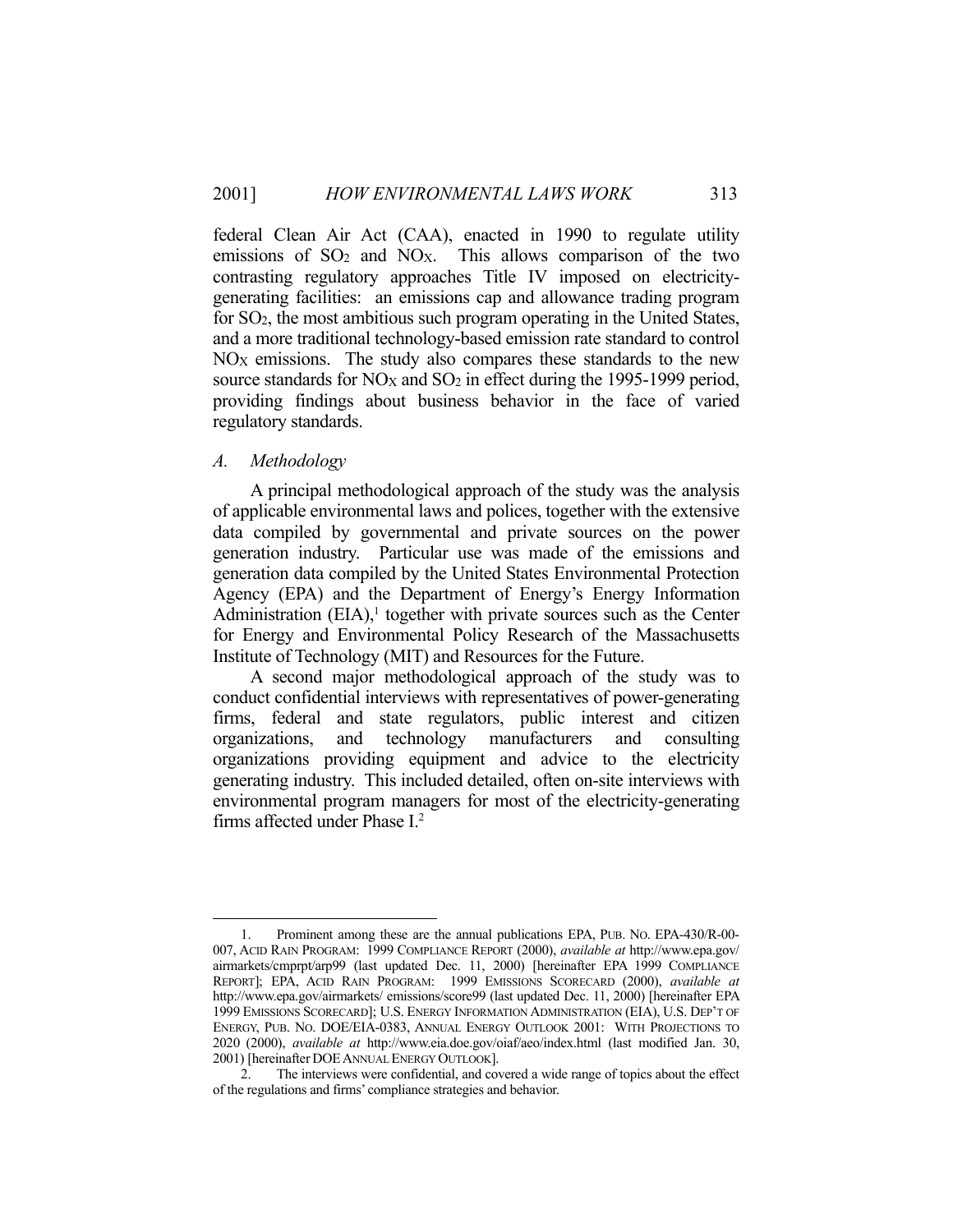federal Clean Air Act (CAA), enacted in 1990 to regulate utility emissions of  $SO<sub>2</sub>$  and  $NO<sub>X</sub>$ . This allows comparison of the two contrasting regulatory approaches Title IV imposed on electricitygenerating facilities: an emissions cap and allowance trading program for SO2, the most ambitious such program operating in the United States, and a more traditional technology-based emission rate standard to control  $NO<sub>X</sub>$  emissions. The study also compares these standards to the new source standards for NO<sub>X</sub> and SO<sub>2</sub> in effect during the 1995-1999 period, providing findings about business behavior in the face of varied regulatory standards.

## *A. Methodology*

 A principal methodological approach of the study was the analysis of applicable environmental laws and polices, together with the extensive data compiled by governmental and private sources on the power generation industry. Particular use was made of the emissions and generation data compiled by the United States Environmental Protection Agency (EPA) and the Department of Energy's Energy Information Administration  $(EIA)$ ,<sup>1</sup> together with private sources such as the Center for Energy and Environmental Policy Research of the Massachusetts Institute of Technology (MIT) and Resources for the Future.

 A second major methodological approach of the study was to conduct confidential interviews with representatives of power-generating firms, federal and state regulators, public interest and citizen organizations, and technology manufacturers and consulting organizations providing equipment and advice to the electricity generating industry. This included detailed, often on-site interviews with environmental program managers for most of the electricity-generating firms affected under Phase I.2

<sup>&</sup>lt;u>.</u> 1. Prominent among these are the annual publications EPA, PUB. NO. EPA-430/R-00- 007, ACID RAIN PROGRAM: 1999 COMPLIANCE REPORT (2000), *available at* http://www.epa.gov/ airmarkets/cmprpt/arp99 (last updated Dec. 11, 2000) [hereinafter EPA 1999 COMPLIANCE REPORT]; EPA, ACID RAIN PROGRAM: 1999 EMISSIONS SCORECARD (2000), *available at* http://www.epa.gov/airmarkets/ emissions/score99 (last updated Dec. 11, 2000) [hereinafter EPA 1999 EMISSIONS SCORECARD]; U.S. ENERGY INFORMATION ADMINISTRATION (EIA), U.S. DEP'T OF ENERGY, PUB. NO. DOE/EIA-0383, ANNUAL ENERGY OUTLOOK 2001: WITH PROJECTIONS TO 2020 (2000), *available at* http://www.eia.doe.gov/oiaf/aeo/index.html (last modified Jan. 30, 2001) [hereinafter DOEANNUAL ENERGY OUTLOOK].

 <sup>2.</sup> The interviews were confidential, and covered a wide range of topics about the effect of the regulations and firms' compliance strategies and behavior.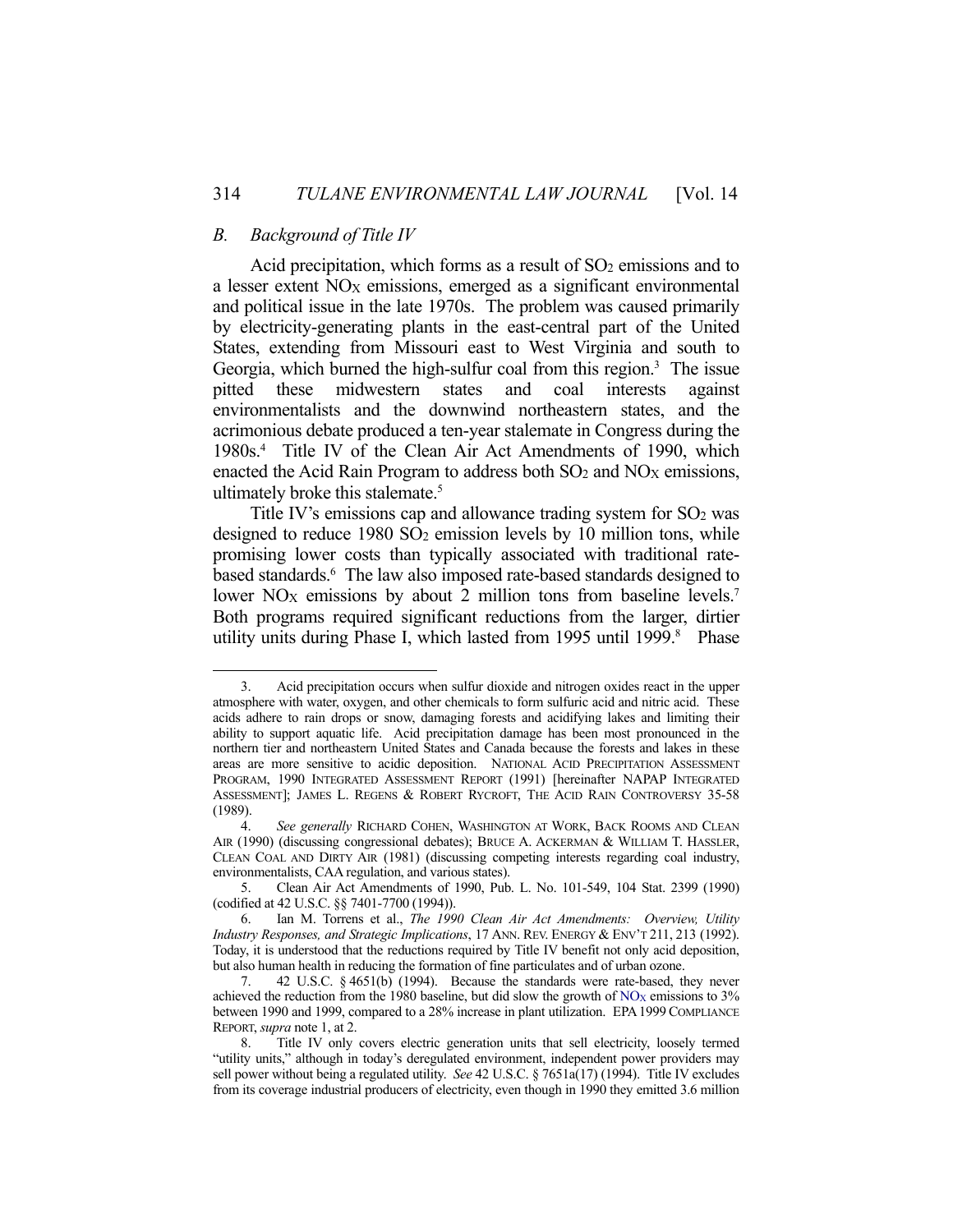### *B. Background of Title IV*

1

Acid precipitation, which forms as a result of  $SO<sub>2</sub>$  emissions and to a lesser extent  $NO<sub>X</sub>$  emissions, emerged as a significant environmental and political issue in the late 1970s. The problem was caused primarily by electricity-generating plants in the east-central part of the United States, extending from Missouri east to West Virginia and south to Georgia, which burned the high-sulfur coal from this region.<sup>3</sup> The issue pitted these midwestern states and coal interests against environmentalists and the downwind northeastern states, and the acrimonious debate produced a ten-year stalemate in Congress during the 1980s.4 Title IV of the Clean Air Act Amendments of 1990, which enacted the Acid Rain Program to address both  $SO_2$  and  $NO<sub>X</sub>$  emissions, ultimately broke this stalemate.<sup>5</sup>

Title IV's emissions cap and allowance trading system for  $SO<sub>2</sub>$  was designed to reduce  $1980$  SO<sub>2</sub> emission levels by 10 million tons, while promising lower costs than typically associated with traditional ratebased standards.<sup>6</sup> The law also imposed rate-based standards designed to lower NO<sub>X</sub> emissions by about 2 million tons from baseline levels.<sup>7</sup> Both programs required significant reductions from the larger, dirtier utility units during Phase I, which lasted from 1995 until 1999. 8 Phase

 <sup>3.</sup> Acid precipitation occurs when sulfur dioxide and nitrogen oxides react in the upper atmosphere with water, oxygen, and other chemicals to form sulfuric acid and nitric acid. These acids adhere to rain drops or snow, damaging forests and acidifying lakes and limiting their ability to support aquatic life. Acid precipitation damage has been most pronounced in the northern tier and northeastern United States and Canada because the forests and lakes in these areas are more sensitive to acidic deposition. NATIONAL ACID PRECIPITATION ASSESSMENT PROGRAM, 1990 INTEGRATED ASSESSMENT REPORT (1991) [hereinafter NAPAP INTEGRATED ASSESSMENT]; JAMES L. REGENS & ROBERT RYCROFT, THE ACID RAIN CONTROVERSY 35-58 (1989).

 <sup>4.</sup> *See generally* RICHARD COHEN, WASHINGTON AT WORK, BACK ROOMS AND CLEAN AIR (1990) (discussing congressional debates); BRUCE A. ACKERMAN & WILLIAM T. HASSLER, CLEAN COAL AND DIRTY AIR (1981) (discussing competing interests regarding coal industry, environmentalists, CAA regulation, and various states).

 <sup>5.</sup> Clean Air Act Amendments of 1990, Pub. L. No. 101-549, 104 Stat. 2399 (1990) (codified at 42 U.S.C. §§ 7401-7700 (1994)).

 <sup>6.</sup> Ian M. Torrens et al., *The 1990 Clean Air Act Amendments: Overview, Utility Industry Responses, and Strategic Implications*, 17 ANN. REV. ENERGY & ENV'T 211, 213 (1992). Today, it is understood that the reductions required by Title IV benefit not only acid deposition, but also human health in reducing the formation of fine particulates and of urban ozone.

 <sup>7. 42</sup> U.S.C. § 4651(b) (1994). Because the standards were rate-based, they never achieved the reduction from the 1980 baseline, but did slow the growth of  $NO<sub>X</sub>$  emissions to 3% between 1990 and 1999, compared to a 28% increase in plant utilization. EPA1999 COMPLIANCE REPORT, *supra* note 1, at 2.

Title IV only covers electric generation units that sell electricity, loosely termed "utility units," although in today's deregulated environment, independent power providers may sell power without being a regulated utility. *See* 42 U.S.C. § 7651a(17) (1994). Title IV excludes from its coverage industrial producers of electricity, even though in 1990 they emitted 3.6 million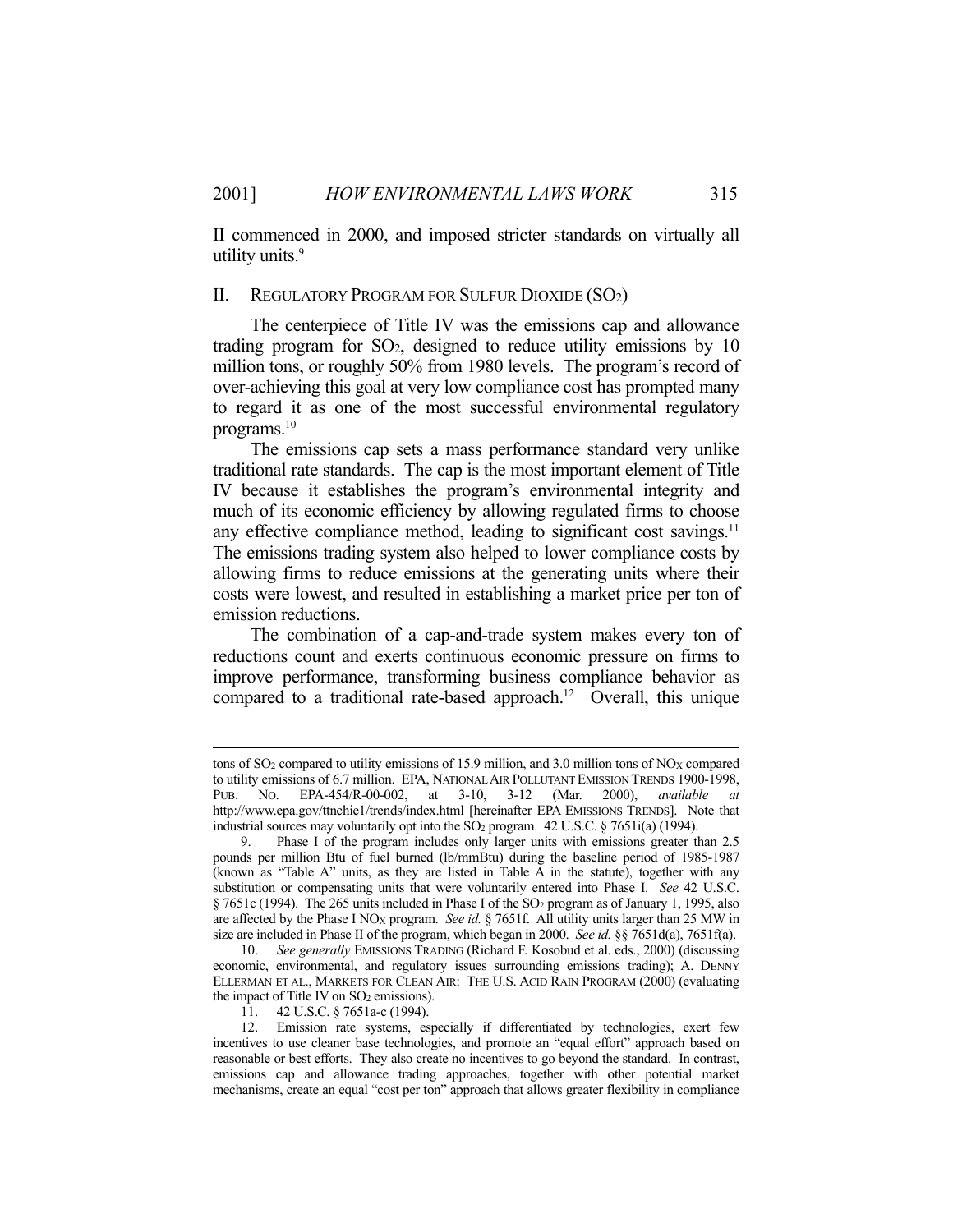II commenced in 2000, and imposed stricter standards on virtually all utility units.<sup>9</sup>

#### II. REGULATORY PROGRAM FOR SULFUR DIOXIDE (SO2)

 The centerpiece of Title IV was the emissions cap and allowance trading program for  $SO<sub>2</sub>$ , designed to reduce utility emissions by 10 million tons, or roughly 50% from 1980 levels. The program's record of over-achieving this goal at very low compliance cost has prompted many to regard it as one of the most successful environmental regulatory programs.<sup>10</sup>

 The emissions cap sets a mass performance standard very unlike traditional rate standards. The cap is the most important element of Title IV because it establishes the program's environmental integrity and much of its economic efficiency by allowing regulated firms to choose any effective compliance method, leading to significant cost savings.<sup>11</sup> The emissions trading system also helped to lower compliance costs by allowing firms to reduce emissions at the generating units where their costs were lowest, and resulted in establishing a market price per ton of emission reductions.

 The combination of a cap-and-trade system makes every ton of reductions count and exerts continuous economic pressure on firms to improve performance, transforming business compliance behavior as compared to a traditional rate-based approach.<sup>12</sup> Overall, this unique

tons of  $SO_2$  compared to utility emissions of 15.9 million, and 3.0 million tons of  $NO<sub>X</sub>$  compared to utility emissions of 6.7 million. EPA, NATIONAL AIR POLLUTANT EMISSION TRENDS 1900-1998, PUB. NO. EPA-454/R-00-002, at 3-10, 3-12 (Mar. 2000), *available at* http://www.epa.gov/ttnchie1/trends/index.html [hereinafter EPA EMISSIONS TRENDS]. Note that industrial sources may voluntarily opt into the SO<sub>2</sub> program. 42 U.S.C. § 7651i(a) (1994).

 <sup>9.</sup> Phase I of the program includes only larger units with emissions greater than 2.5 pounds per million Btu of fuel burned (lb/mmBtu) during the baseline period of 1985-1987 (known as "Table A" units, as they are listed in Table A in the statute), together with any substitution or compensating units that were voluntarily entered into Phase I. *See* 42 U.S.C. § 7651c (1994). The 265 units included in Phase I of the SO2 program as of January 1, 1995, also are affected by the Phase I NO<sub>X</sub> program. *See id.*  $\S$  7651f. All utility units larger than 25 MW in size are included in Phase II of the program, which began in 2000. *See id.* §§ 7651d(a), 7651f(a).

 <sup>10.</sup> *See generally* EMISSIONS TRADING (Richard F. Kosobud et al. eds., 2000) (discussing economic, environmental, and regulatory issues surrounding emissions trading); A. DENNY ELLERMAN ET AL., MARKETS FOR CLEAN AIR: THE U.S. ACID RAIN PROGRAM (2000) (evaluating the impact of Title IV on  $SO<sub>2</sub>$  emissions).

 <sup>11. 42</sup> U.S.C. § 7651a-c (1994).

 <sup>12.</sup> Emission rate systems, especially if differentiated by technologies, exert few incentives to use cleaner base technologies, and promote an "equal effort" approach based on reasonable or best efforts. They also create no incentives to go beyond the standard. In contrast, emissions cap and allowance trading approaches, together with other potential market mechanisms, create an equal "cost per ton" approach that allows greater flexibility in compliance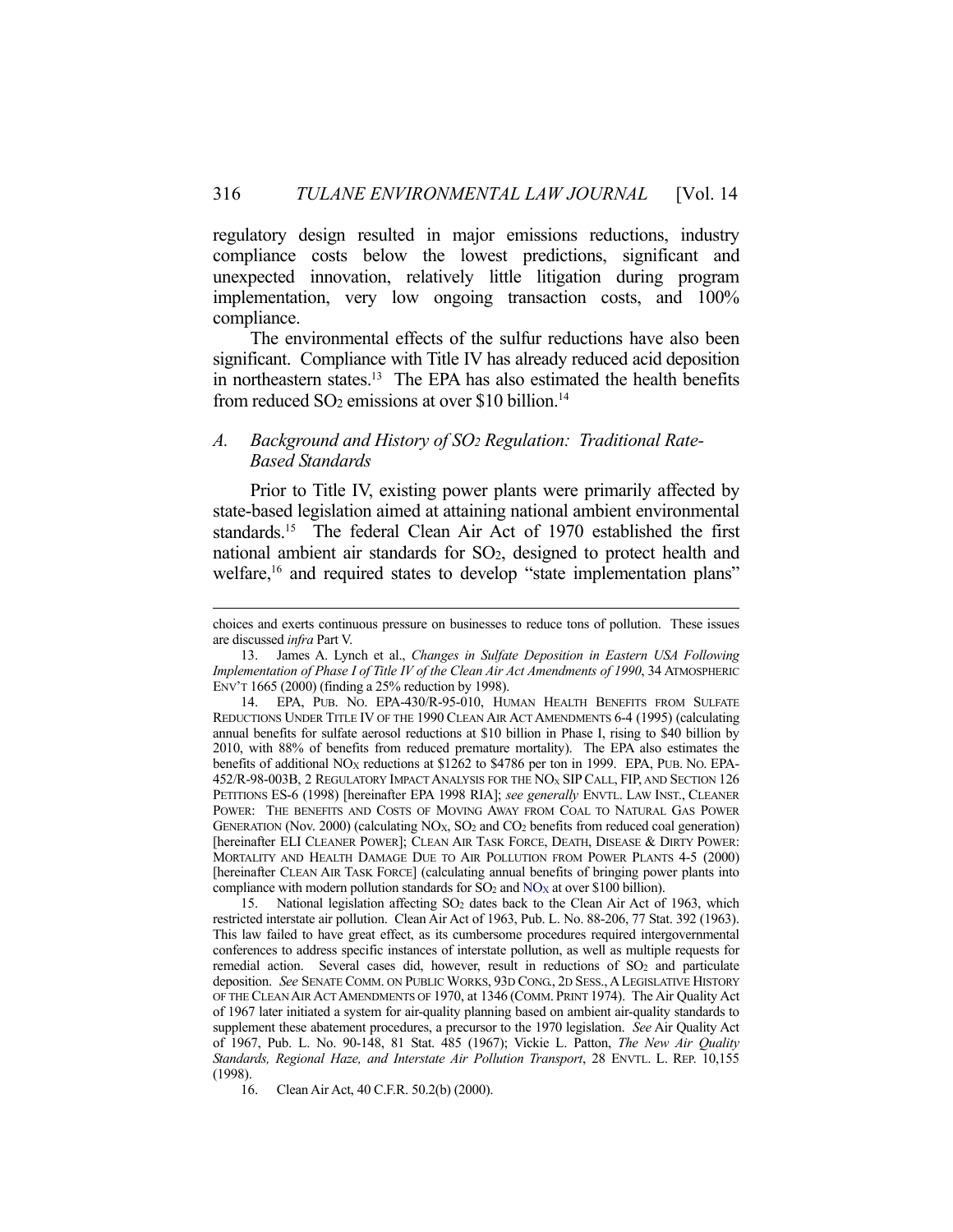regulatory design resulted in major emissions reductions, industry compliance costs below the lowest predictions, significant and unexpected innovation, relatively little litigation during program implementation, very low ongoing transaction costs, and 100% compliance.

 The environmental effects of the sulfur reductions have also been significant. Compliance with Title IV has already reduced acid deposition in northeastern states.<sup>13</sup> The EPA has also estimated the health benefits from reduced  $SO_2$  emissions at over \$10 billion.<sup>14</sup>

## *A. Background and History of SO2 Regulation: Traditional Rate-Based Standards*

 Prior to Title IV, existing power plants were primarily affected by state-based legislation aimed at attaining national ambient environmental standards.15 The federal Clean Air Act of 1970 established the first national ambient air standards for SO2, designed to protect health and welfare,<sup>16</sup> and required states to develop "state implementation plans"

 15. National legislation affecting SO2 dates back to the Clean Air Act of 1963, which restricted interstate air pollution. Clean Air Act of 1963, Pub. L. No. 88-206, 77 Stat. 392 (1963). This law failed to have great effect, as its cumbersome procedures required intergovernmental conferences to address specific instances of interstate pollution, as well as multiple requests for remedial action. Several cases did, however, result in reductions of SO<sub>2</sub> and particulate deposition. *See* SENATE COMM. ON PUBLIC WORKS, 93D CONG., 2D SESS.,ALEGISLATIVE HISTORY OF THE CLEAN AIR ACT AMENDMENTS OF 1970, at 1346 (COMM. PRINT 1974). The Air Quality Act of 1967 later initiated a system for air-quality planning based on ambient air-quality standards to supplement these abatement procedures, a precursor to the 1970 legislation. *See* Air Quality Act of 1967, Pub. L. No. 90-148, 81 Stat. 485 (1967); Vickie L. Patton, *The New Air Quality Standards, Regional Haze, and Interstate Air Pollution Transport*, 28 ENVTL. L. REP. 10,155 (1998).

16. Clean Air Act, 40 C.F.R. 50.2(b) (2000).

choices and exerts continuous pressure on businesses to reduce tons of pollution. These issues are discussed *infra* Part V.

 <sup>13.</sup> James A. Lynch et al., *Changes in Sulfate Deposition in Eastern USA Following Implementation of Phase I of Title IV of the Clean Air Act Amendments of 1990*, 34 ATMOSPHERIC ENV'T 1665 (2000) (finding a 25% reduction by 1998).

 <sup>14.</sup> EPA, PUB. NO. EPA-430/R-95-010, HUMAN HEALTH BENEFITS FROM SULFATE REDUCTIONS UNDER TITLE IV OF THE 1990 CLEAN AIR ACT AMENDMENTS 6-4 (1995) (calculating annual benefits for sulfate aerosol reductions at \$10 billion in Phase I, rising to \$40 billion by 2010, with 88% of benefits from reduced premature mortality). The EPA also estimates the benefits of additional NO<sub>X</sub> reductions at \$1262 to \$4786 per ton in 1999. EPA, PUB. No. EPA-452/R-98-003B, 2 REGULATORY IMPACT ANALYSIS FOR THE NO<sub>X</sub> SIP CALL, FIP, AND SECTION 126 PETITIONS ES-6 (1998) [hereinafter EPA 1998 RIA]; *see generally* ENVTL. LAW INST., CLEANER POWER: THE BENEFITS AND COSTS OF MOVING AWAY FROM COAL TO NATURAL GAS POWER GENERATION (Nov. 2000) (calculating NO<sub>X</sub>, SO<sub>2</sub> and CO<sub>2</sub> benefits from reduced coal generation) [hereinafter ELI CLEANER POWER]; CLEAN AIR TASK FORCE, DEATH, DISEASE & DIRTY POWER: MORTALITY AND HEALTH DAMAGE DUE TO AIR POLLUTION FROM POWER PLANTS 4-5 (2000) [hereinafter CLEAN AIR TASK FORCE] (calculating annual benefits of bringing power plants into compliance with modern pollution standards for  $SO_2$  and  $NO<sub>X</sub>$  at over \$100 billion).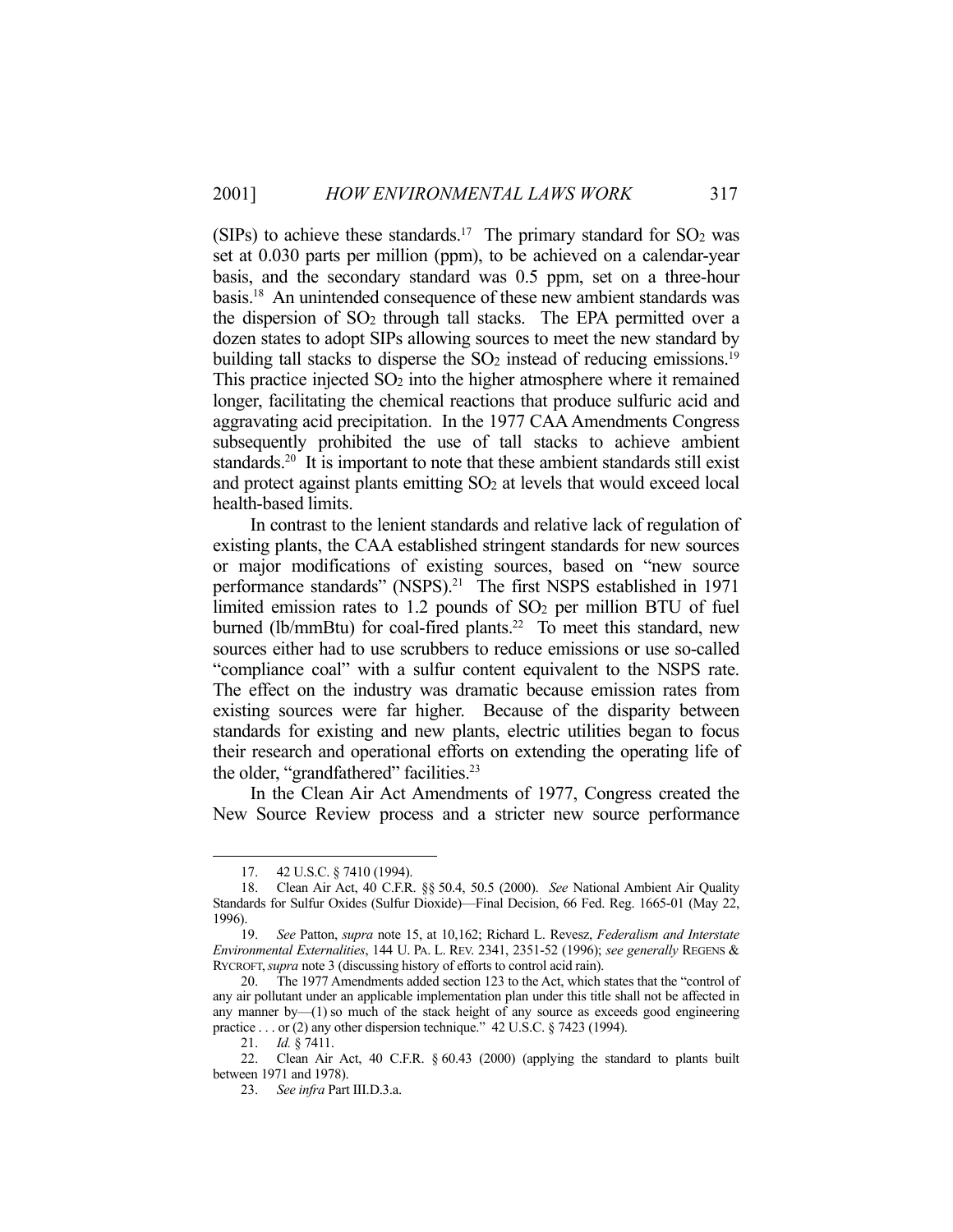(SIPs) to achieve these standards.<sup>17</sup> The primary standard for  $SO<sub>2</sub>$  was set at 0.030 parts per million (ppm), to be achieved on a calendar-year basis, and the secondary standard was 0.5 ppm, set on a three-hour basis.18 An unintended consequence of these new ambient standards was the dispersion of  $SO<sub>2</sub>$  through tall stacks. The EPA permitted over a dozen states to adopt SIPs allowing sources to meet the new standard by building tall stacks to disperse the  $SO<sub>2</sub>$  instead of reducing emissions.<sup>19</sup> This practice injected SO2 into the higher atmosphere where it remained longer, facilitating the chemical reactions that produce sulfuric acid and aggravating acid precipitation. In the 1977 CAA Amendments Congress subsequently prohibited the use of tall stacks to achieve ambient standards.20 It is important to note that these ambient standards still exist and protect against plants emitting SO2 at levels that would exceed local health-based limits.

 In contrast to the lenient standards and relative lack of regulation of existing plants, the CAA established stringent standards for new sources or major modifications of existing sources, based on "new source performance standards" (NSPS).<sup>21</sup> The first NSPS established in 1971 limited emission rates to  $1.2$  pounds of  $SO<sub>2</sub>$  per million BTU of fuel burned (lb/mmBtu) for coal-fired plants.<sup>22</sup> To meet this standard, new sources either had to use scrubbers to reduce emissions or use so-called "compliance coal" with a sulfur content equivalent to the NSPS rate. The effect on the industry was dramatic because emission rates from existing sources were far higher. Because of the disparity between standards for existing and new plants, electric utilities began to focus their research and operational efforts on extending the operating life of the older, "grandfathered" facilities.<sup>23</sup>

 In the Clean Air Act Amendments of 1977, Congress created the New Source Review process and a stricter new source performance

 <sup>17. 42</sup> U.S.C. § 7410 (1994).

 <sup>18.</sup> Clean Air Act, 40 C.F.R. §§ 50.4, 50.5 (2000). *See* National Ambient Air Quality Standards for Sulfur Oxides (Sulfur Dioxide)—Final Decision, 66 Fed. Reg. 1665-01 (May 22, 1996).<br>19.

 <sup>19.</sup> *See* Patton, *supra* note 15, at 10,162; Richard L. Revesz, *Federalism and Interstate Environmental Externalities*, 144 U. PA. L. REV. 2341, 2351-52 (1996); *see generally* REGENS & RYCROFT,*supra* note 3 (discussing history of efforts to control acid rain).

 <sup>20.</sup> The 1977 Amendments added section 123 to the Act, which states that the "control of any air pollutant under an applicable implementation plan under this title shall not be affected in any manner by— $(1)$  so much of the stack height of any source as exceeds good engineering practice . . . or (2) any other dispersion technique." 42 U.S.C. § 7423 (1994).

 <sup>21.</sup> *Id.* § 7411.

 <sup>22.</sup> Clean Air Act, 40 C.F.R. § 60.43 (2000) (applying the standard to plants built between 1971 and 1978).

 <sup>23.</sup> *See infra* Part III.D.3.a.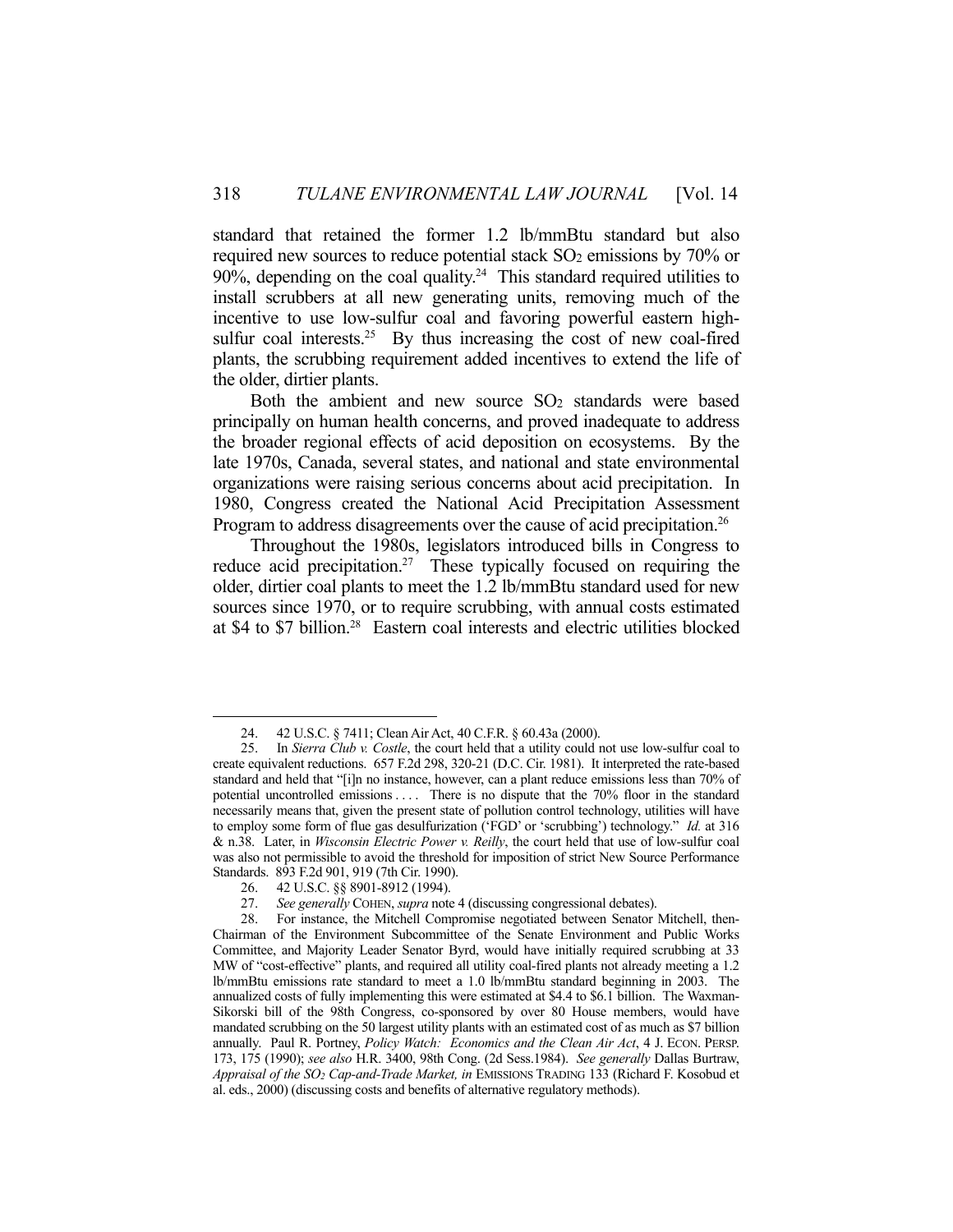standard that retained the former 1.2 lb/mmBtu standard but also required new sources to reduce potential stack SO<sub>2</sub> emissions by 70% or 90%, depending on the coal quality.<sup>24</sup> This standard required utilities to install scrubbers at all new generating units, removing much of the incentive to use low-sulfur coal and favoring powerful eastern highsulfur coal interests.<sup>25</sup> By thus increasing the cost of new coal-fired plants, the scrubbing requirement added incentives to extend the life of the older, dirtier plants.

Both the ambient and new source  $SO<sub>2</sub>$  standards were based principally on human health concerns, and proved inadequate to address the broader regional effects of acid deposition on ecosystems. By the late 1970s, Canada, several states, and national and state environmental organizations were raising serious concerns about acid precipitation. In 1980, Congress created the National Acid Precipitation Assessment Program to address disagreements over the cause of acid precipitation.<sup>26</sup>

 Throughout the 1980s, legislators introduced bills in Congress to reduce acid precipitation.<sup>27</sup> These typically focused on requiring the older, dirtier coal plants to meet the 1.2 lb/mmBtu standard used for new sources since 1970, or to require scrubbing, with annual costs estimated at \$4 to \$7 billion.28 Eastern coal interests and electric utilities blocked

 <sup>24. 42</sup> U.S.C. § 7411; Clean Air Act, 40 C.F.R. § 60.43a (2000).

 <sup>25.</sup> In *Sierra Club v. Costle*, the court held that a utility could not use low-sulfur coal to create equivalent reductions. 657 F.2d 298, 320-21 (D.C. Cir. 1981). It interpreted the rate-based standard and held that "[i]n no instance, however, can a plant reduce emissions less than 70% of potential uncontrolled emissions . . . . There is no dispute that the 70% floor in the standard necessarily means that, given the present state of pollution control technology, utilities will have to employ some form of flue gas desulfurization ('FGD' or 'scrubbing') technology." *Id.* at 316 & n.38. Later, in *Wisconsin Electric Power v. Reilly*, the court held that use of low-sulfur coal was also not permissible to avoid the threshold for imposition of strict New Source Performance Standards. 893 F.2d 901, 919 (7th Cir. 1990).

 <sup>26. 42</sup> U.S.C. §§ 8901-8912 (1994).

 <sup>27.</sup> *See generally* COHEN, *supra* note 4 (discussing congressional debates).

 <sup>28.</sup> For instance, the Mitchell Compromise negotiated between Senator Mitchell, then-Chairman of the Environment Subcommittee of the Senate Environment and Public Works Committee, and Majority Leader Senator Byrd, would have initially required scrubbing at 33 MW of "cost-effective" plants, and required all utility coal-fired plants not already meeting a 1.2 lb/mmBtu emissions rate standard to meet a 1.0 lb/mmBtu standard beginning in 2003. The annualized costs of fully implementing this were estimated at \$4.4 to \$6.1 billion. The Waxman-Sikorski bill of the 98th Congress, co-sponsored by over 80 House members, would have mandated scrubbing on the 50 largest utility plants with an estimated cost of as much as \$7 billion annually. Paul R. Portney, *Policy Watch: Economics and the Clean Air Act*, 4 J. ECON. PERSP. 173, 175 (1990); *see also* H.R. 3400, 98th Cong. (2d Sess.1984). *See generally* Dallas Burtraw, *Appraisal of the SO2 Cap-and-Trade Market, in* EMISSIONS TRADING 133 (Richard F. Kosobud et al. eds., 2000) (discussing costs and benefits of alternative regulatory methods).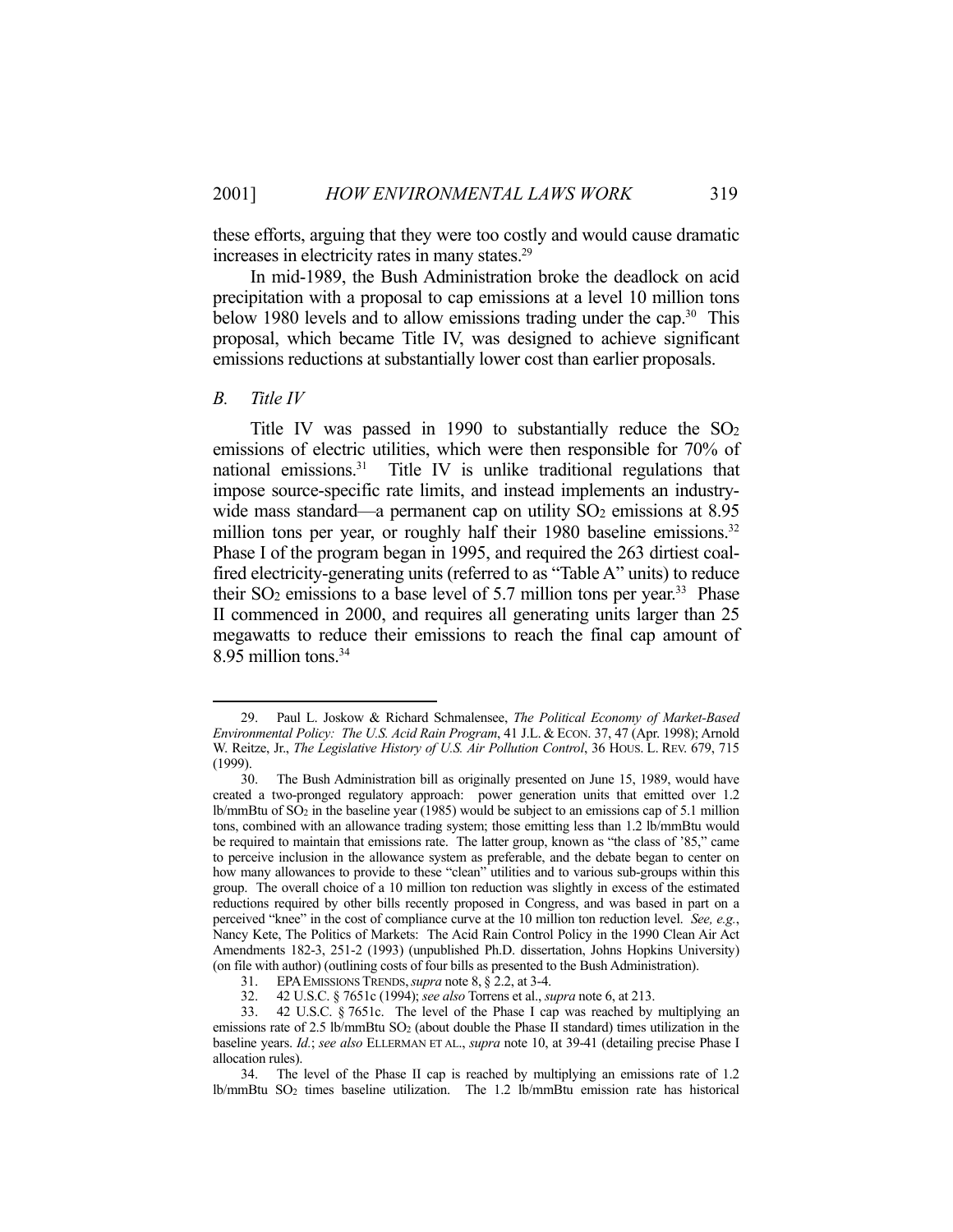these efforts, arguing that they were too costly and would cause dramatic increases in electricity rates in many states.<sup>29</sup>

 In mid-1989, the Bush Administration broke the deadlock on acid precipitation with a proposal to cap emissions at a level 10 million tons below 1980 levels and to allow emissions trading under the cap.<sup>30</sup> This proposal, which became Title IV, was designed to achieve significant emissions reductions at substantially lower cost than earlier proposals.

#### *B. Title IV*

<u>.</u>

Title IV was passed in 1990 to substantially reduce the  $SO<sub>2</sub>$ emissions of electric utilities, which were then responsible for 70% of national emissions.<sup>31</sup> Title IV is unlike traditional regulations that impose source-specific rate limits, and instead implements an industrywide mass standard—a permanent cap on utility  $SO<sub>2</sub>$  emissions at 8.95 million tons per year, or roughly half their 1980 baseline emissions.<sup>32</sup> Phase I of the program began in 1995, and required the 263 dirtiest coalfired electricity-generating units (referred to as "Table A" units) to reduce their  $SO_2$  emissions to a base level of 5.7 million tons per year.<sup>33</sup> Phase II commenced in 2000, and requires all generating units larger than 25 megawatts to reduce their emissions to reach the final cap amount of 8.95 million tons.34

 <sup>29.</sup> Paul L. Joskow & Richard Schmalensee, *The Political Economy of Market-Based Environmental Policy: The U.S. Acid Rain Program*, 41 J.L. & ECON. 37, 47 (Apr. 1998); Arnold W. Reitze, Jr., *The Legislative History of U.S. Air Pollution Control*, 36 HOUS. L. REV. 679, 715 (1999).

 <sup>30.</sup> The Bush Administration bill as originally presented on June 15, 1989, would have created a two-pronged regulatory approach: power generation units that emitted over 1.2 lb/mmBtu of SO<sub>2</sub> in the baseline year (1985) would be subject to an emissions cap of 5.1 million tons, combined with an allowance trading system; those emitting less than 1.2 lb/mmBtu would be required to maintain that emissions rate. The latter group, known as "the class of '85," came to perceive inclusion in the allowance system as preferable, and the debate began to center on how many allowances to provide to these "clean" utilities and to various sub-groups within this group. The overall choice of a 10 million ton reduction was slightly in excess of the estimated reductions required by other bills recently proposed in Congress, and was based in part on a perceived "knee" in the cost of compliance curve at the 10 million ton reduction level. *See, e.g.*, Nancy Kete, The Politics of Markets: The Acid Rain Control Policy in the 1990 Clean Air Act Amendments 182-3, 251-2 (1993) (unpublished Ph.D. dissertation, Johns Hopkins University) (on file with author) (outlining costs of four bills as presented to the Bush Administration).

 <sup>31.</sup> EPAEMISSIONS TRENDS,*supra* note 8, § 2.2, at 3-4.

 <sup>32. 42</sup> U.S.C. § 7651c (1994); *see also* Torrens et al., *supra* note 6, at 213.

 <sup>33. 42</sup> U.S.C. § 7651c. The level of the Phase I cap was reached by multiplying an emissions rate of 2.5 lb/mmBtu SO<sub>2</sub> (about double the Phase II standard) times utilization in the baseline years. *Id.*; *see also* ELLERMAN ET AL., *supra* note 10, at 39-41 (detailing precise Phase I allocation rules).

 <sup>34.</sup> The level of the Phase II cap is reached by multiplying an emissions rate of 1.2 lb/mmBtu SO2 times baseline utilization. The 1.2 lb/mmBtu emission rate has historical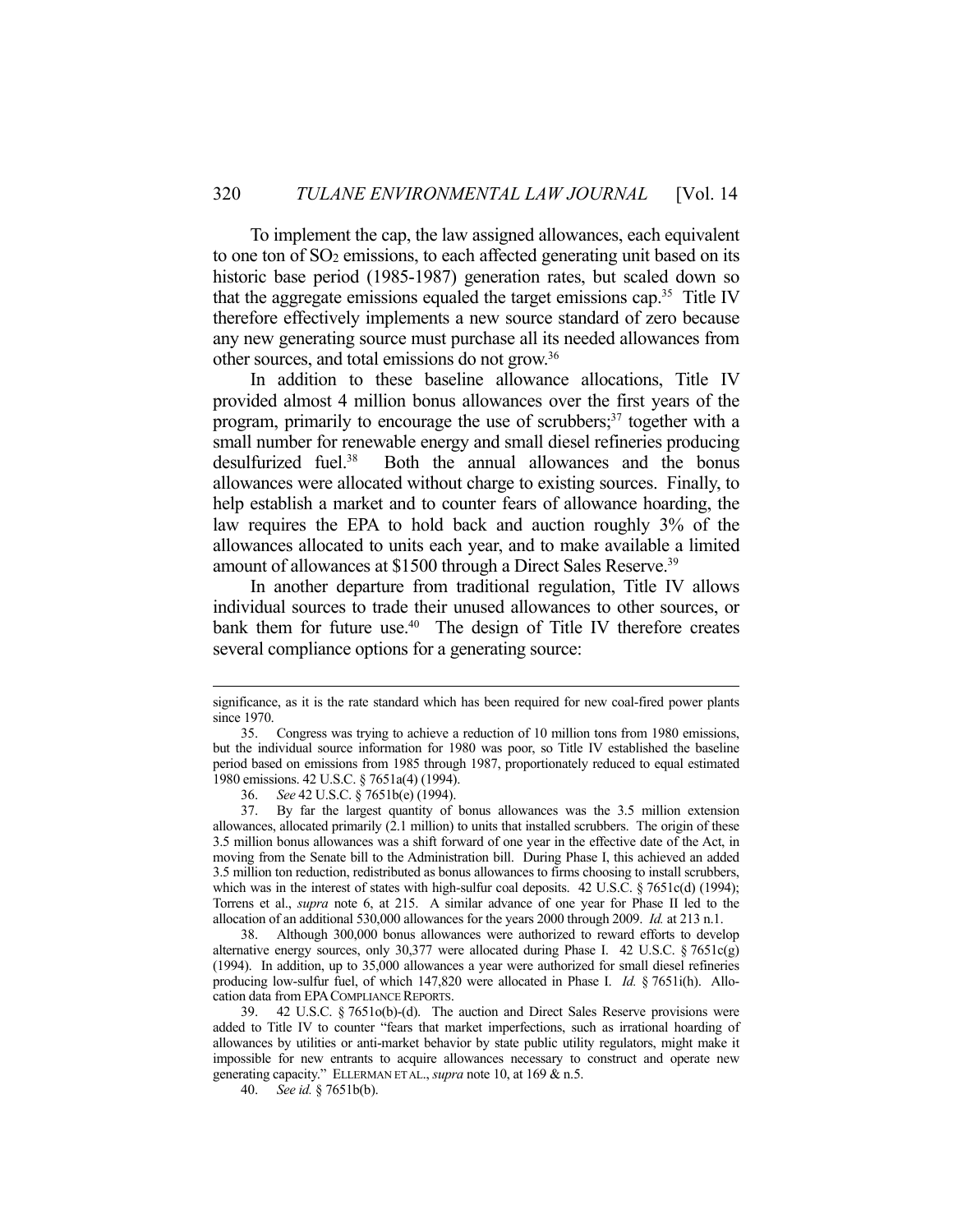To implement the cap, the law assigned allowances, each equivalent to one ton of SO2 emissions, to each affected generating unit based on its historic base period (1985-1987) generation rates, but scaled down so that the aggregate emissions equaled the target emissions cap.35 Title IV therefore effectively implements a new source standard of zero because any new generating source must purchase all its needed allowances from other sources, and total emissions do not grow.36

 In addition to these baseline allowance allocations, Title IV provided almost 4 million bonus allowances over the first years of the program, primarily to encourage the use of scrubbers;<sup>37</sup> together with a small number for renewable energy and small diesel refineries producing desulfurized fuel.38 Both the annual allowances and the bonus allowances were allocated without charge to existing sources. Finally, to help establish a market and to counter fears of allowance hoarding, the law requires the EPA to hold back and auction roughly 3% of the allowances allocated to units each year, and to make available a limited amount of allowances at \$1500 through a Direct Sales Reserve.<sup>39</sup>

 In another departure from traditional regulation, Title IV allows individual sources to trade their unused allowances to other sources, or bank them for future use.<sup>40</sup> The design of Title IV therefore creates several compliance options for a generating source:

 38. Although 300,000 bonus allowances were authorized to reward efforts to develop alternative energy sources, only 30,377 were allocated during Phase I. 42 U.S.C. § 7651c(g) (1994). In addition, up to 35,000 allowances a year were authorized for small diesel refineries producing low-sulfur fuel, of which 147,820 were allocated in Phase I. *Id.* § 7651i(h). Allocation data from EPACOMPLIANCE REPORTS.

significance, as it is the rate standard which has been required for new coal-fired power plants since 1970.

 <sup>35.</sup> Congress was trying to achieve a reduction of 10 million tons from 1980 emissions, but the individual source information for 1980 was poor, so Title IV established the baseline period based on emissions from 1985 through 1987, proportionately reduced to equal estimated 1980 emissions. 42 U.S.C. § 7651a(4) (1994).

 <sup>36.</sup> *See* 42 U.S.C. § 7651b(e) (1994).

 <sup>37.</sup> By far the largest quantity of bonus allowances was the 3.5 million extension allowances, allocated primarily (2.1 million) to units that installed scrubbers. The origin of these 3.5 million bonus allowances was a shift forward of one year in the effective date of the Act, in moving from the Senate bill to the Administration bill. During Phase I, this achieved an added 3.5 million ton reduction, redistributed as bonus allowances to firms choosing to install scrubbers, which was in the interest of states with high-sulfur coal deposits. 42 U.S.C. § 7651c(d) (1994); Torrens et al., *supra* note 6, at 215. A similar advance of one year for Phase II led to the allocation of an additional 530,000 allowances for the years 2000 through 2009. *Id.* at 213 n.1.

 <sup>39. 42</sup> U.S.C. § 7651o(b)-(d). The auction and Direct Sales Reserve provisions were added to Title IV to counter "fears that market imperfections, such as irrational hoarding of allowances by utilities or anti-market behavior by state public utility regulators, might make it impossible for new entrants to acquire allowances necessary to construct and operate new generating capacity." ELLERMAN ET AL., *supra* note 10, at 169 & n.5.

 <sup>40.</sup> *See id.* § 7651b(b).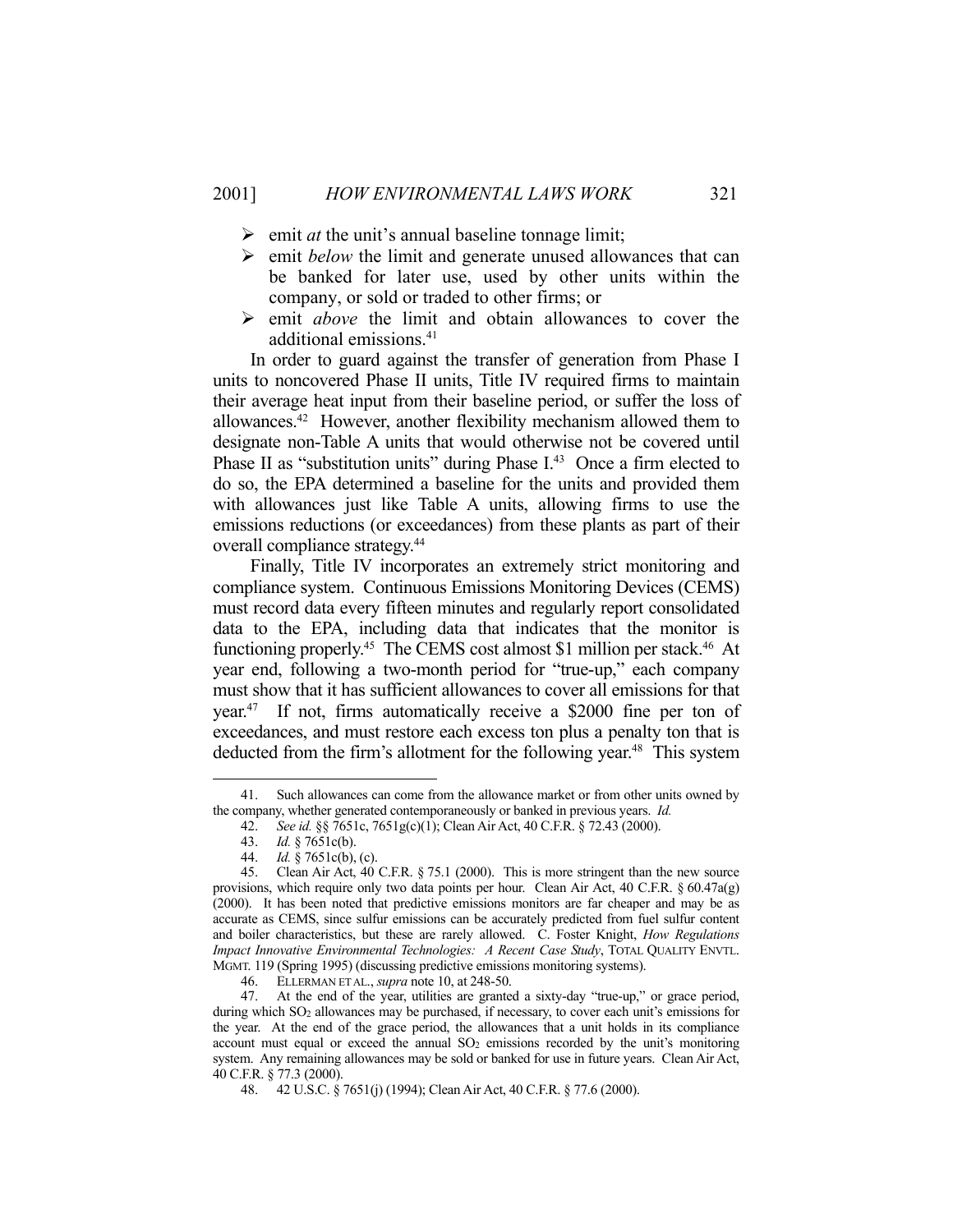- $\triangleright$  emit *at* the unit's annual baseline tonnage limit;
- $\triangleright$  emit *below* the limit and generate unused allowances that can be banked for later use, used by other units within the company, or sold or traded to other firms; or
- emit *above* the limit and obtain allowances to cover the additional emissions.41

 In order to guard against the transfer of generation from Phase I units to noncovered Phase II units, Title IV required firms to maintain their average heat input from their baseline period, or suffer the loss of allowances.42 However, another flexibility mechanism allowed them to designate non-Table A units that would otherwise not be covered until Phase II as "substitution units" during Phase I.<sup>43</sup> Once a firm elected to do so, the EPA determined a baseline for the units and provided them with allowances just like Table A units, allowing firms to use the emissions reductions (or exceedances) from these plants as part of their overall compliance strategy.44

 Finally, Title IV incorporates an extremely strict monitoring and compliance system. Continuous Emissions Monitoring Devices (CEMS) must record data every fifteen minutes and regularly report consolidated data to the EPA, including data that indicates that the monitor is functioning properly.<sup>45</sup> The CEMS cost almost \$1 million per stack.<sup>46</sup> At year end, following a two-month period for "true-up," each company must show that it has sufficient allowances to cover all emissions for that year.47 If not, firms automatically receive a \$2000 fine per ton of exceedances, and must restore each excess ton plus a penalty ton that is deducted from the firm's allotment for the following year.<sup>48</sup> This system

 <sup>41.</sup> Such allowances can come from the allowance market or from other units owned by the company, whether generated contemporaneously or banked in previous years. *Id.*

 <sup>42.</sup> *See id.* §§ 7651c, 7651g(c)(1); Clean Air Act, 40 C.F.R. § 72.43 (2000).

 <sup>43.</sup> *Id.* § 7651c(b).

 <sup>44.</sup> *Id.* § 7651c(b), (c).

 <sup>45.</sup> Clean Air Act, 40 C.F.R. § 75.1 (2000). This is more stringent than the new source provisions, which require only two data points per hour. Clean Air Act, 40 C.F.R. § 60.47a(g) (2000). It has been noted that predictive emissions monitors are far cheaper and may be as accurate as CEMS, since sulfur emissions can be accurately predicted from fuel sulfur content and boiler characteristics, but these are rarely allowed. C. Foster Knight, *How Regulations Impact Innovative Environmental Technologies: A Recent Case Study*, TOTAL QUALITY ENVTL. MGMT. 119 (Spring 1995) (discussing predictive emissions monitoring systems).

 <sup>46.</sup> ELLERMAN ET AL., *supra* note 10, at 248-50.

 <sup>47.</sup> At the end of the year, utilities are granted a sixty-day "true-up," or grace period, during which SO<sub>2</sub> allowances may be purchased, if necessary, to cover each unit's emissions for the year. At the end of the grace period, the allowances that a unit holds in its compliance account must equal or exceed the annual  $SO<sub>2</sub>$  emissions recorded by the unit's monitoring system. Any remaining allowances may be sold or banked for use in future years. Clean Air Act, 40 C.F.R. § 77.3 (2000).

 <sup>48. 42</sup> U.S.C. § 7651(j) (1994); Clean Air Act, 40 C.F.R. § 77.6 (2000).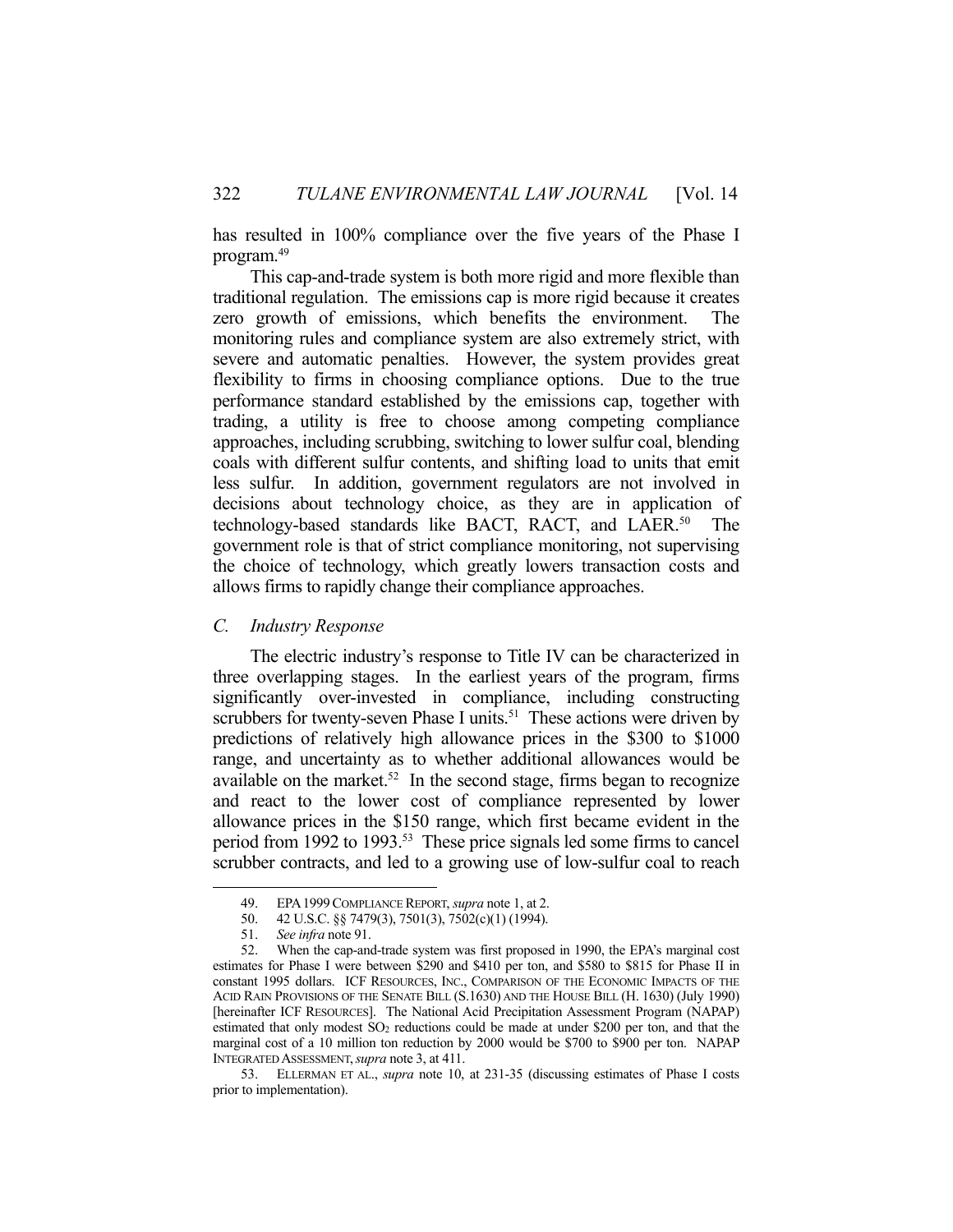has resulted in 100% compliance over the five years of the Phase I program.49

 This cap-and-trade system is both more rigid and more flexible than traditional regulation. The emissions cap is more rigid because it creates zero growth of emissions, which benefits the environment. The monitoring rules and compliance system are also extremely strict, with severe and automatic penalties. However, the system provides great flexibility to firms in choosing compliance options. Due to the true performance standard established by the emissions cap, together with trading, a utility is free to choose among competing compliance approaches, including scrubbing, switching to lower sulfur coal, blending coals with different sulfur contents, and shifting load to units that emit less sulfur. In addition, government regulators are not involved in decisions about technology choice, as they are in application of technology-based standards like BACT, RACT, and LAER.<sup>50</sup> The government role is that of strict compliance monitoring, not supervising the choice of technology, which greatly lowers transaction costs and allows firms to rapidly change their compliance approaches.

#### *C. Industry Response*

 The electric industry's response to Title IV can be characterized in three overlapping stages. In the earliest years of the program, firms significantly over-invested in compliance, including constructing scrubbers for twenty-seven Phase I units.<sup>51</sup> These actions were driven by predictions of relatively high allowance prices in the \$300 to \$1000 range, and uncertainty as to whether additional allowances would be available on the market.<sup>52</sup> In the second stage, firms began to recognize and react to the lower cost of compliance represented by lower allowance prices in the \$150 range, which first became evident in the period from 1992 to 1993.53 These price signals led some firms to cancel scrubber contracts, and led to a growing use of low-sulfur coal to reach

<u>.</u>

 <sup>49.</sup> EPA1999COMPLIANCE REPORT, *supra* note 1, at 2.

 <sup>50. 42</sup> U.S.C. §§ 7479(3), 7501(3), 7502(c)(1) (1994).

 <sup>51.</sup> *See infra* note 91.

 <sup>52.</sup> When the cap-and-trade system was first proposed in 1990, the EPA's marginal cost estimates for Phase I were between \$290 and \$410 per ton, and \$580 to \$815 for Phase II in constant 1995 dollars. ICF RESOURCES, INC., COMPARISON OF THE ECONOMIC IMPACTS OF THE ACID RAIN PROVISIONS OF THE SENATE BILL (S.1630) AND THE HOUSE BILL (H. 1630) (July 1990) [hereinafter ICF RESOURCES]. The National Acid Precipitation Assessment Program (NAPAP) estimated that only modest SO<sub>2</sub> reductions could be made at under \$200 per ton, and that the marginal cost of a 10 million ton reduction by 2000 would be \$700 to \$900 per ton. NAPAP INTEGRATED ASSESSMENT,*supra* note 3, at 411.

 <sup>53.</sup> ELLERMAN ET AL., *supra* note 10, at 231-35 (discussing estimates of Phase I costs prior to implementation).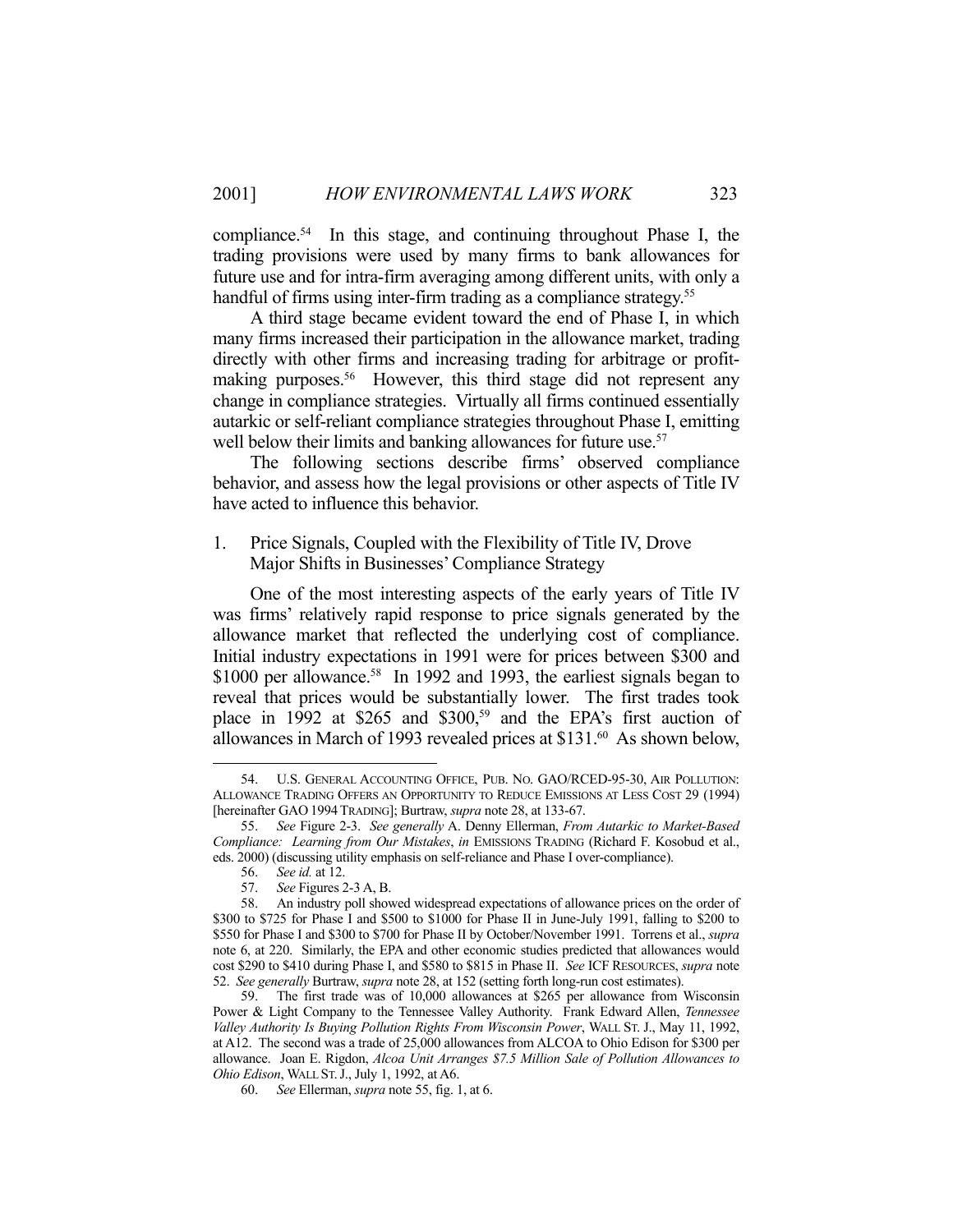compliance.54 In this stage, and continuing throughout Phase I, the trading provisions were used by many firms to bank allowances for future use and for intra-firm averaging among different units, with only a handful of firms using inter-firm trading as a compliance strategy.<sup>55</sup>

 A third stage became evident toward the end of Phase I, in which many firms increased their participation in the allowance market, trading directly with other firms and increasing trading for arbitrage or profitmaking purposes.<sup>56</sup> However, this third stage did not represent any change in compliance strategies. Virtually all firms continued essentially autarkic or self-reliant compliance strategies throughout Phase I, emitting well below their limits and banking allowances for future use.<sup>57</sup>

 The following sections describe firms' observed compliance behavior, and assess how the legal provisions or other aspects of Title IV have acted to influence this behavior.

## 1. Price Signals, Coupled with the Flexibility of Title IV, Drove Major Shifts in Businesses' Compliance Strategy

 One of the most interesting aspects of the early years of Title IV was firms' relatively rapid response to price signals generated by the allowance market that reflected the underlying cost of compliance. Initial industry expectations in 1991 were for prices between \$300 and \$1000 per allowance.<sup>58</sup> In 1992 and 1993, the earliest signals began to reveal that prices would be substantially lower. The first trades took place in 1992 at \$265 and \$300,<sup>59</sup> and the EPA's first auction of allowances in March of 1993 revealed prices at \$131.60 As shown below,

 <sup>54.</sup> U.S. GENERAL ACCOUNTING OFFICE, PUB. NO. GAO/RCED-95-30, AIR POLLUTION: ALLOWANCE TRADING OFFERS AN OPPORTUNITY TO REDUCE EMISSIONS AT LESS COST 29 (1994) [hereinafter GAO 1994TRADING]; Burtraw, *supra* note 28, at 133-67.

 <sup>55.</sup> *See* Figure 2-3. *See generally* A. Denny Ellerman, *From Autarkic to Market-Based Compliance: Learning from Our Mistakes*, *in* EMISSIONS TRADING (Richard F. Kosobud et al., eds. 2000) (discussing utility emphasis on self-reliance and Phase I over-compliance).

 <sup>56.</sup> *See id.* at 12.

See Figures 2-3 A, B.

 <sup>58.</sup> An industry poll showed widespread expectations of allowance prices on the order of \$300 to \$725 for Phase I and \$500 to \$1000 for Phase II in June-July 1991, falling to \$200 to \$550 for Phase I and \$300 to \$700 for Phase II by October/November 1991. Torrens et al., *supra* note 6, at 220. Similarly, the EPA and other economic studies predicted that allowances would cost \$290 to \$410 during Phase I, and \$580 to \$815 in Phase II. *See* ICF RESOURCES, *supra* note 52. *See generally* Burtraw, *supra* note 28, at 152 (setting forth long-run cost estimates).

 <sup>59.</sup> The first trade was of 10,000 allowances at \$265 per allowance from Wisconsin Power & Light Company to the Tennessee Valley Authority. Frank Edward Allen, *Tennessee Valley Authority Is Buying Pollution Rights From Wisconsin Power*, WALL ST. J., May 11, 1992, at A12. The second was a trade of 25,000 allowances from ALCOA to Ohio Edison for \$300 per allowance. Joan E. Rigdon, *Alcoa Unit Arranges \$7.5 Million Sale of Pollution Allowances to Ohio Edison*, WALL ST.J., July 1, 1992, at A6.

 <sup>60.</sup> *See* Ellerman, *supra* note 55, fig. 1, at 6.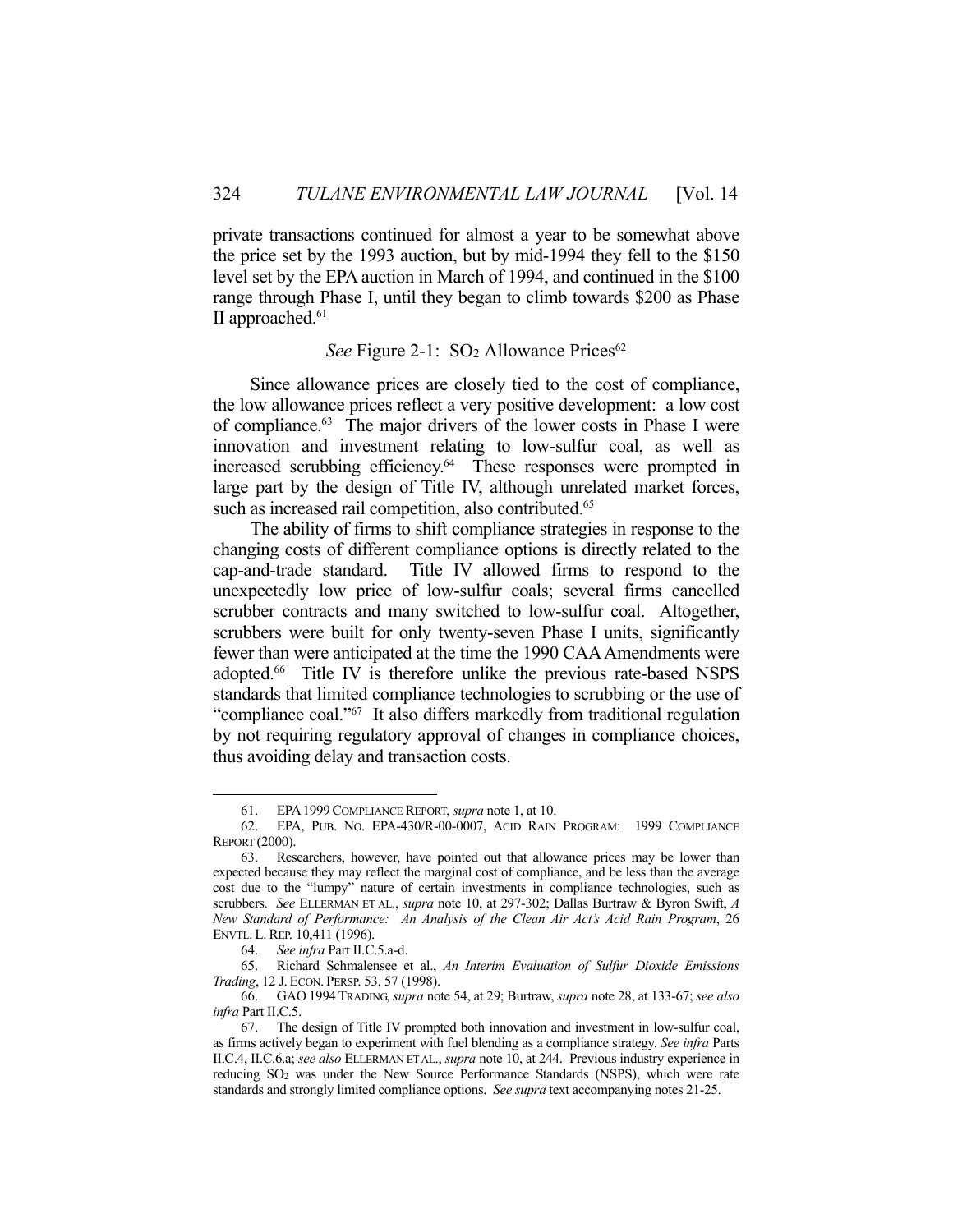private transactions continued for almost a year to be somewhat above the price set by the 1993 auction, but by mid-1994 they fell to the \$150 level set by the EPA auction in March of 1994, and continued in the \$100 range through Phase I, until they began to climb towards \$200 as Phase II approached.<sup>61</sup>

## *See* Figure 2-1: SO<sub>2</sub> Allowance Prices<sup>62</sup>

 Since allowance prices are closely tied to the cost of compliance, the low allowance prices reflect a very positive development: a low cost of compliance.<sup>63</sup> The major drivers of the lower costs in Phase I were innovation and investment relating to low-sulfur coal, as well as increased scrubbing efficiency.64 These responses were prompted in large part by the design of Title IV, although unrelated market forces, such as increased rail competition, also contributed.<sup>65</sup>

 The ability of firms to shift compliance strategies in response to the changing costs of different compliance options is directly related to the cap-and-trade standard. Title IV allowed firms to respond to the unexpectedly low price of low-sulfur coals; several firms cancelled scrubber contracts and many switched to low-sulfur coal. Altogether, scrubbers were built for only twenty-seven Phase I units, significantly fewer than were anticipated at the time the 1990 CAA Amendments were adopted.<sup>66</sup> Title IV is therefore unlike the previous rate-based NSPS standards that limited compliance technologies to scrubbing or the use of "compliance coal."67 It also differs markedly from traditional regulation by not requiring regulatory approval of changes in compliance choices, thus avoiding delay and transaction costs.

 <sup>61.</sup> EPA1999COMPLIANCE REPORT, *supra* note 1, at 10.

<sup>62.</sup> EPA, PUB. NO. EPA-430/R-00-0007, ACID RAIN PROGRAM: 1999 COMPLIANCE REPORT (2000).

 <sup>63.</sup> Researchers, however, have pointed out that allowance prices may be lower than expected because they may reflect the marginal cost of compliance, and be less than the average cost due to the "lumpy" nature of certain investments in compliance technologies, such as scrubbers. *See* ELLERMAN ET AL., *supra* note 10, at 297-302; Dallas Burtraw & Byron Swift, *A New Standard of Performance: An Analysis of the Clean Air Act's Acid Rain Program*, 26 ENVTL. L.REP. 10,411 (1996).

 <sup>64.</sup> *See infra* Part II.C.5.a-d.

 <sup>65.</sup> Richard Schmalensee et al., *An Interim Evaluation of Sulfur Dioxide Emissions Trading*, 12 J. ECON. PERSP. 53, 57 (1998).

 <sup>66.</sup> GAO 1994 TRADING, *supra* note 54, at 29; Burtraw, *supra* note 28, at 133-67; *see also infra* Part II.C.5.

 <sup>67.</sup> The design of Title IV prompted both innovation and investment in low-sulfur coal, as firms actively began to experiment with fuel blending as a compliance strategy. *See infra* Parts II.C.4, II.C.6.a; *see also* ELLERMAN ET AL., *supra* note 10, at 244. Previous industry experience in reducing SO2 was under the New Source Performance Standards (NSPS), which were rate standards and strongly limited compliance options. *See supra* text accompanying notes 21-25.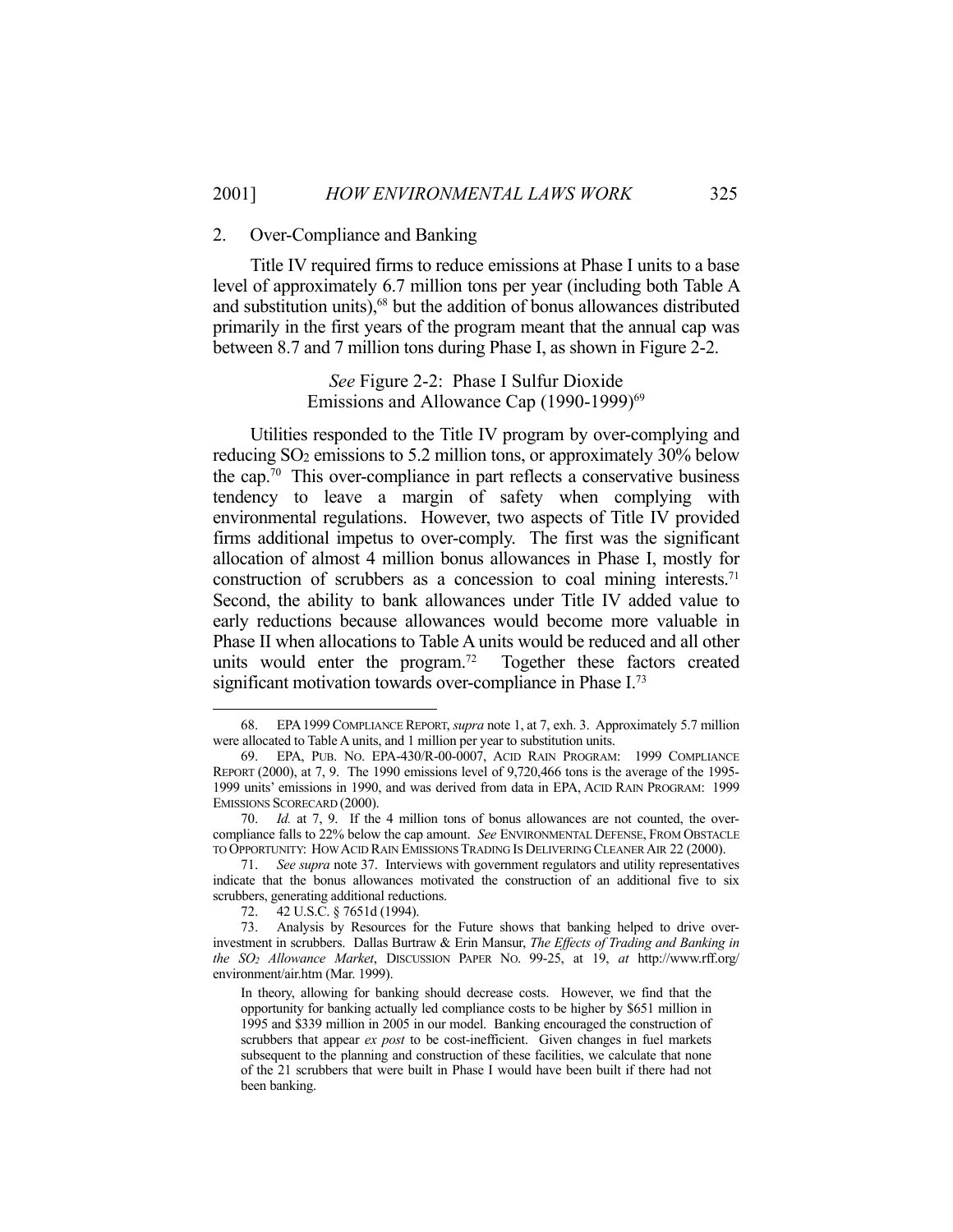#### 2. Over-Compliance and Banking

 Title IV required firms to reduce emissions at Phase I units to a base level of approximately 6.7 million tons per year (including both Table A and substitution units),<sup>68</sup> but the addition of bonus allowances distributed primarily in the first years of the program meant that the annual cap was between 8.7 and 7 million tons during Phase I, as shown in Figure 2-2.

> *See* Figure 2-2: Phase I Sulfur Dioxide Emissions and Allowance Cap (1990-1999)<sup>69</sup>

 Utilities responded to the Title IV program by over-complying and reducing SO2 emissions to 5.2 million tons, or approximately 30% below the cap.<sup>70</sup> This over-compliance in part reflects a conservative business tendency to leave a margin of safety when complying with environmental regulations. However, two aspects of Title IV provided firms additional impetus to over-comply. The first was the significant allocation of almost 4 million bonus allowances in Phase I, mostly for construction of scrubbers as a concession to coal mining interests.<sup>71</sup> Second, the ability to bank allowances under Title IV added value to early reductions because allowances would become more valuable in Phase II when allocations to Table A units would be reduced and all other units would enter the program.<sup>72</sup> Together these factors created significant motivation towards over-compliance in Phase I.<sup>73</sup>

 <sup>68.</sup> EPA1999COMPLIANCE REPORT, *supra* note 1, at 7, exh. 3. Approximately 5.7 million were allocated to Table A units, and 1 million per year to substitution units.

 <sup>69.</sup> EPA, PUB. NO. EPA-430/R-00-0007, ACID RAIN PROGRAM: 1999 COMPLIANCE REPORT (2000), at 7, 9. The 1990 emissions level of 9,720,466 tons is the average of the 1995- 1999 units' emissions in 1990, and was derived from data in EPA, ACID RAIN PROGRAM: 1999 EMISSIONS SCORECARD (2000).

 <sup>70.</sup> *Id.* at 7, 9. If the 4 million tons of bonus allowances are not counted, the overcompliance falls to 22% below the cap amount. *See* ENVIRONMENTAL DEFENSE, FROM OBSTACLE TO OPPORTUNITY: HOW ACID RAIN EMISSIONS TRADING IS DELIVERING CLEANER AIR 22 (2000).

 <sup>71.</sup> *See supra* note 37. Interviews with government regulators and utility representatives indicate that the bonus allowances motivated the construction of an additional five to six scrubbers, generating additional reductions.

 <sup>72. 42</sup> U.S.C. § 7651d (1994).

 <sup>73.</sup> Analysis by Resources for the Future shows that banking helped to drive overinvestment in scrubbers. Dallas Burtraw & Erin Mansur, *The Effects of Trading and Banking in the SO2 Allowance Market*, DISCUSSION PAPER NO. 99-25, at 19, *at* http://www.rff.org/ environment/air.htm (Mar. 1999).

In theory, allowing for banking should decrease costs. However, we find that the opportunity for banking actually led compliance costs to be higher by \$651 million in 1995 and \$339 million in 2005 in our model. Banking encouraged the construction of scrubbers that appear *ex post* to be cost-inefficient. Given changes in fuel markets subsequent to the planning and construction of these facilities, we calculate that none of the 21 scrubbers that were built in Phase I would have been built if there had not been banking.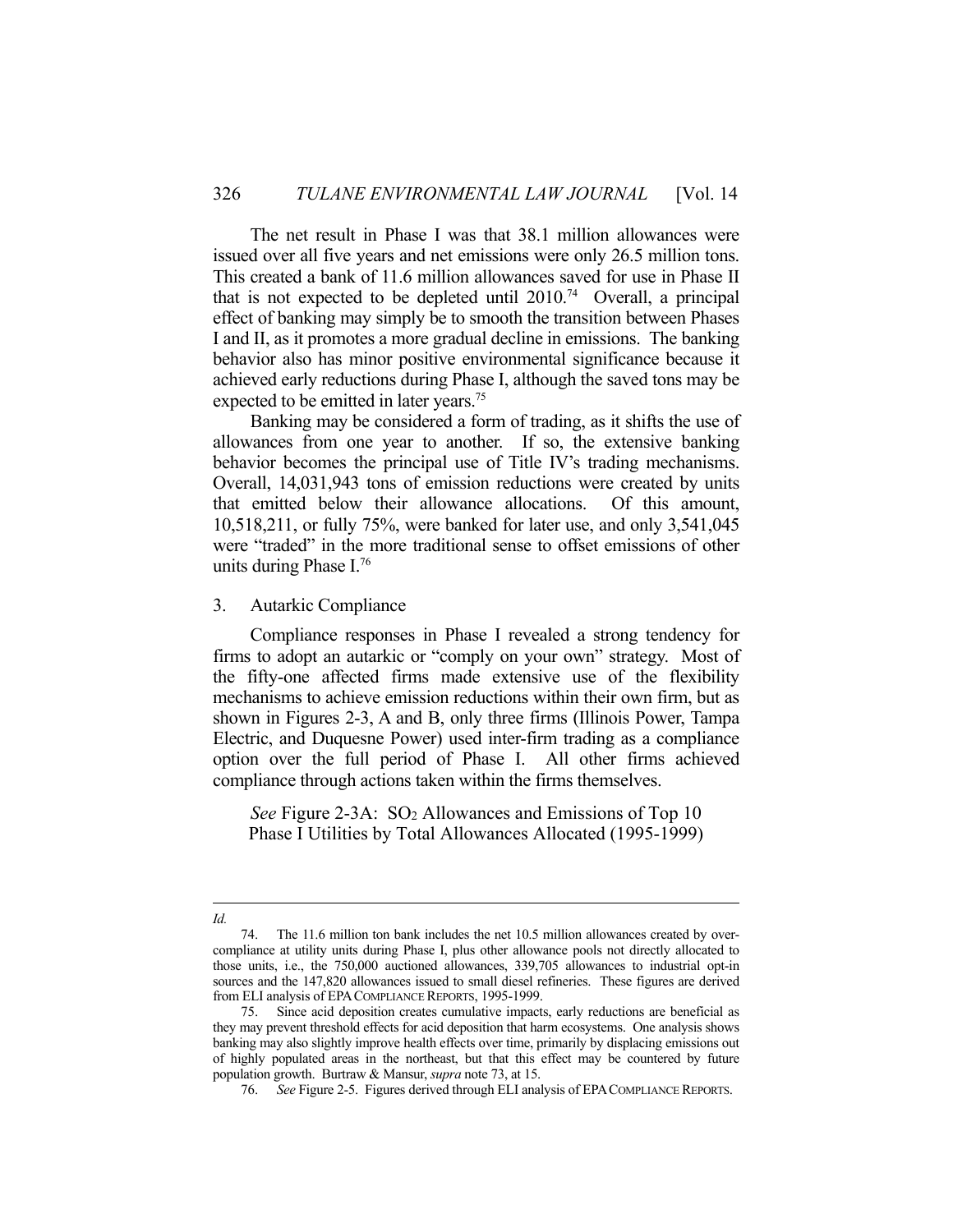The net result in Phase I was that 38.1 million allowances were issued over all five years and net emissions were only 26.5 million tons. This created a bank of 11.6 million allowances saved for use in Phase II that is not expected to be depleted until  $2010^{74}$  Overall, a principal effect of banking may simply be to smooth the transition between Phases I and II, as it promotes a more gradual decline in emissions. The banking behavior also has minor positive environmental significance because it achieved early reductions during Phase I, although the saved tons may be expected to be emitted in later years.<sup>75</sup>

 Banking may be considered a form of trading, as it shifts the use of allowances from one year to another. If so, the extensive banking behavior becomes the principal use of Title IV's trading mechanisms. Overall, 14,031,943 tons of emission reductions were created by units that emitted below their allowance allocations. Of this amount, 10,518,211, or fully 75%, were banked for later use, and only 3,541,045 were "traded" in the more traditional sense to offset emissions of other units during Phase I.76

3. Autarkic Compliance

 Compliance responses in Phase I revealed a strong tendency for firms to adopt an autarkic or "comply on your own" strategy. Most of the fifty-one affected firms made extensive use of the flexibility mechanisms to achieve emission reductions within their own firm, but as shown in Figures 2-3, A and B, only three firms (Illinois Power, Tampa Electric, and Duquesne Power) used inter-firm trading as a compliance option over the full period of Phase I. All other firms achieved compliance through actions taken within the firms themselves.

*See* Figure 2-3A: SO2 Allowances and Emissions of Top 10 Phase I Utilities by Total Allowances Allocated (1995-1999)

<sup>1</sup> *Id.*

 <sup>74.</sup> The 11.6 million ton bank includes the net 10.5 million allowances created by overcompliance at utility units during Phase I, plus other allowance pools not directly allocated to those units, i.e., the 750,000 auctioned allowances, 339,705 allowances to industrial opt-in sources and the 147,820 allowances issued to small diesel refineries. These figures are derived from ELI analysis of EPACOMPLIANCE REPORTS, 1995-1999.

 <sup>75.</sup> Since acid deposition creates cumulative impacts, early reductions are beneficial as they may prevent threshold effects for acid deposition that harm ecosystems. One analysis shows banking may also slightly improve health effects over time, primarily by displacing emissions out of highly populated areas in the northeast, but that this effect may be countered by future population growth. Burtraw & Mansur, *supra* note 73, at 15.

 <sup>76.</sup> *See* Figure 2-5. Figures derived through ELI analysis of EPACOMPLIANCE REPORTS.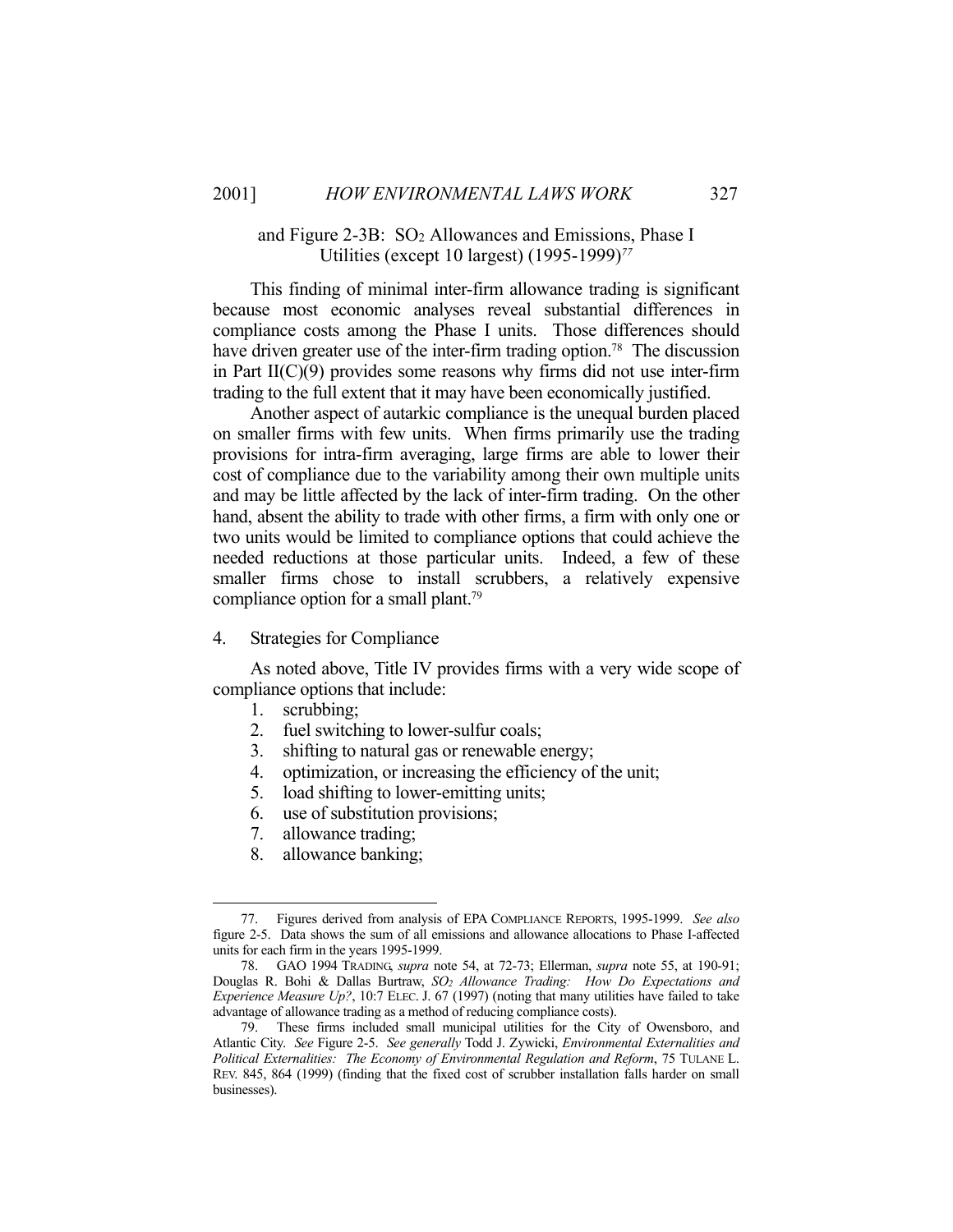## and Figure 2-3B: SO2 Allowances and Emissions, Phase I Utilities (except 10 largest) (1995-1999)*<sup>77</sup>*

 This finding of minimal inter-firm allowance trading is significant because most economic analyses reveal substantial differences in compliance costs among the Phase I units. Those differences should have driven greater use of the inter-firm trading option.<sup>78</sup> The discussion in Part II(C)(9) provides some reasons why firms did not use inter-firm trading to the full extent that it may have been economically justified.

 Another aspect of autarkic compliance is the unequal burden placed on smaller firms with few units. When firms primarily use the trading provisions for intra-firm averaging, large firms are able to lower their cost of compliance due to the variability among their own multiple units and may be little affected by the lack of inter-firm trading. On the other hand, absent the ability to trade with other firms, a firm with only one or two units would be limited to compliance options that could achieve the needed reductions at those particular units. Indeed, a few of these smaller firms chose to install scrubbers, a relatively expensive compliance option for a small plant.79

### 4. Strategies for Compliance

 As noted above, Title IV provides firms with a very wide scope of compliance options that include:

1. scrubbing;

- 2. fuel switching to lower-sulfur coals;
- 3. shifting to natural gas or renewable energy;
- 4. optimization, or increasing the efficiency of the unit;
- 5. load shifting to lower-emitting units;
- 6. use of substitution provisions;
- 7. allowance trading;
- 8. allowance banking;

 <sup>77.</sup> Figures derived from analysis of EPA COMPLIANCE REPORTS, 1995-1999. *See also* figure 2-5. Data shows the sum of all emissions and allowance allocations to Phase I-affected units for each firm in the years 1995-1999.

 <sup>78.</sup> GAO 1994 TRADING, *supra* note 54, at 72-73; Ellerman, *supra* note 55, at 190-91; Douglas R. Bohi & Dallas Burtraw, *SO2 Allowance Trading: How Do Expectations and Experience Measure Up?*, 10:7 ELEC. J. 67 (1997) (noting that many utilities have failed to take advantage of allowance trading as a method of reducing compliance costs).

 <sup>79.</sup> These firms included small municipal utilities for the City of Owensboro, and Atlantic City. *See* Figure 2-5. *See generally* Todd J. Zywicki, *Environmental Externalities and Political Externalities: The Economy of Environmental Regulation and Reform*, 75 TULANE L. REV. 845, 864 (1999) (finding that the fixed cost of scrubber installation falls harder on small businesses).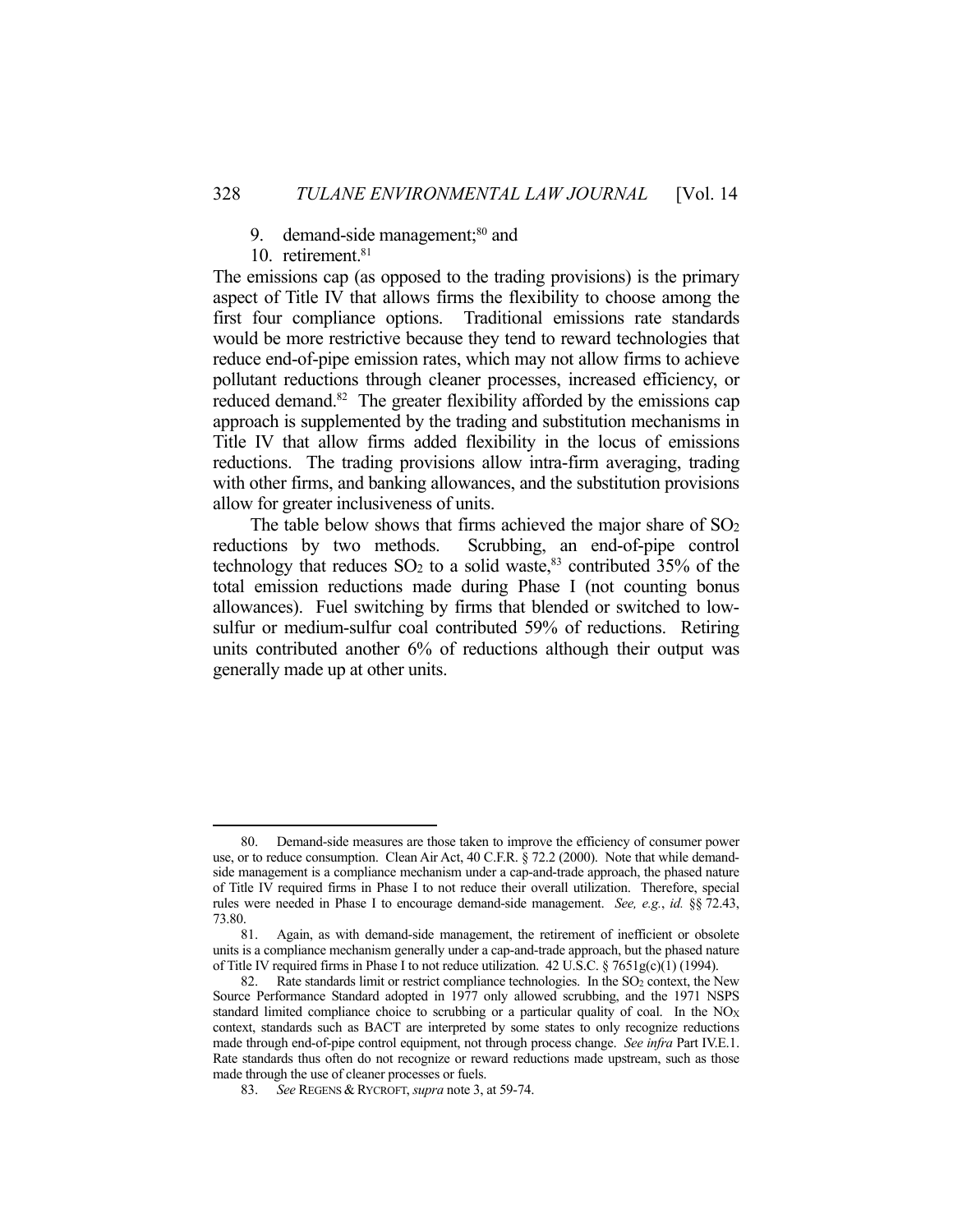- 9. demand-side management; $80$  and
- 10. retirement.<sup>81</sup>

1

The emissions cap (as opposed to the trading provisions) is the primary aspect of Title IV that allows firms the flexibility to choose among the first four compliance options. Traditional emissions rate standards would be more restrictive because they tend to reward technologies that reduce end-of-pipe emission rates, which may not allow firms to achieve pollutant reductions through cleaner processes, increased efficiency, or reduced demand.<sup>82</sup> The greater flexibility afforded by the emissions cap approach is supplemented by the trading and substitution mechanisms in Title IV that allow firms added flexibility in the locus of emissions reductions. The trading provisions allow intra-firm averaging, trading with other firms, and banking allowances, and the substitution provisions allow for greater inclusiveness of units.

The table below shows that firms achieved the major share of  $SO<sub>2</sub>$ reductions by two methods. Scrubbing, an end-of-pipe control technology that reduces  $SO_2$  to a solid waste,<sup>83</sup> contributed  $35%$  of the total emission reductions made during Phase I (not counting bonus allowances). Fuel switching by firms that blended or switched to lowsulfur or medium-sulfur coal contributed 59% of reductions. Retiring units contributed another 6% of reductions although their output was generally made up at other units.

 <sup>80.</sup> Demand-side measures are those taken to improve the efficiency of consumer power use, or to reduce consumption. Clean Air Act, 40 C.F.R. § 72.2 (2000). Note that while demandside management is a compliance mechanism under a cap-and-trade approach, the phased nature of Title IV required firms in Phase I to not reduce their overall utilization. Therefore, special rules were needed in Phase I to encourage demand-side management. *See, e.g.*, *id.* §§ 72.43, 73.80.

 <sup>81.</sup> Again, as with demand-side management, the retirement of inefficient or obsolete units is a compliance mechanism generally under a cap-and-trade approach, but the phased nature of Title IV required firms in Phase I to not reduce utilization. 42 U.S.C. § 7651g(c)(1) (1994).

<sup>82.</sup> Rate standards limit or restrict compliance technologies. In the SO<sub>2</sub> context, the New Source Performance Standard adopted in 1977 only allowed scrubbing, and the 1971 NSPS standard limited compliance choice to scrubbing or a particular quality of coal. In the NOX context, standards such as BACT are interpreted by some states to only recognize reductions made through end-of-pipe control equipment, not through process change. *See infra* Part IV.E.1. Rate standards thus often do not recognize or reward reductions made upstream, such as those made through the use of cleaner processes or fuels.

 <sup>83.</sup> *See* REGENS & RYCROFT, *supra* note 3, at 59-74.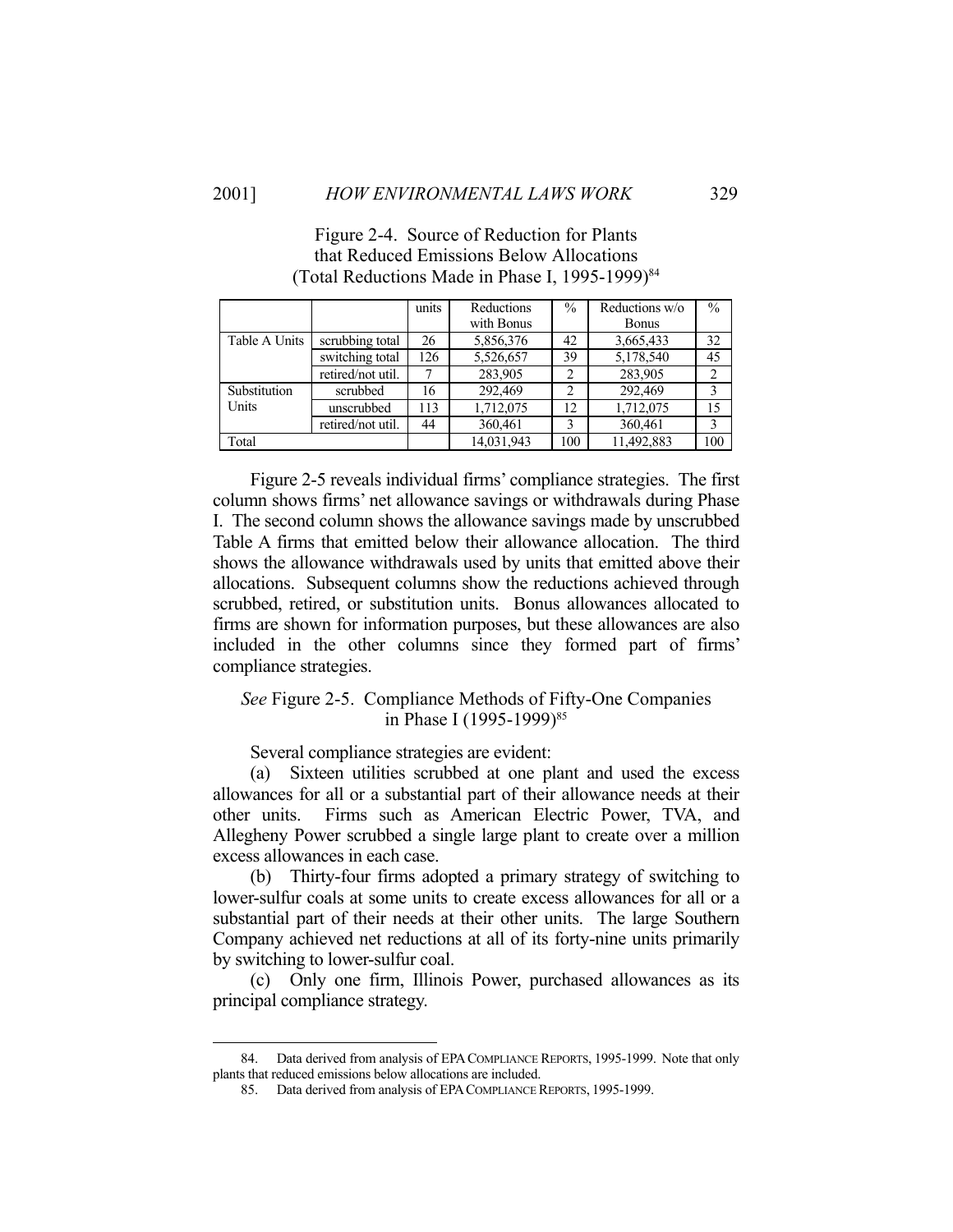|               |                   | units | Reductions | $\frac{0}{0}$ | Reductions w/o | $\frac{0}{0}$  |
|---------------|-------------------|-------|------------|---------------|----------------|----------------|
|               |                   |       | with Bonus |               | <b>Bonus</b>   |                |
| Table A Units | scrubbing total   | 26    | 5,856,376  | 42            | 3,665,433      | 32             |
|               | switching total   | 126   | 5,526,657  | 39            | 5,178,540      | 45             |
|               | retired/not util. |       | 283,905    |               | 283,905        | $\overline{2}$ |
| Substitution  | scrubbed          | 16    | 292,469    |               | 292,469        | 3              |
| Units         | unscrubbed        | 113   | 1,712,075  | 12            | 1,712,075      | 15             |
|               | retired/not util. | 44    | 360,461    |               | 360,461        | 3              |
| Total         |                   |       | 14,031,943 | 100           | 11,492,883     | 100            |

Figure 2-4. Source of Reduction for Plants that Reduced Emissions Below Allocations (Total Reductions Made in Phase I, 1995-1999)<sup>84</sup>

 Figure 2-5 reveals individual firms' compliance strategies. The first column shows firms' net allowance savings or withdrawals during Phase I. The second column shows the allowance savings made by unscrubbed Table A firms that emitted below their allowance allocation. The third shows the allowance withdrawals used by units that emitted above their allocations. Subsequent columns show the reductions achieved through scrubbed, retired, or substitution units. Bonus allowances allocated to firms are shown for information purposes, but these allowances are also included in the other columns since they formed part of firms' compliance strategies.

*See* Figure 2-5. Compliance Methods of Fifty-One Companies in Phase I (1995-1999)<sup>85</sup>

Several compliance strategies are evident:

 (a) Sixteen utilities scrubbed at one plant and used the excess allowances for all or a substantial part of their allowance needs at their other units. Firms such as American Electric Power, TVA, and Allegheny Power scrubbed a single large plant to create over a million excess allowances in each case.

 (b) Thirty-four firms adopted a primary strategy of switching to lower-sulfur coals at some units to create excess allowances for all or a substantial part of their needs at their other units. The large Southern Company achieved net reductions at all of its forty-nine units primarily by switching to lower-sulfur coal.

 (c) Only one firm, Illinois Power, purchased allowances as its principal compliance strategy.

 <sup>84.</sup> Data derived from analysis of EPACOMPLIANCE REPORTS, 1995-1999. Note that only plants that reduced emissions below allocations are included.

 <sup>85.</sup> Data derived from analysis of EPACOMPLIANCE REPORTS, 1995-1999.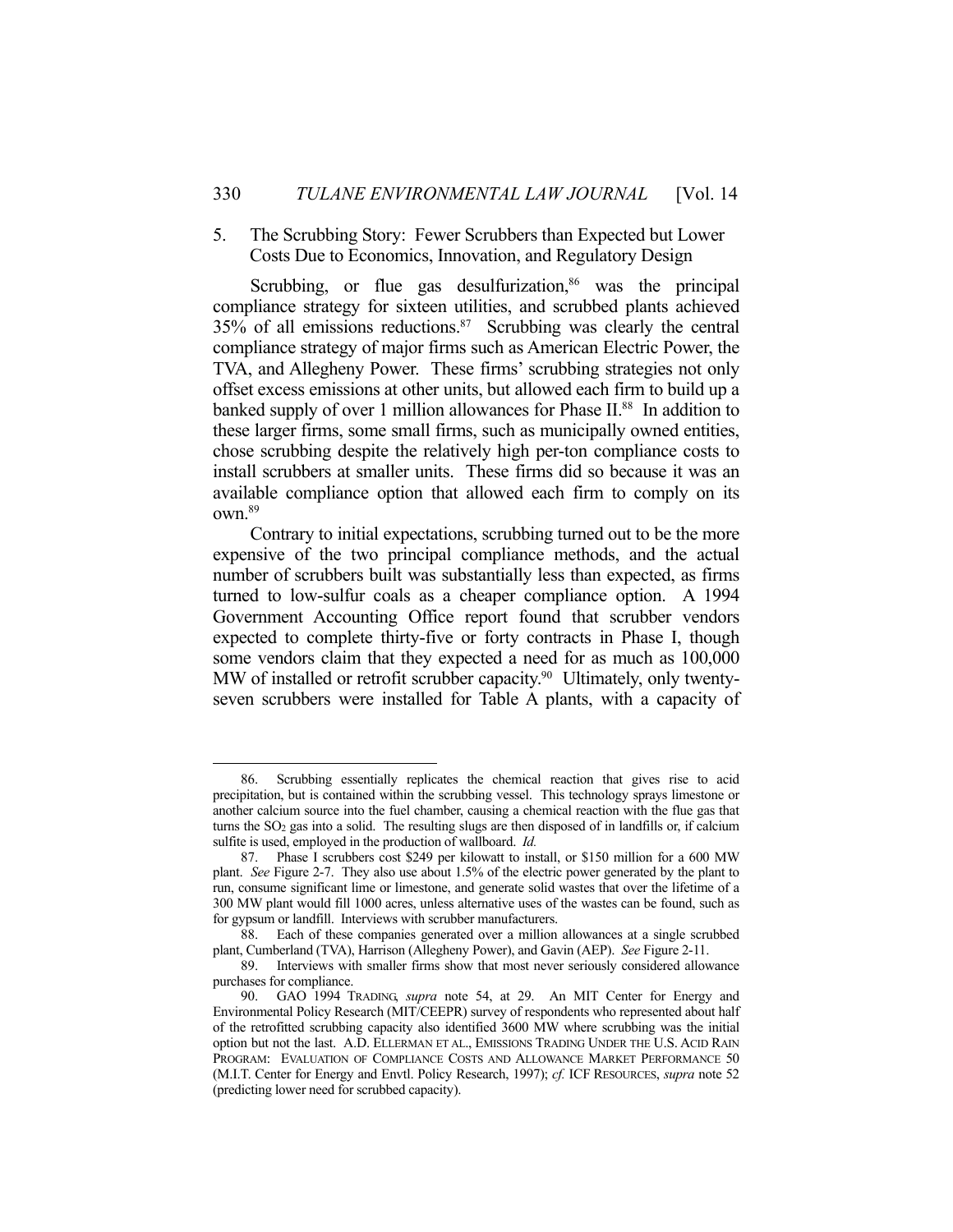### 5. The Scrubbing Story: Fewer Scrubbers than Expected but Lower Costs Due to Economics, Innovation, and Regulatory Design

Scrubbing, or flue gas desulfurization, $86$  was the principal compliance strategy for sixteen utilities, and scrubbed plants achieved 35% of all emissions reductions.87 Scrubbing was clearly the central compliance strategy of major firms such as American Electric Power, the TVA, and Allegheny Power. These firms' scrubbing strategies not only offset excess emissions at other units, but allowed each firm to build up a banked supply of over 1 million allowances for Phase II.<sup>88</sup> In addition to these larger firms, some small firms, such as municipally owned entities, chose scrubbing despite the relatively high per-ton compliance costs to install scrubbers at smaller units. These firms did so because it was an available compliance option that allowed each firm to comply on its own.89

 Contrary to initial expectations, scrubbing turned out to be the more expensive of the two principal compliance methods, and the actual number of scrubbers built was substantially less than expected, as firms turned to low-sulfur coals as a cheaper compliance option. A 1994 Government Accounting Office report found that scrubber vendors expected to complete thirty-five or forty contracts in Phase I, though some vendors claim that they expected a need for as much as 100,000 MW of installed or retrofit scrubber capacity.<sup>90</sup> Ultimately, only twentyseven scrubbers were installed for Table A plants, with a capacity of

 <sup>86.</sup> Scrubbing essentially replicates the chemical reaction that gives rise to acid precipitation, but is contained within the scrubbing vessel. This technology sprays limestone or another calcium source into the fuel chamber, causing a chemical reaction with the flue gas that turns the SO2 gas into a solid. The resulting slugs are then disposed of in landfills or, if calcium sulfite is used, employed in the production of wallboard. *Id.*

 <sup>87.</sup> Phase I scrubbers cost \$249 per kilowatt to install, or \$150 million for a 600 MW plant. *See* Figure 2-7. They also use about 1.5% of the electric power generated by the plant to run, consume significant lime or limestone, and generate solid wastes that over the lifetime of a 300 MW plant would fill 1000 acres, unless alternative uses of the wastes can be found, such as for gypsum or landfill. Interviews with scrubber manufacturers.

 <sup>88.</sup> Each of these companies generated over a million allowances at a single scrubbed plant, Cumberland (TVA), Harrison (Allegheny Power), and Gavin (AEP). *See* Figure 2-11.

 <sup>89.</sup> Interviews with smaller firms show that most never seriously considered allowance purchases for compliance.

 <sup>90.</sup> GAO 1994 TRADING, *supra* note 54, at 29. An MIT Center for Energy and Environmental Policy Research (MIT/CEEPR) survey of respondents who represented about half of the retrofitted scrubbing capacity also identified 3600 MW where scrubbing was the initial option but not the last. A.D. ELLERMAN ET AL., EMISSIONS TRADING UNDER THE U.S. ACID RAIN PROGRAM: EVALUATION OF COMPLIANCE COSTS AND ALLOWANCE MARKET PERFORMANCE 50 (M.I.T. Center for Energy and Envtl. Policy Research, 1997); *cf.* ICF RESOURCES, *supra* note 52 (predicting lower need for scrubbed capacity).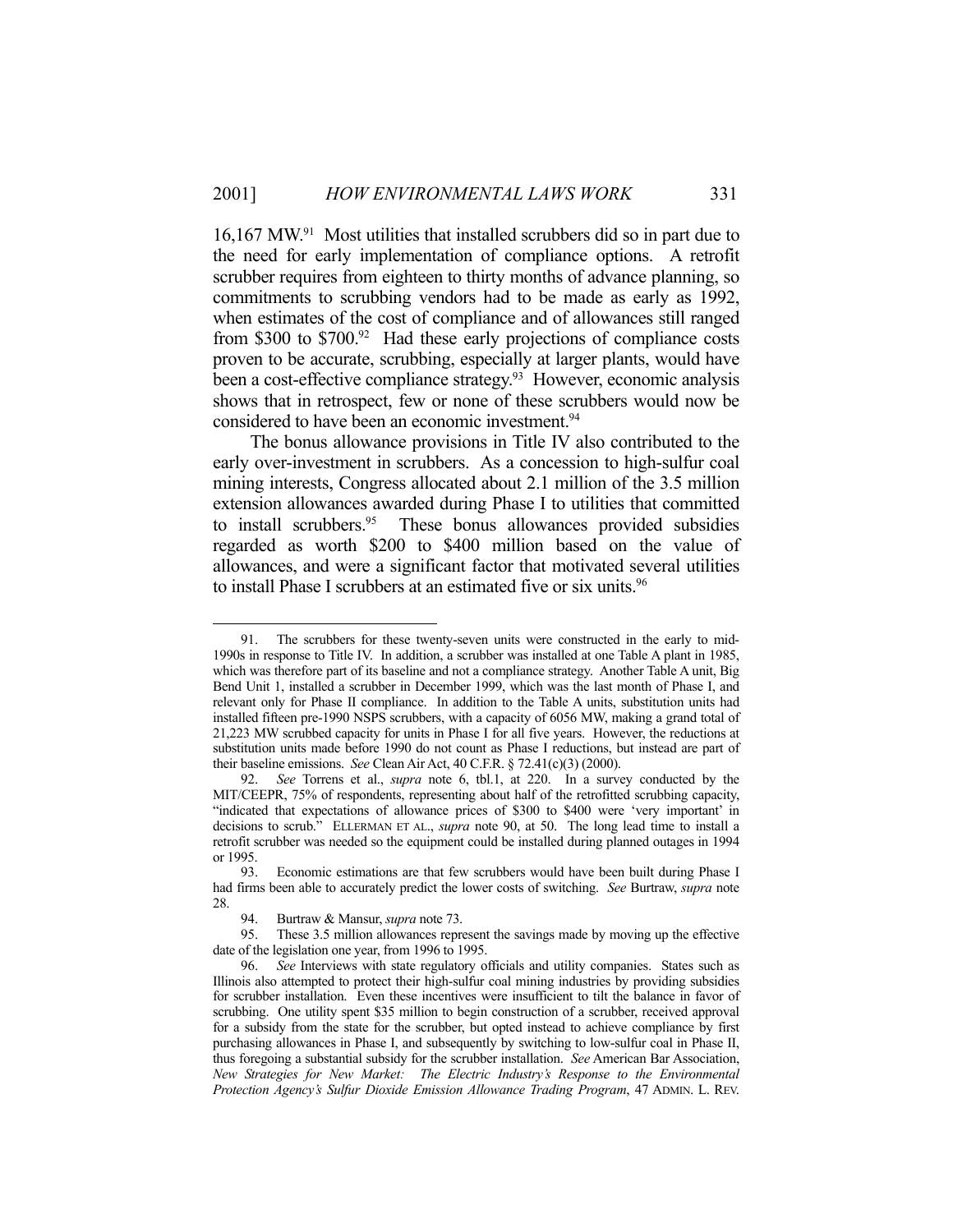16,167 MW.91 Most utilities that installed scrubbers did so in part due to the need for early implementation of compliance options. A retrofit scrubber requires from eighteen to thirty months of advance planning, so commitments to scrubbing vendors had to be made as early as 1992, when estimates of the cost of compliance and of allowances still ranged from \$300 to \$700.92 Had these early projections of compliance costs proven to be accurate, scrubbing, especially at larger plants, would have been a cost-effective compliance strategy.<sup>93</sup> However, economic analysis shows that in retrospect, few or none of these scrubbers would now be considered to have been an economic investment.<sup>94</sup>

 The bonus allowance provisions in Title IV also contributed to the early over-investment in scrubbers. As a concession to high-sulfur coal mining interests, Congress allocated about 2.1 million of the 3.5 million extension allowances awarded during Phase I to utilities that committed to install scrubbers.<sup>95</sup> These bonus allowances provided subsidies regarded as worth \$200 to \$400 million based on the value of allowances, and were a significant factor that motivated several utilities to install Phase I scrubbers at an estimated five or six units.<sup>96</sup>

<u>.</u>

 <sup>91.</sup> The scrubbers for these twenty-seven units were constructed in the early to mid-1990s in response to Title IV. In addition, a scrubber was installed at one Table A plant in 1985, which was therefore part of its baseline and not a compliance strategy. Another Table A unit, Big Bend Unit 1, installed a scrubber in December 1999, which was the last month of Phase I, and relevant only for Phase II compliance. In addition to the Table A units, substitution units had installed fifteen pre-1990 NSPS scrubbers, with a capacity of 6056 MW, making a grand total of 21,223 MW scrubbed capacity for units in Phase I for all five years. However, the reductions at substitution units made before 1990 do not count as Phase I reductions, but instead are part of their baseline emissions. *See* Clean Air Act, 40 C.F.R. § 72.41(c)(3) (2000).

 <sup>92.</sup> *See* Torrens et al., *supra* note 6, tbl.1, at 220. In a survey conducted by the MIT/CEEPR, 75% of respondents, representing about half of the retrofitted scrubbing capacity, "indicated that expectations of allowance prices of \$300 to \$400 were 'very important' in decisions to scrub." ELLERMAN ET AL., *supra* note 90, at 50. The long lead time to install a retrofit scrubber was needed so the equipment could be installed during planned outages in 1994 or 1995.

 <sup>93.</sup> Economic estimations are that few scrubbers would have been built during Phase I had firms been able to accurately predict the lower costs of switching. *See* Burtraw, *supra* note 28.

<sup>94.</sup> Burtraw & Mansur, *supra* note 73.<br>95. These 3.5 million allowances repre

These 3.5 million allowances represent the savings made by moving up the effective date of the legislation one year, from 1996 to 1995.

 <sup>96.</sup> *See* Interviews with state regulatory officials and utility companies. States such as Illinois also attempted to protect their high-sulfur coal mining industries by providing subsidies for scrubber installation. Even these incentives were insufficient to tilt the balance in favor of scrubbing. One utility spent \$35 million to begin construction of a scrubber, received approval for a subsidy from the state for the scrubber, but opted instead to achieve compliance by first purchasing allowances in Phase I, and subsequently by switching to low-sulfur coal in Phase II, thus foregoing a substantial subsidy for the scrubber installation. *See* American Bar Association, *New Strategies for New Market: The Electric Industry's Response to the Environmental Protection Agency's Sulfur Dioxide Emission Allowance Trading Program*, 47 ADMIN. L. REV.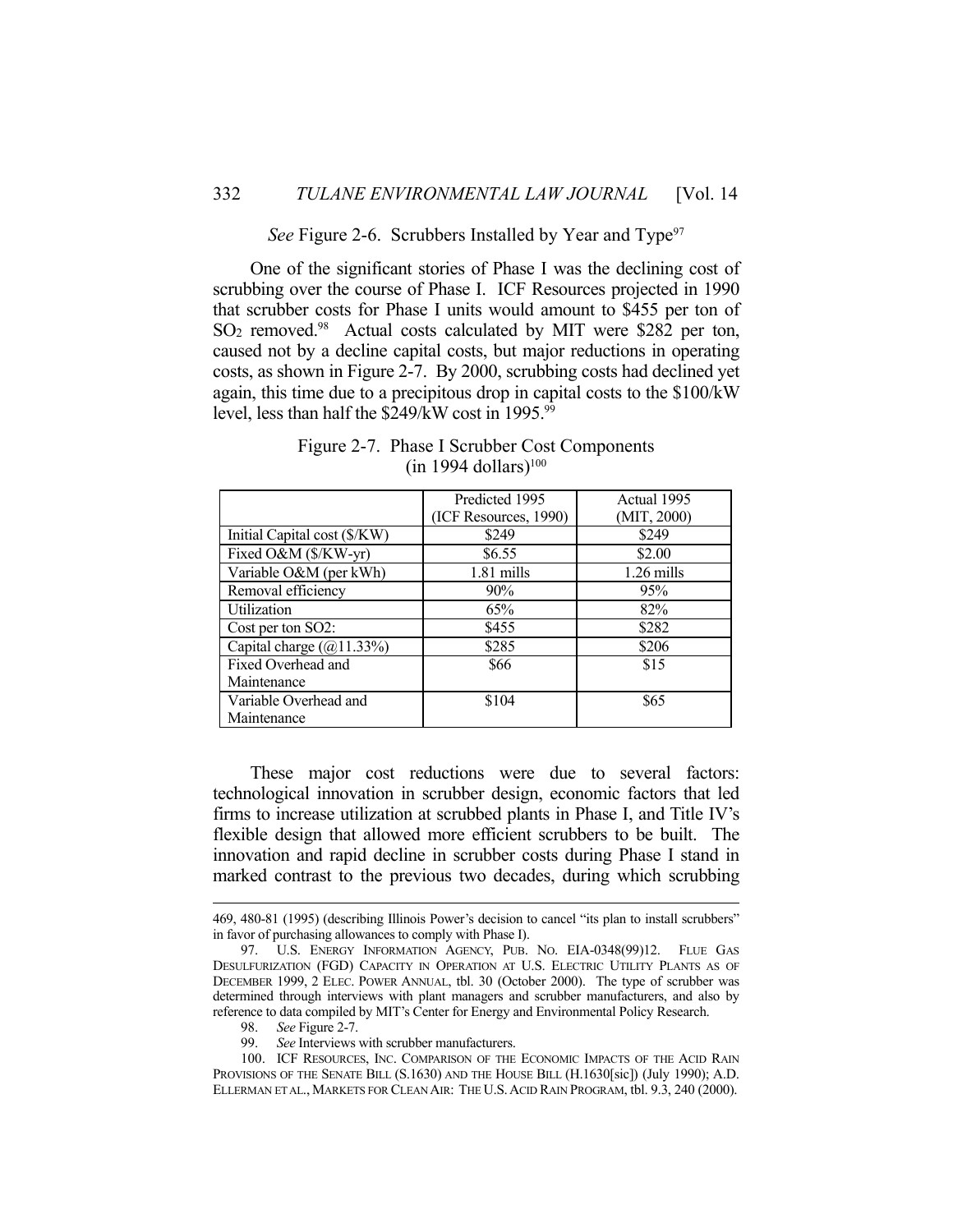*See* Figure 2-6. Scrubbers Installed by Year and Type<sup>97</sup>

 One of the significant stories of Phase I was the declining cost of scrubbing over the course of Phase I. ICF Resources projected in 1990 that scrubber costs for Phase I units would amount to \$455 per ton of SO<sub>2</sub> removed.<sup>98</sup> Actual costs calculated by MIT were \$282 per ton, caused not by a decline capital costs, but major reductions in operating costs, as shown in Figure 2-7. By 2000, scrubbing costs had declined yet again, this time due to a precipitous drop in capital costs to the \$100/kW level, less than half the \$249/kW cost in 1995.99

|                              | Predicted 1995        | Actual 1995  |
|------------------------------|-----------------------|--------------|
|                              | (ICF Resources, 1990) | (MIT, 2000)  |
| Initial Capital cost (\$/KW) | \$249                 | \$249        |
| Fixed O&M (\$/KW-yr)         | \$6.55                | \$2.00       |
| Variable O&M (per kWh)       | $1.81$ mills          | $1.26$ mills |
| Removal efficiency           | 90%                   | 95%          |
| <b>Utilization</b>           | 65%                   | 82%          |
| Cost per ton SO2:            | \$455                 | \$282        |
| Capital charge $(Q)$ 11.33%) | \$285                 | \$206        |
| Fixed Overhead and           | \$66                  | \$15         |
| Maintenance                  |                       |              |
| Variable Overhead and        | \$104                 | \$65         |
| Maintenance                  |                       |              |

Figure 2-7. Phase I Scrubber Cost Components  $(in 1994$  dollars)<sup>100</sup>

 These major cost reductions were due to several factors: technological innovation in scrubber design, economic factors that led firms to increase utilization at scrubbed plants in Phase I, and Title IV's flexible design that allowed more efficient scrubbers to be built. The innovation and rapid decline in scrubber costs during Phase I stand in marked contrast to the previous two decades, during which scrubbing

See Interviews with scrubber manufacturers.

 <sup>469, 480-81 (1995) (</sup>describing Illinois Power's decision to cancel "its plan to install scrubbers" in favor of purchasing allowances to comply with Phase I).

 <sup>97.</sup> U.S. ENERGY INFORMATION AGENCY, PUB. NO. EIA-0348(99)12. FLUE GAS DESULFURIZATION (FGD) CAPACITY IN OPERATION AT U.S. ELECTRIC UTILITY PLANTS AS OF DECEMBER 1999, 2 ELEC. POWER ANNUAL, tbl. 30 (October 2000). The type of scrubber was determined through interviews with plant managers and scrubber manufacturers, and also by reference to data compiled by MIT's Center for Energy and Environmental Policy Research.

<sup>98.</sup> *See* Figure 2-7.<br>99. *See* Interviews

 <sup>100.</sup> ICF RESOURCES, INC. COMPARISON OF THE ECONOMIC IMPACTS OF THE ACID RAIN PROVISIONS OF THE SENATE BILL (S.1630) AND THE HOUSE BILL (H.1630[sic]) (July 1990); A.D. ELLERMAN ET AL., MARKETS FOR CLEAN AIR: THE U.S.ACID RAIN PROGRAM, tbl. 9.3, 240 (2000).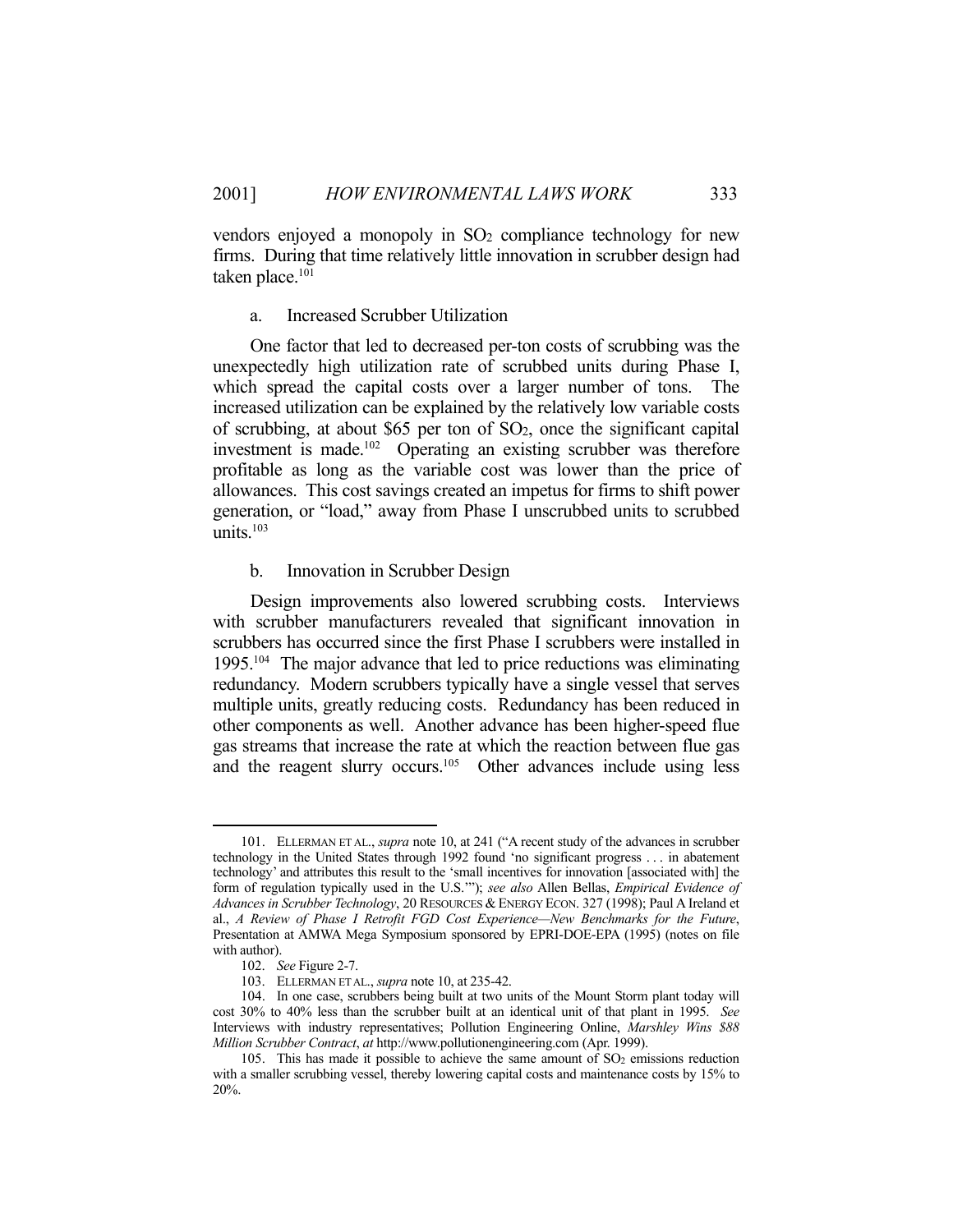vendors enjoyed a monopoly in SO2 compliance technology for new firms. During that time relatively little innovation in scrubber design had taken place.<sup>101</sup>

#### a. Increased Scrubber Utilization

 One factor that led to decreased per-ton costs of scrubbing was the unexpectedly high utilization rate of scrubbed units during Phase I, which spread the capital costs over a larger number of tons. The increased utilization can be explained by the relatively low variable costs of scrubbing, at about \$65 per ton of SO2, once the significant capital investment is made.102 Operating an existing scrubber was therefore profitable as long as the variable cost was lower than the price of allowances. This cost savings created an impetus for firms to shift power generation, or "load," away from Phase I unscrubbed units to scrubbed units.103

#### b. Innovation in Scrubber Design

 Design improvements also lowered scrubbing costs. Interviews with scrubber manufacturers revealed that significant innovation in scrubbers has occurred since the first Phase I scrubbers were installed in 1995.104 The major advance that led to price reductions was eliminating redundancy. Modern scrubbers typically have a single vessel that serves multiple units, greatly reducing costs. Redundancy has been reduced in other components as well. Another advance has been higher-speed flue gas streams that increase the rate at which the reaction between flue gas and the reagent slurry occurs.<sup>105</sup> Other advances include using less

 <sup>101.</sup> ELLERMAN ET AL., *supra* note 10, at 241 ("A recent study of the advances in scrubber technology in the United States through 1992 found 'no significant progress . . . in abatement technology' and attributes this result to the 'small incentives for innovation [associated with] the form of regulation typically used in the U.S.'"); *see also* Allen Bellas, *Empirical Evidence of Advances in Scrubber Technology*, 20 RESOURCES & ENERGY ECON. 327 (1998); Paul A Ireland et al., *A Review of Phase I Retrofit FGD Cost Experience—New Benchmarks for the Future*, Presentation at AMWA Mega Symposium sponsored by EPRI-DOE-EPA (1995) (notes on file with author).

 <sup>102.</sup> *See* Figure 2-7.

 <sup>103.</sup> ELLERMAN ET AL., *supra* note 10, at 235-42.

 <sup>104.</sup> In one case, scrubbers being built at two units of the Mount Storm plant today will cost 30% to 40% less than the scrubber built at an identical unit of that plant in 1995. *See* Interviews with industry representatives; Pollution Engineering Online, *Marshley Wins \$88 Million Scrubber Contract*, *at* http://www.pollutionengineering.com (Apr. 1999).

<sup>105.</sup> This has made it possible to achieve the same amount of  $SO<sub>2</sub>$  emissions reduction with a smaller scrubbing vessel, thereby lowering capital costs and maintenance costs by 15% to 20%.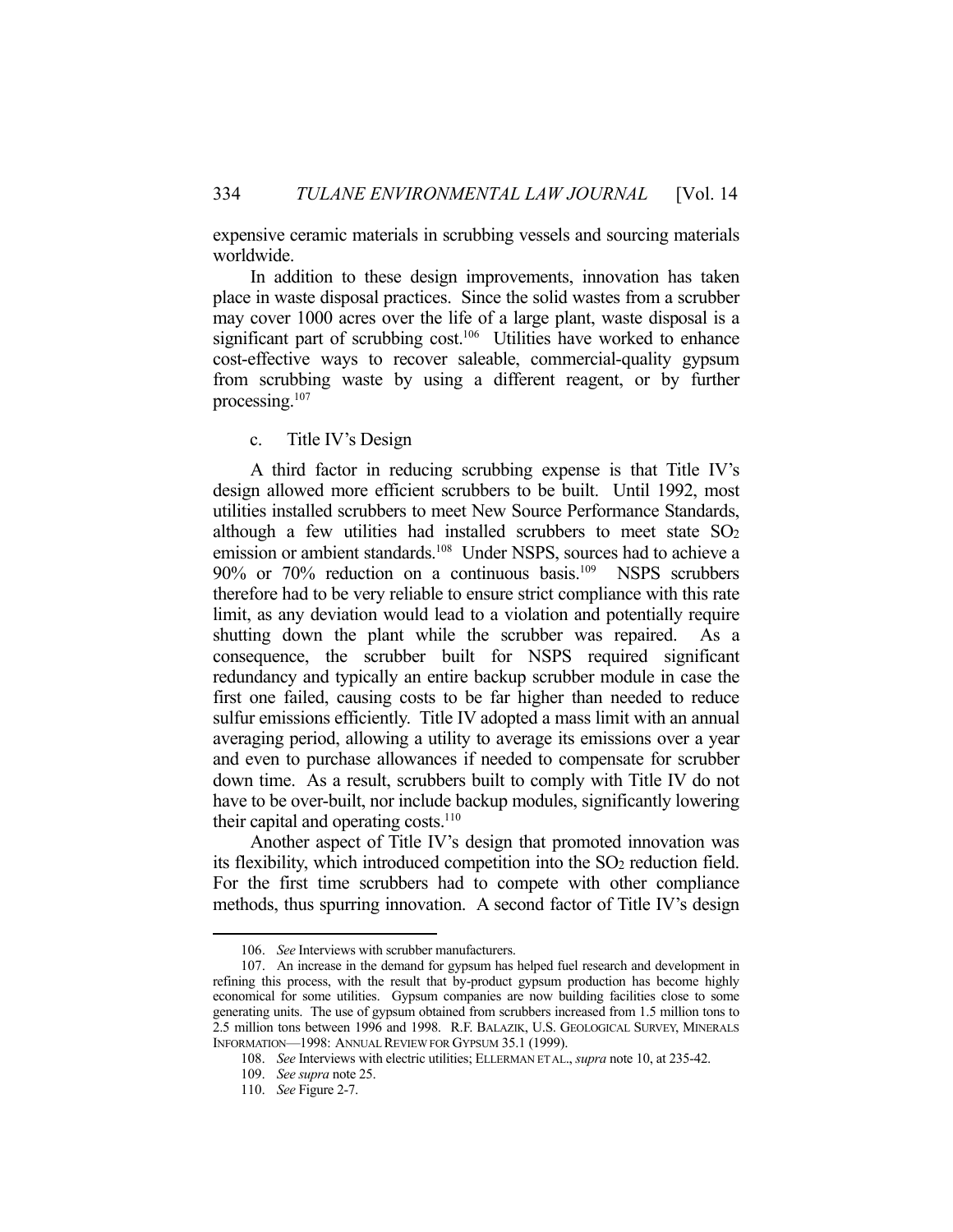expensive ceramic materials in scrubbing vessels and sourcing materials worldwide.

 In addition to these design improvements, innovation has taken place in waste disposal practices. Since the solid wastes from a scrubber may cover 1000 acres over the life of a large plant, waste disposal is a significant part of scrubbing cost.<sup>106</sup> Utilities have worked to enhance cost-effective ways to recover saleable, commercial-quality gypsum from scrubbing waste by using a different reagent, or by further processing.107

#### c. Title IV's Design

 A third factor in reducing scrubbing expense is that Title IV's design allowed more efficient scrubbers to be built. Until 1992, most utilities installed scrubbers to meet New Source Performance Standards, although a few utilities had installed scrubbers to meet state  $SO<sub>2</sub>$ emission or ambient standards.<sup>108</sup> Under NSPS, sources had to achieve a 90% or 70% reduction on a continuous basis.<sup>109</sup> NSPS scrubbers therefore had to be very reliable to ensure strict compliance with this rate limit, as any deviation would lead to a violation and potentially require shutting down the plant while the scrubber was repaired. As a consequence, the scrubber built for NSPS required significant redundancy and typically an entire backup scrubber module in case the first one failed, causing costs to be far higher than needed to reduce sulfur emissions efficiently. Title IV adopted a mass limit with an annual averaging period, allowing a utility to average its emissions over a year and even to purchase allowances if needed to compensate for scrubber down time. As a result, scrubbers built to comply with Title IV do not have to be over-built, nor include backup modules, significantly lowering their capital and operating costs.<sup>110</sup>

 Another aspect of Title IV's design that promoted innovation was its flexibility, which introduced competition into the  $SO<sub>2</sub>$  reduction field. For the first time scrubbers had to compete with other compliance methods, thus spurring innovation. A second factor of Title IV's design

 <sup>106.</sup> *See* Interviews with scrubber manufacturers.

 <sup>107.</sup> An increase in the demand for gypsum has helped fuel research and development in refining this process, with the result that by-product gypsum production has become highly economical for some utilities. Gypsum companies are now building facilities close to some generating units. The use of gypsum obtained from scrubbers increased from 1.5 million tons to 2.5 million tons between 1996 and 1998. R.F. BALAZIK, U.S. GEOLOGICAL SURVEY, MINERALS INFORMATION—1998: ANNUAL REVIEW FOR GYPSUM 35.1 (1999).

 <sup>108.</sup> *See* Interviews with electric utilities; ELLERMAN ET AL., *supra* note 10, at 235-42.

 <sup>109.</sup> *See supra* note 25.

 <sup>110.</sup> *See* Figure 2-7.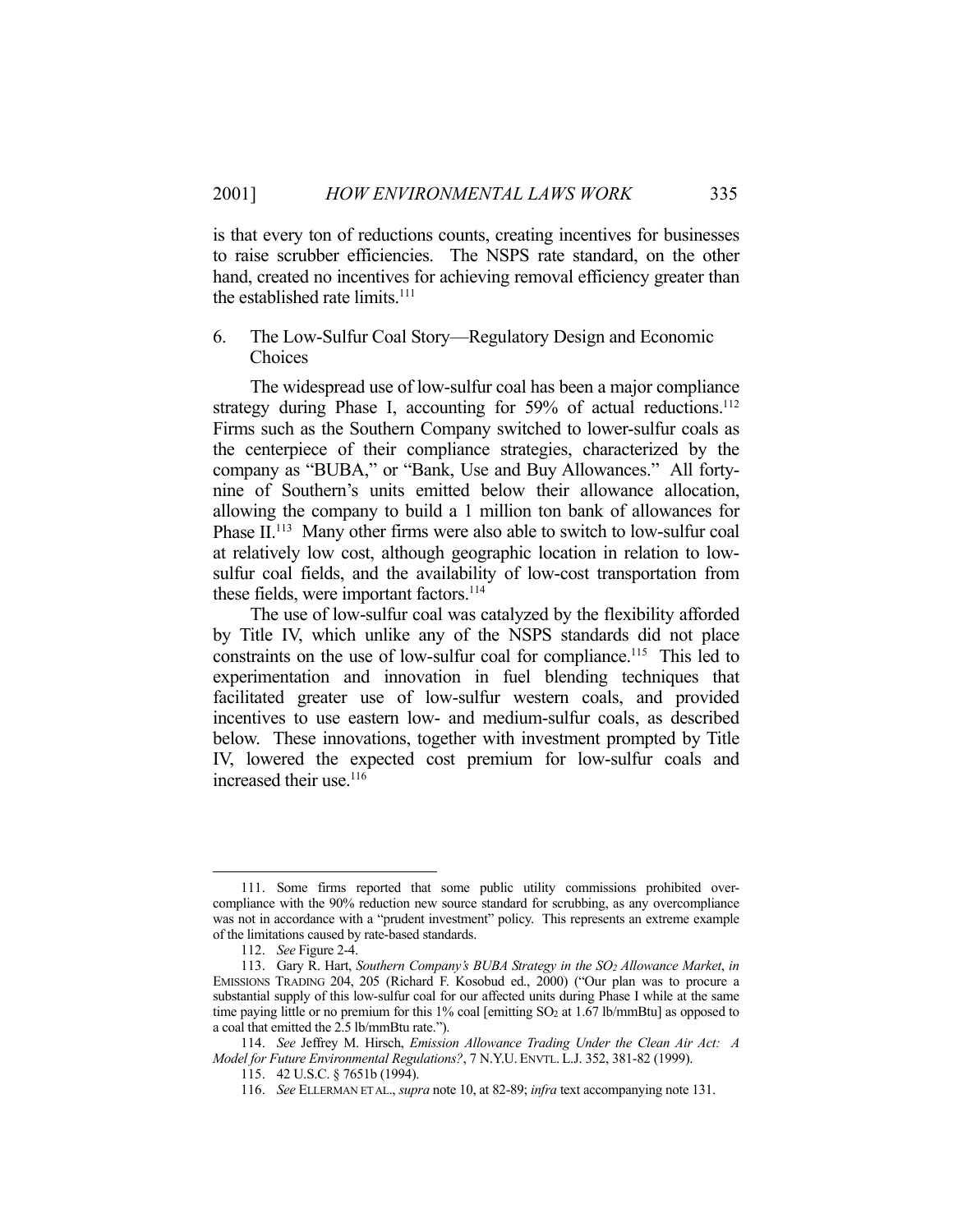is that every ton of reductions counts, creating incentives for businesses to raise scrubber efficiencies. The NSPS rate standard, on the other hand, created no incentives for achieving removal efficiency greater than the established rate limits. $111$ 

## 6. The Low-Sulfur Coal Story—Regulatory Design and Economic Choices

 The widespread use of low-sulfur coal has been a major compliance strategy during Phase I, accounting for 59% of actual reductions.<sup>112</sup> Firms such as the Southern Company switched to lower-sulfur coals as the centerpiece of their compliance strategies, characterized by the company as "BUBA," or "Bank, Use and Buy Allowances." All fortynine of Southern's units emitted below their allowance allocation, allowing the company to build a 1 million ton bank of allowances for Phase II.<sup>113</sup> Many other firms were also able to switch to low-sulfur coal at relatively low cost, although geographic location in relation to lowsulfur coal fields, and the availability of low-cost transportation from these fields, were important factors.<sup>114</sup>

 The use of low-sulfur coal was catalyzed by the flexibility afforded by Title IV, which unlike any of the NSPS standards did not place constraints on the use of low-sulfur coal for compliance.<sup>115</sup> This led to experimentation and innovation in fuel blending techniques that facilitated greater use of low-sulfur western coals, and provided incentives to use eastern low- and medium-sulfur coals, as described below. These innovations, together with investment prompted by Title IV, lowered the expected cost premium for low-sulfur coals and increased their use.<sup>116</sup>

 <sup>111.</sup> Some firms reported that some public utility commissions prohibited overcompliance with the 90% reduction new source standard for scrubbing, as any overcompliance was not in accordance with a "prudent investment" policy. This represents an extreme example of the limitations caused by rate-based standards.

 <sup>112.</sup> *See* Figure 2-4.

 <sup>113.</sup> Gary R. Hart, *Southern Company's BUBA Strategy in the SO2 Allowance Market*, *in* EMISSIONS TRADING 204, 205 (Richard F. Kosobud ed., 2000) ("Our plan was to procure a substantial supply of this low-sulfur coal for our affected units during Phase I while at the same time paying little or no premium for this 1% coal [emitting SO<sub>2</sub> at 1.67 lb/mmBtu] as opposed to a coal that emitted the 2.5 lb/mmBtu rate.").

 <sup>114.</sup> *See* Jeffrey M. Hirsch, *Emission Allowance Trading Under the Clean Air Act: A Model for Future Environmental Regulations?*, 7 N.Y.U. ENVTL. L.J. 352, 381-82 (1999).

 <sup>115. 42</sup> U.S.C. § 7651b (1994).

 <sup>116.</sup> *See* ELLERMAN ET AL., *supra* note 10, at 82-89; *infra* text accompanying note 131.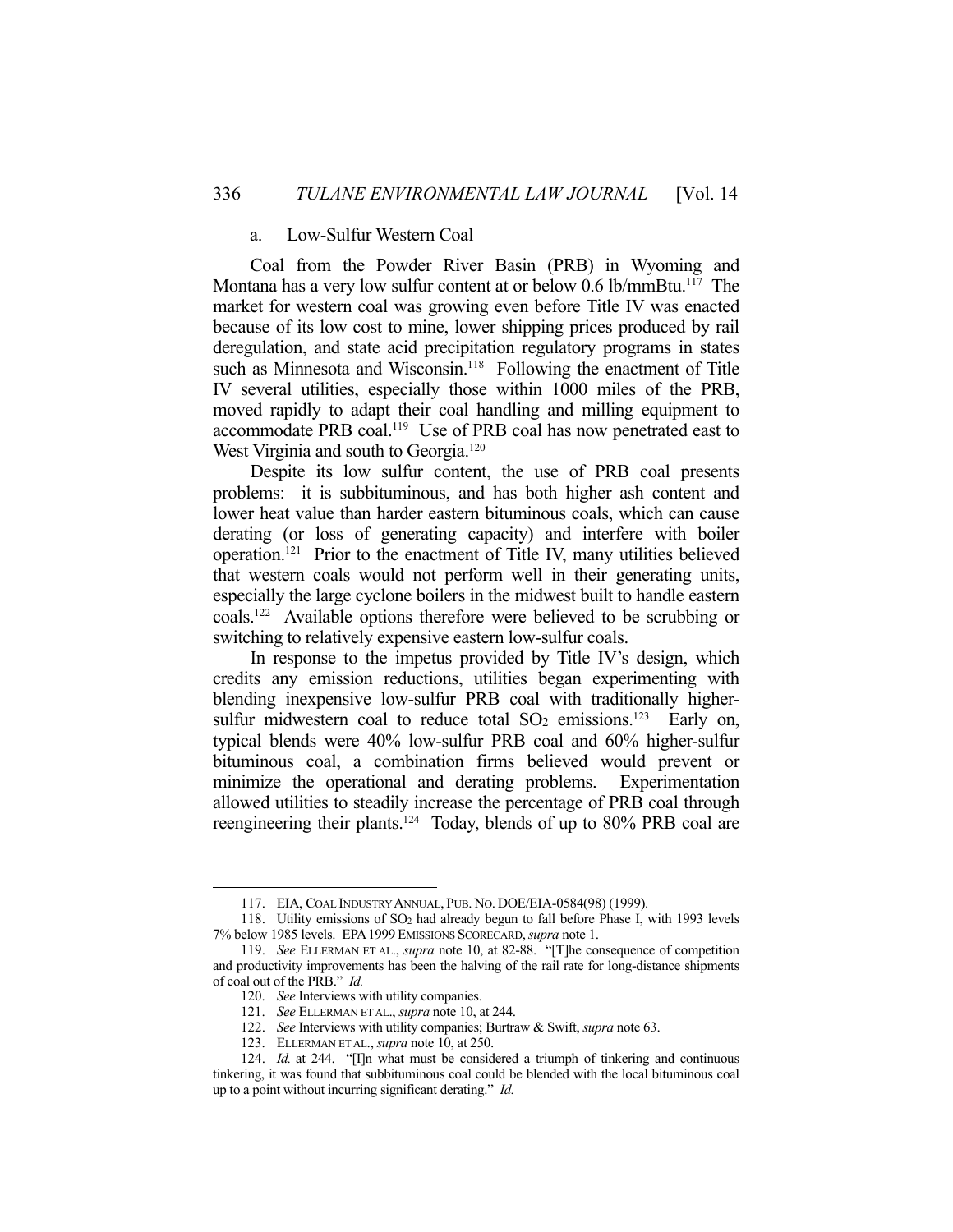## a. Low-Sulfur Western Coal

 Coal from the Powder River Basin (PRB) in Wyoming and Montana has a very low sulfur content at or below 0.6 lb/mmBtu.<sup>117</sup> The market for western coal was growing even before Title IV was enacted because of its low cost to mine, lower shipping prices produced by rail deregulation, and state acid precipitation regulatory programs in states such as Minnesota and Wisconsin.<sup>118</sup> Following the enactment of Title IV several utilities, especially those within 1000 miles of the PRB, moved rapidly to adapt their coal handling and milling equipment to accommodate PRB coal.119 Use of PRB coal has now penetrated east to West Virginia and south to Georgia.<sup>120</sup>

 Despite its low sulfur content, the use of PRB coal presents problems: it is subbituminous, and has both higher ash content and lower heat value than harder eastern bituminous coals, which can cause derating (or loss of generating capacity) and interfere with boiler operation.121 Prior to the enactment of Title IV, many utilities believed that western coals would not perform well in their generating units, especially the large cyclone boilers in the midwest built to handle eastern coals.122 Available options therefore were believed to be scrubbing or switching to relatively expensive eastern low-sulfur coals.

 In response to the impetus provided by Title IV's design, which credits any emission reductions, utilities began experimenting with blending inexpensive low-sulfur PRB coal with traditionally highersulfur midwestern coal to reduce total  $SO_2$  emissions.<sup>123</sup> Early on, typical blends were 40% low-sulfur PRB coal and 60% higher-sulfur bituminous coal, a combination firms believed would prevent or minimize the operational and derating problems. Experimentation allowed utilities to steadily increase the percentage of PRB coal through reengineering their plants.124 Today, blends of up to 80% PRB coal are

<u>.</u>

 <sup>117.</sup> EIA, COAL INDUSTRY ANNUAL, PUB. NO. DOE/EIA-0584(98) (1999).

 <sup>118.</sup> Utility emissions of SO2 had already begun to fall before Phase I, with 1993 levels 7% below 1985 levels. EPA1999 EMISSIONS SCORECARD,*supra* note 1.

 <sup>119.</sup> *See* ELLERMAN ET AL., *supra* note 10, at 82-88. "[T]he consequence of competition and productivity improvements has been the halving of the rail rate for long-distance shipments of coal out of the PRB." *Id.*

 <sup>120.</sup> *See* Interviews with utility companies.

 <sup>121.</sup> *See* ELLERMAN ET AL., *supra* note 10, at 244.

 <sup>122.</sup> *See* Interviews with utility companies; Burtraw & Swift, *supra* note 63.

 <sup>123.</sup> ELLERMAN ET AL., *supra* note 10, at 250.

 <sup>124.</sup> *Id.* at 244. "[I]n what must be considered a triumph of tinkering and continuous tinkering, it was found that subbituminous coal could be blended with the local bituminous coal up to a point without incurring significant derating." *Id.*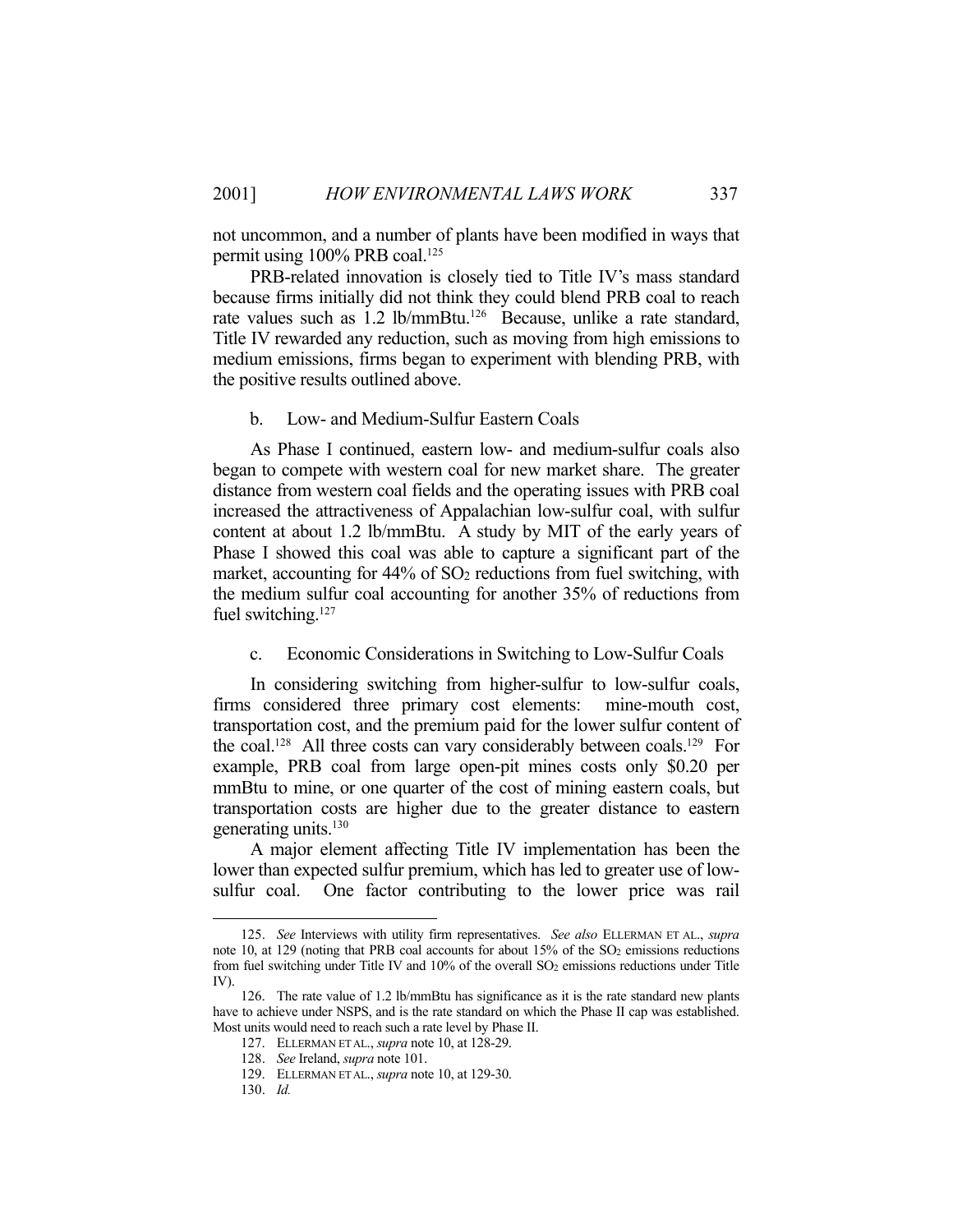not uncommon, and a number of plants have been modified in ways that permit using 100% PRB coal.<sup>125</sup>

 PRB-related innovation is closely tied to Title IV's mass standard because firms initially did not think they could blend PRB coal to reach rate values such as 1.2 lb/mmBtu.126 Because, unlike a rate standard, Title IV rewarded any reduction, such as moving from high emissions to medium emissions, firms began to experiment with blending PRB, with the positive results outlined above.

b. Low- and Medium-Sulfur Eastern Coals

 As Phase I continued, eastern low- and medium-sulfur coals also began to compete with western coal for new market share. The greater distance from western coal fields and the operating issues with PRB coal increased the attractiveness of Appalachian low-sulfur coal, with sulfur content at about 1.2 lb/mmBtu. A study by MIT of the early years of Phase I showed this coal was able to capture a significant part of the market, accounting for 44% of SO<sub>2</sub> reductions from fuel switching, with the medium sulfur coal accounting for another 35% of reductions from fuel switching.<sup>127</sup>

c. Economic Considerations in Switching to Low-Sulfur Coals

 In considering switching from higher-sulfur to low-sulfur coals, firms considered three primary cost elements: mine-mouth cost, transportation cost, and the premium paid for the lower sulfur content of the coal.128 All three costs can vary considerably between coals.129 For example, PRB coal from large open-pit mines costs only \$0.20 per mmBtu to mine, or one quarter of the cost of mining eastern coals, but transportation costs are higher due to the greater distance to eastern generating units.<sup>130</sup>

 A major element affecting Title IV implementation has been the lower than expected sulfur premium, which has led to greater use of lowsulfur coal. One factor contributing to the lower price was rail

<u>.</u>

 <sup>125.</sup> *See* Interviews with utility firm representatives. *See also* ELLERMAN ET AL., *supra* note 10, at 129 (noting that PRB coal accounts for about 15% of the SO<sub>2</sub> emissions reductions from fuel switching under Title IV and 10% of the overall SO<sub>2</sub> emissions reductions under Title IV).

 <sup>126.</sup> The rate value of 1.2 lb/mmBtu has significance as it is the rate standard new plants have to achieve under NSPS, and is the rate standard on which the Phase II cap was established. Most units would need to reach such a rate level by Phase II.

 <sup>127.</sup> ELLERMAN ET AL., *supra* note 10, at 128-29.

 <sup>128.</sup> *See* Ireland, *supra* note 101.

 <sup>129.</sup> ELLERMAN ET AL., *supra* note 10, at 129-30.

 <sup>130.</sup> *Id.*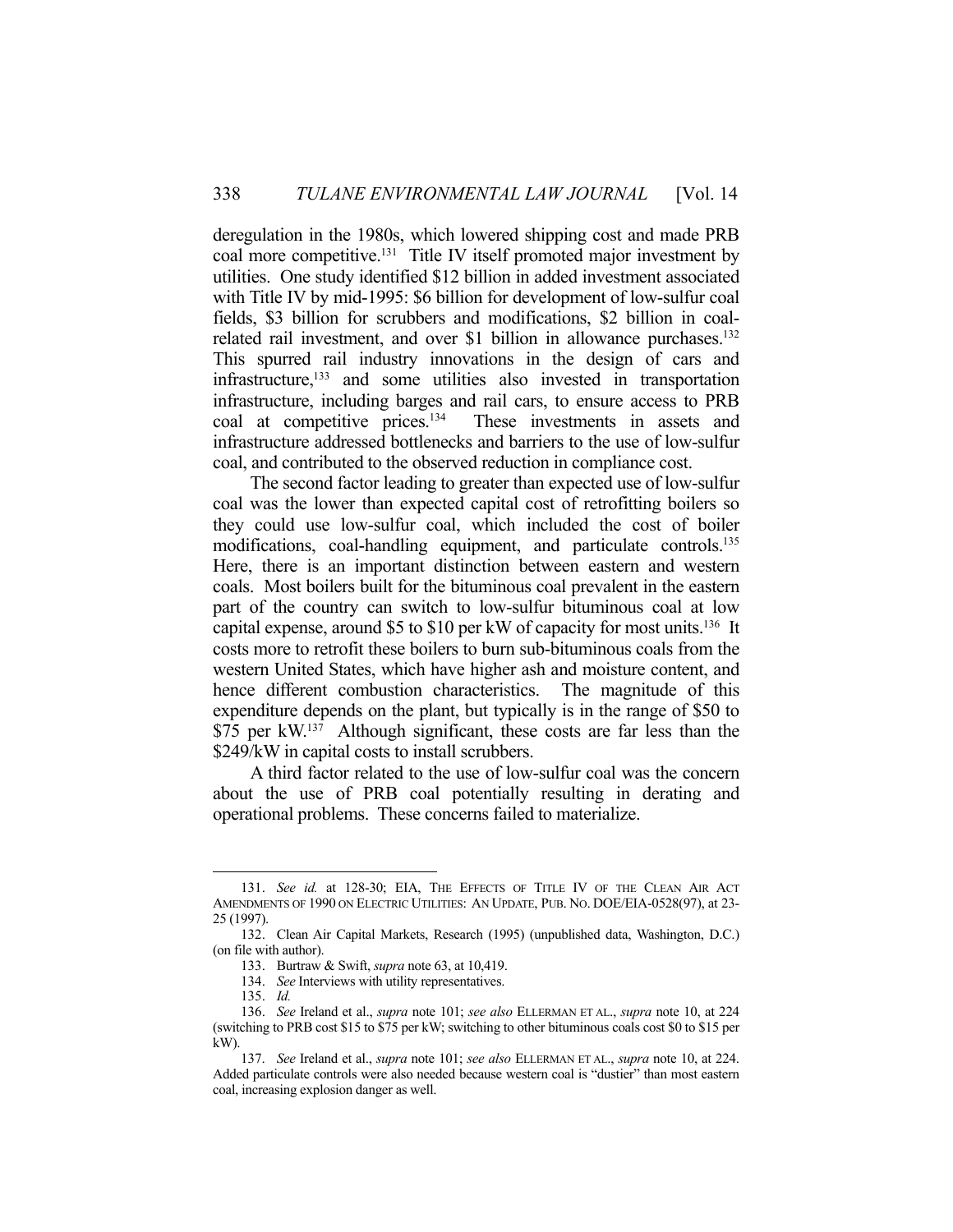deregulation in the 1980s, which lowered shipping cost and made PRB coal more competitive.<sup>131</sup> Title IV itself promoted major investment by utilities. One study identified \$12 billion in added investment associated with Title IV by mid-1995: \$6 billion for development of low-sulfur coal fields, \$3 billion for scrubbers and modifications, \$2 billion in coalrelated rail investment, and over \$1 billion in allowance purchases.<sup>132</sup> This spurred rail industry innovations in the design of cars and infrastructure,133 and some utilities also invested in transportation infrastructure, including barges and rail cars, to ensure access to PRB coal at competitive prices.134 These investments in assets and infrastructure addressed bottlenecks and barriers to the use of low-sulfur coal, and contributed to the observed reduction in compliance cost.

 The second factor leading to greater than expected use of low-sulfur coal was the lower than expected capital cost of retrofitting boilers so they could use low-sulfur coal, which included the cost of boiler modifications, coal-handling equipment, and particulate controls.135 Here, there is an important distinction between eastern and western coals. Most boilers built for the bituminous coal prevalent in the eastern part of the country can switch to low-sulfur bituminous coal at low capital expense, around \$5 to \$10 per kW of capacity for most units.136 It costs more to retrofit these boilers to burn sub-bituminous coals from the western United States, which have higher ash and moisture content, and hence different combustion characteristics. The magnitude of this expenditure depends on the plant, but typically is in the range of \$50 to \$75 per kW.<sup>137</sup> Although significant, these costs are far less than the \$249/kW in capital costs to install scrubbers.

 A third factor related to the use of low-sulfur coal was the concern about the use of PRB coal potentially resulting in derating and operational problems. These concerns failed to materialize.

 <sup>131.</sup> *See id.* at 128-30; EIA, THE EFFECTS OF TITLE IV OF THE CLEAN AIR ACT AMENDMENTS OF 1990 ON ELECTRIC UTILITIES: AN UPDATE, PUB. NO. DOE/EIA-0528(97), at 23- 25 (1997).

 <sup>132.</sup> Clean Air Capital Markets, Research (1995) (unpublished data, Washington, D.C.) (on file with author).

 <sup>133.</sup> Burtraw & Swift, *supra* note 63, at 10,419.

 <sup>134.</sup> *See* Interviews with utility representatives.

 <sup>135.</sup> *Id.*

 <sup>136.</sup> *See* Ireland et al., *supra* note 101; *see also* ELLERMAN ET AL., *supra* note 10, at 224 (switching to PRB cost \$15 to \$75 per kW; switching to other bituminous coals cost \$0 to \$15 per kW).

 <sup>137.</sup> *See* Ireland et al., *supra* note 101; *see also* ELLERMAN ET AL., *supra* note 10, at 224. Added particulate controls were also needed because western coal is "dustier" than most eastern coal, increasing explosion danger as well.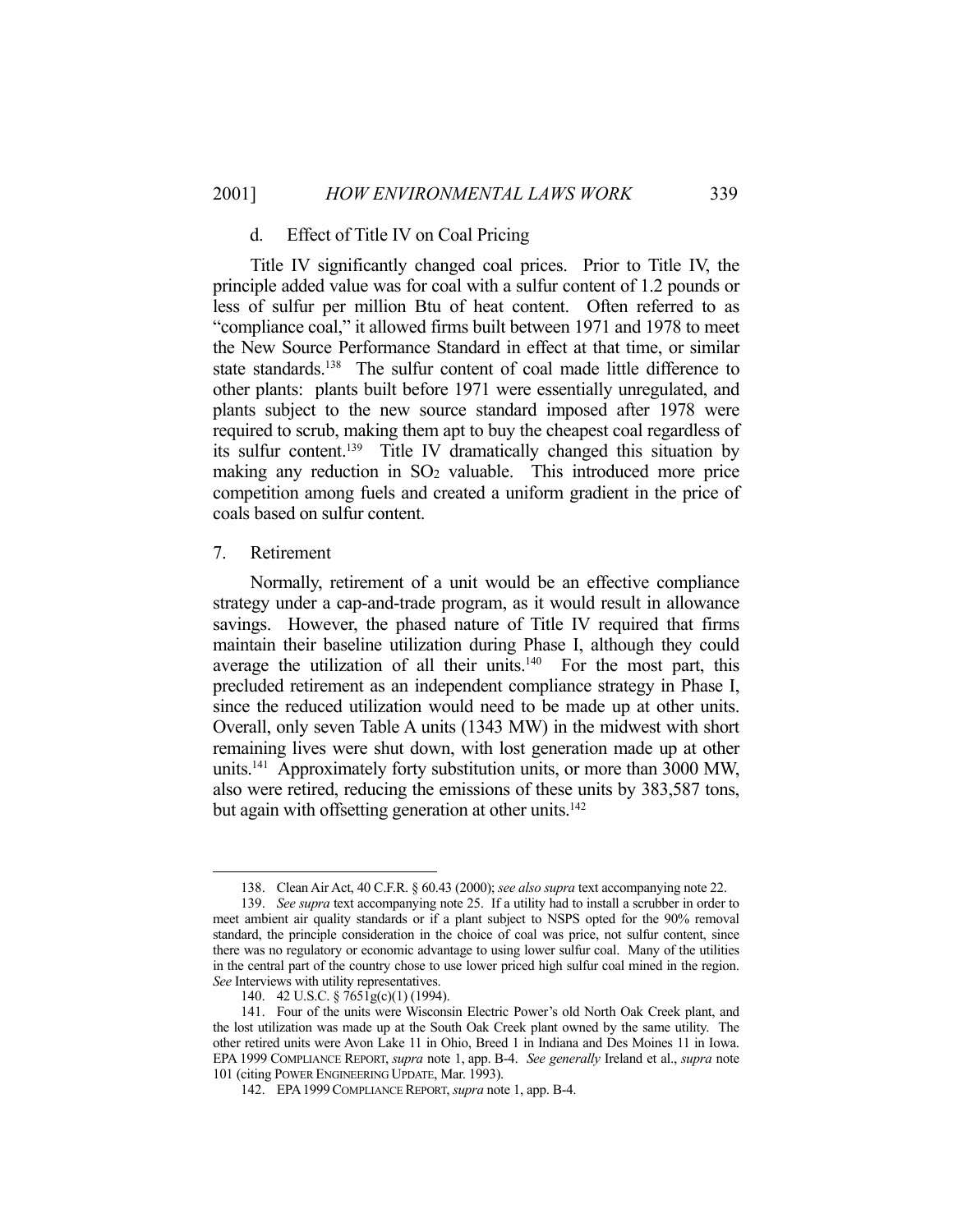#### d. Effect of Title IV on Coal Pricing

 Title IV significantly changed coal prices. Prior to Title IV, the principle added value was for coal with a sulfur content of 1.2 pounds or less of sulfur per million Btu of heat content. Often referred to as "compliance coal," it allowed firms built between 1971 and 1978 to meet the New Source Performance Standard in effect at that time, or similar state standards.<sup>138</sup> The sulfur content of coal made little difference to other plants: plants built before 1971 were essentially unregulated, and plants subject to the new source standard imposed after 1978 were required to scrub, making them apt to buy the cheapest coal regardless of its sulfur content.139 Title IV dramatically changed this situation by making any reduction in  $SO<sub>2</sub>$  valuable. This introduced more price competition among fuels and created a uniform gradient in the price of coals based on sulfur content.

#### 7. Retirement

1

 Normally, retirement of a unit would be an effective compliance strategy under a cap-and-trade program, as it would result in allowance savings. However, the phased nature of Title IV required that firms maintain their baseline utilization during Phase I, although they could average the utilization of all their units. $140$  For the most part, this precluded retirement as an independent compliance strategy in Phase I, since the reduced utilization would need to be made up at other units. Overall, only seven Table A units (1343 MW) in the midwest with short remaining lives were shut down, with lost generation made up at other units.141 Approximately forty substitution units, or more than 3000 MW, also were retired, reducing the emissions of these units by 383,587 tons, but again with offsetting generation at other units.<sup>142</sup>

 <sup>138.</sup> Clean Air Act, 40 C.F.R. § 60.43 (2000); *see also supra* text accompanying note 22.

 <sup>139.</sup> *See supra* text accompanying note 25. If a utility had to install a scrubber in order to meet ambient air quality standards or if a plant subject to NSPS opted for the 90% removal standard, the principle consideration in the choice of coal was price, not sulfur content, since there was no regulatory or economic advantage to using lower sulfur coal. Many of the utilities in the central part of the country chose to use lower priced high sulfur coal mined in the region. *See* Interviews with utility representatives.

 <sup>140. 42</sup> U.S.C. § 7651g(c)(1) (1994).

 <sup>141.</sup> Four of the units were Wisconsin Electric Power's old North Oak Creek plant, and the lost utilization was made up at the South Oak Creek plant owned by the same utility. The other retired units were Avon Lake 11 in Ohio, Breed 1 in Indiana and Des Moines 11 in Iowa. EPA 1999 COMPLIANCE REPORT, *supra* note 1, app. B-4. *See generally* Ireland et al., *supra* note 101 (citing POWER ENGINEERING UPDATE, Mar. 1993).

 <sup>142.</sup> EPA1999COMPLIANCE REPORT, *supra* note 1, app. B-4.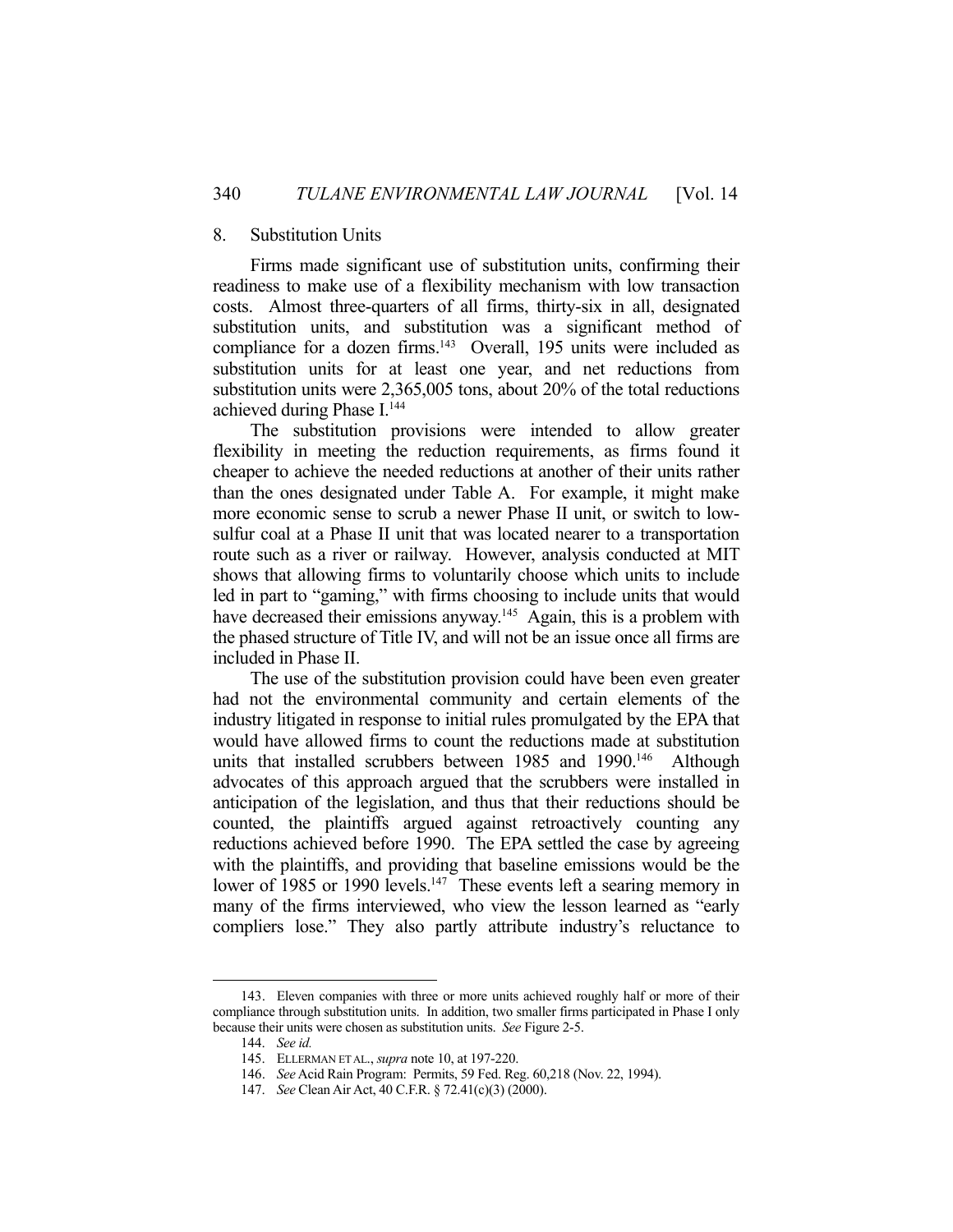#### 8. Substitution Units

 Firms made significant use of substitution units, confirming their readiness to make use of a flexibility mechanism with low transaction costs. Almost three-quarters of all firms, thirty-six in all, designated substitution units, and substitution was a significant method of compliance for a dozen firms.<sup>143</sup> Overall, 195 units were included as substitution units for at least one year, and net reductions from substitution units were 2,365,005 tons, about 20% of the total reductions achieved during Phase I.<sup>144</sup>

 The substitution provisions were intended to allow greater flexibility in meeting the reduction requirements, as firms found it cheaper to achieve the needed reductions at another of their units rather than the ones designated under Table A. For example, it might make more economic sense to scrub a newer Phase II unit, or switch to lowsulfur coal at a Phase II unit that was located nearer to a transportation route such as a river or railway. However, analysis conducted at MIT shows that allowing firms to voluntarily choose which units to include led in part to "gaming," with firms choosing to include units that would have decreased their emissions anyway.<sup>145</sup> Again, this is a problem with the phased structure of Title IV, and will not be an issue once all firms are included in Phase II.

 The use of the substitution provision could have been even greater had not the environmental community and certain elements of the industry litigated in response to initial rules promulgated by the EPA that would have allowed firms to count the reductions made at substitution units that installed scrubbers between 1985 and 1990.<sup>146</sup> Although advocates of this approach argued that the scrubbers were installed in anticipation of the legislation, and thus that their reductions should be counted, the plaintiffs argued against retroactively counting any reductions achieved before 1990. The EPA settled the case by agreeing with the plaintiffs, and providing that baseline emissions would be the lower of 1985 or 1990 levels.<sup>147</sup> These events left a searing memory in many of the firms interviewed, who view the lesson learned as "early compliers lose." They also partly attribute industry's reluctance to

 <sup>143.</sup> Eleven companies with three or more units achieved roughly half or more of their compliance through substitution units. In addition, two smaller firms participated in Phase I only because their units were chosen as substitution units. *See* Figure 2-5.

 <sup>144.</sup> *See id.*

 <sup>145.</sup> ELLERMAN ET AL., *supra* note 10, at 197-220.

 <sup>146.</sup> *See* Acid Rain Program: Permits, 59 Fed. Reg. 60,218 (Nov. 22, 1994).

 <sup>147.</sup> *See* Clean Air Act, 40 C.F.R. § 72.41(c)(3) (2000).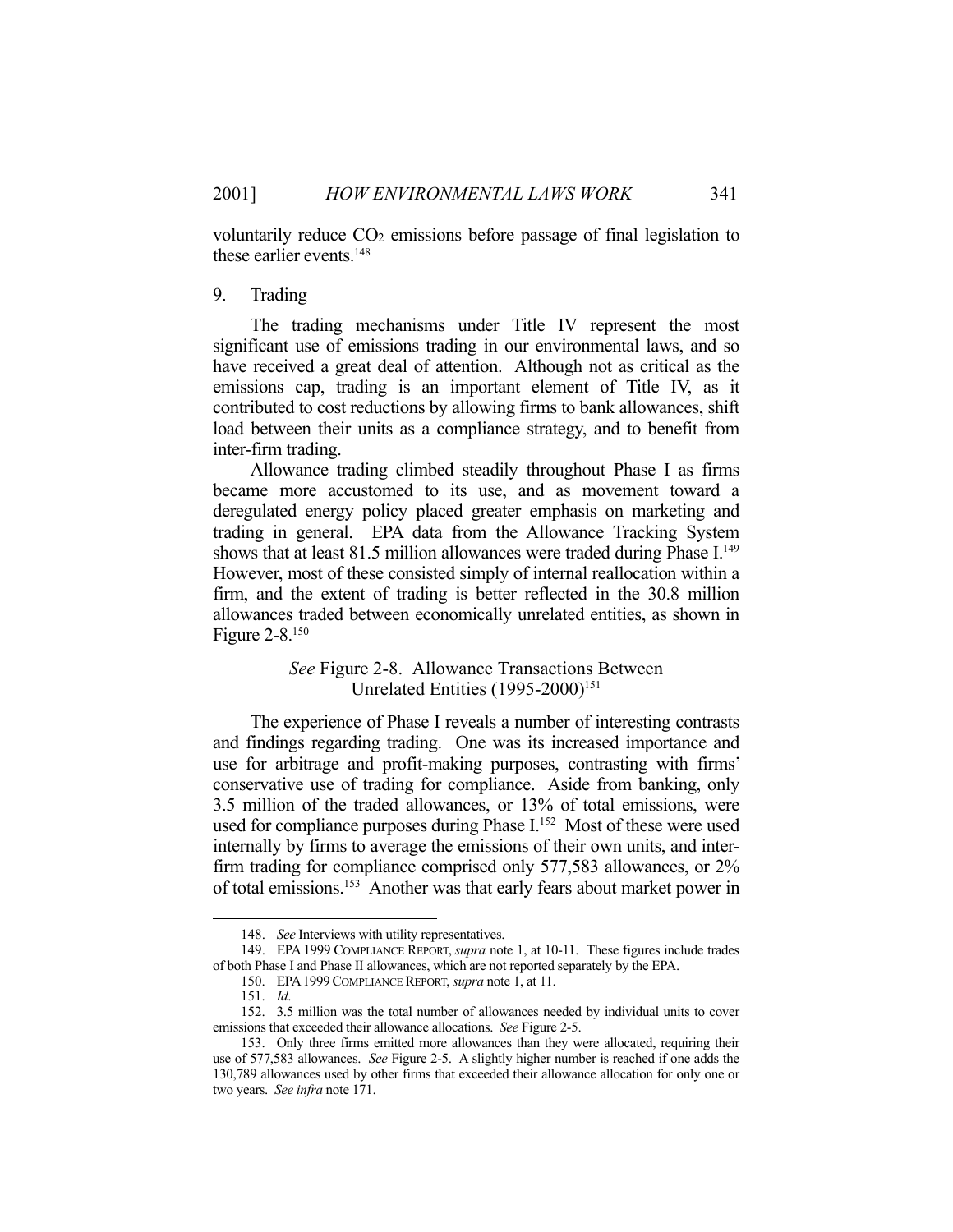voluntarily reduce  $CO<sub>2</sub>$  emissions before passage of final legislation to these earlier events.148

### 9. Trading

 The trading mechanisms under Title IV represent the most significant use of emissions trading in our environmental laws, and so have received a great deal of attention. Although not as critical as the emissions cap, trading is an important element of Title IV, as it contributed to cost reductions by allowing firms to bank allowances, shift load between their units as a compliance strategy, and to benefit from inter-firm trading.

 Allowance trading climbed steadily throughout Phase I as firms became more accustomed to its use, and as movement toward a deregulated energy policy placed greater emphasis on marketing and trading in general. EPA data from the Allowance Tracking System shows that at least 81.5 million allowances were traded during Phase  $I<sup>149</sup>$ However, most of these consisted simply of internal reallocation within a firm, and the extent of trading is better reflected in the 30.8 million allowances traded between economically unrelated entities, as shown in Figure 2-8.150

> *See* Figure 2-8. Allowance Transactions Between Unrelated Entities (1995-2000)<sup>151</sup>

 The experience of Phase I reveals a number of interesting contrasts and findings regarding trading. One was its increased importance and use for arbitrage and profit-making purposes, contrasting with firms' conservative use of trading for compliance. Aside from banking, only 3.5 million of the traded allowances, or 13% of total emissions, were used for compliance purposes during Phase I.<sup>152</sup> Most of these were used internally by firms to average the emissions of their own units, and interfirm trading for compliance comprised only 577,583 allowances, or 2% of total emissions.153 Another was that early fears about market power in

<u>.</u>

 <sup>148.</sup> *See* Interviews with utility representatives.

 <sup>149.</sup> EPA 1999 COMPLIANCE REPORT, *supra* note 1, at 10-11. These figures include trades of both Phase I and Phase II allowances, which are not reported separately by the EPA.

 <sup>150.</sup> EPA1999COMPLIANCE REPORT, *supra* note 1, at 11.

 <sup>151.</sup> *Id*.

 <sup>152. 3.5</sup> million was the total number of allowances needed by individual units to cover emissions that exceeded their allowance allocations. *See* Figure 2-5.

 <sup>153.</sup> Only three firms emitted more allowances than they were allocated, requiring their use of 577,583 allowances. *See* Figure 2-5. A slightly higher number is reached if one adds the 130,789 allowances used by other firms that exceeded their allowance allocation for only one or two years. *See infra* note 171.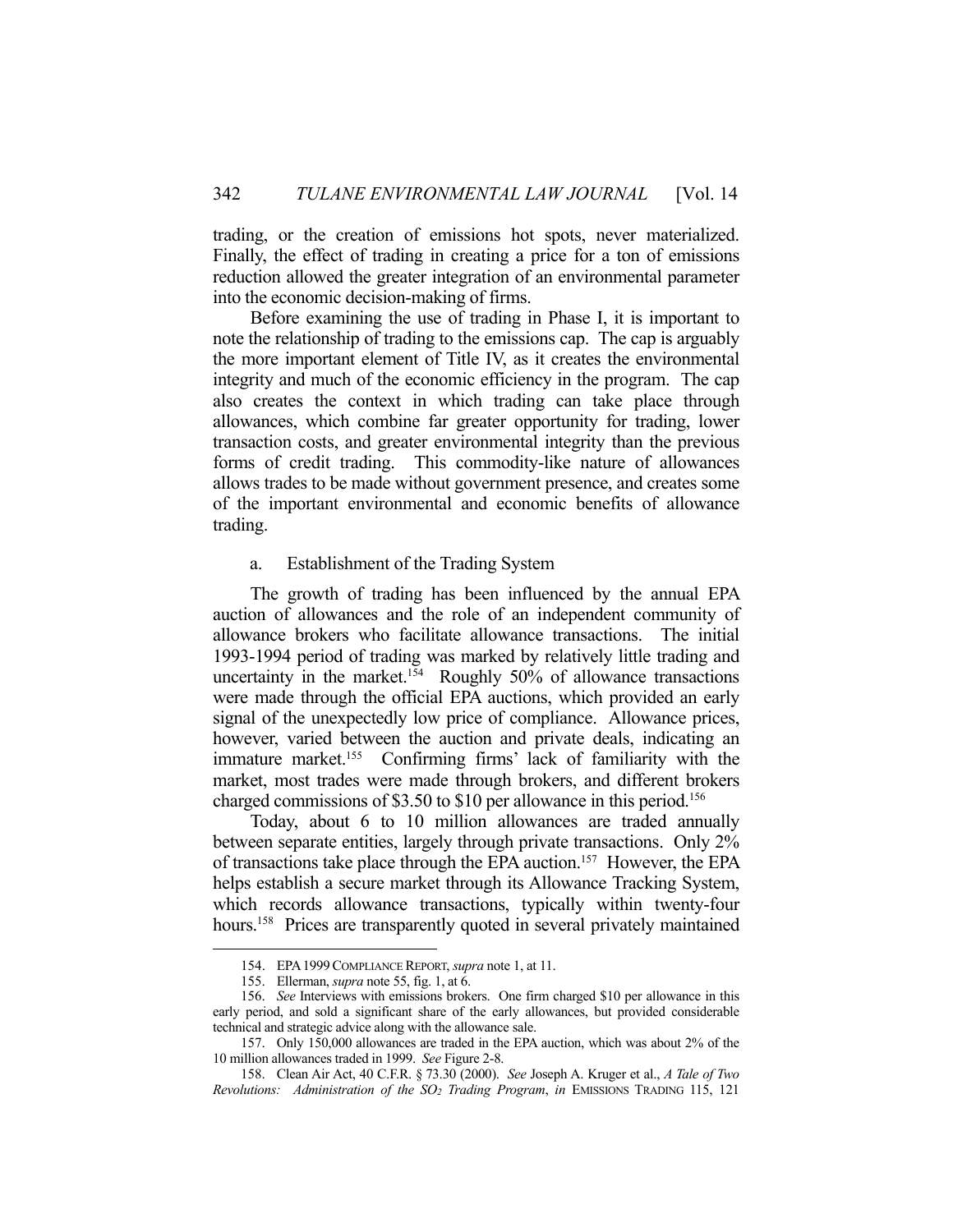trading, or the creation of emissions hot spots, never materialized. Finally, the effect of trading in creating a price for a ton of emissions reduction allowed the greater integration of an environmental parameter into the economic decision-making of firms.

 Before examining the use of trading in Phase I, it is important to note the relationship of trading to the emissions cap. The cap is arguably the more important element of Title IV, as it creates the environmental integrity and much of the economic efficiency in the program. The cap also creates the context in which trading can take place through allowances, which combine far greater opportunity for trading, lower transaction costs, and greater environmental integrity than the previous forms of credit trading. This commodity-like nature of allowances allows trades to be made without government presence, and creates some of the important environmental and economic benefits of allowance trading.

## a. Establishment of the Trading System

 The growth of trading has been influenced by the annual EPA auction of allowances and the role of an independent community of allowance brokers who facilitate allowance transactions. The initial 1993-1994 period of trading was marked by relatively little trading and uncertainty in the market.<sup>154</sup> Roughly 50% of allowance transactions were made through the official EPA auctions, which provided an early signal of the unexpectedly low price of compliance. Allowance prices, however, varied between the auction and private deals, indicating an immature market.155 Confirming firms' lack of familiarity with the market, most trades were made through brokers, and different brokers charged commissions of \$3.50 to \$10 per allowance in this period.<sup>156</sup>

 Today, about 6 to 10 million allowances are traded annually between separate entities, largely through private transactions. Only 2% of transactions take place through the EPA auction.157 However, the EPA helps establish a secure market through its Allowance Tracking System, which records allowance transactions, typically within twenty-four hours.<sup>158</sup> Prices are transparently quoted in several privately maintained

 <sup>154.</sup> EPA1999COMPLIANCE REPORT, *supra* note 1, at 11.

 <sup>155.</sup> Ellerman, *supra* note 55, fig. 1, at 6.

 <sup>156.</sup> *See* Interviews with emissions brokers. One firm charged \$10 per allowance in this early period, and sold a significant share of the early allowances, but provided considerable technical and strategic advice along with the allowance sale.

 <sup>157.</sup> Only 150,000 allowances are traded in the EPA auction, which was about 2% of the 10 million allowances traded in 1999. *See* Figure 2-8.

 <sup>158.</sup> Clean Air Act, 40 C.F.R. § 73.30 (2000). *See* Joseph A. Kruger et al., *A Tale of Two Revolutions: Administration of the SO2 Trading Program*, *in* EMISSIONS TRADING 115, 121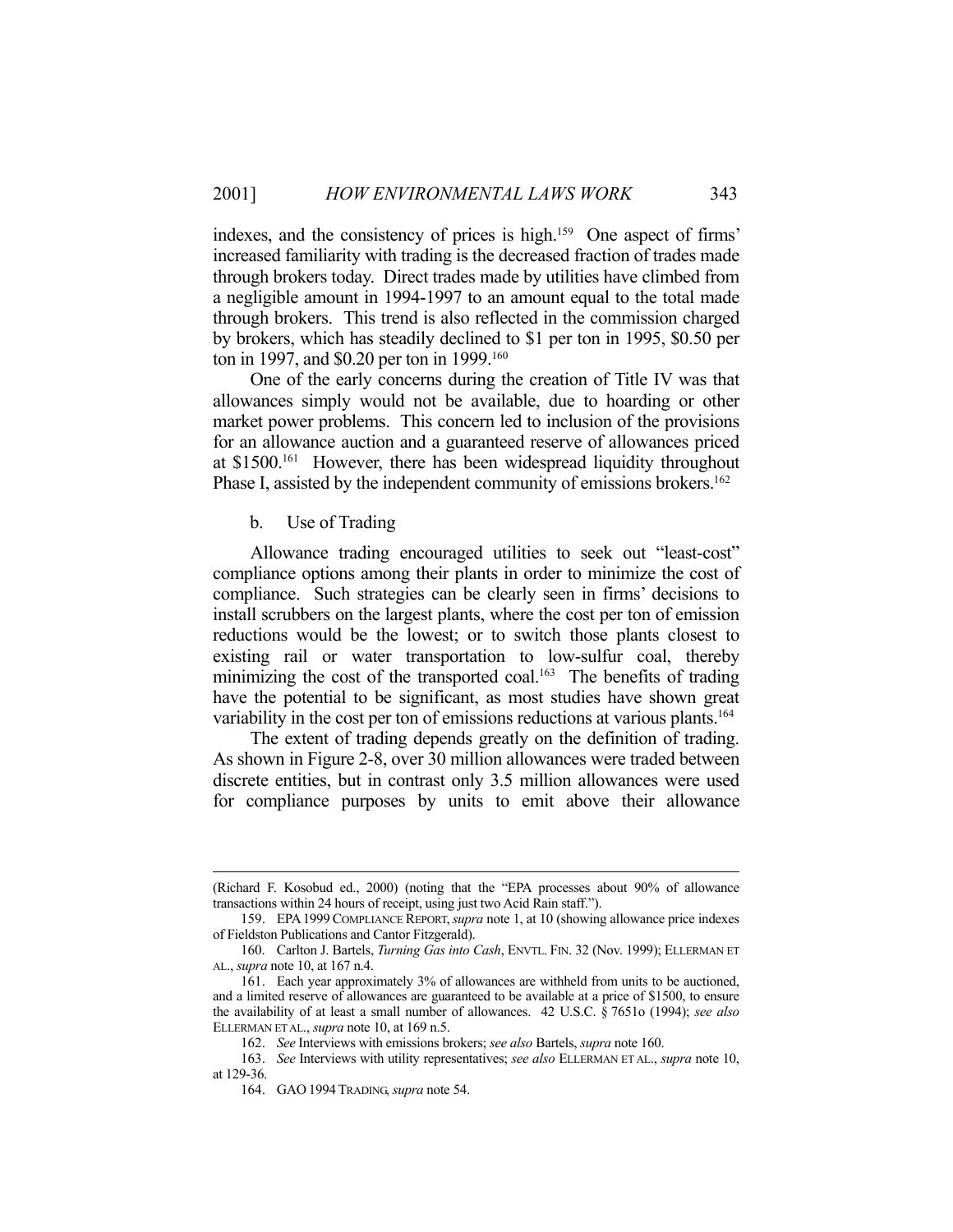indexes, and the consistency of prices is high.159 One aspect of firms' increased familiarity with trading is the decreased fraction of trades made through brokers today. Direct trades made by utilities have climbed from a negligible amount in 1994-1997 to an amount equal to the total made through brokers. This trend is also reflected in the commission charged by brokers, which has steadily declined to \$1 per ton in 1995, \$0.50 per ton in 1997, and \$0.20 per ton in 1999.<sup>160</sup>

 One of the early concerns during the creation of Title IV was that allowances simply would not be available, due to hoarding or other market power problems. This concern led to inclusion of the provisions for an allowance auction and a guaranteed reserve of allowances priced at \$1500.161 However, there has been widespread liquidity throughout Phase I, assisted by the independent community of emissions brokers.<sup>162</sup>

b. Use of Trading

 Allowance trading encouraged utilities to seek out "least-cost" compliance options among their plants in order to minimize the cost of compliance. Such strategies can be clearly seen in firms' decisions to install scrubbers on the largest plants, where the cost per ton of emission reductions would be the lowest; or to switch those plants closest to existing rail or water transportation to low-sulfur coal, thereby minimizing the cost of the transported coal.<sup>163</sup> The benefits of trading have the potential to be significant, as most studies have shown great variability in the cost per ton of emissions reductions at various plants.<sup>164</sup>

 The extent of trading depends greatly on the definition of trading. As shown in Figure 2-8, over 30 million allowances were traded between discrete entities, but in contrast only 3.5 million allowances were used for compliance purposes by units to emit above their allowance

 <sup>(</sup>Richard F. Kosobud ed., 2000) (noting that the "EPA processes about 90% of allowance transactions within 24 hours of receipt, using just two Acid Rain staff.").

 <sup>159.</sup> EPA1999COMPLIANCE REPORT,*supra* note 1, at 10 (showing allowance price indexes of Fieldston Publications and Cantor Fitzgerald).

 <sup>160.</sup> Carlton J. Bartels, *Turning Gas into Cash*, ENVTL. FIN. 32 (Nov. 1999); ELLERMAN ET AL., *supra* note 10, at 167 n.4.

 <sup>161.</sup> Each year approximately 3% of allowances are withheld from units to be auctioned, and a limited reserve of allowances are guaranteed to be available at a price of \$1500, to ensure the availability of at least a small number of allowances. 42 U.S.C. § 7651o (1994); *see also* ELLERMAN ET AL., *supra* note 10, at 169 n.5.

 <sup>162.</sup> *See* Interviews with emissions brokers; *see also* Bartels, *supra* note 160.

 <sup>163.</sup> *See* Interviews with utility representatives; *see also* ELLERMAN ET AL., *supra* note 10, at 129-36.

 <sup>164.</sup> GAO 1994TRADING, *supra* note 54.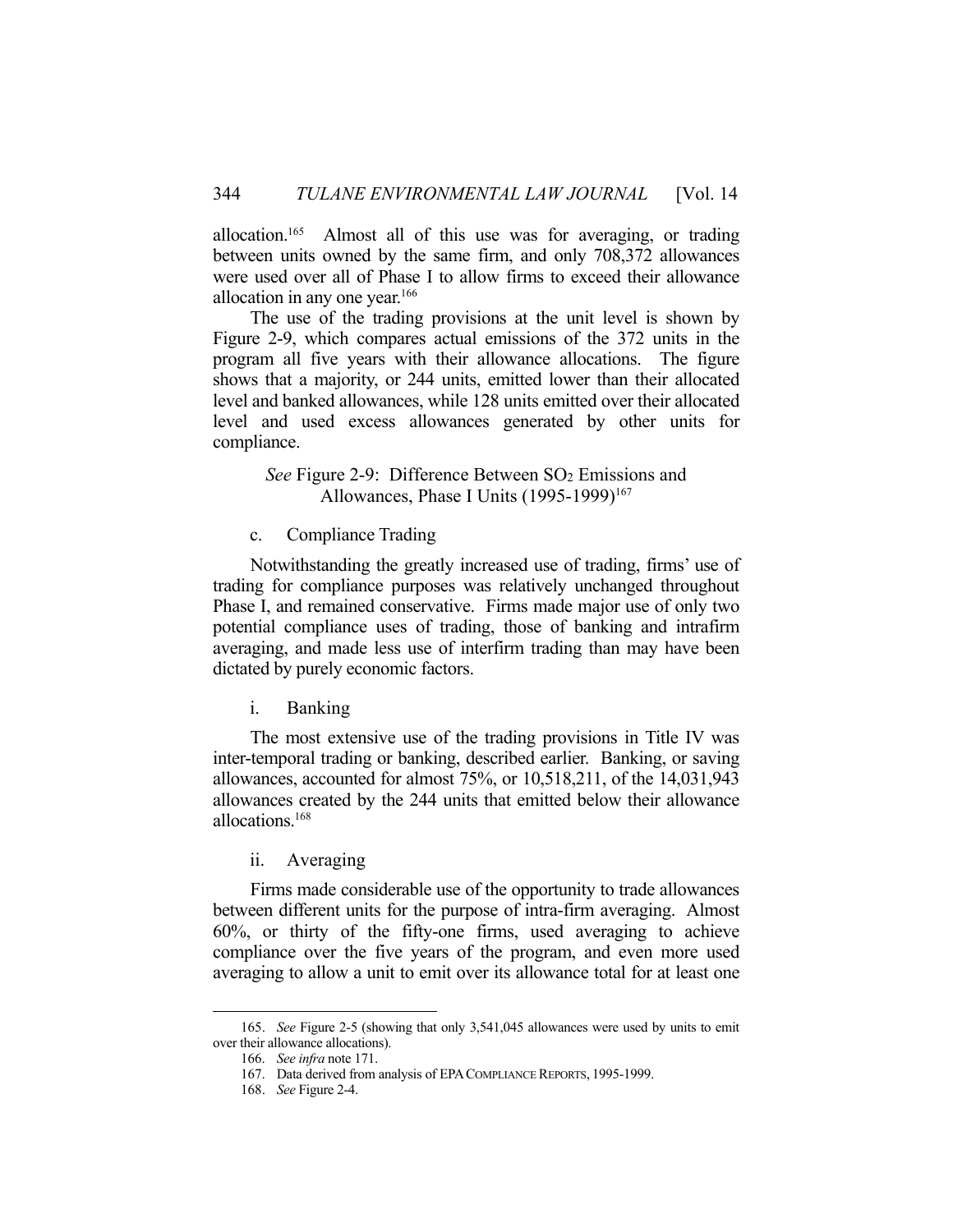allocation.165 Almost all of this use was for averaging, or trading between units owned by the same firm, and only 708,372 allowances were used over all of Phase I to allow firms to exceed their allowance allocation in any one year.<sup>166</sup>

 The use of the trading provisions at the unit level is shown by Figure 2-9, which compares actual emissions of the 372 units in the program all five years with their allowance allocations. The figure shows that a majority, or 244 units, emitted lower than their allocated level and banked allowances, while 128 units emitted over their allocated level and used excess allowances generated by other units for compliance.

*See* Figure 2-9: Difference Between SO<sub>2</sub> Emissions and Allowances, Phase I Units (1995-1999)<sup>167</sup>

c. Compliance Trading

 Notwithstanding the greatly increased use of trading, firms' use of trading for compliance purposes was relatively unchanged throughout Phase I, and remained conservative. Firms made major use of only two potential compliance uses of trading, those of banking and intrafirm averaging, and made less use of interfirm trading than may have been dictated by purely economic factors.

i. Banking

 The most extensive use of the trading provisions in Title IV was inter-temporal trading or banking, described earlier. Banking, or saving allowances, accounted for almost 75%, or 10,518,211, of the 14,031,943 allowances created by the 244 units that emitted below their allowance allocations.168

ii. Averaging

 Firms made considerable use of the opportunity to trade allowances between different units for the purpose of intra-firm averaging. Almost 60%, or thirty of the fifty-one firms, used averaging to achieve compliance over the five years of the program, and even more used averaging to allow a unit to emit over its allowance total for at least one

 <sup>165.</sup> *See* Figure 2-5 (showing that only 3,541,045 allowances were used by units to emit over their allowance allocations).

 <sup>166.</sup> *See infra* note 171.

 <sup>167.</sup> Data derived from analysis of EPACOMPLIANCE REPORTS, 1995-1999.

 <sup>168.</sup> *See* Figure 2-4.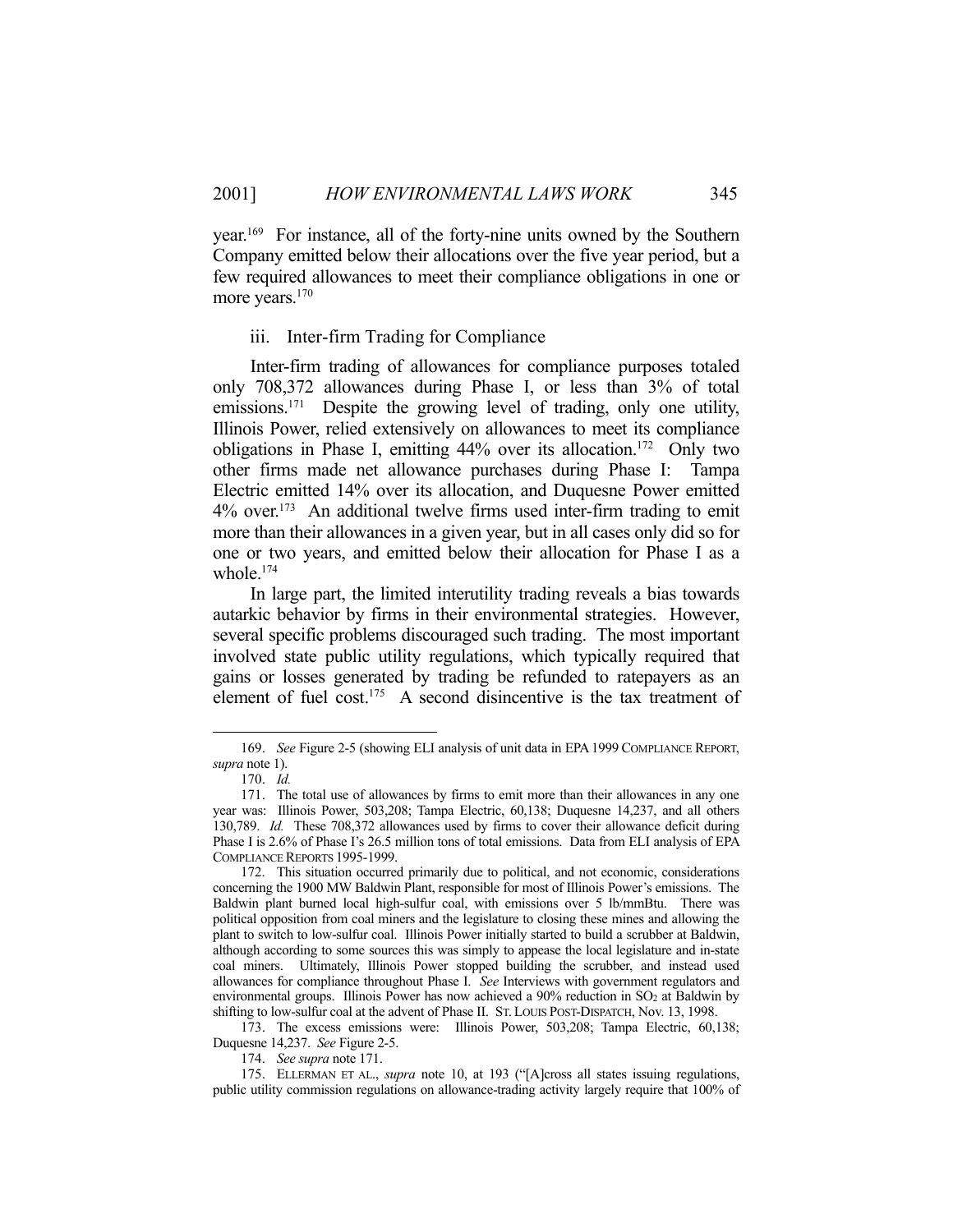year.169 For instance, all of the forty-nine units owned by the Southern Company emitted below their allocations over the five year period, but a few required allowances to meet their compliance obligations in one or more years.<sup>170</sup>

#### iii. Inter-firm Trading for Compliance

 Inter-firm trading of allowances for compliance purposes totaled only 708,372 allowances during Phase I, or less than 3% of total emissions.<sup>171</sup> Despite the growing level of trading, only one utility, Illinois Power, relied extensively on allowances to meet its compliance obligations in Phase I, emitting 44% over its allocation.<sup>172</sup> Only two other firms made net allowance purchases during Phase I: Tampa Electric emitted 14% over its allocation, and Duquesne Power emitted 4% over.173 An additional twelve firms used inter-firm trading to emit more than their allowances in a given year, but in all cases only did so for one or two years, and emitted below their allocation for Phase I as a whole.174

 In large part, the limited interutility trading reveals a bias towards autarkic behavior by firms in their environmental strategies. However, several specific problems discouraged such trading. The most important involved state public utility regulations, which typically required that gains or losses generated by trading be refunded to ratepayers as an element of fuel cost.<sup>175</sup> A second disincentive is the tax treatment of

1

 173. The excess emissions were: Illinois Power, 503,208; Tampa Electric, 60,138; Duquesne 14,237. *See* Figure 2-5.

174. *See supra* note 171.

 <sup>169.</sup> *See* Figure 2-5 (showing ELI analysis of unit data in EPA1999 COMPLIANCE REPORT, *supra* note 1).

 <sup>170.</sup> *Id.*

 <sup>171.</sup> The total use of allowances by firms to emit more than their allowances in any one year was: Illinois Power, 503,208; Tampa Electric, 60,138; Duquesne 14,237, and all others 130,789. *Id.* These 708,372 allowances used by firms to cover their allowance deficit during Phase I is 2.6% of Phase I's 26.5 million tons of total emissions. Data from ELI analysis of EPA COMPLIANCE REPORTS 1995-1999.

 <sup>172.</sup> This situation occurred primarily due to political, and not economic, considerations concerning the 1900 MW Baldwin Plant, responsible for most of Illinois Power's emissions. The Baldwin plant burned local high-sulfur coal, with emissions over 5 lb/mmBtu. There was political opposition from coal miners and the legislature to closing these mines and allowing the plant to switch to low-sulfur coal. Illinois Power initially started to build a scrubber at Baldwin, although according to some sources this was simply to appease the local legislature and in-state coal miners. Ultimately, Illinois Power stopped building the scrubber, and instead used allowances for compliance throughout Phase I. *See* Interviews with government regulators and environmental groups. Illinois Power has now achieved a 90% reduction in SO<sub>2</sub> at Baldwin by shifting to low-sulfur coal at the advent of Phase II. ST. LOUIS POST-DISPATCH, Nov. 13, 1998.

 <sup>175.</sup> ELLERMAN ET AL., *supra* note 10, at 193 ("[A]cross all states issuing regulations, public utility commission regulations on allowance-trading activity largely require that 100% of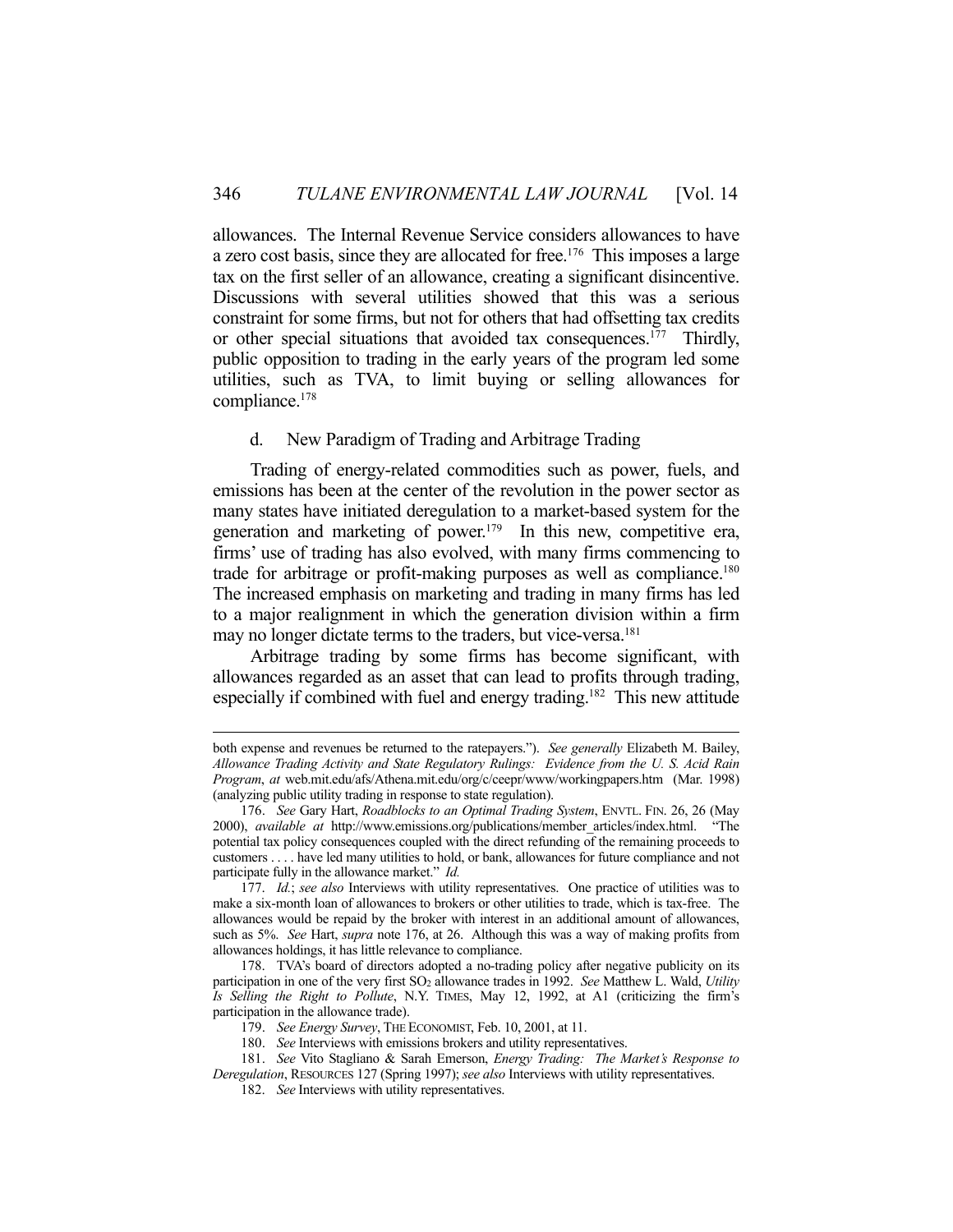allowances. The Internal Revenue Service considers allowances to have a zero cost basis, since they are allocated for free.<sup>176</sup> This imposes a large tax on the first seller of an allowance, creating a significant disincentive. Discussions with several utilities showed that this was a serious constraint for some firms, but not for others that had offsetting tax credits or other special situations that avoided tax consequences.<sup>177</sup> Thirdly, public opposition to trading in the early years of the program led some utilities, such as TVA, to limit buying or selling allowances for compliance.178

## d. New Paradigm of Trading and Arbitrage Trading

 Trading of energy-related commodities such as power, fuels, and emissions has been at the center of the revolution in the power sector as many states have initiated deregulation to a market-based system for the generation and marketing of power.<sup>179</sup> In this new, competitive era, firms' use of trading has also evolved, with many firms commencing to trade for arbitrage or profit-making purposes as well as compliance.<sup>180</sup> The increased emphasis on marketing and trading in many firms has led to a major realignment in which the generation division within a firm may no longer dictate terms to the traders, but vice-versa.<sup>181</sup>

 Arbitrage trading by some firms has become significant, with allowances regarded as an asset that can lead to profits through trading, especially if combined with fuel and energy trading.<sup>182</sup> This new attitude

both expense and revenues be returned to the ratepayers."). *See generally* Elizabeth M. Bailey, *Allowance Trading Activity and State Regulatory Rulings: Evidence from the U. S. Acid Rain Program*, *at* web.mit.edu/afs/Athena.mit.edu/org/c/ceepr/www/workingpapers.htm (Mar. 1998) (analyzing public utility trading in response to state regulation).

 <sup>176.</sup> *See* Gary Hart, *Roadblocks to an Optimal Trading System*, ENVTL. FIN. 26, 26 (May 2000), *available at* http://www.emissions.org/publications/member\_articles/index.html. "The potential tax policy consequences coupled with the direct refunding of the remaining proceeds to customers . . . . have led many utilities to hold, or bank, allowances for future compliance and not participate fully in the allowance market." *Id.*

 <sup>177.</sup> *Id.*; *see also* Interviews with utility representatives. One practice of utilities was to make a six-month loan of allowances to brokers or other utilities to trade, which is tax-free. The allowances would be repaid by the broker with interest in an additional amount of allowances, such as 5%. *See* Hart, *supra* note 176, at 26. Although this was a way of making profits from allowances holdings, it has little relevance to compliance.

 <sup>178.</sup> TVA's board of directors adopted a no-trading policy after negative publicity on its participation in one of the very first SO2 allowance trades in 1992. *See* Matthew L. Wald, *Utility Is Selling the Right to Pollute*, N.Y. TIMES, May 12, 1992, at A1 (criticizing the firm's participation in the allowance trade).

 <sup>179.</sup> *See Energy Survey*, THE ECONOMIST, Feb. 10, 2001, at 11.

 <sup>180.</sup> *See* Interviews with emissions brokers and utility representatives.

 <sup>181.</sup> *See* Vito Stagliano & Sarah Emerson, *Energy Trading: The Market's Response to Deregulation*, RESOURCES 127 (Spring 1997); *see also* Interviews with utility representatives.

 <sup>182.</sup> *See* Interviews with utility representatives.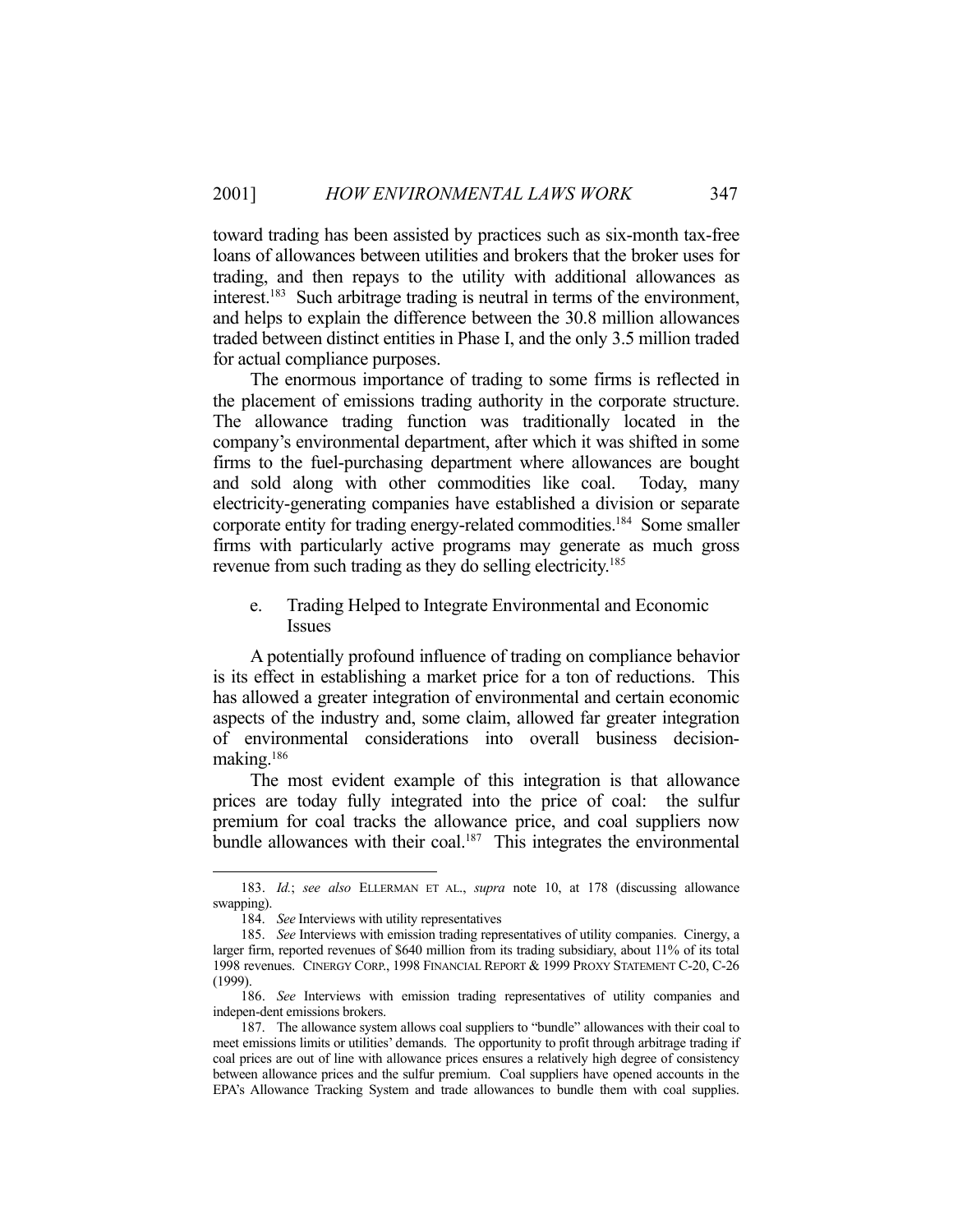toward trading has been assisted by practices such as six-month tax-free loans of allowances between utilities and brokers that the broker uses for trading, and then repays to the utility with additional allowances as interest.183 Such arbitrage trading is neutral in terms of the environment, and helps to explain the difference between the 30.8 million allowances traded between distinct entities in Phase I, and the only 3.5 million traded for actual compliance purposes.

 The enormous importance of trading to some firms is reflected in the placement of emissions trading authority in the corporate structure. The allowance trading function was traditionally located in the company's environmental department, after which it was shifted in some firms to the fuel-purchasing department where allowances are bought and sold along with other commodities like coal. Today, many electricity-generating companies have established a division or separate corporate entity for trading energy-related commodities.184 Some smaller firms with particularly active programs may generate as much gross revenue from such trading as they do selling electricity.<sup>185</sup>

e. Trading Helped to Integrate Environmental and Economic Issues

 A potentially profound influence of trading on compliance behavior is its effect in establishing a market price for a ton of reductions. This has allowed a greater integration of environmental and certain economic aspects of the industry and, some claim, allowed far greater integration of environmental considerations into overall business decisionmaking.186

 The most evident example of this integration is that allowance prices are today fully integrated into the price of coal: the sulfur premium for coal tracks the allowance price, and coal suppliers now bundle allowances with their coal.<sup>187</sup> This integrates the environmental

 <sup>183.</sup> *Id.*; *see also* ELLERMAN ET AL., *supra* note 10, at 178 (discussing allowance swapping).

 <sup>184.</sup> *See* Interviews with utility representatives

 <sup>185.</sup> *See* Interviews with emission trading representatives of utility companies. Cinergy, a larger firm, reported revenues of \$640 million from its trading subsidiary, about 11% of its total 1998 revenues. CINERGY CORP., 1998 FINANCIAL REPORT & 1999 PROXY STATEMENT C-20, C-26 (1999).

 <sup>186.</sup> *See* Interviews with emission trading representatives of utility companies and indepen-dent emissions brokers.

 <sup>187.</sup> The allowance system allows coal suppliers to "bundle" allowances with their coal to meet emissions limits or utilities' demands. The opportunity to profit through arbitrage trading if coal prices are out of line with allowance prices ensures a relatively high degree of consistency between allowance prices and the sulfur premium. Coal suppliers have opened accounts in the EPA's Allowance Tracking System and trade allowances to bundle them with coal supplies.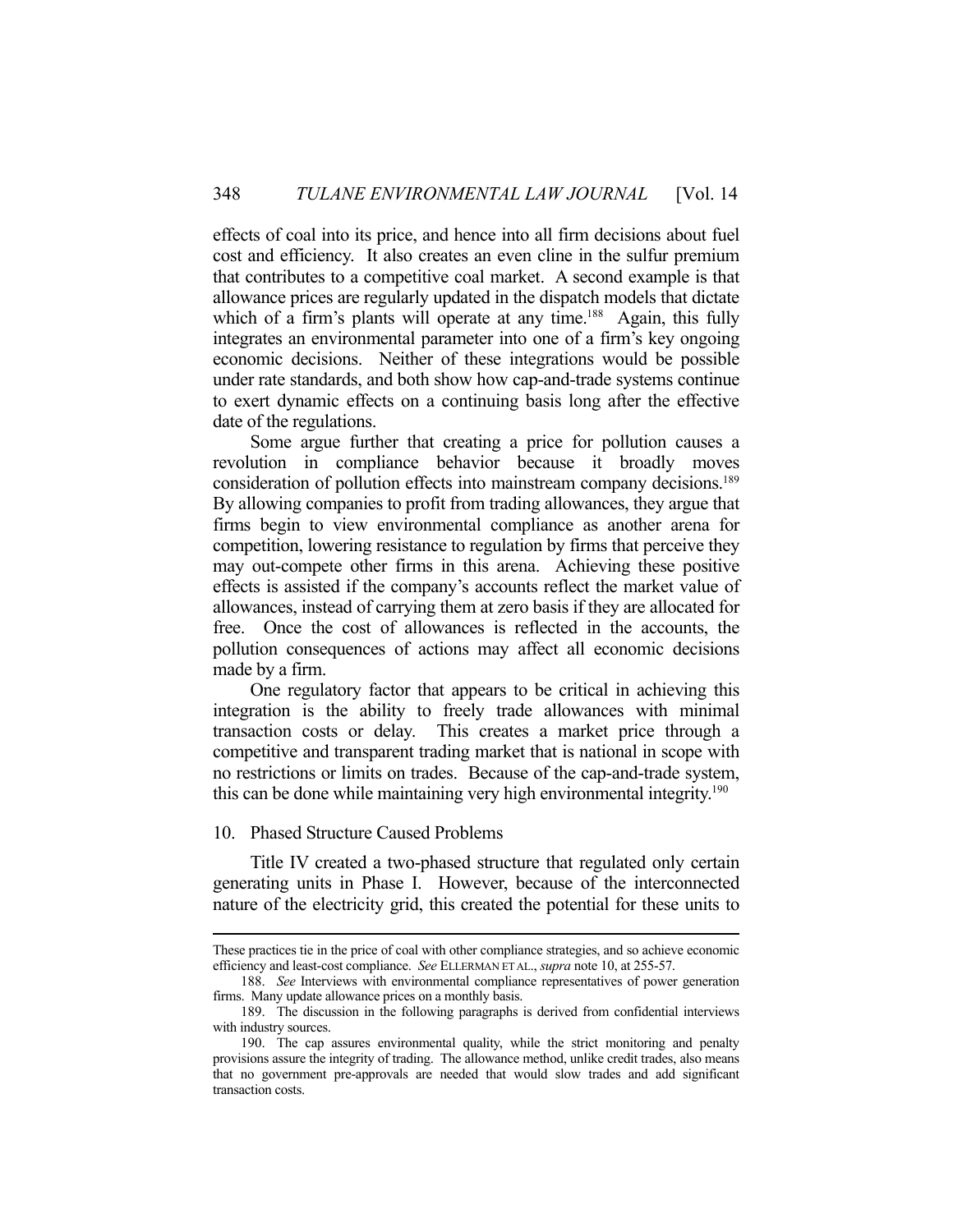effects of coal into its price, and hence into all firm decisions about fuel cost and efficiency. It also creates an even cline in the sulfur premium that contributes to a competitive coal market. A second example is that allowance prices are regularly updated in the dispatch models that dictate which of a firm's plants will operate at any time.<sup>188</sup> Again, this fully integrates an environmental parameter into one of a firm's key ongoing economic decisions. Neither of these integrations would be possible under rate standards, and both show how cap-and-trade systems continue to exert dynamic effects on a continuing basis long after the effective date of the regulations.

 Some argue further that creating a price for pollution causes a revolution in compliance behavior because it broadly moves consideration of pollution effects into mainstream company decisions.<sup>189</sup> By allowing companies to profit from trading allowances, they argue that firms begin to view environmental compliance as another arena for competition, lowering resistance to regulation by firms that perceive they may out-compete other firms in this arena. Achieving these positive effects is assisted if the company's accounts reflect the market value of allowances, instead of carrying them at zero basis if they are allocated for free. Once the cost of allowances is reflected in the accounts, the pollution consequences of actions may affect all economic decisions made by a firm.

 One regulatory factor that appears to be critical in achieving this integration is the ability to freely trade allowances with minimal transaction costs or delay. This creates a market price through a competitive and transparent trading market that is national in scope with no restrictions or limits on trades. Because of the cap-and-trade system, this can be done while maintaining very high environmental integrity.190

#### 10. Phased Structure Caused Problems

 Title IV created a two-phased structure that regulated only certain generating units in Phase I. However, because of the interconnected nature of the electricity grid, this created the potential for these units to

These practices tie in the price of coal with other compliance strategies, and so achieve economic efficiency and least-cost compliance. *See* ELLERMAN ET AL., *supra* note 10, at 255-57.

 <sup>188.</sup> *See* Interviews with environmental compliance representatives of power generation firms. Many update allowance prices on a monthly basis.

 <sup>189.</sup> The discussion in the following paragraphs is derived from confidential interviews with industry sources.

 <sup>190.</sup> The cap assures environmental quality, while the strict monitoring and penalty provisions assure the integrity of trading. The allowance method, unlike credit trades, also means that no government pre-approvals are needed that would slow trades and add significant transaction costs.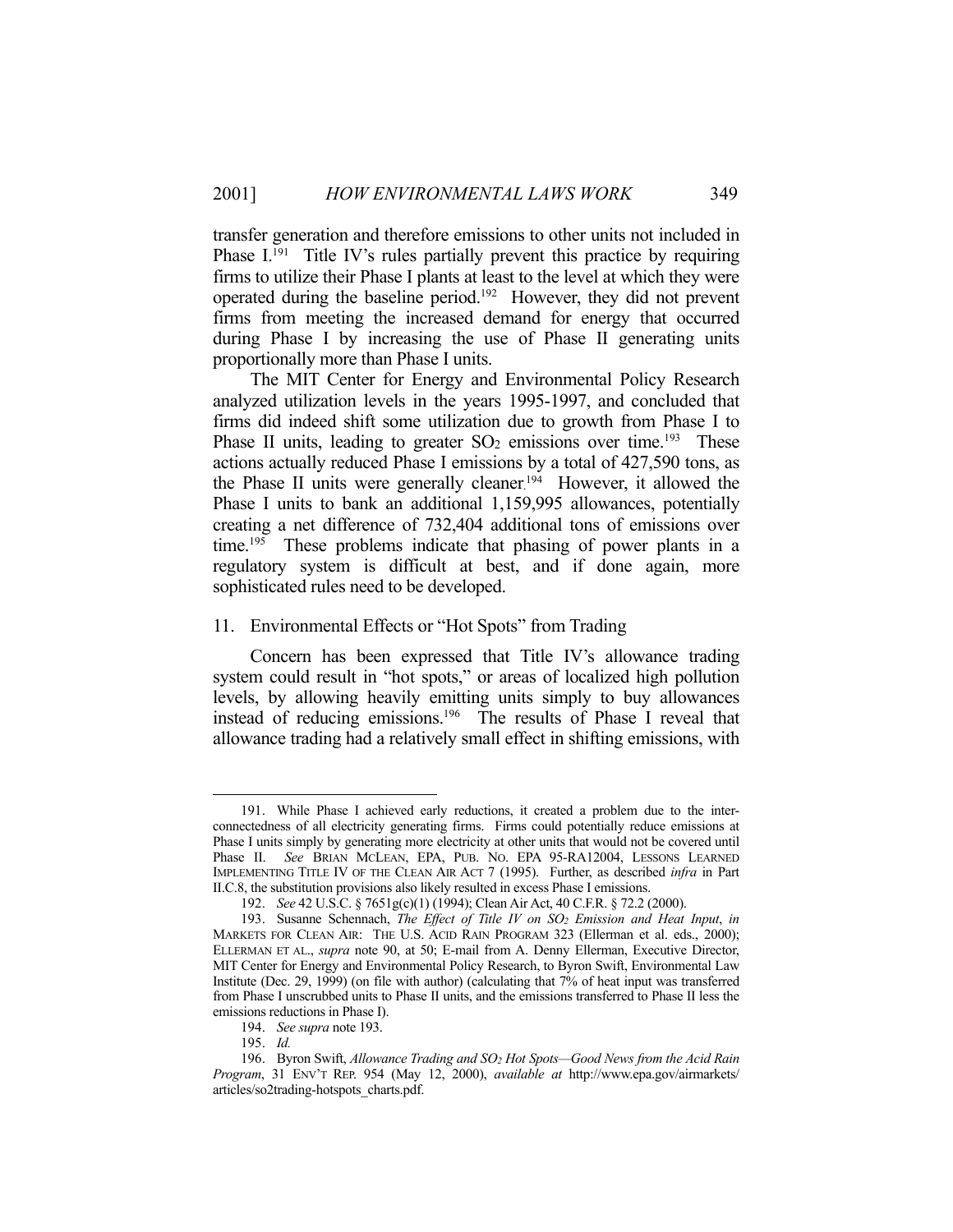transfer generation and therefore emissions to other units not included in Phase  $I^{191}$  Title IV's rules partially prevent this practice by requiring firms to utilize their Phase I plants at least to the level at which they were operated during the baseline period.192 However, they did not prevent firms from meeting the increased demand for energy that occurred during Phase I by increasing the use of Phase II generating units proportionally more than Phase I units.

 The MIT Center for Energy and Environmental Policy Research analyzed utilization levels in the years 1995-1997, and concluded that firms did indeed shift some utilization due to growth from Phase I to Phase II units, leading to greater  $SO<sub>2</sub>$  emissions over time.<sup>193</sup> These actions actually reduced Phase I emissions by a total of 427,590 tons, as the Phase II units were generally cleaner.<sup>194</sup> However, it allowed the Phase I units to bank an additional 1,159,995 allowances, potentially creating a net difference of 732,404 additional tons of emissions over time.<sup>195</sup> These problems indicate that phasing of power plants in a regulatory system is difficult at best, and if done again, more sophisticated rules need to be developed.

### 11. Environmental Effects or "Hot Spots" from Trading

 Concern has been expressed that Title IV's allowance trading system could result in "hot spots," or areas of localized high pollution levels, by allowing heavily emitting units simply to buy allowances instead of reducing emissions.196 The results of Phase I reveal that allowance trading had a relatively small effect in shifting emissions, with

 <sup>191.</sup> While Phase I achieved early reductions, it created a problem due to the interconnectedness of all electricity generating firms. Firms could potentially reduce emissions at Phase I units simply by generating more electricity at other units that would not be covered until Phase II. *See* BRIAN MCLEAN, EPA, PUB. NO. EPA 95-RA12004, LESSONS LEARNED IMPLEMENTING TITLE IV OF THE CLEAN AIR ACT 7 (1995). Further, as described *infra* in Part II.C.8, the substitution provisions also likely resulted in excess Phase I emissions.

 <sup>192.</sup> *See* 42 U.S.C. § 7651g(c)(1) (1994); Clean Air Act, 40 C.F.R. § 72.2 (2000).

 <sup>193.</sup> Susanne Schennach, *The Effect of Title IV on SO2 Emission and Heat Input*, *in* MARKETS FOR CLEAN AIR: THE U.S. ACID RAIN PROGRAM 323 (Ellerman et al. eds., 2000); ELLERMAN ET AL., *supra* note 90, at 50; E-mail from A. Denny Ellerman, Executive Director, MIT Center for Energy and Environmental Policy Research, to Byron Swift, Environmental Law Institute (Dec. 29, 1999) (on file with author) (calculating that 7% of heat input was transferred from Phase I unscrubbed units to Phase II units, and the emissions transferred to Phase II less the emissions reductions in Phase I).

 <sup>194.</sup> *See supra* note 193.

 <sup>195.</sup> *Id.*

 <sup>196.</sup> Byron Swift, *Allowance Trading and SO2 Hot Spots—Good News from the Acid Rain Program*, 31 ENV'T REP. 954 (May 12, 2000), *available at* http://www.epa.gov/airmarkets/ articles/so2trading-hotspots\_charts.pdf.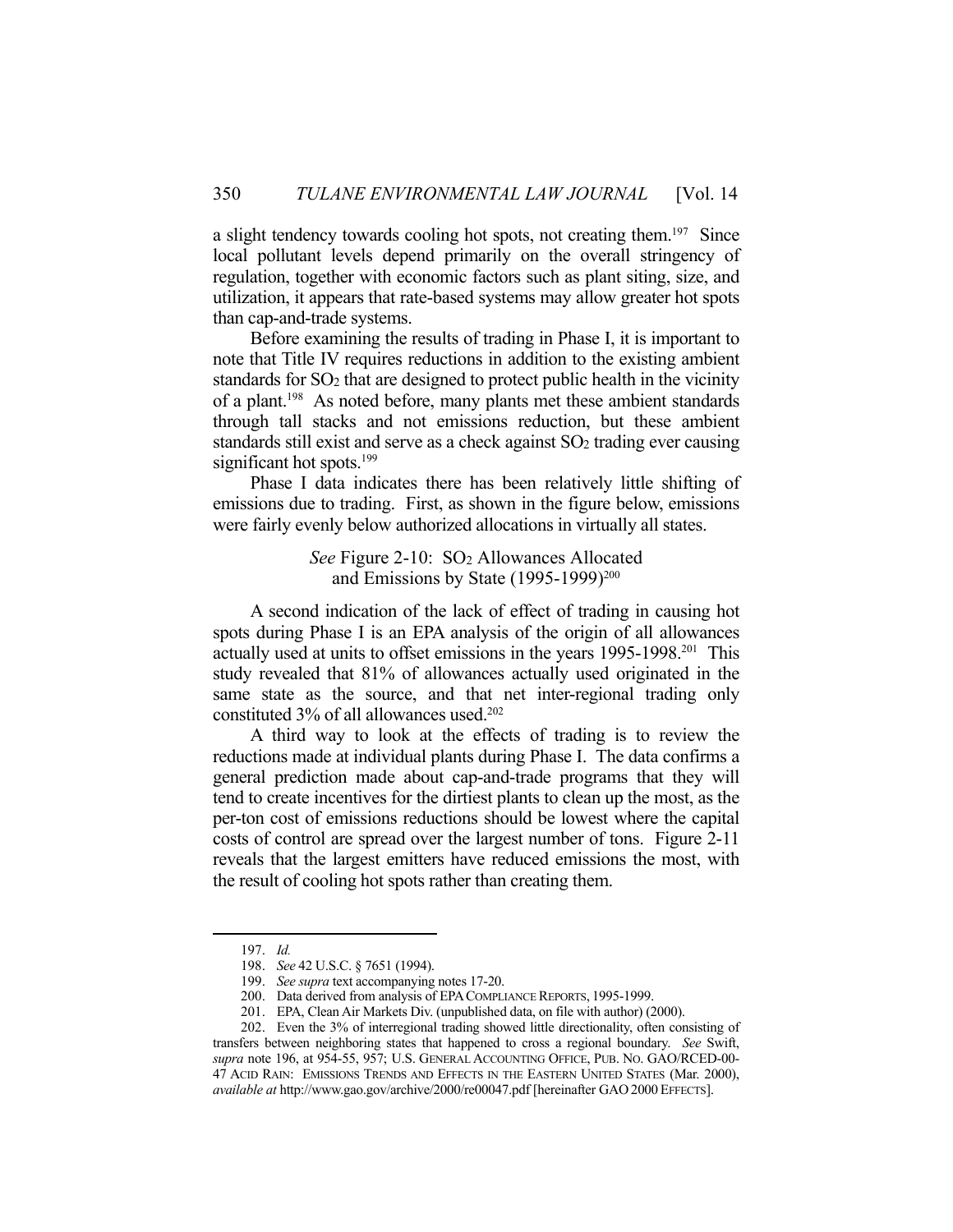a slight tendency towards cooling hot spots, not creating them.<sup>197</sup> Since local pollutant levels depend primarily on the overall stringency of regulation, together with economic factors such as plant siting, size, and utilization, it appears that rate-based systems may allow greater hot spots than cap-and-trade systems.

 Before examining the results of trading in Phase I, it is important to note that Title IV requires reductions in addition to the existing ambient standards for SO2 that are designed to protect public health in the vicinity of a plant.198 As noted before, many plants met these ambient standards through tall stacks and not emissions reduction, but these ambient standards still exist and serve as a check against SO2 trading ever causing significant hot spots.<sup>199</sup>

 Phase I data indicates there has been relatively little shifting of emissions due to trading. First, as shown in the figure below, emissions were fairly evenly below authorized allocations in virtually all states.

> *See* Figure 2-10: SO2 Allowances Allocated and Emissions by State (1995-1999)<sup>200</sup>

 A second indication of the lack of effect of trading in causing hot spots during Phase I is an EPA analysis of the origin of all allowances actually used at units to offset emissions in the years 1995-1998.201 This study revealed that 81% of allowances actually used originated in the same state as the source, and that net inter-regional trading only constituted 3% of all allowances used.202

 A third way to look at the effects of trading is to review the reductions made at individual plants during Phase I. The data confirms a general prediction made about cap-and-trade programs that they will tend to create incentives for the dirtiest plants to clean up the most, as the per-ton cost of emissions reductions should be lowest where the capital costs of control are spread over the largest number of tons. Figure 2-11 reveals that the largest emitters have reduced emissions the most, with the result of cooling hot spots rather than creating them.

 <sup>197.</sup> *Id.*

 <sup>198.</sup> *See* 42 U.S.C. § 7651 (1994).

 <sup>199.</sup> *See supra* text accompanying notes 17-20.

 <sup>200.</sup> Data derived from analysis of EPACOMPLIANCE REPORTS, 1995-1999.

 <sup>201.</sup> EPA, Clean Air Markets Div. (unpublished data, on file with author) (2000).

 <sup>202.</sup> Even the 3% of interregional trading showed little directionality, often consisting of transfers between neighboring states that happened to cross a regional boundary. *See* Swift, *supra* note 196, at 954-55, 957; U.S. GENERAL ACCOUNTING OFFICE, PUB. NO. GAO/RCED-00- 47 ACID RAIN: EMISSIONS TRENDS AND EFFECTS IN THE EASTERN UNITED STATES (Mar. 2000), *available at* http://www.gao.gov/archive/2000/re00047.pdf [hereinafter GAO 2000 EFFECTS].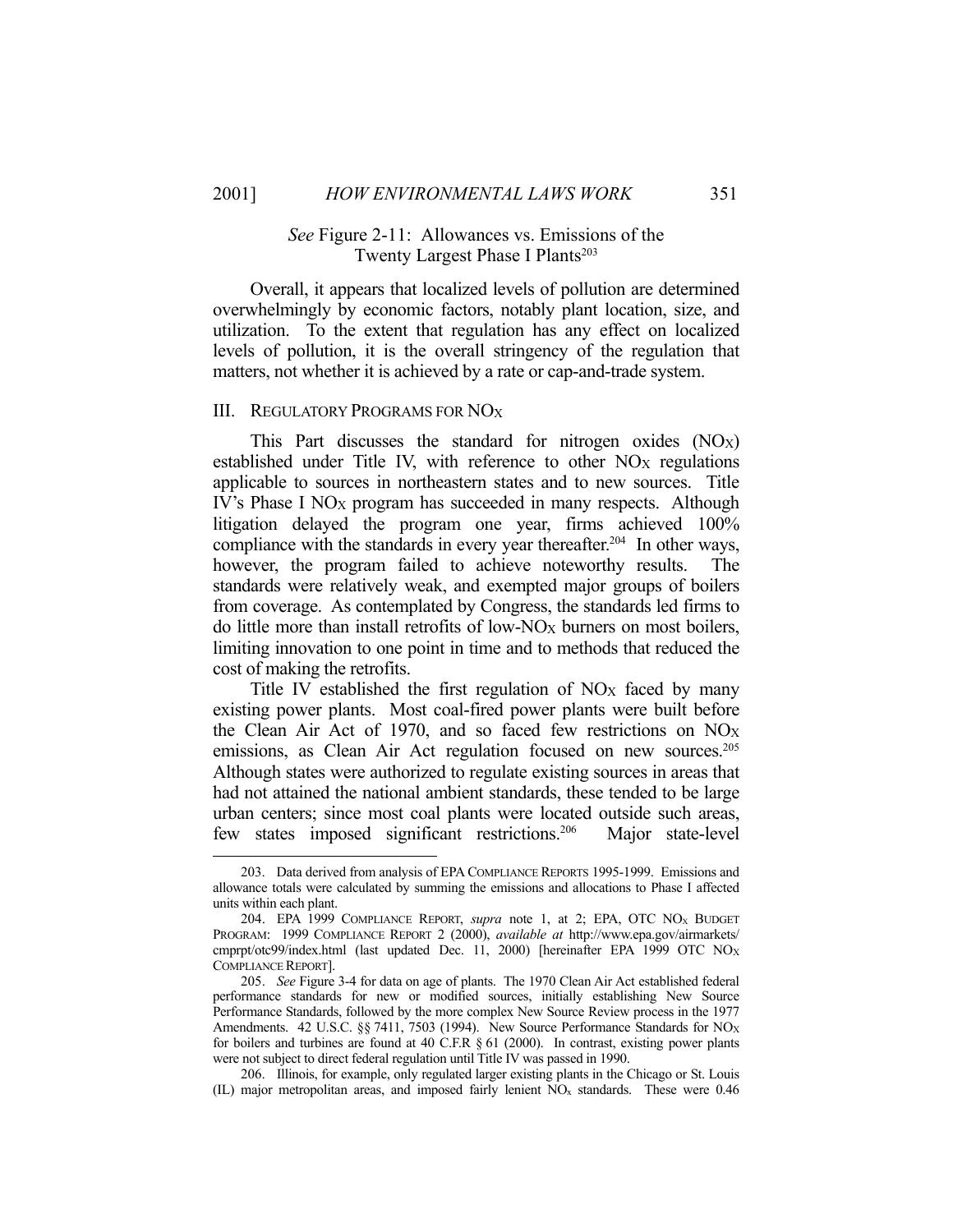1

# *See* Figure 2-11: Allowances vs. Emissions of the Twenty Largest Phase I Plants<sup>203</sup>

 Overall, it appears that localized levels of pollution are determined overwhelmingly by economic factors, notably plant location, size, and utilization. To the extent that regulation has any effect on localized levels of pollution, it is the overall stringency of the regulation that matters, not whether it is achieved by a rate or cap-and-trade system.

### III. REGULATORY PROGRAMS FOR NOX

This Part discusses the standard for nitrogen oxides  $(NO<sub>X</sub>)$ established under Title IV, with reference to other NO<sub>X</sub> regulations applicable to sources in northeastern states and to new sources. Title IV's Phase I NO<sub>X</sub> program has succeeded in many respects. Although litigation delayed the program one year, firms achieved 100% compliance with the standards in every year thereafter.<sup>204</sup> In other ways, however, the program failed to achieve noteworthy results. The standards were relatively weak, and exempted major groups of boilers from coverage. As contemplated by Congress, the standards led firms to do little more than install retrofits of low- $NO_X$  burners on most boilers, limiting innovation to one point in time and to methods that reduced the cost of making the retrofits.

Title IV established the first regulation of NO<sub>X</sub> faced by many existing power plants. Most coal-fired power plants were built before the Clean Air Act of 1970, and so faced few restrictions on NOX emissions, as Clean Air Act regulation focused on new sources.<sup>205</sup> Although states were authorized to regulate existing sources in areas that had not attained the national ambient standards, these tended to be large urban centers; since most coal plants were located outside such areas, few states imposed significant restrictions.206 Major state-level

 <sup>203.</sup> Data derived from analysis of EPA COMPLIANCE REPORTS 1995-1999. Emissions and allowance totals were calculated by summing the emissions and allocations to Phase I affected units within each plant.

 <sup>204.</sup> EPA 1999 COMPLIANCE REPORT, *supra* note 1, at 2; EPA, OTC NOX BUDGET PROGRAM: 1999 COMPLIANCE REPORT 2 (2000), *available at* http://www.epa.gov/airmarkets/ cmprpt/otc99/index.html (last updated Dec. 11, 2000) [hereinafter EPA 1999 OTC NOX COMPLIANCE REPORT].

 <sup>205.</sup> *See* Figure 3-4 for data on age of plants. The 1970 Clean Air Act established federal performance standards for new or modified sources, initially establishing New Source Performance Standards, followed by the more complex New Source Review process in the 1977 Amendments. 42 U.S.C. §§ 7411, 7503 (1994). New Source Performance Standards for  $NO_X$ for boilers and turbines are found at 40 C.F.R § 61 (2000). In contrast, existing power plants were not subject to direct federal regulation until Title IV was passed in 1990.

 <sup>206.</sup> Illinois, for example, only regulated larger existing plants in the Chicago or St. Louis (IL) major metropolitan areas, and imposed fairly lenient NOx standards. These were 0.46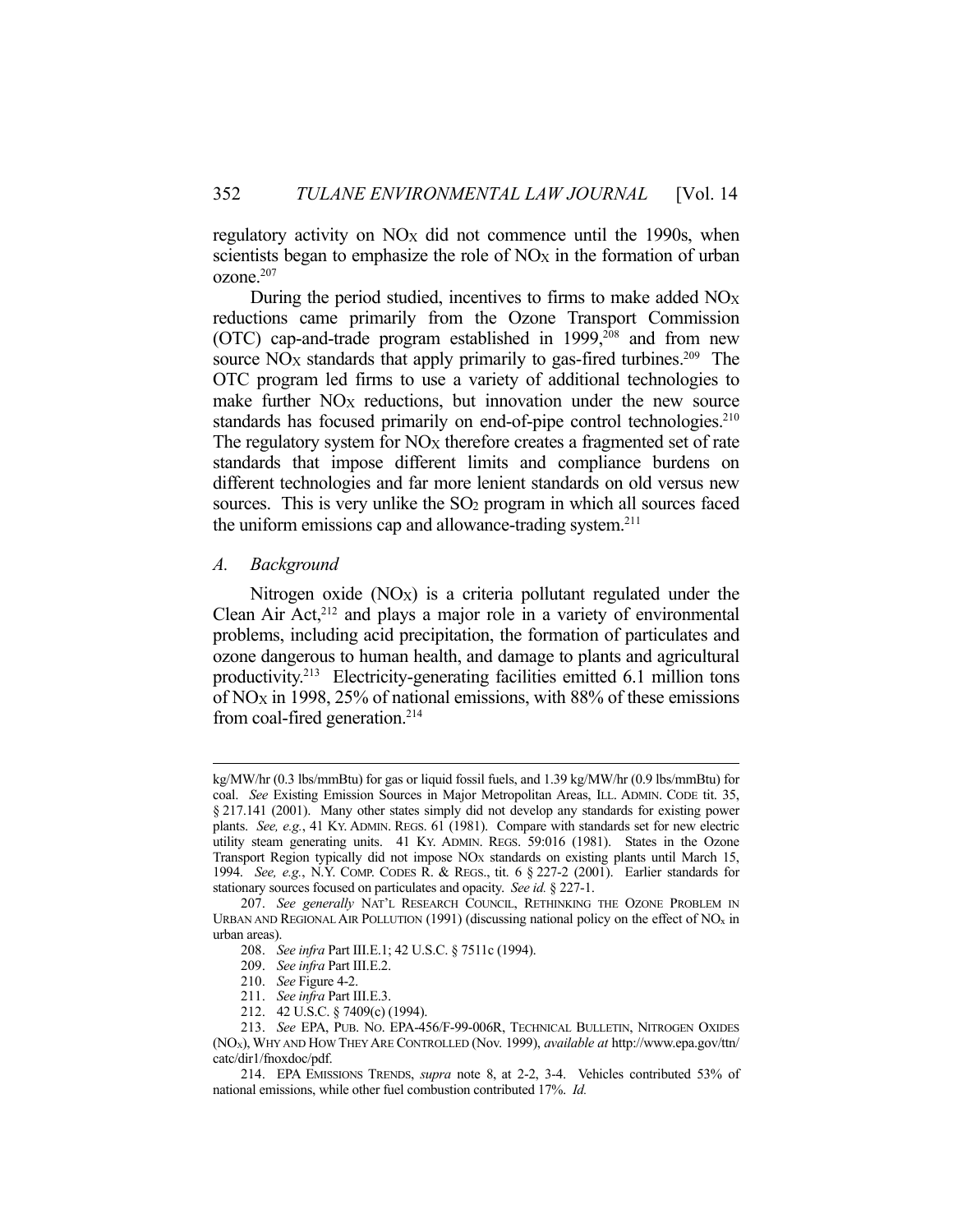regulatory activity on NO<sub>X</sub> did not commence until the 1990s, when scientists began to emphasize the role of  $NO<sub>X</sub>$  in the formation of urban ozone.207

 During the period studied, incentives to firms to make added NOX reductions came primarily from the Ozone Transport Commission (OTC) cap-and-trade program established in 1999,<sup>208</sup> and from new source  $NO<sub>X</sub>$  standards that apply primarily to gas-fired turbines.<sup>209</sup> The OTC program led firms to use a variety of additional technologies to make further  $NO<sub>X</sub>$  reductions, but innovation under the new source standards has focused primarily on end-of-pipe control technologies.<sup>210</sup> The regulatory system for  $NO<sub>X</sub>$  therefore creates a fragmented set of rate standards that impose different limits and compliance burdens on different technologies and far more lenient standards on old versus new sources. This is very unlike the  $SO<sub>2</sub>$  program in which all sources faced the uniform emissions cap and allowance-trading system.211

#### *A. Background*

Nitrogen oxide  $(NOx)$  is a criteria pollutant regulated under the Clean Air Act,<sup>212</sup> and plays a major role in a variety of environmental problems, including acid precipitation, the formation of particulates and ozone dangerous to human health, and damage to plants and agricultural productivity.213 Electricity-generating facilities emitted 6.1 million tons of NOX in 1998, 25% of national emissions, with 88% of these emissions from coal-fired generation.214

kg/MW/hr (0.3 lbs/mmBtu) for gas or liquid fossil fuels, and 1.39 kg/MW/hr (0.9 lbs/mmBtu) for coal. *See* Existing Emission Sources in Major Metropolitan Areas, ILL. ADMIN. CODE tit. 35, § 217.141 (2001). Many other states simply did not develop any standards for existing power plants. *See, e.g.*, 41 KY. ADMIN. REGS. 61 (1981). Compare with standards set for new electric utility steam generating units. 41 KY. ADMIN. REGS. 59:016 (1981). States in the Ozone Transport Region typically did not impose NOX standards on existing plants until March 15, 1994. *See, e.g.*, N.Y. COMP. CODES R. & REGS., tit. 6 § 227-2 (2001). Earlier standards for stationary sources focused on particulates and opacity. *See id.* § 227-1.

 <sup>207.</sup> *See generally* NAT'L RESEARCH COUNCIL, RETHINKING THE OZONE PROBLEM IN URBAN AND REGIONAL AIR POLLUTION (1991) (discussing national policy on the effect of  $NO<sub>x</sub>$  in urban areas).

 <sup>208.</sup> *See infra* Part III.E.1; 42 U.S.C. § 7511c (1994).

 <sup>209.</sup> *See infra* Part III.E.2.

 <sup>210.</sup> *See* Figure 4-2.

 <sup>211.</sup> *See infra* Part III.E.3.

 <sup>212. 42</sup> U.S.C. § 7409(c) (1994).

 <sup>213.</sup> *See* EPA, PUB. NO. EPA-456/F-99-006R, TECHNICAL BULLETIN, NITROGEN OXIDES (NOX), WHY AND HOW THEY ARE CONTROLLED (Nov. 1999), *available at* http://www.epa.gov/ttn/ catc/dir1/fnoxdoc/pdf.

 <sup>214.</sup> EPA EMISSIONS TRENDS, *supra* note 8, at 2-2, 3-4. Vehicles contributed 53% of national emissions, while other fuel combustion contributed 17%. *Id.*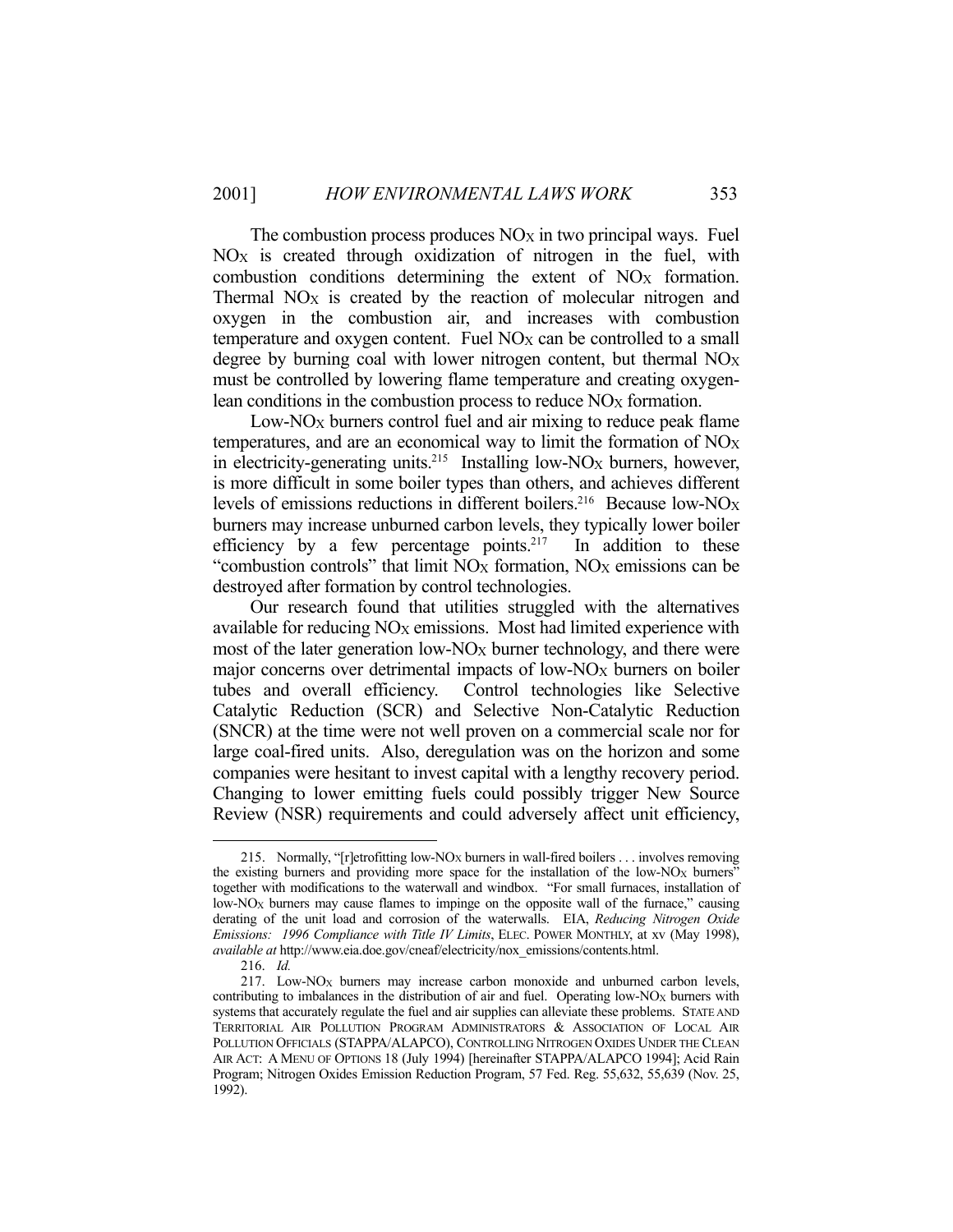The combustion process produces  $NO<sub>X</sub>$  in two principal ways. Fuel NOX is created through oxidization of nitrogen in the fuel, with combustion conditions determining the extent of  $NO<sub>X</sub>$  formation. Thermal NO<sub>X</sub> is created by the reaction of molecular nitrogen and oxygen in the combustion air, and increases with combustion temperature and oxygen content. Fuel  $NO<sub>X</sub>$  can be controlled to a small degree by burning coal with lower nitrogen content, but thermal  $NO<sub>X</sub>$ must be controlled by lowering flame temperature and creating oxygenlean conditions in the combustion process to reduce NO<sub>X</sub> formation.

Low- $NO_X$  burners control fuel and air mixing to reduce peak flame temperatures, and are an economical way to limit the formation of  $NO<sub>X</sub>$ in electricity-generating units.<sup>215</sup> Installing low-NO<sub>X</sub> burners, however, is more difficult in some boiler types than others, and achieves different levels of emissions reductions in different boilers.<sup>216</sup> Because low- $NO<sub>X</sub>$ burners may increase unburned carbon levels, they typically lower boiler efficiency by a few percentage points.<sup>217</sup> In addition to these "combustion controls" that limit  $NO_X$  formation,  $NO_X$  emissions can be destroyed after formation by control technologies.

 Our research found that utilities struggled with the alternatives available for reducing  $NO_X$  emissions. Most had limited experience with most of the later generation low- $NO_X$  burner technology, and there were major concerns over detrimental impacts of low-NO<sub>X</sub> burners on boiler tubes and overall efficiency. Control technologies like Selective Catalytic Reduction (SCR) and Selective Non-Catalytic Reduction (SNCR) at the time were not well proven on a commercial scale nor for large coal-fired units. Also, deregulation was on the horizon and some companies were hesitant to invest capital with a lengthy recovery period. Changing to lower emitting fuels could possibly trigger New Source Review (NSR) requirements and could adversely affect unit efficiency,

<sup>215.</sup> Normally, "[r]etrofitting low-NO<sub>X</sub> burners in wall-fired boilers . . . involves removing the existing burners and providing more space for the installation of the low-NO<sub>X</sub> burners" together with modifications to the waterwall and windbox. "For small furnaces, installation of low-NO<sub>X</sub> burners may cause flames to impinge on the opposite wall of the furnace," causing derating of the unit load and corrosion of the waterwalls. EIA, *Reducing Nitrogen Oxide Emissions: 1996 Compliance with Title IV Limits*, ELEC. POWER MONTHLY, at xv (May 1998), *available at* http://www.eia.doe.gov/cneaf/electricity/nox\_emissions/contents.html.

 <sup>216.</sup> *Id.*

 <sup>217.</sup> Low-NOX burners may increase carbon monoxide and unburned carbon levels, contributing to imbalances in the distribution of air and fuel. Operating low-NO<sub>X</sub> burners with systems that accurately regulate the fuel and air supplies can alleviate these problems. STATE AND TERRITORIAL AIR POLLUTION PROGRAM ADMINISTRATORS & ASSOCIATION OF LOCAL AIR POLLUTION OFFICIALS (STAPPA/ALAPCO), CONTROLLING NITROGEN OXIDES UNDER THE CLEAN AIR ACT: A MENU OF OPTIONS 18 (July 1994) [hereinafter STAPPA/ALAPCO 1994]; Acid Rain Program; Nitrogen Oxides Emission Reduction Program, 57 Fed. Reg. 55,632, 55,639 (Nov. 25, 1992).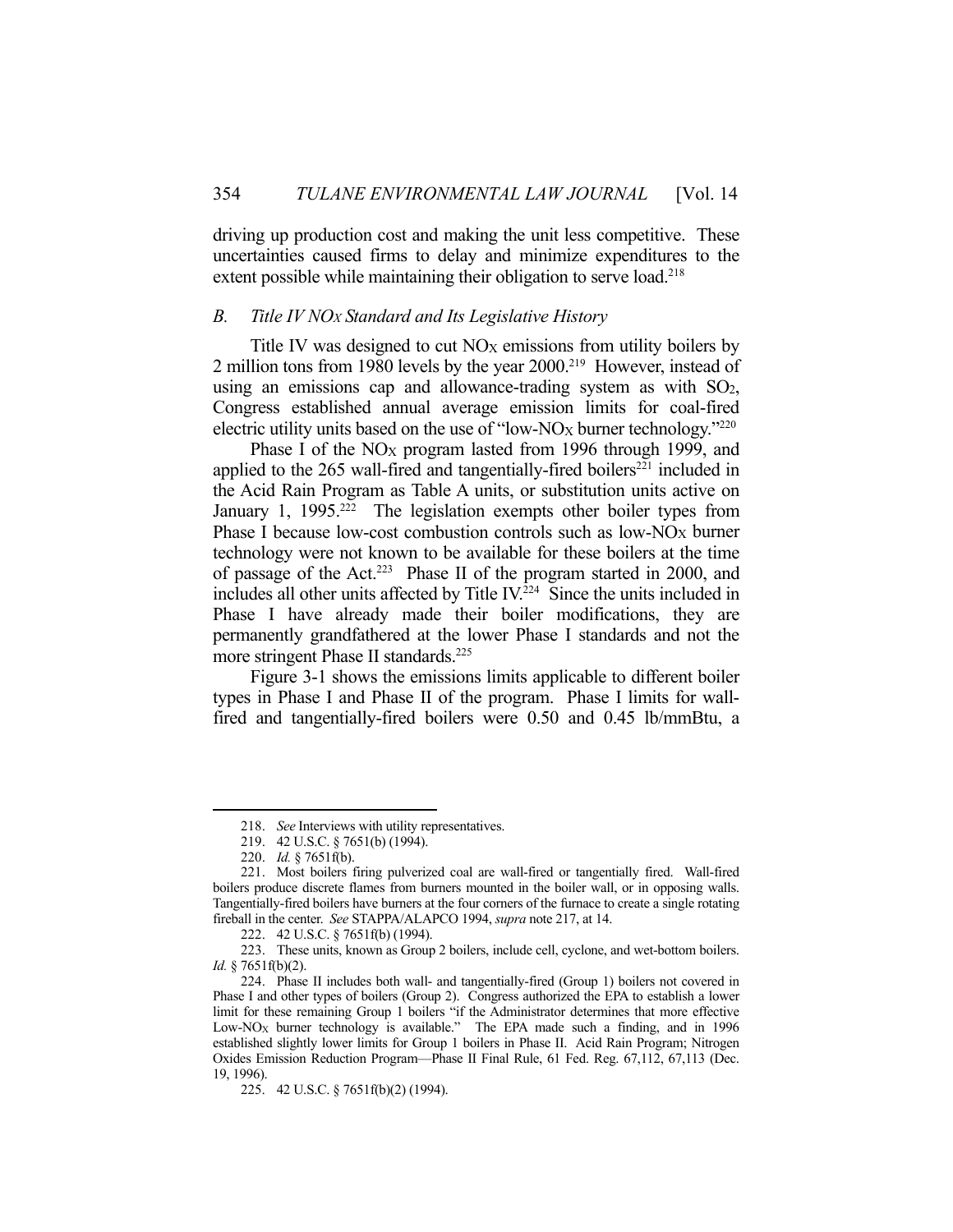driving up production cost and making the unit less competitive. These uncertainties caused firms to delay and minimize expenditures to the extent possible while maintaining their obligation to serve load.<sup>218</sup>

### *B. Title IV NOX Standard and Its Legislative History*

Title IV was designed to cut  $NO<sub>X</sub>$  emissions from utility boilers by 2 million tons from 1980 levels by the year 2000.<sup>219</sup> However, instead of using an emissions cap and allowance-trading system as with  $SO<sub>2</sub>$ , Congress established annual average emission limits for coal-fired electric utility units based on the use of "low-NO<sub>X</sub> burner technology."<sup>220</sup>

Phase I of the  $NO<sub>X</sub>$  program lasted from 1996 through 1999, and applied to the  $265$  wall-fired and tangentially-fired boilers<sup>221</sup> included in the Acid Rain Program as Table A units, or substitution units active on January 1, 1995.<sup>222</sup> The legislation exempts other boiler types from Phase I because low-cost combustion controls such as low- $NO_X$  burner technology were not known to be available for these boilers at the time of passage of the Act.<sup>223</sup> Phase II of the program started in 2000, and includes all other units affected by Title IV.224 Since the units included in Phase I have already made their boiler modifications, they are permanently grandfathered at the lower Phase I standards and not the more stringent Phase II standards.<sup>225</sup>

 Figure 3-1 shows the emissions limits applicable to different boiler types in Phase I and Phase II of the program. Phase I limits for wallfired and tangentially-fired boilers were 0.50 and 0.45 lb/mmBtu, a

 <sup>218.</sup> *See* Interviews with utility representatives.

 <sup>219. 42</sup> U.S.C. § 7651(b) (1994).

 <sup>220.</sup> *Id.* § 7651f(b).

 <sup>221.</sup> Most boilers firing pulverized coal are wall-fired or tangentially fired. Wall-fired boilers produce discrete flames from burners mounted in the boiler wall, or in opposing walls. Tangentially-fired boilers have burners at the four corners of the furnace to create a single rotating fireball in the center. *See* STAPPA/ALAPCO 1994, *supra* note 217, at 14.

 <sup>222. 42</sup> U.S.C. § 7651f(b) (1994).

 <sup>223.</sup> These units, known as Group 2 boilers, include cell, cyclone, and wet-bottom boilers. *Id.* § 7651f(b)(2).

 <sup>224.</sup> Phase II includes both wall- and tangentially-fired (Group 1) boilers not covered in Phase I and other types of boilers (Group 2). Congress authorized the EPA to establish a lower limit for these remaining Group 1 boilers "if the Administrator determines that more effective Low-NO<sub>X</sub> burner technology is available." The EPA made such a finding, and in 1996 established slightly lower limits for Group 1 boilers in Phase II. Acid Rain Program; Nitrogen Oxides Emission Reduction Program—Phase II Final Rule, 61 Fed. Reg. 67,112, 67,113 (Dec. 19, 1996).

 <sup>225. 42</sup> U.S.C. § 7651f(b)(2) (1994).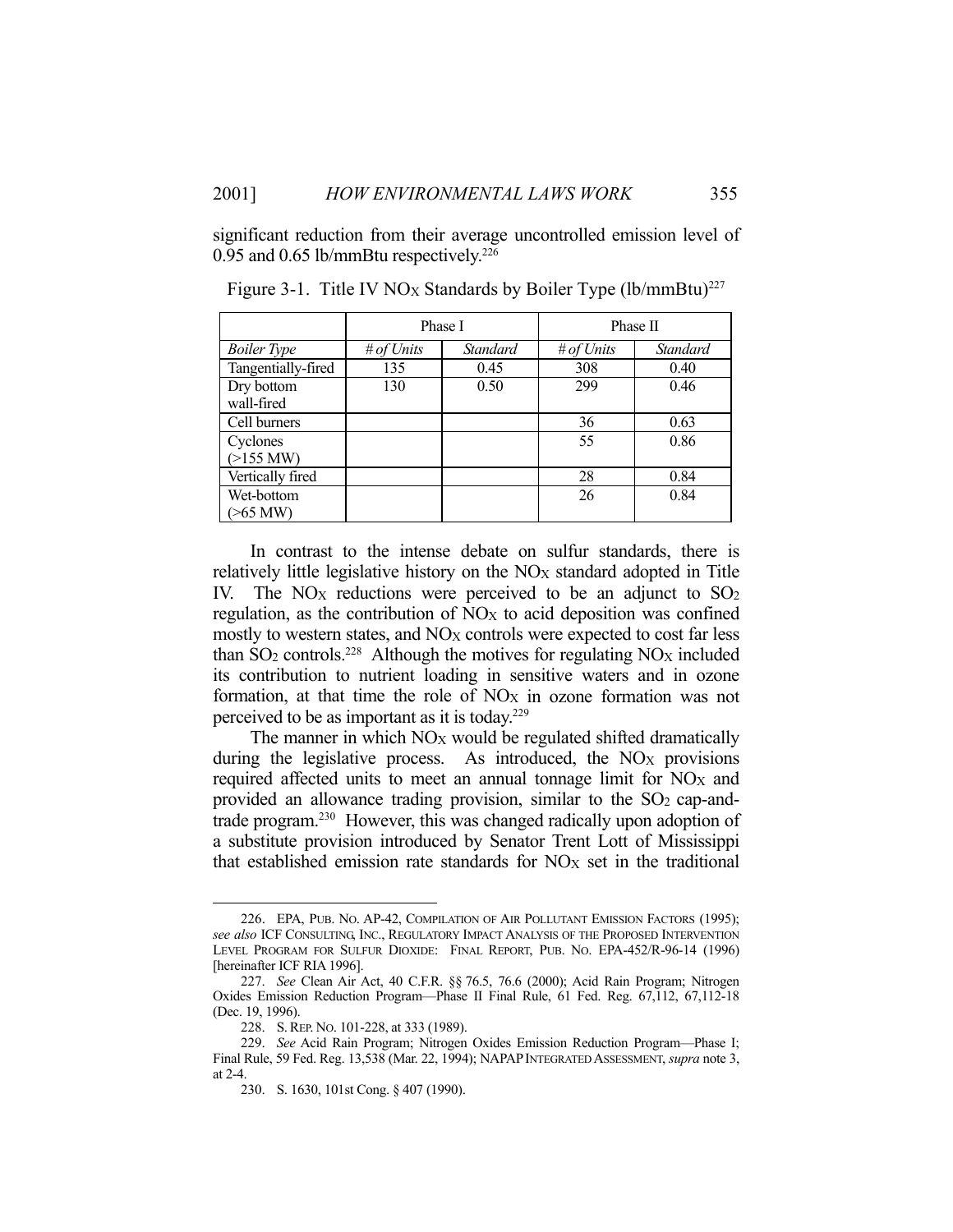significant reduction from their average uncontrolled emission level of 0.95 and 0.65 lb/mmBtu respectively. $226$ 

|                          | Phase I    |          | Phase II   |          |  |
|--------------------------|------------|----------|------------|----------|--|
| <b>Boiler</b> Type       | # of Units | Standard | # of Units | Standard |  |
| Tangentially-fired       | 135        | 0.45     | 308        | 0.40     |  |
| Dry bottom<br>wall-fired | 130        | 0.50     | 299        | 0.46     |  |
| Cell burners             |            |          | 36         | 0.63     |  |
| Cyclones<br>$(>155$ MW)  |            |          | 55         | 0.86     |  |
| Vertically fired         |            |          | 28         | 0.84     |  |
| Wet-bottom<br>$>65$ MW)  |            |          | 26         | 0.84     |  |

Figure 3-1. Title IV NO<sub>X</sub> Standards by Boiler Type  $(lb/mm Btu)^{227}$ 

 In contrast to the intense debate on sulfur standards, there is relatively little legislative history on the NO<sub>X</sub> standard adopted in Title IV. The NO<sub>X</sub> reductions were perceived to be an adjunct to  $SO<sub>2</sub>$ regulation, as the contribution of  $NO<sub>X</sub>$  to acid deposition was confined mostly to western states, and NO<sub>X</sub> controls were expected to cost far less than  $SO_2$  controls.<sup>228</sup> Although the motives for regulating  $NO<sub>X</sub>$  included its contribution to nutrient loading in sensitive waters and in ozone formation, at that time the role of  $NO<sub>X</sub>$  in ozone formation was not perceived to be as important as it is today.229

The manner in which  $NO_X$  would be regulated shifted dramatically during the legislative process. As introduced, the  $NO_X$  provisions required affected units to meet an annual tonnage limit for NO<sub>X</sub> and provided an allowance trading provision, similar to the  $SO<sub>2</sub>$  cap-andtrade program.230 However, this was changed radically upon adoption of a substitute provision introduced by Senator Trent Lott of Mississippi that established emission rate standards for  $NO<sub>X</sub>$  set in the traditional

 <sup>226.</sup> EPA, PUB. NO. AP-42, COMPILATION OF AIR POLLUTANT EMISSION FACTORS (1995); *see also* ICF CONSULTING, INC., REGULATORY IMPACT ANALYSIS OF THE PROPOSED INTERVENTION LEVEL PROGRAM FOR SULFUR DIOXIDE: FINAL REPORT, PUB. NO. EPA-452/R-96-14 (1996) [hereinafter ICF RIA 1996].

 <sup>227.</sup> *See* Clean Air Act, 40 C.F.R. §§ 76.5, 76.6 (2000); Acid Rain Program; Nitrogen Oxides Emission Reduction Program—Phase II Final Rule, 61 Fed. Reg. 67,112, 67,112-18 (Dec. 19, 1996).

 <sup>228.</sup> S.REP. NO. 101-228, at 333 (1989).

 <sup>229.</sup> *See* Acid Rain Program; Nitrogen Oxides Emission Reduction Program—Phase I; Final Rule, 59 Fed. Reg. 13,538 (Mar. 22, 1994); NAPAPINTEGRATED ASSESSMENT, *supra* note 3, at 2-4.

 <sup>230.</sup> S. 1630, 101st Cong. § 407 (1990).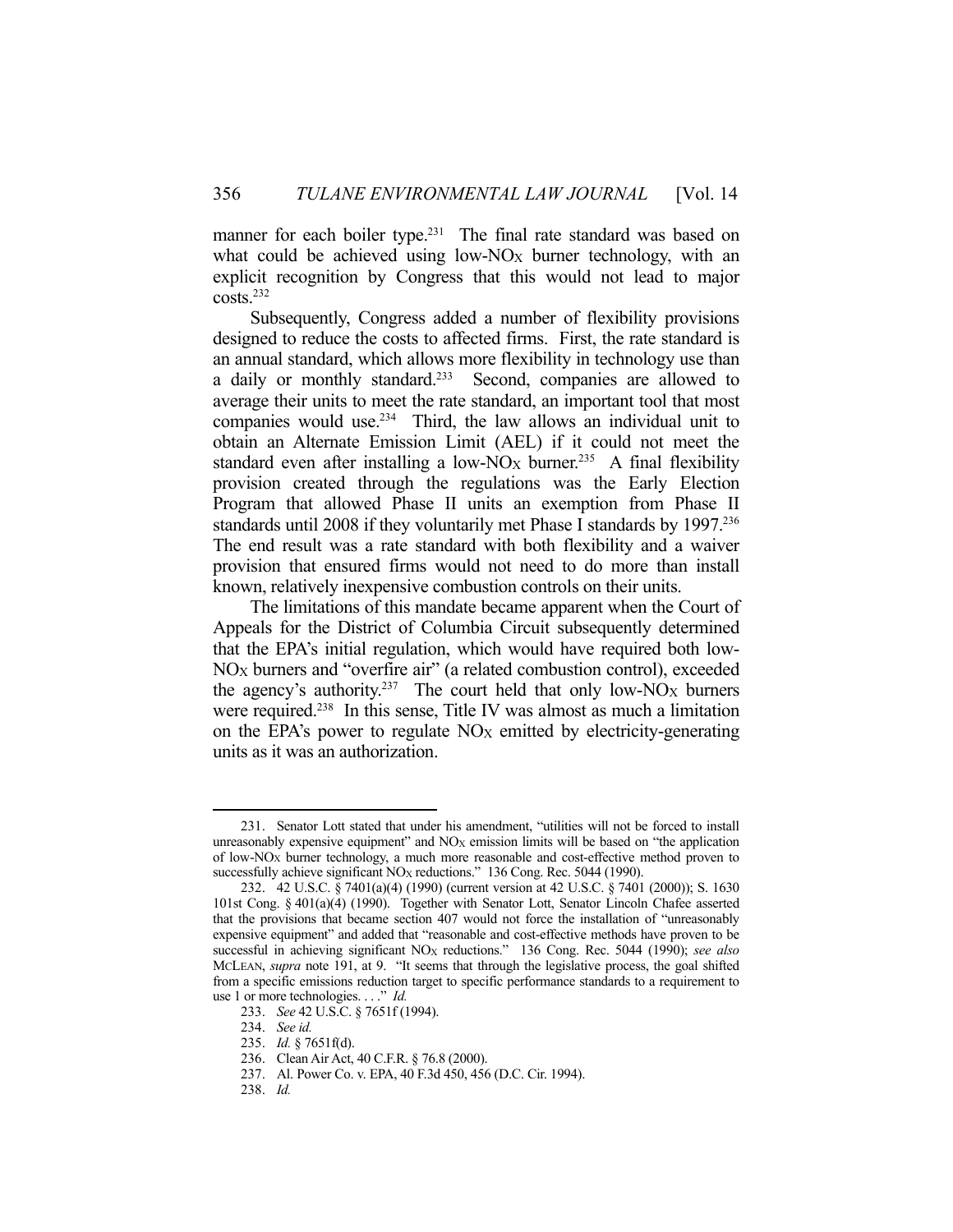manner for each boiler type.<sup>231</sup> The final rate standard was based on what could be achieved using low-NO<sub>X</sub> burner technology, with an explicit recognition by Congress that this would not lead to major costs.232

 Subsequently, Congress added a number of flexibility provisions designed to reduce the costs to affected firms. First, the rate standard is an annual standard, which allows more flexibility in technology use than a daily or monthly standard.233 Second, companies are allowed to average their units to meet the rate standard, an important tool that most companies would use.234 Third, the law allows an individual unit to obtain an Alternate Emission Limit (AEL) if it could not meet the standard even after installing a low-NO<sub>X</sub> burner.<sup>235</sup> A final flexibility provision created through the regulations was the Early Election Program that allowed Phase II units an exemption from Phase II standards until 2008 if they voluntarily met Phase I standards by 1997.<sup>236</sup> The end result was a rate standard with both flexibility and a waiver provision that ensured firms would not need to do more than install known, relatively inexpensive combustion controls on their units.

 The limitations of this mandate became apparent when the Court of Appeals for the District of Columbia Circuit subsequently determined that the EPA's initial regulation, which would have required both low-NOX burners and "overfire air" (a related combustion control), exceeded the agency's authority.<sup>237</sup> The court held that only low-NO<sub>X</sub> burners were required.<sup>238</sup> In this sense, Title IV was almost as much a limitation on the EPA's power to regulate  $NO<sub>X</sub>$  emitted by electricity-generating units as it was an authorization.

 <sup>231.</sup> Senator Lott stated that under his amendment, "utilities will not be forced to install unreasonably expensive equipment" and  $NO_X$  emission limits will be based on "the application" of low-NOX burner technology, a much more reasonable and cost-effective method proven to successfully achieve significant NO<sub>X</sub> reductions." 136 Cong. Rec. 5044 (1990).

 <sup>232. 42</sup> U.S.C. § 7401(a)(4) (1990) (current version at 42 U.S.C. § 7401 (2000)); S. 1630 101st Cong. § 401(a)(4) (1990). Together with Senator Lott, Senator Lincoln Chafee asserted that the provisions that became section 407 would not force the installation of "unreasonably expensive equipment" and added that "reasonable and cost-effective methods have proven to be successful in achieving significant NO<sub>X</sub> reductions." 136 Cong. Rec. 5044 (1990); see also MCLEAN, *supra* note 191, at 9. "It seems that through the legislative process, the goal shifted from a specific emissions reduction target to specific performance standards to a requirement to use 1 or more technologies. . . ." *Id.*

 <sup>233.</sup> *See* 42 U.S.C. § 7651f (1994).

 <sup>234.</sup> *See id.*

 <sup>235.</sup> *Id.* § 7651f(d).

 <sup>236.</sup> Clean Air Act, 40 C.F.R. § 76.8 (2000).

 <sup>237.</sup> Al. Power Co. v. EPA, 40 F.3d 450, 456 (D.C. Cir. 1994).

 <sup>238.</sup> *Id.*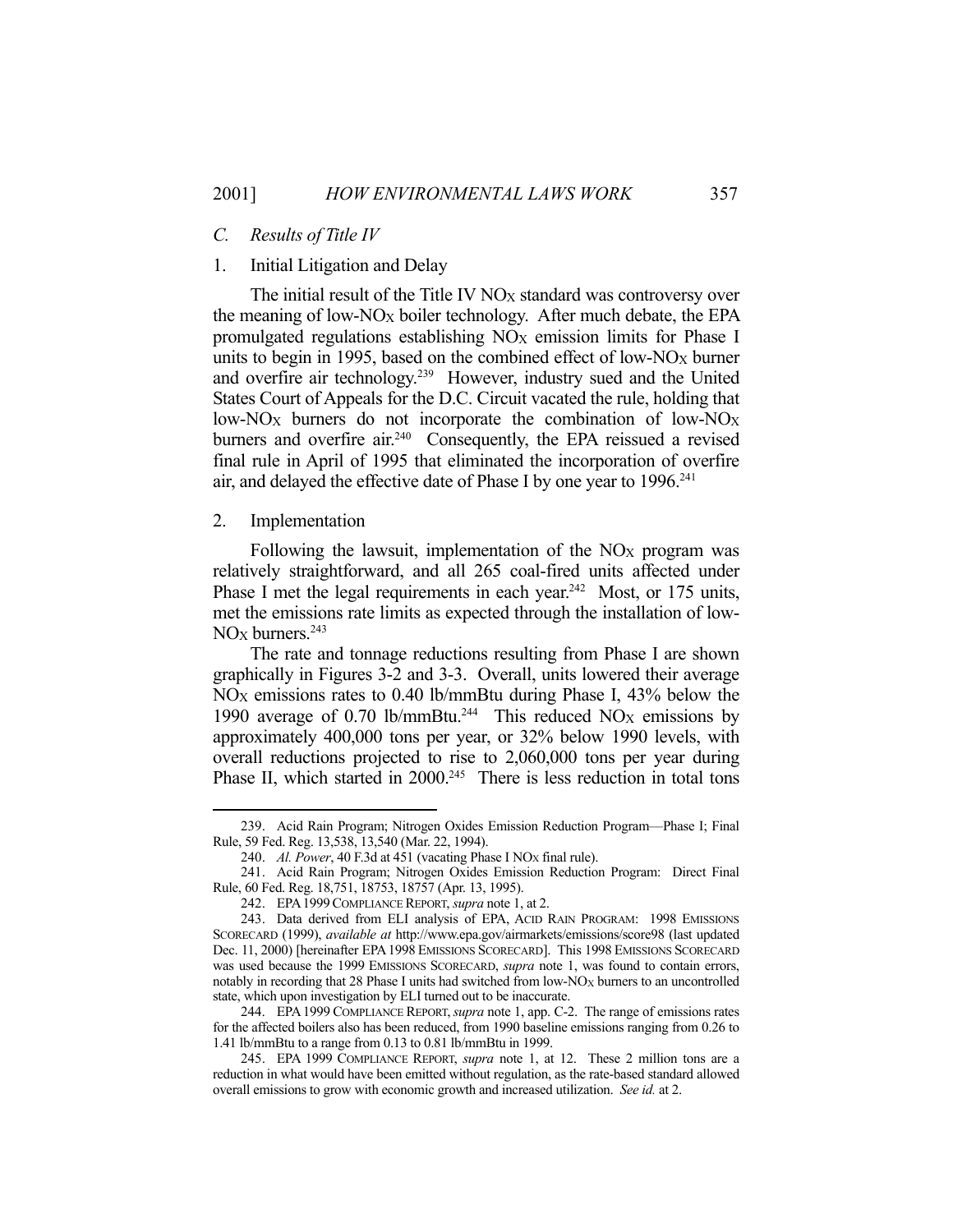## 1. Initial Litigation and Delay

The initial result of the Title IV  $NO<sub>X</sub>$  standard was controversy over the meaning of low-NOX boiler technology. After much debate, the EPA promulgated regulations establishing  $NO<sub>X</sub>$  emission limits for Phase I units to begin in 1995, based on the combined effect of low-NO<sub>X</sub> burner and overfire air technology.239 However, industry sued and the United States Court of Appeals for the D.C. Circuit vacated the rule, holding that low-NO<sub>X</sub> burners do not incorporate the combination of low-NO<sub>X</sub> burners and overfire air.<sup>240</sup> Consequently, the EPA reissued a revised final rule in April of 1995 that eliminated the incorporation of overfire air, and delayed the effective date of Phase I by one year to 1996.<sup>241</sup>

## 2. Implementation

<u>.</u>

Following the lawsuit, implementation of the  $NO<sub>X</sub>$  program was relatively straightforward, and all 265 coal-fired units affected under Phase I met the legal requirements in each year.<sup>242</sup> Most, or 175 units, met the emissions rate limits as expected through the installation of low- $NOx$  burners.<sup>243</sup>

 The rate and tonnage reductions resulting from Phase I are shown graphically in Figures 3-2 and 3-3. Overall, units lowered their average  $NO<sub>X</sub>$  emissions rates to 0.40 lb/mmBtu during Phase I, 43% below the 1990 average of 0.70 lb/mmBtu.<sup>244</sup> This reduced NO<sub>X</sub> emissions by approximately 400,000 tons per year, or 32% below 1990 levels, with overall reductions projected to rise to 2,060,000 tons per year during Phase II, which started in 2000.<sup>245</sup> There is less reduction in total tons

 <sup>239.</sup> Acid Rain Program; Nitrogen Oxides Emission Reduction Program—Phase I; Final Rule, 59 Fed. Reg. 13,538, 13,540 (Mar. 22, 1994).

<sup>240.</sup> *Al. Power*, 40 F.3d at 451 (vacating Phase I NO<sub>X</sub> final rule).

 <sup>241.</sup> Acid Rain Program; Nitrogen Oxides Emission Reduction Program: Direct Final Rule, 60 Fed. Reg. 18,751, 18753, 18757 (Apr. 13, 1995).

 <sup>242.</sup> EPA1999COMPLIANCE REPORT, *supra* note 1, at 2.

 <sup>243.</sup> Data derived from ELI analysis of EPA, ACID RAIN PROGRAM: 1998 EMISSIONS SCORECARD (1999), *available at* http://www.epa.gov/airmarkets/emissions/score98 (last updated Dec. 11, 2000) [hereinafter EPA1998 EMISSIONS SCORECARD]. This 1998 EMISSIONS SCORECARD was used because the 1999 EMISSIONS SCORECARD, *supra* note 1, was found to contain errors, notably in recording that 28 Phase I units had switched from low-NO<sub>X</sub> burners to an uncontrolled state, which upon investigation by ELI turned out to be inaccurate.

 <sup>244.</sup> EPA1999 COMPLIANCE REPORT,*supra* note 1, app. C-2. The range of emissions rates for the affected boilers also has been reduced, from 1990 baseline emissions ranging from 0.26 to 1.41 lb/mmBtu to a range from 0.13 to 0.81 lb/mmBtu in 1999.

 <sup>245.</sup> EPA 1999 COMPLIANCE REPORT, *supra* note 1, at 12. These 2 million tons are a reduction in what would have been emitted without regulation, as the rate-based standard allowed overall emissions to grow with economic growth and increased utilization. *See id.* at 2.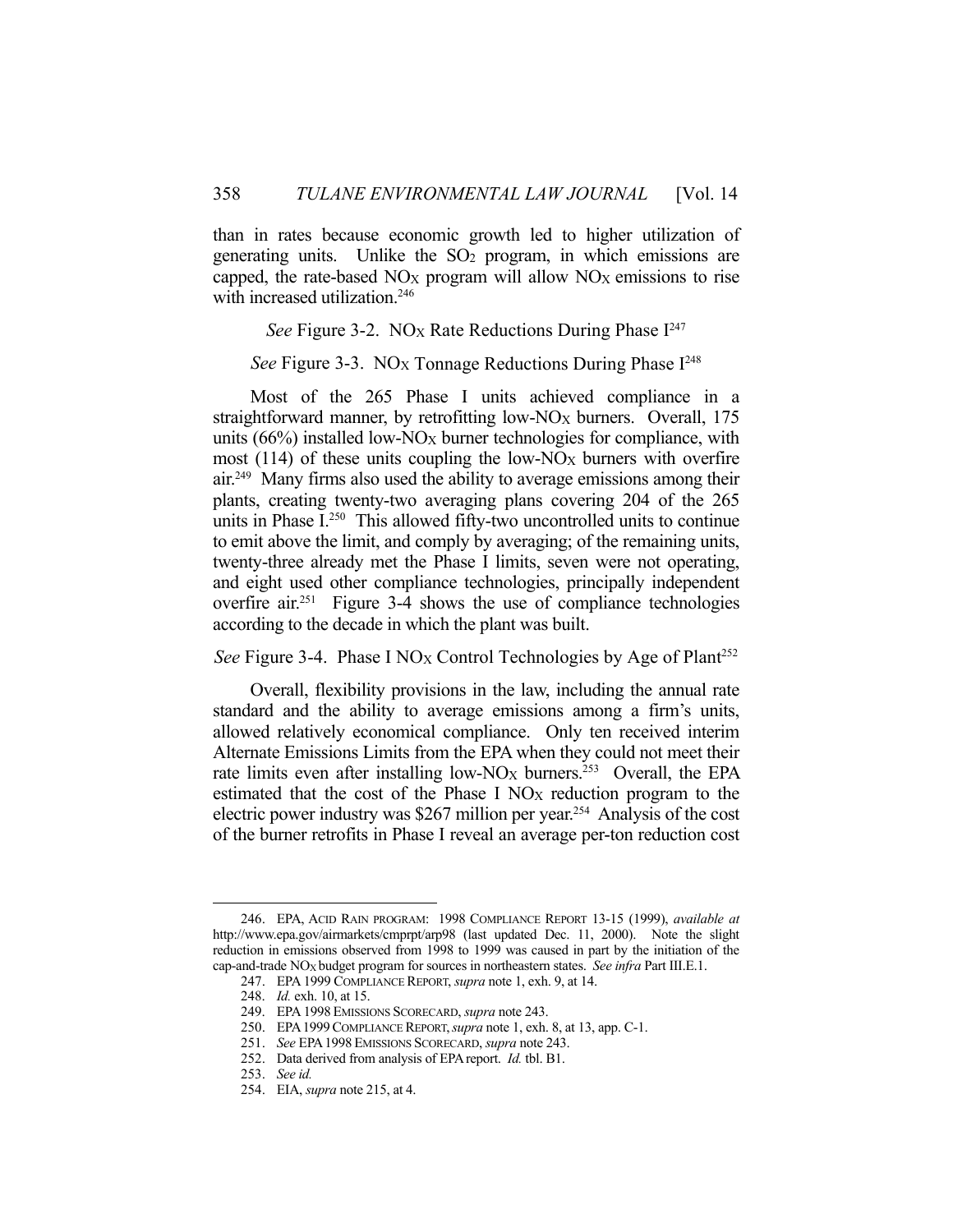than in rates because economic growth led to higher utilization of generating units. Unlike the  $SO<sub>2</sub>$  program, in which emissions are capped, the rate-based  $NO<sub>X</sub>$  program will allow  $NO<sub>X</sub>$  emissions to rise with increased utilization.<sup>246</sup>

*See* Figure 3-2. NO<sub>X</sub> Rate Reductions During Phase I<sup>247</sup>

*See* Figure 3-3. NO<sub>X</sub> Tonnage Reductions During Phase I<sup>248</sup>

 Most of the 265 Phase I units achieved compliance in a straightforward manner, by retrofitting  $low-NO<sub>X</sub>$  burners. Overall, 175 units  $(66%)$  installed low-NO<sub>X</sub> burner technologies for compliance, with most  $(114)$  of these units coupling the low-NO<sub>X</sub> burners with overfire air.<sup>249</sup> Many firms also used the ability to average emissions among their plants, creating twenty-two averaging plans covering 204 of the 265 units in Phase I.<sup>250</sup> This allowed fifty-two uncontrolled units to continue to emit above the limit, and comply by averaging; of the remaining units, twenty-three already met the Phase I limits, seven were not operating, and eight used other compliance technologies, principally independent overfire air.251 Figure 3-4 shows the use of compliance technologies according to the decade in which the plant was built.

*See* Figure 3-4. Phase I NO<sub>X</sub> Control Technologies by Age of Plant<sup>252</sup>

 Overall, flexibility provisions in the law, including the annual rate standard and the ability to average emissions among a firm's units, allowed relatively economical compliance. Only ten received interim Alternate Emissions Limits from the EPA when they could not meet their rate limits even after installing low-NO<sub>X</sub> burners.<sup>253</sup> Overall, the EPA estimated that the cost of the Phase I NO<sub>X</sub> reduction program to the electric power industry was \$267 million per year.254 Analysis of the cost of the burner retrofits in Phase I reveal an average per-ton reduction cost

 <sup>246.</sup> EPA, ACID RAIN PROGRAM: 1998 COMPLIANCE REPORT 13-15 (1999), *available at* http://www.epa.gov/airmarkets/cmprpt/arp98 (last updated Dec. 11, 2000). Note the slight reduction in emissions observed from 1998 to 1999 was caused in part by the initiation of the cap-and-trade NOX budget program for sources in northeastern states. *See infra* Part III.E.1.

 <sup>247.</sup> EPA 1999 COMPLIANCE REPORT, *supra* note 1, exh. 9, at 14.

 <sup>248.</sup> *Id.* exh. 10, at 15.

 <sup>249.</sup> EPA 1998 EMISSIONS SCORECARD, *supra* note 243.

 <sup>250.</sup> EPA1999COMPLIANCE REPORT,*supra* note 1, exh. 8, at 13, app. C-1.

 <sup>251.</sup> *See* EPA1998 EMISSIONS SCORECARD, *supra* note 243.

 <sup>252.</sup> Data derived from analysis of EPAreport. *Id.* tbl. B1.

 <sup>253.</sup> *See id.*

 <sup>254.</sup> EIA, *supra* note 215, at 4.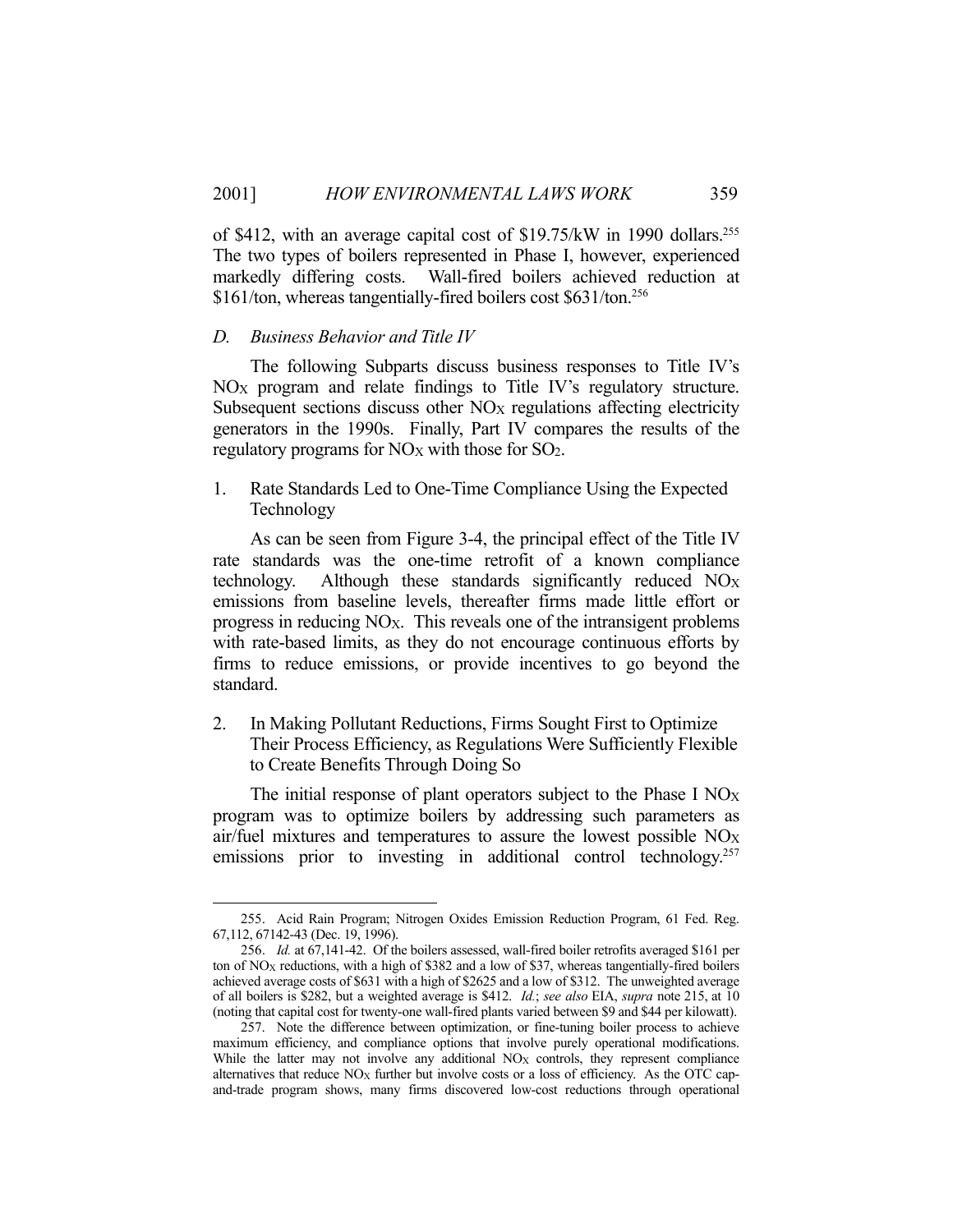of \$412, with an average capital cost of \$19.75/kW in 1990 dollars.255 The two types of boilers represented in Phase I, however, experienced markedly differing costs. Wall-fired boilers achieved reduction at \$161/ton, whereas tangentially-fired boilers cost \$631/ton.<sup>256</sup>

#### *D. Business Behavior and Title IV*

1

 The following Subparts discuss business responses to Title IV's  $NO<sub>X</sub>$  program and relate findings to Title IV's regulatory structure. Subsequent sections discuss other NO<sub>X</sub> regulations affecting electricity generators in the 1990s. Finally, Part IV compares the results of the regulatory programs for  $NO<sub>X</sub>$  with those for  $SO<sub>2</sub>$ .

1. Rate Standards Led to One-Time Compliance Using the Expected Technology

 As can be seen from Figure 3-4, the principal effect of the Title IV rate standards was the one-time retrofit of a known compliance technology. Although these standards significantly reduced NO<sub>X</sub> emissions from baseline levels, thereafter firms made little effort or progress in reducing NOX. This reveals one of the intransigent problems with rate-based limits, as they do not encourage continuous efforts by firms to reduce emissions, or provide incentives to go beyond the standard.

2. In Making Pollutant Reductions, Firms Sought First to Optimize Their Process Efficiency, as Regulations Were Sufficiently Flexible to Create Benefits Through Doing So

The initial response of plant operators subject to the Phase I  $NO<sub>X</sub>$ program was to optimize boilers by addressing such parameters as air/fuel mixtures and temperatures to assure the lowest possible  $NO<sub>X</sub>$ emissions prior to investing in additional control technology.<sup>257</sup>

 <sup>255.</sup> Acid Rain Program; Nitrogen Oxides Emission Reduction Program, 61 Fed. Reg. 67,112, 67142-43 (Dec. 19, 1996).

 <sup>256.</sup> *Id.* at 67,141-42. Of the boilers assessed, wall-fired boiler retrofits averaged \$161 per ton of NO<sub>X</sub> reductions, with a high of \$382 and a low of \$37, whereas tangentially-fired boilers achieved average costs of \$631 with a high of \$2625 and a low of \$312. The unweighted average of all boilers is \$282, but a weighted average is \$412. *Id.*; *see also* EIA, *supra* note 215, at 10 (noting that capital cost for twenty-one wall-fired plants varied between \$9 and \$44 per kilowatt).

 <sup>257.</sup> Note the difference between optimization, or fine-tuning boiler process to achieve maximum efficiency, and compliance options that involve purely operational modifications. While the latter may not involve any additional NO<sub>X</sub> controls, they represent compliance alternatives that reduce  $NO_X$  further but involve costs or a loss of efficiency. As the OTC capand-trade program shows, many firms discovered low-cost reductions through operational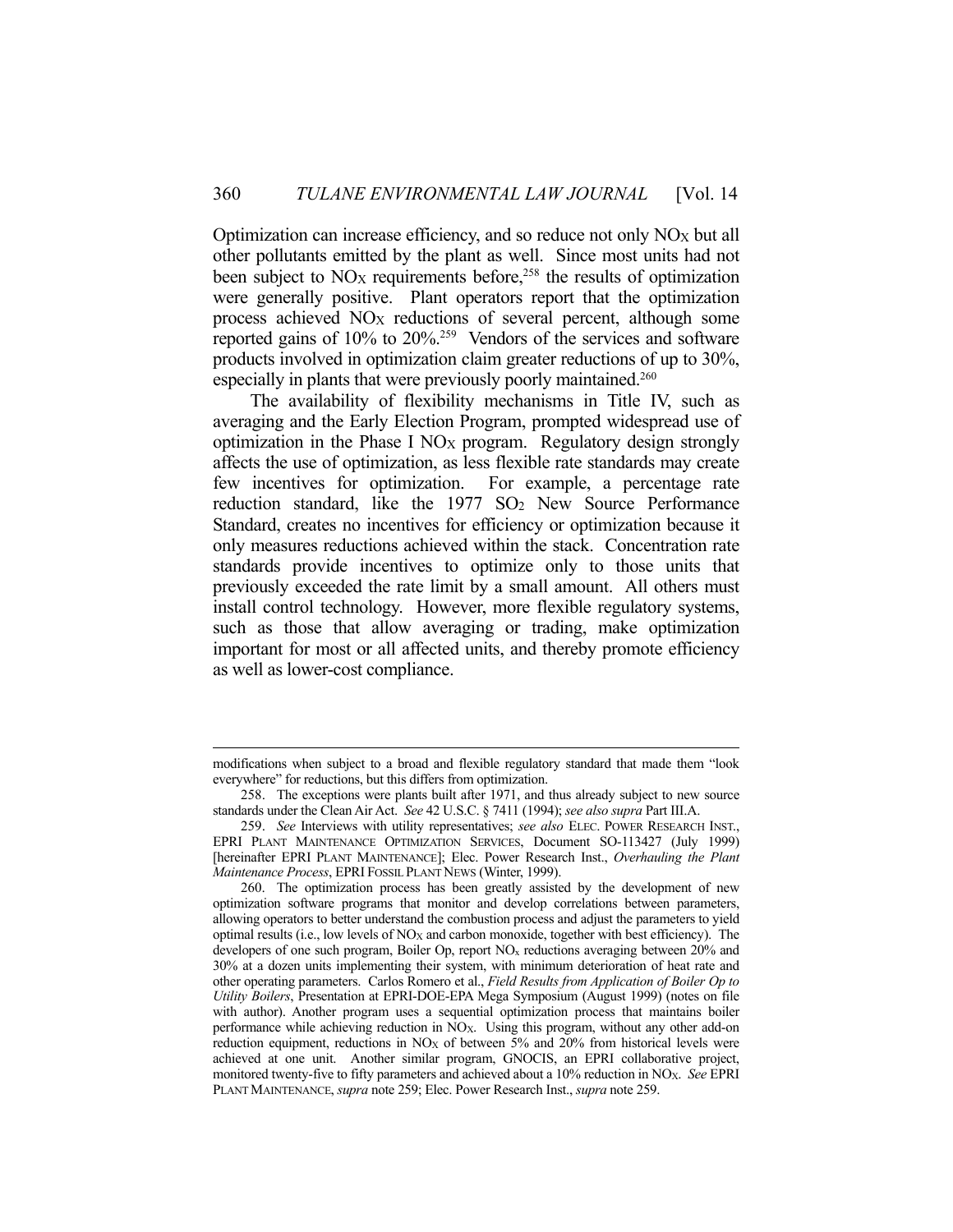Optimization can increase efficiency, and so reduce not only  $NO_X$  but all other pollutants emitted by the plant as well. Since most units had not been subject to  $NO_X$  requirements before,<sup>258</sup> the results of optimization were generally positive. Plant operators report that the optimization process achieved  $NO<sub>X</sub>$  reductions of several percent, although some reported gains of 10% to 20%.259 Vendors of the services and software products involved in optimization claim greater reductions of up to 30%, especially in plants that were previously poorly maintained.<sup>260</sup>

 The availability of flexibility mechanisms in Title IV, such as averaging and the Early Election Program, prompted widespread use of optimization in the Phase I  $NO<sub>X</sub>$  program. Regulatory design strongly affects the use of optimization, as less flexible rate standards may create few incentives for optimization. For example, a percentage rate reduction standard, like the  $1977$  SO<sub>2</sub> New Source Performance Standard, creates no incentives for efficiency or optimization because it only measures reductions achieved within the stack. Concentration rate standards provide incentives to optimize only to those units that previously exceeded the rate limit by a small amount. All others must install control technology. However, more flexible regulatory systems, such as those that allow averaging or trading, make optimization important for most or all affected units, and thereby promote efficiency as well as lower-cost compliance.

modifications when subject to a broad and flexible regulatory standard that made them "look everywhere" for reductions, but this differs from optimization.

 <sup>258.</sup> The exceptions were plants built after 1971, and thus already subject to new source standards under the Clean Air Act. *See* 42 U.S.C. § 7411 (1994); *see also supra* Part III.A.

 <sup>259.</sup> *See* Interviews with utility representatives; *see also* ELEC. POWER RESEARCH INST., EPRI PLANT MAINTENANCE OPTIMIZATION SERVICES, Document SO-113427 (July 1999) [hereinafter EPRI PLANT MAINTENANCE]; Elec. Power Research Inst., *Overhauling the Plant Maintenance Process*, EPRI FOSSIL PLANT NEWS (Winter, 1999).

 <sup>260.</sup> The optimization process has been greatly assisted by the development of new optimization software programs that monitor and develop correlations between parameters, allowing operators to better understand the combustion process and adjust the parameters to yield optimal results (i.e., low levels of  $NO<sub>X</sub>$  and carbon monoxide, together with best efficiency). The developers of one such program, Boiler Op, report NOx reductions averaging between 20% and 30% at a dozen units implementing their system, with minimum deterioration of heat rate and other operating parameters. Carlos Romero et al., *Field Results from Application of Boiler Op to Utility Boilers*, Presentation at EPRI-DOE-EPA Mega Symposium (August 1999) (notes on file with author). Another program uses a sequential optimization process that maintains boiler performance while achieving reduction in  $\overline{NO_X}$ . Using this program, without any other add-on reduction equipment, reductions in  $NO<sub>X</sub>$  of between 5% and 20% from historical levels were achieved at one unit. Another similar program, GNOCIS, an EPRI collaborative project, monitored twenty-five to fifty parameters and achieved about a 10% reduction in NOX. *See* EPRI PLANT MAINTENANCE, *supra* note 259; Elec. Power Research Inst., *supra* note 259.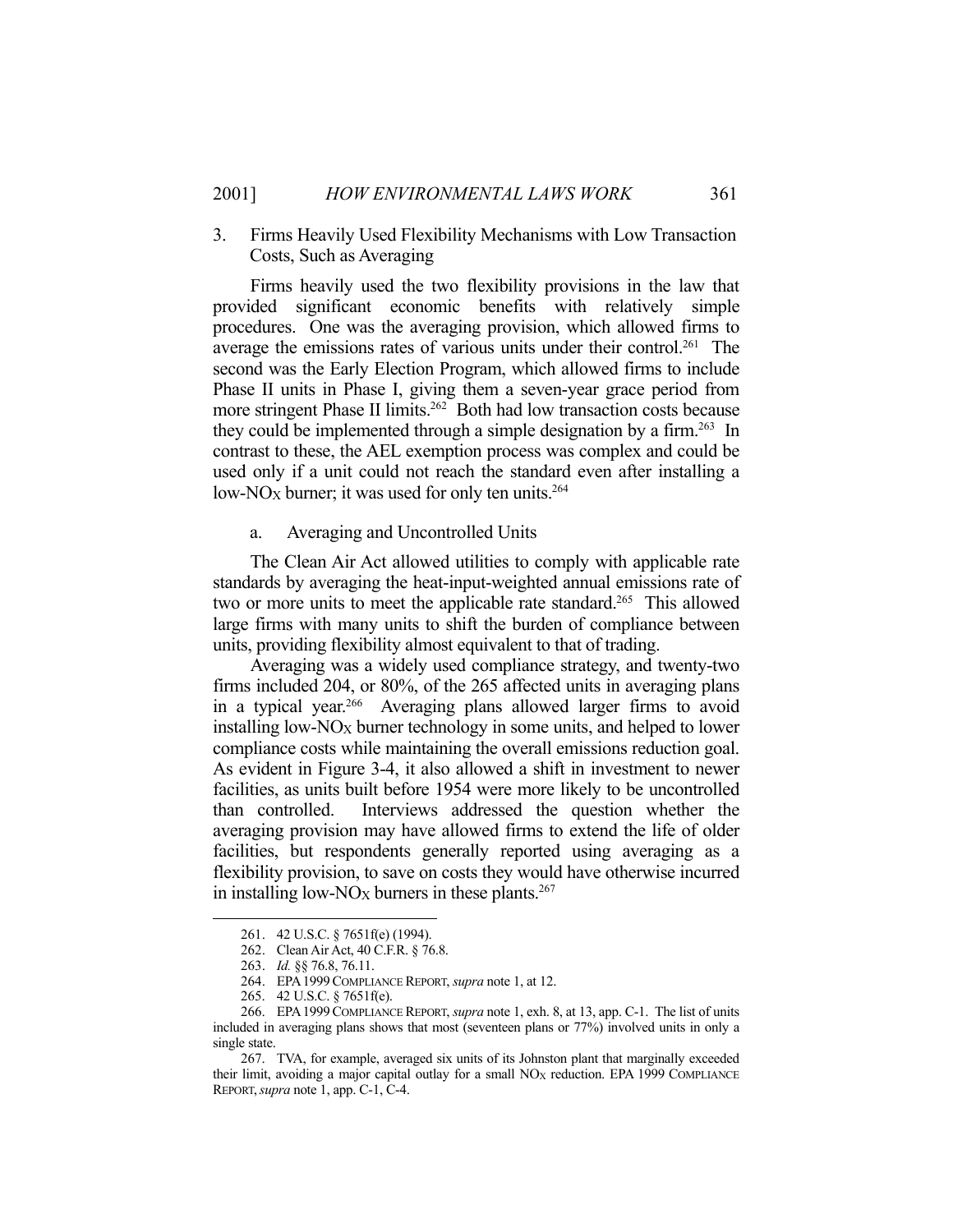3. Firms Heavily Used Flexibility Mechanisms with Low Transaction Costs, Such as Averaging

 Firms heavily used the two flexibility provisions in the law that provided significant economic benefits with relatively simple procedures. One was the averaging provision, which allowed firms to average the emissions rates of various units under their control.<sup>261</sup> The second was the Early Election Program, which allowed firms to include Phase II units in Phase I, giving them a seven-year grace period from more stringent Phase II limits.262 Both had low transaction costs because they could be implemented through a simple designation by a firm.<sup>263</sup> In contrast to these, the AEL exemption process was complex and could be used only if a unit could not reach the standard even after installing a low-NO<sub>X</sub> burner; it was used for only ten units.<sup>264</sup>

a. Averaging and Uncontrolled Units

 The Clean Air Act allowed utilities to comply with applicable rate standards by averaging the heat-input-weighted annual emissions rate of two or more units to meet the applicable rate standard.<sup>265</sup> This allowed large firms with many units to shift the burden of compliance between units, providing flexibility almost equivalent to that of trading.

 Averaging was a widely used compliance strategy, and twenty-two firms included 204, or 80%, of the 265 affected units in averaging plans in a typical year.<sup>266</sup> Averaging plans allowed larger firms to avoid installing low- $NO_X$  burner technology in some units, and helped to lower compliance costs while maintaining the overall emissions reduction goal. As evident in Figure 3-4, it also allowed a shift in investment to newer facilities, as units built before 1954 were more likely to be uncontrolled than controlled. Interviews addressed the question whether the averaging provision may have allowed firms to extend the life of older facilities, but respondents generally reported using averaging as a flexibility provision, to save on costs they would have otherwise incurred in installing low-NO<sub>X</sub> burners in these plants.<sup>267</sup>

 <sup>261. 42</sup> U.S.C. § 7651f(e) (1994).

 <sup>262.</sup> Clean Air Act, 40 C.F.R. § 76.8.

 <sup>263.</sup> *Id.* §§ 76.8, 76.11.

 <sup>264.</sup> EPA1999COMPLIANCE REPORT, *supra* note 1, at 12.

 <sup>265. 42</sup> U.S.C. § 7651f(e).

 <sup>266.</sup> EPA1999COMPLIANCE REPORT, *supra* note 1, exh. 8, at 13, app. C-1. The list of units included in averaging plans shows that most (seventeen plans or 77%) involved units in only a single state.

 <sup>267.</sup> TVA, for example, averaged six units of its Johnston plant that marginally exceeded their limit, avoiding a major capital outlay for a small  $NO<sub>X</sub>$  reduction. EPA 1999 COMPLIANCE REPORT,*supra* note 1, app. C-1, C-4.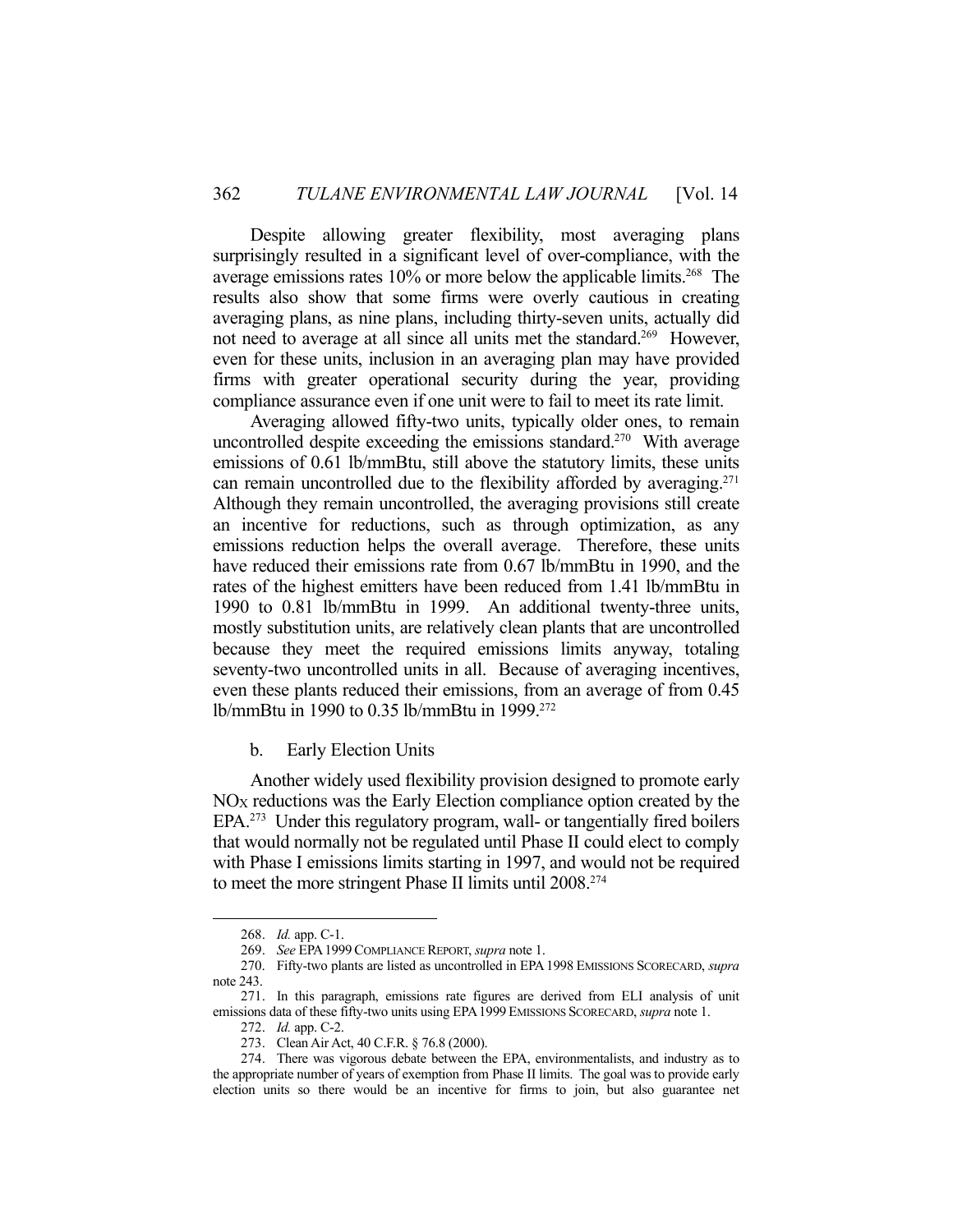Despite allowing greater flexibility, most averaging plans surprisingly resulted in a significant level of over-compliance, with the average emissions rates 10% or more below the applicable limits. 268 The results also show that some firms were overly cautious in creating averaging plans, as nine plans, including thirty-seven units, actually did not need to average at all since all units met the standard.<sup>269</sup> However, even for these units, inclusion in an averaging plan may have provided firms with greater operational security during the year, providing compliance assurance even if one unit were to fail to meet its rate limit.

 Averaging allowed fifty-two units, typically older ones, to remain uncontrolled despite exceeding the emissions standard.<sup>270</sup> With average emissions of 0.61 lb/mmBtu, still above the statutory limits, these units can remain uncontrolled due to the flexibility afforded by averaging.<sup>271</sup> Although they remain uncontrolled, the averaging provisions still create an incentive for reductions, such as through optimization, as any emissions reduction helps the overall average. Therefore, these units have reduced their emissions rate from 0.67 lb/mmBtu in 1990, and the rates of the highest emitters have been reduced from 1.41 lb/mmBtu in 1990 to 0.81 lb/mmBtu in 1999. An additional twenty-three units, mostly substitution units, are relatively clean plants that are uncontrolled because they meet the required emissions limits anyway, totaling seventy-two uncontrolled units in all. Because of averaging incentives, even these plants reduced their emissions, from an average of from 0.45 lb/mmBtu in 1990 to 0.35 lb/mmBtu in 1999.272

b. Early Election Units

 Another widely used flexibility provision designed to promote early NOX reductions was the Early Election compliance option created by the EPA.273 Under this regulatory program, wall- or tangentially fired boilers that would normally not be regulated until Phase II could elect to comply with Phase I emissions limits starting in 1997, and would not be required to meet the more stringent Phase II limits until 2008.274

 <sup>268.</sup> *Id.* app. C-1.

 <sup>269.</sup> *See* EPA1999COMPLIANCE REPORT, *supra* note 1.

 <sup>270.</sup> Fifty-two plants are listed as uncontrolled in EPA1998 EMISSIONS SCORECARD, *supra* note 243.

 <sup>271.</sup> In this paragraph, emissions rate figures are derived from ELI analysis of unit emissions data of these fifty-two units using EPA1999 EMISSIONS SCORECARD, *supra* note 1.

 <sup>272.</sup> *Id.* app. C-2.

 <sup>273.</sup> Clean Air Act, 40 C.F.R. § 76.8 (2000).

 <sup>274.</sup> There was vigorous debate between the EPA, environmentalists, and industry as to the appropriate number of years of exemption from Phase II limits. The goal was to provide early election units so there would be an incentive for firms to join, but also guarantee net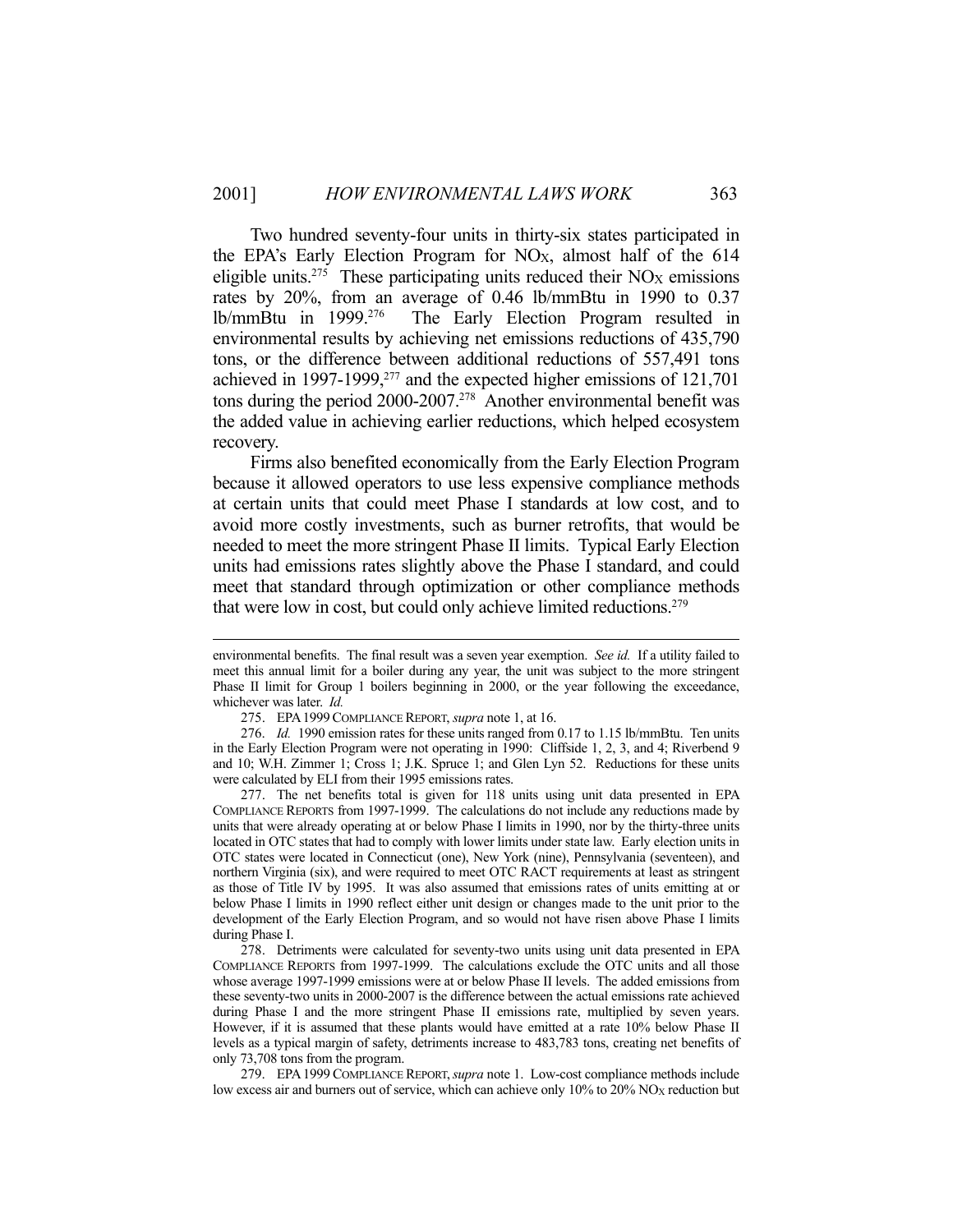Two hundred seventy-four units in thirty-six states participated in the EPA's Early Election Program for NOX, almost half of the 614 eligible units.<sup>275</sup> These participating units reduced their  $NO<sub>X</sub>$  emissions rates by 20%, from an average of 0.46 lb/mmBtu in 1990 to 0.37 lb/mmBtu in 1999.276 The Early Election Program resulted in environmental results by achieving net emissions reductions of 435,790 tons, or the difference between additional reductions of 557,491 tons achieved in 1997-1999,277 and the expected higher emissions of 121,701 tons during the period 2000-2007.278 Another environmental benefit was the added value in achieving earlier reductions, which helped ecosystem recovery.

 Firms also benefited economically from the Early Election Program because it allowed operators to use less expensive compliance methods at certain units that could meet Phase I standards at low cost, and to avoid more costly investments, such as burner retrofits, that would be needed to meet the more stringent Phase II limits. Typical Early Election units had emissions rates slightly above the Phase I standard, and could meet that standard through optimization or other compliance methods that were low in cost, but could only achieve limited reductions.<sup>279</sup>

environmental benefits. The final result was a seven year exemption. *See id.* If a utility failed to meet this annual limit for a boiler during any year, the unit was subject to the more stringent Phase II limit for Group 1 boilers beginning in 2000, or the year following the exceedance, whichever was later. *Id.*

 <sup>275.</sup> EPA1999COMPLIANCE REPORT, *supra* note 1, at 16.

 <sup>276.</sup> *Id.* 1990 emission rates for these units ranged from 0.17 to 1.15 lb/mmBtu. Ten units in the Early Election Program were not operating in 1990: Cliffside 1, 2, 3, and 4; Riverbend 9 and 10; W.H. Zimmer 1; Cross 1; J.K. Spruce 1; and Glen Lyn 52. Reductions for these units were calculated by ELI from their 1995 emissions rates.

 <sup>277.</sup> The net benefits total is given for 118 units using unit data presented in EPA COMPLIANCE REPORTS from 1997-1999. The calculations do not include any reductions made by units that were already operating at or below Phase I limits in 1990, nor by the thirty-three units located in OTC states that had to comply with lower limits under state law. Early election units in OTC states were located in Connecticut (one), New York (nine), Pennsylvania (seventeen), and northern Virginia (six), and were required to meet OTC RACT requirements at least as stringent as those of Title IV by 1995. It was also assumed that emissions rates of units emitting at or below Phase I limits in 1990 reflect either unit design or changes made to the unit prior to the development of the Early Election Program, and so would not have risen above Phase I limits during Phase I.

 <sup>278.</sup> Detriments were calculated for seventy-two units using unit data presented in EPA COMPLIANCE REPORTS from 1997-1999. The calculations exclude the OTC units and all those whose average 1997-1999 emissions were at or below Phase II levels. The added emissions from these seventy-two units in 2000-2007 is the difference between the actual emissions rate achieved during Phase I and the more stringent Phase II emissions rate, multiplied by seven years. However, if it is assumed that these plants would have emitted at a rate 10% below Phase II levels as a typical margin of safety, detriments increase to 483,783 tons, creating net benefits of only 73,708 tons from the program.

 <sup>279.</sup> EPA1999 COMPLIANCE REPORT,*supra* note 1. Low-cost compliance methods include low excess air and burners out of service, which can achieve only 10% to 20% NO<sub>X</sub> reduction but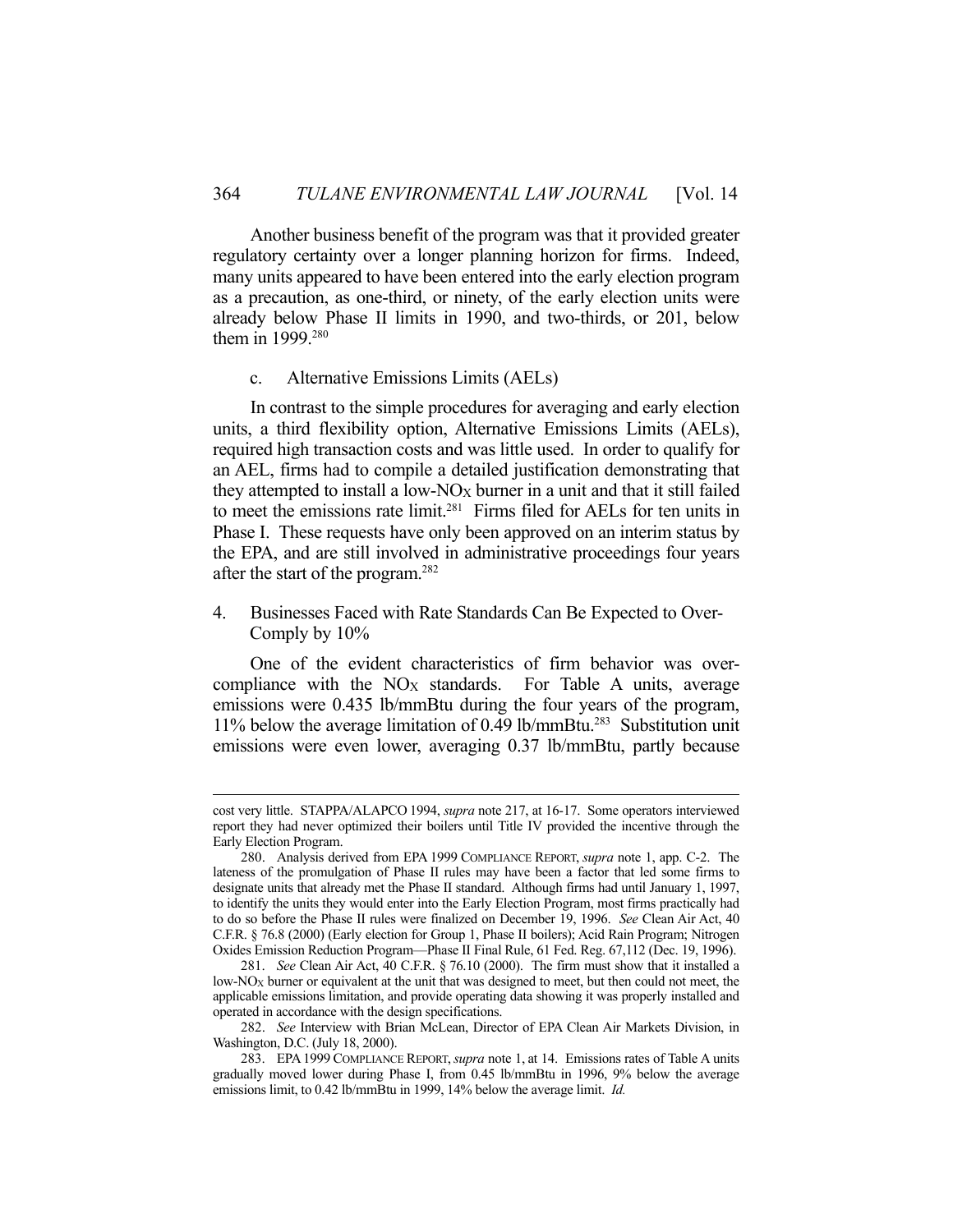Another business benefit of the program was that it provided greater regulatory certainty over a longer planning horizon for firms. Indeed, many units appeared to have been entered into the early election program as a precaution, as one-third, or ninety, of the early election units were already below Phase II limits in 1990, and two-thirds, or 201, below them in 1999.<sup>280</sup>

#### c. Alternative Emissions Limits (AELs)

 In contrast to the simple procedures for averaging and early election units, a third flexibility option, Alternative Emissions Limits (AELs), required high transaction costs and was little used. In order to qualify for an AEL, firms had to compile a detailed justification demonstrating that they attempted to install a low- $NO_X$  burner in a unit and that it still failed to meet the emissions rate limit.<sup>281</sup> Firms filed for AELs for ten units in Phase I. These requests have only been approved on an interim status by the EPA, and are still involved in administrative proceedings four years after the start of the program.282

## 4. Businesses Faced with Rate Standards Can Be Expected to Over-Comply by 10%

 One of the evident characteristics of firm behavior was overcompliance with the  $NO<sub>X</sub>$  standards. For Table A units, average emissions were 0.435 lb/mmBtu during the four years of the program, 11% below the average limitation of 0.49 lb/mmBtu.283 Substitution unit emissions were even lower, averaging 0.37 lb/mmBtu, partly because

cost very little. STAPPA/ALAPCO 1994, *supra* note 217, at 16-17. Some operators interviewed report they had never optimized their boilers until Title IV provided the incentive through the Early Election Program.

 <sup>280.</sup> Analysis derived from EPA 1999 COMPLIANCE REPORT, *supra* note 1, app. C-2. The lateness of the promulgation of Phase II rules may have been a factor that led some firms to designate units that already met the Phase II standard. Although firms had until January 1, 1997, to identify the units they would enter into the Early Election Program, most firms practically had to do so before the Phase II rules were finalized on December 19, 1996. *See* Clean Air Act, 40 C.F.R. § 76.8 (2000) (Early election for Group 1, Phase II boilers); Acid Rain Program; Nitrogen Oxides Emission Reduction Program—Phase II Final Rule, 61 Fed. Reg. 67,112 (Dec. 19, 1996).

 <sup>281.</sup> *See* Clean Air Act, 40 C.F.R. § 76.10 (2000). The firm must show that it installed a low-NOX burner or equivalent at the unit that was designed to meet, but then could not meet, the applicable emissions limitation, and provide operating data showing it was properly installed and operated in accordance with the design specifications.

 <sup>282.</sup> *See* Interview with Brian McLean, Director of EPA Clean Air Markets Division, in Washington, D.C. (July 18, 2000).

 <sup>283.</sup> EPA1999 COMPLIANCE REPORT,*supra* note 1, at 14. Emissions rates of Table A units gradually moved lower during Phase I, from 0.45 lb/mmBtu in 1996, 9% below the average emissions limit, to 0.42 lb/mmBtu in 1999, 14% below the average limit. *Id.*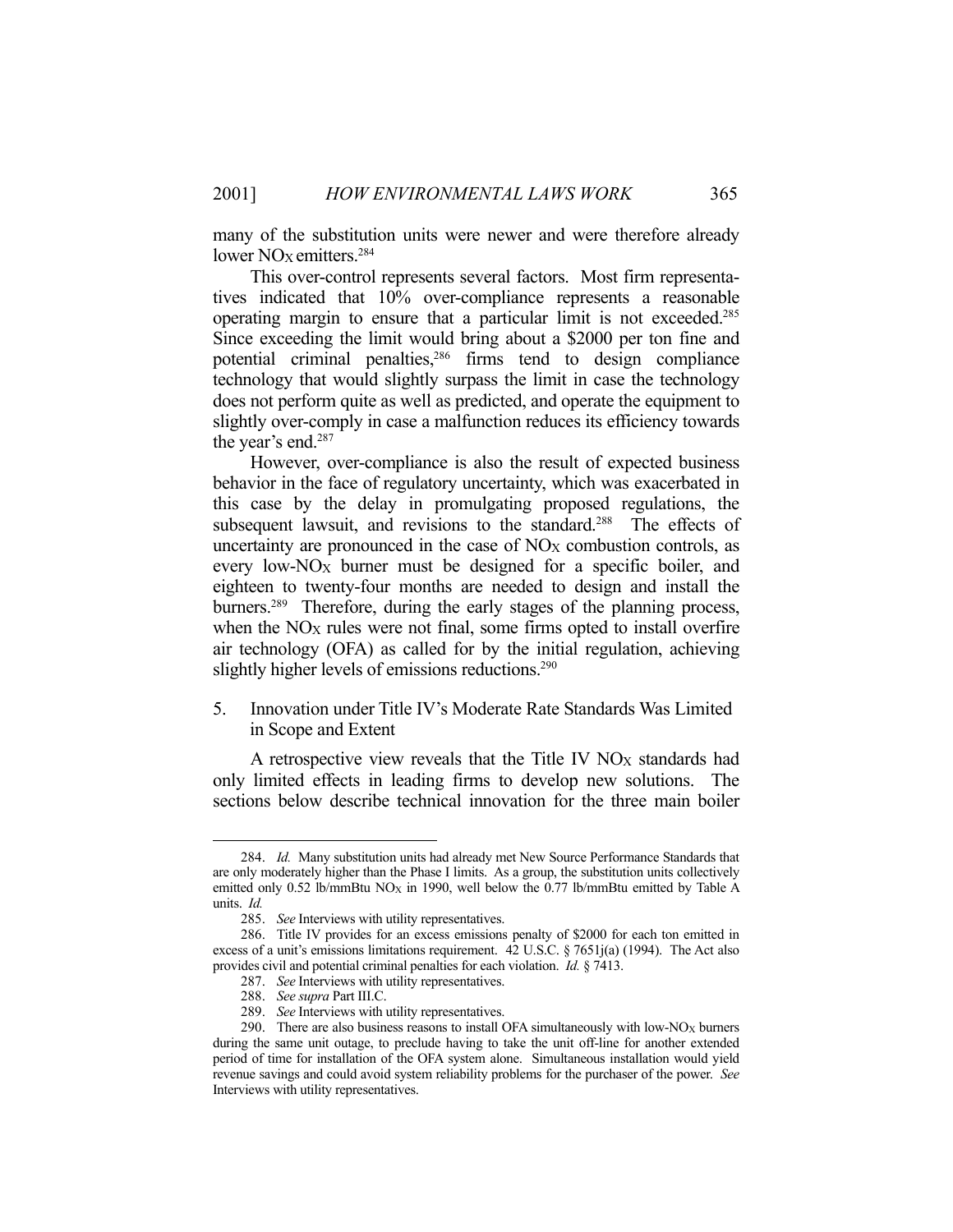many of the substitution units were newer and were therefore already lower NO<sub>X</sub> emitters.<sup>284</sup>

 This over-control represents several factors. Most firm representatives indicated that 10% over-compliance represents a reasonable operating margin to ensure that a particular limit is not exceeded.285 Since exceeding the limit would bring about a \$2000 per ton fine and potential criminal penalties,286 firms tend to design compliance technology that would slightly surpass the limit in case the technology does not perform quite as well as predicted, and operate the equipment to slightly over-comply in case a malfunction reduces its efficiency towards the year's end.287

 However, over-compliance is also the result of expected business behavior in the face of regulatory uncertainty, which was exacerbated in this case by the delay in promulgating proposed regulations, the subsequent lawsuit, and revisions to the standard.<sup>288</sup> The effects of uncertainty are pronounced in the case of  $NO<sub>X</sub>$  combustion controls, as every low-NO<sub>X</sub> burner must be designed for a specific boiler, and eighteen to twenty-four months are needed to design and install the burners.<sup>289</sup> Therefore, during the early stages of the planning process, when the NO<sub>X</sub> rules were not final, some firms opted to install overfire air technology (OFA) as called for by the initial regulation, achieving slightly higher levels of emissions reductions.<sup>290</sup>

5. Innovation under Title IV's Moderate Rate Standards Was Limited in Scope and Extent

A retrospective view reveals that the Title IV NO<sub>X</sub> standards had only limited effects in leading firms to develop new solutions. The sections below describe technical innovation for the three main boiler

 <sup>284.</sup> *Id.* Many substitution units had already met New Source Performance Standards that are only moderately higher than the Phase I limits. As a group, the substitution units collectively emitted only 0.52 lb/mmBtu  $NO<sub>X</sub>$  in 1990, well below the 0.77 lb/mmBtu emitted by Table A units. *Id.*

 <sup>285.</sup> *See* Interviews with utility representatives.

 <sup>286.</sup> Title IV provides for an excess emissions penalty of \$2000 for each ton emitted in excess of a unit's emissions limitations requirement. 42 U.S.C. § 7651j(a) (1994). The Act also provides civil and potential criminal penalties for each violation. *Id.* § 7413.

 <sup>287.</sup> *See* Interviews with utility representatives.

 <sup>288.</sup> *See supra* Part III.C.

 <sup>289.</sup> *See* Interviews with utility representatives.

<sup>290.</sup> There are also business reasons to install OFA simultaneously with low- $NO_X$  burners during the same unit outage, to preclude having to take the unit off-line for another extended period of time for installation of the OFA system alone. Simultaneous installation would yield revenue savings and could avoid system reliability problems for the purchaser of the power. *See* Interviews with utility representatives.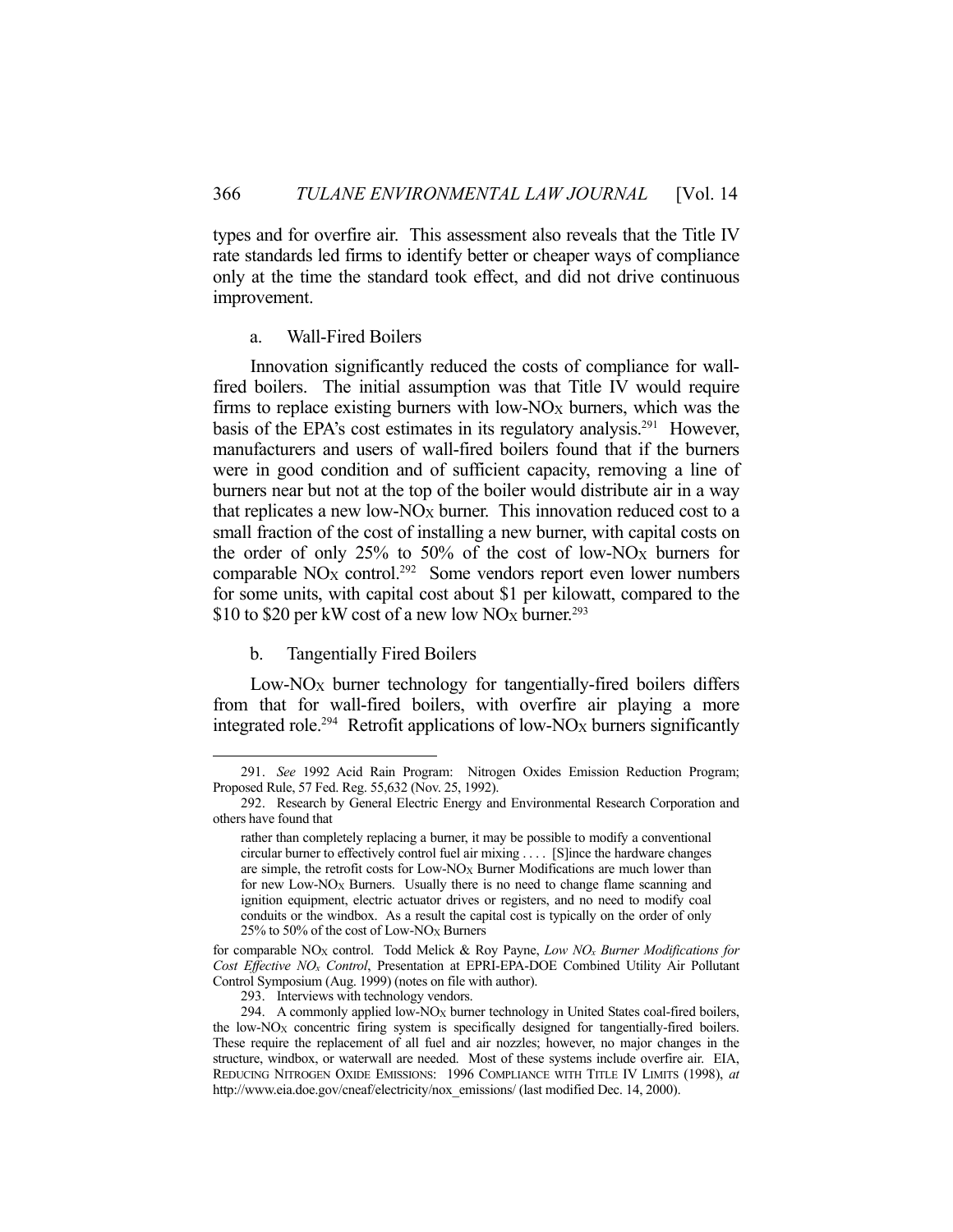types and for overfire air. This assessment also reveals that the Title IV rate standards led firms to identify better or cheaper ways of compliance only at the time the standard took effect, and did not drive continuous improvement.

#### a. Wall-Fired Boilers

 Innovation significantly reduced the costs of compliance for wallfired boilers. The initial assumption was that Title IV would require firms to replace existing burners with low- $NO_X$  burners, which was the basis of the EPA's cost estimates in its regulatory analysis.<sup>291</sup> However, manufacturers and users of wall-fired boilers found that if the burners were in good condition and of sufficient capacity, removing a line of burners near but not at the top of the boiler would distribute air in a way that replicates a new low- $NO_X$  burner. This innovation reduced cost to a small fraction of the cost of installing a new burner, with capital costs on the order of only  $25\%$  to  $50\%$  of the cost of low-NO<sub>X</sub> burners for comparable  $NO<sub>X</sub>$  control.<sup>292</sup> Some vendors report even lower numbers for some units, with capital cost about \$1 per kilowatt, compared to the \$10 to \$20 per kW cost of a new low NO<sub>X</sub> burner.<sup>293</sup>

## b. Tangentially Fired Boilers

1

Low-NO<sub>X</sub> burner technology for tangentially-fired boilers differs from that for wall-fired boilers, with overfire air playing a more integrated role.<sup>294</sup> Retrofit applications of low-NO<sub>X</sub> burners significantly

 <sup>291.</sup> *See* 1992 Acid Rain Program: Nitrogen Oxides Emission Reduction Program; Proposed Rule, 57 Fed. Reg. 55,632 (Nov. 25, 1992).

 <sup>292.</sup> Research by General Electric Energy and Environmental Research Corporation and others have found that

rather than completely replacing a burner, it may be possible to modify a conventional circular burner to effectively control fuel air mixing . . . . [S]ince the hardware changes are simple, the retrofit costs for  $Low-NO<sub>X</sub>$  Burner Modifications are much lower than for new Low-NO<sub>X</sub> Burners. Usually there is no need to change flame scanning and ignition equipment, electric actuator drives or registers, and no need to modify coal conduits or the windbox. As a result the capital cost is typically on the order of only 25% to 50% of the cost of Low-NOX Burners

for comparable NOX control. Todd Melick & Roy Payne, *Low NOx Burner Modifications for Cost Effective NOx Control*, Presentation at EPRI-EPA-DOE Combined Utility Air Pollutant Control Symposium (Aug. 1999) (notes on file with author).

 <sup>293.</sup> Interviews with technology vendors.

<sup>294.</sup> A commonly applied low-NO<sub>X</sub> burner technology in United States coal-fired boilers, the low- $NO<sub>X</sub>$  concentric firing system is specifically designed for tangentially-fired boilers. These require the replacement of all fuel and air nozzles; however, no major changes in the structure, windbox, or waterwall are needed. Most of these systems include overfire air. EIA, REDUCING NITROGEN OXIDE EMISSIONS: 1996 COMPLIANCE WITH TITLE IV LIMITS (1998), *at*  http://www.eia.doe.gov/cneaf/electricity/nox\_emissions/ (last modified Dec. 14, 2000).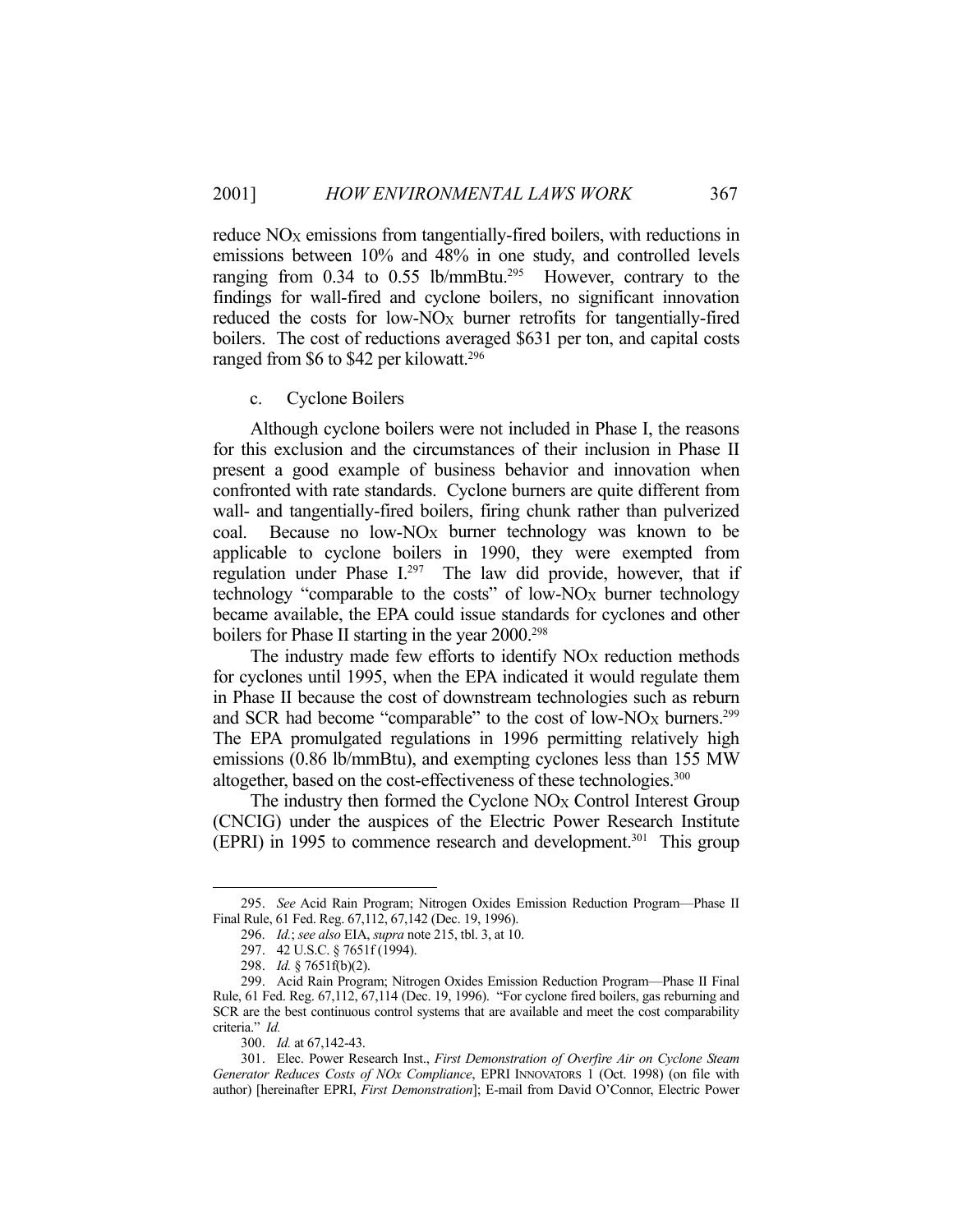reduce NO<sub>X</sub> emissions from tangentially-fired boilers, with reductions in emissions between 10% and 48% in one study, and controlled levels ranging from  $0.34$  to  $0.55$  lb/mmBtu.<sup>295</sup> However, contrary to the findings for wall-fired and cyclone boilers, no significant innovation reduced the costs for low-NO<sub>X</sub> burner retrofits for tangentially-fired boilers. The cost of reductions averaged \$631 per ton, and capital costs ranged from \$6 to \$42 per kilowatt.<sup>296</sup>

c. Cyclone Boilers

 Although cyclone boilers were not included in Phase I, the reasons for this exclusion and the circumstances of their inclusion in Phase II present a good example of business behavior and innovation when confronted with rate standards. Cyclone burners are quite different from wall- and tangentially-fired boilers, firing chunk rather than pulverized coal. Because no low- $NO_X$  burner technology was known to be applicable to cyclone boilers in 1990, they were exempted from regulation under Phase I.<sup>297</sup> The law did provide, however, that if technology "comparable to the costs" of low- $NO_X$  burner technology became available, the EPA could issue standards for cyclones and other boilers for Phase II starting in the year 2000.<sup>298</sup>

The industry made few efforts to identify  $NO<sub>X</sub>$  reduction methods for cyclones until 1995, when the EPA indicated it would regulate them in Phase II because the cost of downstream technologies such as reburn and SCR had become "comparable" to the cost of low-NO<sub>X</sub> burners.<sup>299</sup> The EPA promulgated regulations in 1996 permitting relatively high emissions (0.86 lb/mmBtu), and exempting cyclones less than 155 MW altogether, based on the cost-effectiveness of these technologies.<sup>300</sup>

The industry then formed the Cyclone NO<sub>X</sub> Control Interest Group (CNCIG) under the auspices of the Electric Power Research Institute (EPRI) in 1995 to commence research and development.<sup>301</sup> This group

 <sup>295.</sup> *See* Acid Rain Program; Nitrogen Oxides Emission Reduction Program—Phase II Final Rule, 61 Fed. Reg. 67,112, 67,142 (Dec. 19, 1996).

 <sup>296.</sup> *Id.*; *see also* EIA, *supra* note 215, tbl. 3, at 10.

 <sup>297. 42</sup> U.S.C. § 7651f (1994).

 <sup>298.</sup> *Id.* § 7651f(b)(2).

 <sup>299.</sup> Acid Rain Program; Nitrogen Oxides Emission Reduction Program—Phase II Final Rule, 61 Fed. Reg. 67,112, 67,114 (Dec. 19, 1996). "For cyclone fired boilers, gas reburning and SCR are the best continuous control systems that are available and meet the cost comparability criteria." *Id.*

 <sup>300.</sup> *Id.* at 67,142-43.

 <sup>301.</sup> Elec. Power Research Inst., *First Demonstration of Overfire Air on Cyclone Steam Generator Reduces Costs of NOx Compliance*, EPRI INNOVATORS 1 (Oct. 1998) (on file with author) [hereinafter EPRI, *First Demonstration*]; E-mail from David O'Connor, Electric Power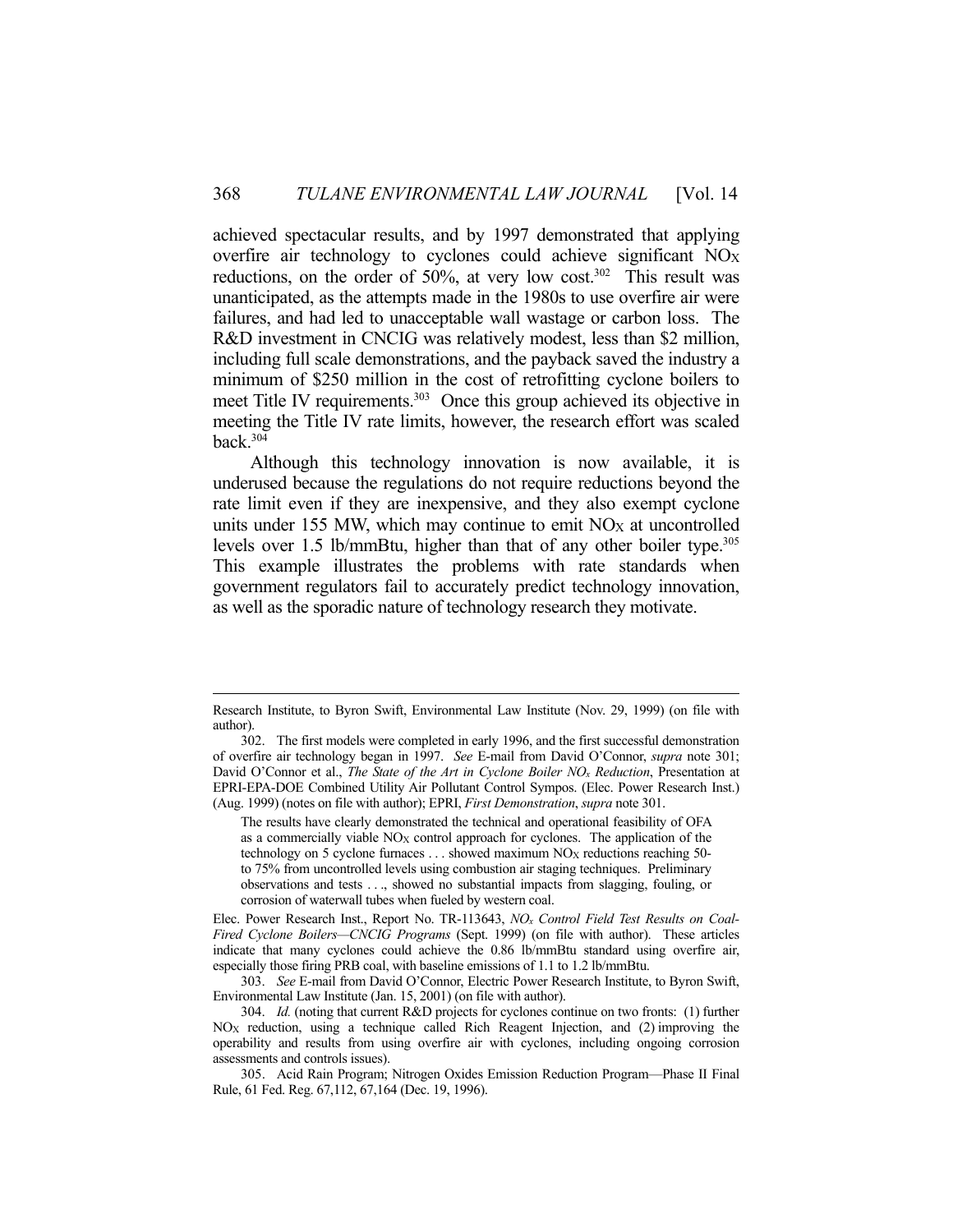achieved spectacular results, and by 1997 demonstrated that applying overfire air technology to cyclones could achieve significant NOX reductions, on the order of 50%, at very low cost.<sup>302</sup> This result was unanticipated, as the attempts made in the 1980s to use overfire air were failures, and had led to unacceptable wall wastage or carbon loss. The R&D investment in CNCIG was relatively modest, less than \$2 million, including full scale demonstrations, and the payback saved the industry a minimum of \$250 million in the cost of retrofitting cyclone boilers to meet Title IV requirements.<sup>303</sup> Once this group achieved its objective in meeting the Title IV rate limits, however, the research effort was scaled back.304

 Although this technology innovation is now available, it is underused because the regulations do not require reductions beyond the rate limit even if they are inexpensive, and they also exempt cyclone units under 155 MW, which may continue to emit NO<sub>X</sub> at uncontrolled levels over 1.5 lb/mmBtu, higher than that of any other boiler type.<sup>305</sup> This example illustrates the problems with rate standards when government regulators fail to accurately predict technology innovation, as well as the sporadic nature of technology research they motivate.

Elec. Power Research Inst., Report No. TR-113643, *NOx Control Field Test Results on Coal-Fired Cyclone Boilers—CNCIG Programs* (Sept. 1999) (on file with author). These articles indicate that many cyclones could achieve the 0.86 lb/mmBtu standard using overfire air, especially those firing PRB coal, with baseline emissions of 1.1 to 1.2 lb/mmBtu.

 303. *See* E-mail from David O'Connor, Electric Power Research Institute, to Byron Swift, Environmental Law Institute (Jan. 15, 2001) (on file with author).

Research Institute, to Byron Swift, Environmental Law Institute (Nov. 29, 1999) (on file with author).

 <sup>302.</sup> The first models were completed in early 1996, and the first successful demonstration of overfire air technology began in 1997. *See* E-mail from David O'Connor, *supra* note 301; David O'Connor et al., *The State of the Art in Cyclone Boiler NOx Reduction*, Presentation at EPRI-EPA-DOE Combined Utility Air Pollutant Control Sympos. (Elec. Power Research Inst.) (Aug. 1999) (notes on file with author); EPRI, *First Demonstration*, *supra* note 301.

The results have clearly demonstrated the technical and operational feasibility of OFA as a commercially viable NO<sub>X</sub> control approach for cyclones. The application of the technology on 5 cyclone furnaces  $\dots$  showed maximum NO<sub>X</sub> reductions reaching 50to 75% from uncontrolled levels using combustion air staging techniques. Preliminary observations and tests . . ., showed no substantial impacts from slagging, fouling, or corrosion of waterwall tubes when fueled by western coal.

 <sup>304.</sup> *Id.* (noting that current R&D projects for cyclones continue on two fronts: (1) further  $NO<sub>X</sub>$  reduction, using a technique called Rich Reagent Injection, and (2) improving the operability and results from using overfire air with cyclones, including ongoing corrosion assessments and controls issues).

 <sup>305.</sup> Acid Rain Program; Nitrogen Oxides Emission Reduction Program—Phase II Final Rule, 61 Fed. Reg. 67,112, 67,164 (Dec. 19, 1996).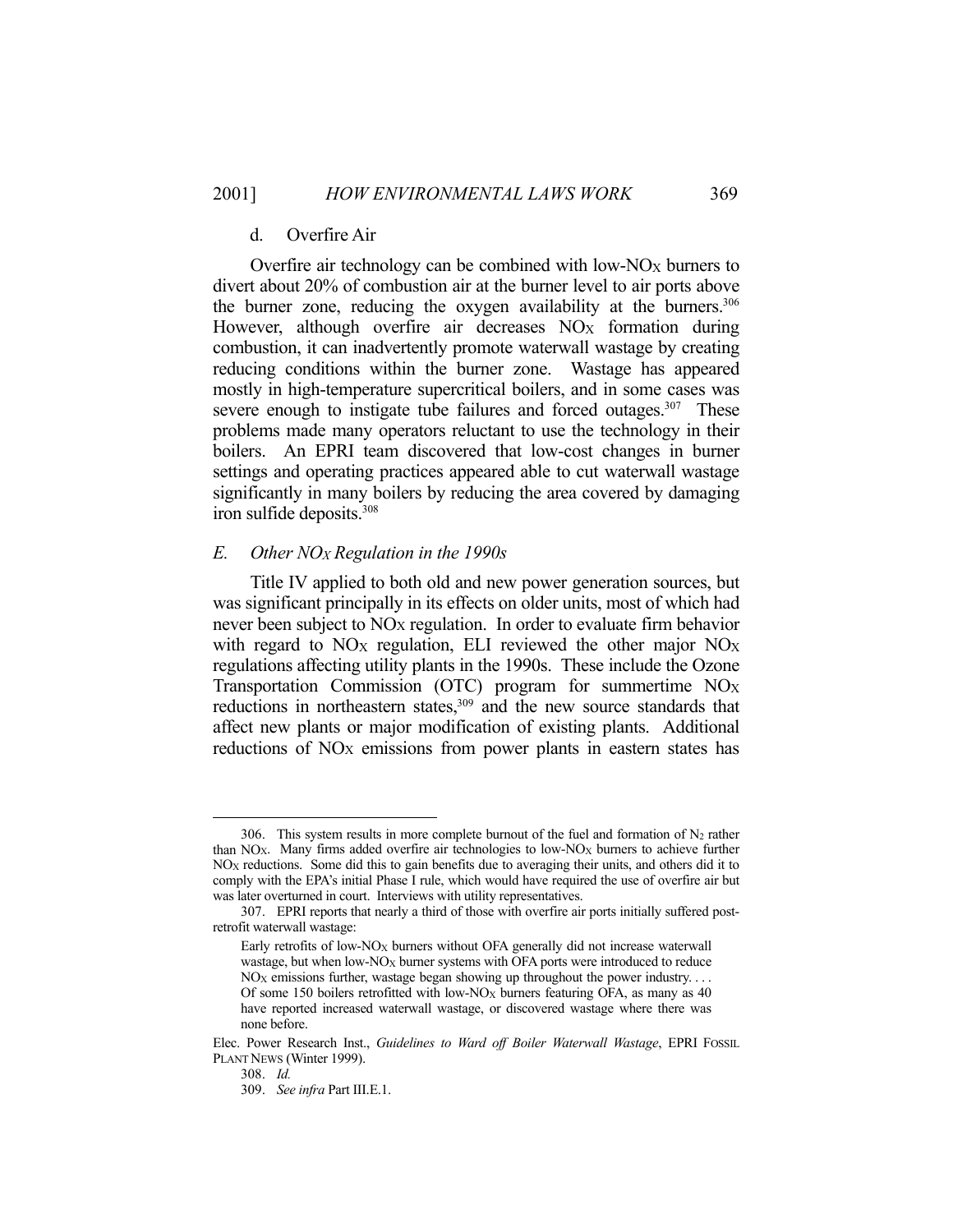### d. Overfire Air

Overfire air technology can be combined with low- $NO_X$  burners to divert about 20% of combustion air at the burner level to air ports above the burner zone, reducing the oxygen availability at the burners.<sup>306</sup> However, although overfire air decreases  $NO<sub>X</sub>$  formation during combustion, it can inadvertently promote waterwall wastage by creating reducing conditions within the burner zone. Wastage has appeared mostly in high-temperature supercritical boilers, and in some cases was severe enough to instigate tube failures and forced outages. $307$  These problems made many operators reluctant to use the technology in their boilers. An EPRI team discovered that low-cost changes in burner settings and operating practices appeared able to cut waterwall wastage significantly in many boilers by reducing the area covered by damaging iron sulfide deposits.308

#### *E. Other NOX Regulation in the 1990s*

 Title IV applied to both old and new power generation sources, but was significant principally in its effects on older units, most of which had never been subject to NO<sub>X</sub> regulation. In order to evaluate firm behavior with regard to  $NO<sub>X</sub>$  regulation, ELI reviewed the other major  $NO<sub>X</sub>$ regulations affecting utility plants in the 1990s. These include the Ozone Transportation Commission (OTC) program for summertime  $NO<sub>X</sub>$ reductions in northeastern states,<sup>309</sup> and the new source standards that affect new plants or major modification of existing plants. Additional reductions of NO<sub>X</sub> emissions from power plants in eastern states has

<sup>306.</sup> This system results in more complete burnout of the fuel and formation of  $N_2$  rather than  $NO<sub>X</sub>$ . Many firms added overfire air technologies to low- $NO<sub>X</sub>$  burners to achieve further NOX reductions. Some did this to gain benefits due to averaging their units, and others did it to comply with the EPA's initial Phase I rule, which would have required the use of overfire air but was later overturned in court. Interviews with utility representatives.

 <sup>307.</sup> EPRI reports that nearly a third of those with overfire air ports initially suffered postretrofit waterwall wastage:

Early retrofits of low-NO<sub>X</sub> burners without OFA generally did not increase waterwall wastage, but when low- $NO_X$  burner systems with OFA ports were introduced to reduce  $NO<sub>X</sub>$  emissions further, wastage began showing up throughout the power industry. . . . Of some 150 boilers retrofitted with low-NO<sub>X</sub> burners featuring OFA, as many as  $40$ have reported increased waterwall wastage, or discovered wastage where there was none before.

Elec. Power Research Inst., *Guidelines to Ward off Boiler Waterwall Wastage*, EPRI FOSSIL PLANT NEWS (Winter 1999).

 <sup>308.</sup> *Id.*

 <sup>309.</sup> *See infra* Part III.E.1.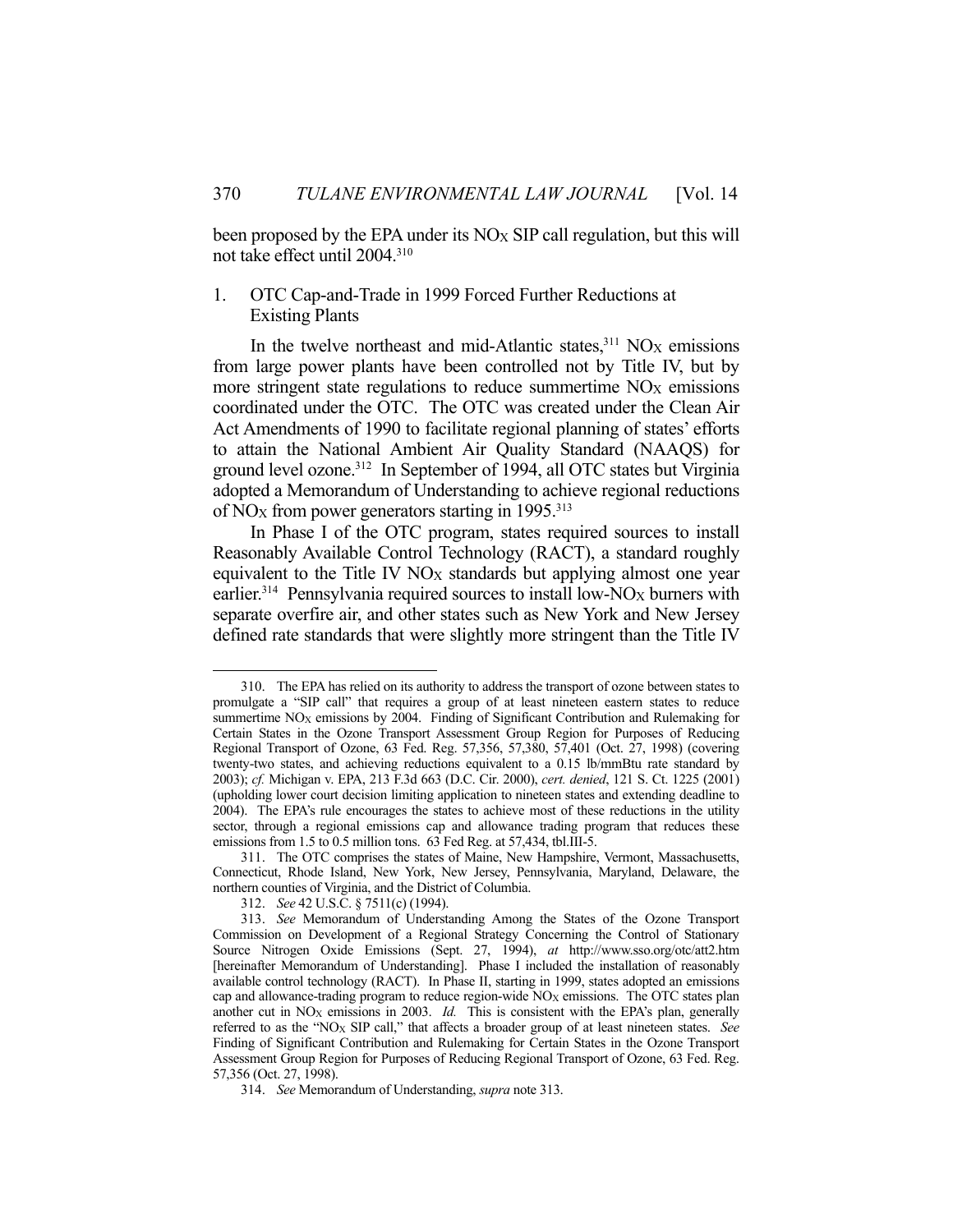been proposed by the EPA under its  $NO_X$  SIP call regulation, but this will not take effect until 2004.310

# 1. OTC Cap-and-Trade in 1999 Forced Further Reductions at Existing Plants

In the twelve northeast and mid-Atlantic states, $311$  NO<sub>X</sub> emissions from large power plants have been controlled not by Title IV, but by more stringent state regulations to reduce summertime  $NO<sub>X</sub>$  emissions coordinated under the OTC. The OTC was created under the Clean Air Act Amendments of 1990 to facilitate regional planning of states' efforts to attain the National Ambient Air Quality Standard (NAAQS) for ground level ozone.<sup>312</sup> In September of 1994, all OTC states but Virginia adopted a Memorandum of Understanding to achieve regional reductions of NO<sub>X</sub> from power generators starting in  $1995.^{313}$ 

 In Phase I of the OTC program, states required sources to install Reasonably Available Control Technology (RACT), a standard roughly equivalent to the Title IV NO<sub>X</sub> standards but applying almost one year earlier.<sup>314</sup> Pennsylvania required sources to install low-NO<sub>X</sub> burners with separate overfire air, and other states such as New York and New Jersey defined rate standards that were slightly more stringent than the Title IV

 <sup>310.</sup> The EPA has relied on its authority to address the transport of ozone between states to promulgate a "SIP call" that requires a group of at least nineteen eastern states to reduce summertime NO<sub>X</sub> emissions by 2004. Finding of Significant Contribution and Rulemaking for Certain States in the Ozone Transport Assessment Group Region for Purposes of Reducing Regional Transport of Ozone, 63 Fed. Reg. 57,356, 57,380, 57,401 (Oct. 27, 1998) (covering twenty-two states, and achieving reductions equivalent to a 0.15 lb/mmBtu rate standard by 2003); *cf.* Michigan v. EPA, 213 F.3d 663 (D.C. Cir. 2000), *cert. denied*, 121 S. Ct. 1225 (2001) (upholding lower court decision limiting application to nineteen states and extending deadline to 2004). The EPA's rule encourages the states to achieve most of these reductions in the utility sector, through a regional emissions cap and allowance trading program that reduces these emissions from 1.5 to 0.5 million tons. 63 Fed Reg. at 57,434, tbl.III-5.

 <sup>311.</sup> The OTC comprises the states of Maine, New Hampshire, Vermont, Massachusetts, Connecticut, Rhode Island, New York, New Jersey, Pennsylvania, Maryland, Delaware, the northern counties of Virginia, and the District of Columbia.

 <sup>312.</sup> *See* 42 U.S.C. § 7511(c) (1994).

 <sup>313.</sup> *See* Memorandum of Understanding Among the States of the Ozone Transport Commission on Development of a Regional Strategy Concerning the Control of Stationary Source Nitrogen Oxide Emissions (Sept. 27, 1994), *at* http://www.sso.org/otc/att2.htm [hereinafter Memorandum of Understanding]. Phase I included the installation of reasonably available control technology (RACT). In Phase II, starting in 1999, states adopted an emissions cap and allowance-trading program to reduce region-wide  $NO<sub>X</sub>$  emissions. The OTC states plan another cut in NO<sub>X</sub> emissions in 2003. *Id.* This is consistent with the EPA's plan, generally referred to as the "NOX SIP call," that affects a broader group of at least nineteen states. *See* Finding of Significant Contribution and Rulemaking for Certain States in the Ozone Transport Assessment Group Region for Purposes of Reducing Regional Transport of Ozone, 63 Fed. Reg. 57,356 (Oct. 27, 1998).

 <sup>314.</sup> *See* Memorandum of Understanding, *supra* note 313.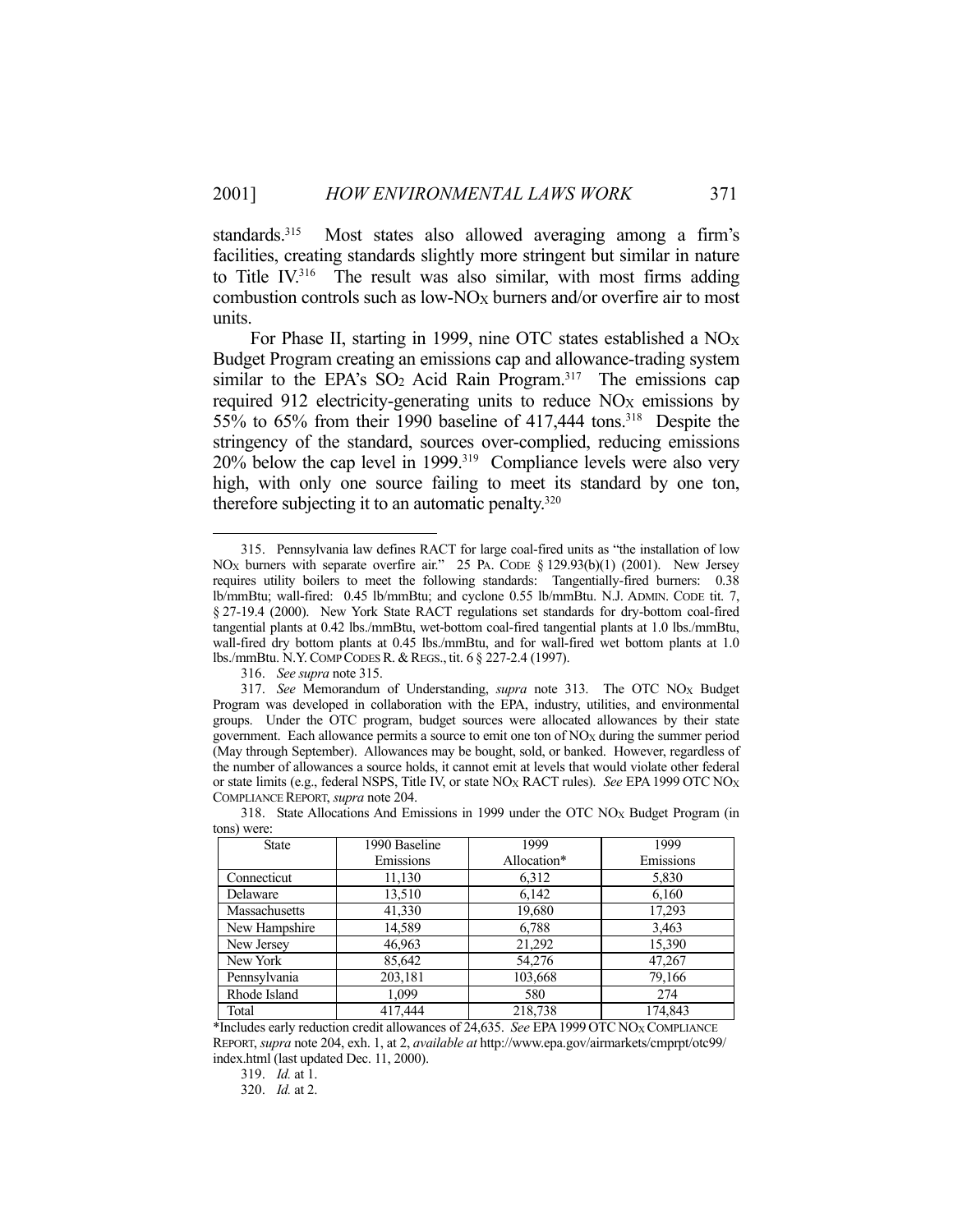standards.<sup>315</sup> Most states also allowed averaging among a firm's facilities, creating standards slightly more stringent but similar in nature to Title IV.316 The result was also similar, with most firms adding combustion controls such as low- $NO_X$  burners and/or overfire air to most units.

For Phase II, starting in 1999, nine OTC states established a NO<sub>X</sub> Budget Program creating an emissions cap and allowance-trading system similar to the EPA's  $SO_2$  Acid Rain Program.<sup>317</sup> The emissions cap required 912 electricity-generating units to reduce NO<sub>X</sub> emissions by 55% to 65% from their 1990 baseline of 417,444 tons.318 Despite the stringency of the standard, sources over-complied, reducing emissions 20% below the cap level in 1999.319 Compliance levels were also very high, with only one source failing to meet its standard by one ton, therefore subjecting it to an automatic penalty.<sup>320</sup>

1

 <sup>317.</sup> *See* Memorandum of Understanding, *supra* note 313. The OTC NOX Budget Program was developed in collaboration with the EPA, industry, utilities, and environmental groups. Under the OTC program, budget sources were allocated allowances by their state government. Each allowance permits a source to emit one ton of NO<sub>X</sub> during the summer period (May through September). Allowances may be bought, sold, or banked. However, regardless of the number of allowances a source holds, it cannot emit at levels that would violate other federal or state limits (e.g., federal NSPS, Title IV, or state NOX RACT rules). *See* EPA1999 OTC NOX COMPLIANCE REPORT, *supra* note 204.

| $\frac{1}{2}$ |               |             |           |  |
|---------------|---------------|-------------|-----------|--|
| <b>State</b>  | 1990 Baseline | 1999        | 1999      |  |
|               | Emissions     | Allocation* | Emissions |  |
| Connecticut   | 11,130        | 6,312       | 5,830     |  |
| Delaware      | 13,510        | 6,142       | 6,160     |  |
| Massachusetts | 41,330        | 19,680      | 17,293    |  |
| New Hampshire | 14,589        | 6,788       | 3,463     |  |
| New Jersey    | 46,963        | 21,292      | 15,390    |  |
| New York      | 85,642        | 54,276      | 47,267    |  |
| Pennsylvania  | 203,181       | 103,668     | 79,166    |  |
| Rhode Island  | 1,099         | 580         | 274       |  |
| Total         | 417,444       | 218,738     | 174.843   |  |

 318. State Allocations And Emissions in 1999 under the OTC NOX Budget Program (in tons) were:

\*Includes early reduction credit allowances of 24,635. *See* EPA1999 OTC NOX COMPLIANCE REPORT, *supra* note 204, exh. 1, at 2, *available at* http://www.epa.gov/airmarkets/cmprpt/otc99/ index.html (last updated Dec. 11, 2000).

319. *Id.* at 1.

320. *Id.* at 2.

 <sup>315.</sup> Pennsylvania law defines RACT for large coal-fired units as "the installation of low NOX burners with separate overfire air." 25 PA. CODE § 129.93(b)(1) (2001). New Jersey requires utility boilers to meet the following standards: Tangentially-fired burners: 0.38 lb/mmBtu; wall-fired: 0.45 lb/mmBtu; and cyclone 0.55 lb/mmBtu. N.J. ADMIN. CODE tit. 7, § 27-19.4 (2000). New York State RACT regulations set standards for dry-bottom coal-fired tangential plants at 0.42 lbs./mmBtu, wet-bottom coal-fired tangential plants at 1.0 lbs./mmBtu, wall-fired dry bottom plants at 0.45 lbs./mmBtu, and for wall-fired wet bottom plants at 1.0 lbs./mmBtu. N.Y. COMP CODES R. & REGS., tit. 6 § 227-2.4 (1997).

 <sup>316.</sup> *See supra* note 315.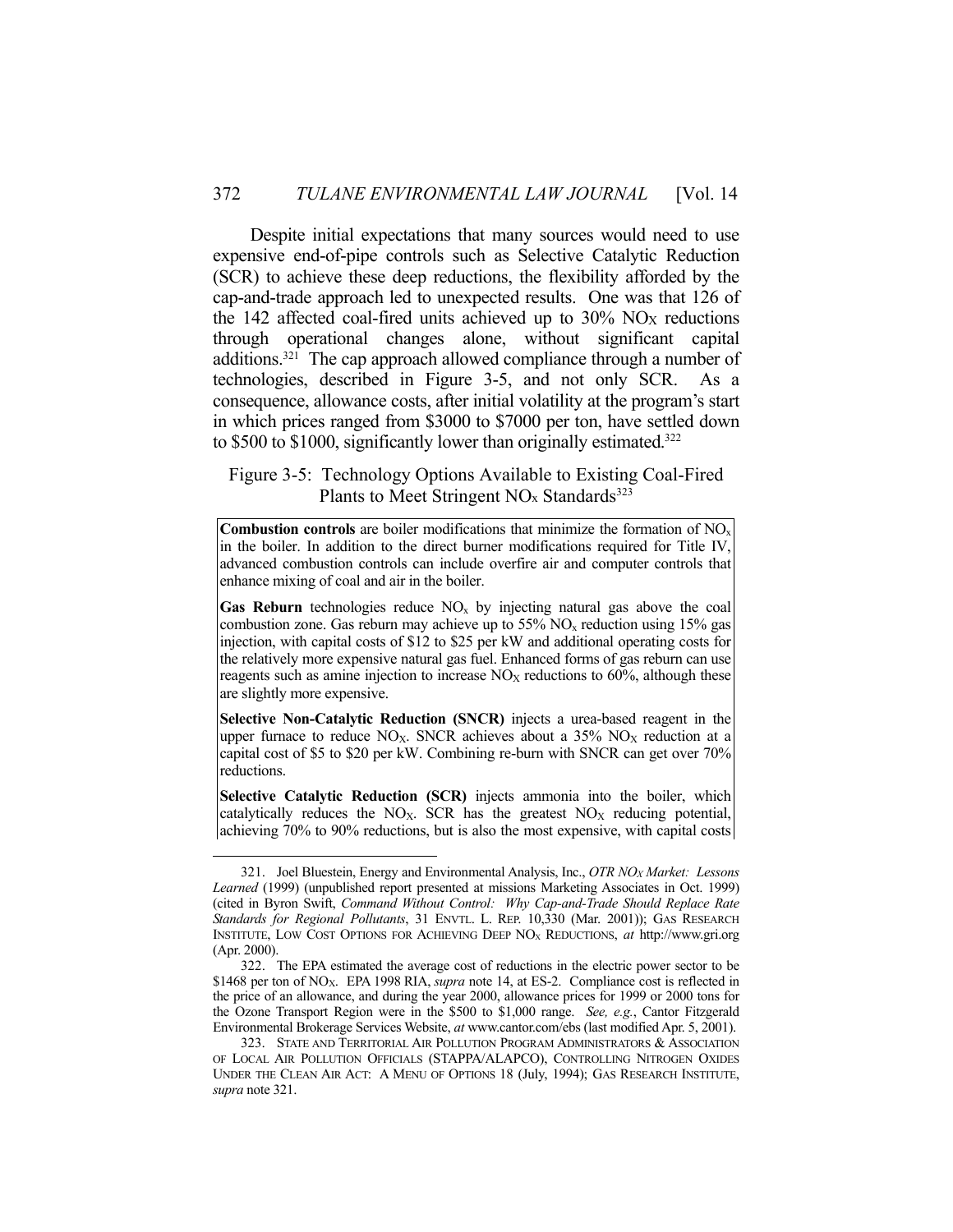Despite initial expectations that many sources would need to use expensive end-of-pipe controls such as Selective Catalytic Reduction (SCR) to achieve these deep reductions, the flexibility afforded by the cap-and-trade approach led to unexpected results. One was that 126 of the 142 affected coal-fired units achieved up to  $30\%$  NO<sub>X</sub> reductions through operational changes alone, without significant capital additions.321 The cap approach allowed compliance through a number of technologies, described in Figure 3-5, and not only SCR. As a consequence, allowance costs, after initial volatility at the program's start in which prices ranged from \$3000 to \$7000 per ton, have settled down to \$500 to \$1000, significantly lower than originally estimated.<sup>322</sup>

Figure 3-5: Technology Options Available to Existing Coal-Fired Plants to Meet Stringent  $NO<sub>x</sub>$  Standards<sup>323</sup>

Combustion controls are boiler modifications that minimize the formation of NO<sub>x</sub> in the boiler. In addition to the direct burner modifications required for Title IV, advanced combustion controls can include overfire air and computer controls that enhance mixing of coal and air in the boiler.

**Gas Reburn** technologies reduce  $NO<sub>x</sub>$  by injecting natural gas above the coal combustion zone. Gas reburn may achieve up to  $55\%$  NO<sub>x</sub> reduction using 15% gas injection, with capital costs of \$12 to \$25 per kW and additional operating costs for the relatively more expensive natural gas fuel. Enhanced forms of gas reburn can use reagents such as amine injection to increase  $NO<sub>X</sub>$  reductions to 60%, although these are slightly more expensive.

**Selective Non-Catalytic Reduction (SNCR)** injects a urea-based reagent in the upper furnace to reduce NO<sub>X</sub>. SNCR achieves about a  $35\%$  NO<sub>X</sub> reduction at a capital cost of \$5 to \$20 per kW. Combining re-burn with SNCR can get over 70% reductions.

**Selective Catalytic Reduction (SCR)** injects ammonia into the boiler, which catalytically reduces the NO<sub>X</sub>. SCR has the greatest  $NO<sub>X</sub>$  reducing potential, achieving 70% to 90% reductions, but is also the most expensive, with capital costs

 <sup>321.</sup> Joel Bluestein, Energy and Environmental Analysis, Inc., *OTR NOX Market: Lessons Learned* (1999) (unpublished report presented at missions Marketing Associates in Oct. 1999) (cited in Byron Swift, *Command Without Control: Why Cap-and-Trade Should Replace Rate Standards for Regional Pollutants*, 31 ENVTL. L. REP. 10,330 (Mar. 2001)); GAS RESEARCH INSTITUTE, LOW COST OPTIONS FOR ACHIEVING DEEP NOX REDUCTIONS, *at* http://www.gri.org (Apr. 2000).

 <sup>322.</sup> The EPA estimated the average cost of reductions in the electric power sector to be \$1468 per ton of NOX. EPA 1998 RIA, *supra* note 14, at ES-2. Compliance cost is reflected in the price of an allowance, and during the year 2000, allowance prices for 1999 or 2000 tons for the Ozone Transport Region were in the \$500 to \$1,000 range. *See, e.g.*, Cantor Fitzgerald Environmental Brokerage Services Website, *at* www.cantor.com/ebs (last modified Apr. 5, 2001).

<sup>323.</sup> STATE AND TERRITORIAL AIR POLLUTION PROGRAM ADMINISTRATORS & ASSOCIATION OF LOCAL AIR POLLUTION OFFICIALS (STAPPA/ALAPCO), CONTROLLING NITROGEN OXIDES UNDER THE CLEAN AIR ACT: A MENU OF OPTIONS 18 (July, 1994); GAS RESEARCH INSTITUTE, *supra* note 321.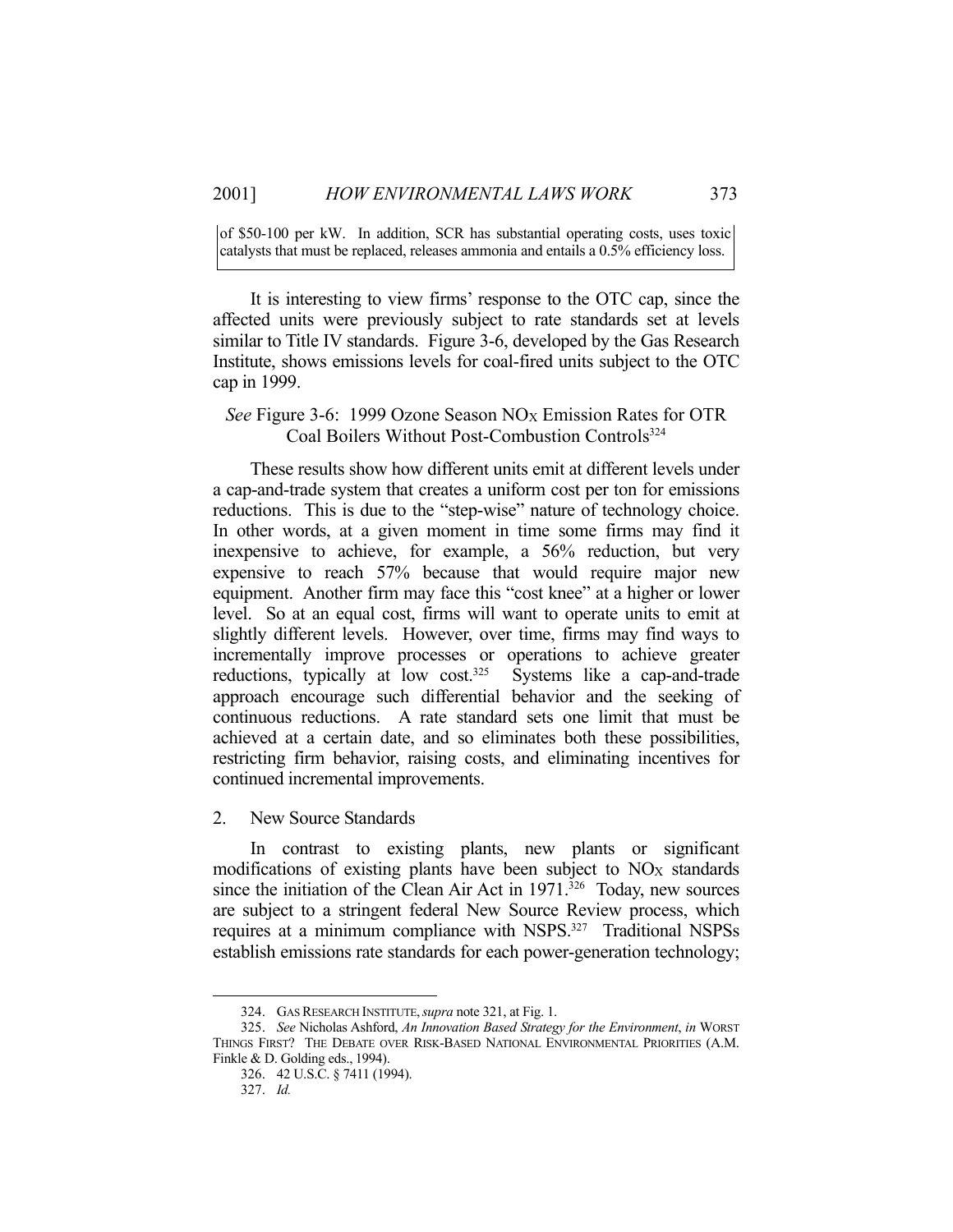of \$50-100 per kW. In addition, SCR has substantial operating costs, uses toxic catalysts that must be replaced, releases ammonia and entails a 0.5% efficiency loss.

 It is interesting to view firms' response to the OTC cap, since the affected units were previously subject to rate standards set at levels similar to Title IV standards. Figure 3-6, developed by the Gas Research Institute, shows emissions levels for coal-fired units subject to the OTC cap in 1999.

# *See* Figure 3-6: 1999 Ozone Season NO<sub>X</sub> Emission Rates for OTR Coal Boilers Without Post-Combustion Controls<sup>324</sup>

 These results show how different units emit at different levels under a cap-and-trade system that creates a uniform cost per ton for emissions reductions. This is due to the "step-wise" nature of technology choice. In other words, at a given moment in time some firms may find it inexpensive to achieve, for example, a 56% reduction, but very expensive to reach 57% because that would require major new equipment. Another firm may face this "cost knee" at a higher or lower level. So at an equal cost, firms will want to operate units to emit at slightly different levels. However, over time, firms may find ways to incrementally improve processes or operations to achieve greater reductions, typically at low cost.<sup>325</sup> Systems like a cap-and-trade approach encourage such differential behavior and the seeking of continuous reductions. A rate standard sets one limit that must be achieved at a certain date, and so eliminates both these possibilities, restricting firm behavior, raising costs, and eliminating incentives for continued incremental improvements.

2. New Source Standards

 In contrast to existing plants, new plants or significant modifications of existing plants have been subject to  $NQ_X$  standards since the initiation of the Clean Air Act in  $1971$ .<sup>326</sup> Today, new sources are subject to a stringent federal New Source Review process, which requires at a minimum compliance with NSPS.<sup>327</sup> Traditional NSPSs establish emissions rate standards for each power-generation technology;

 <sup>324.</sup> GAS RESEARCH INSTITUTE,*supra* note 321, at Fig. 1.

 <sup>325.</sup> *See* Nicholas Ashford, *An Innovation Based Strategy for the Environment*, *in* WORST THINGS FIRST? THE DEBATE OVER RISK-BASED NATIONAL ENVIRONMENTAL PRIORITIES (A.M. Finkle & D. Golding eds., 1994).

 <sup>326. 42</sup> U.S.C. § 7411 (1994).

 <sup>327.</sup> *Id.*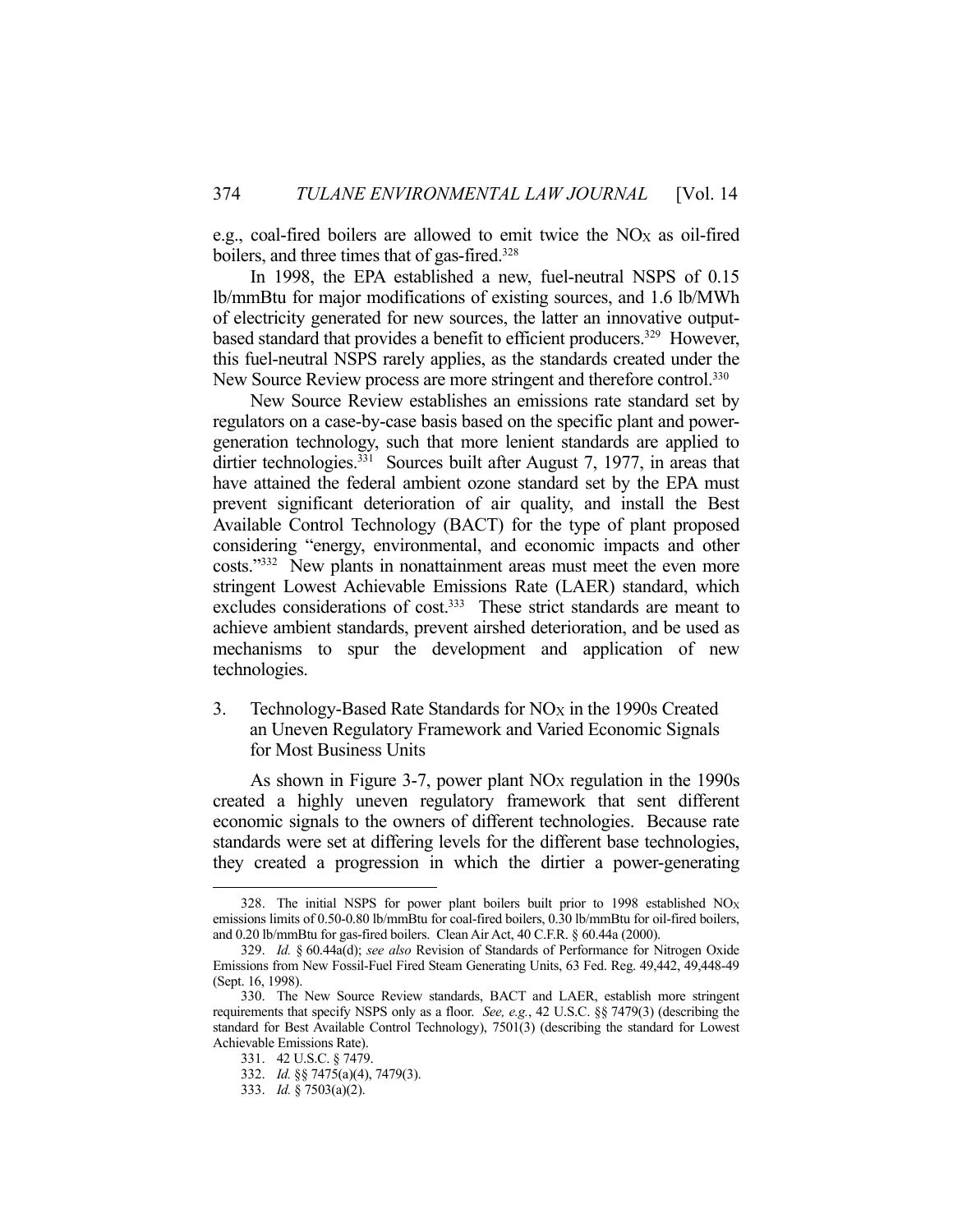e.g., coal-fired boilers are allowed to emit twice the NO<sub>X</sub> as oil-fired boilers, and three times that of gas-fired.<sup>328</sup>

 In 1998, the EPA established a new, fuel-neutral NSPS of 0.15 lb/mmBtu for major modifications of existing sources, and 1.6 lb/MWh of electricity generated for new sources, the latter an innovative outputbased standard that provides a benefit to efficient producers.<sup>329</sup> However, this fuel-neutral NSPS rarely applies, as the standards created under the New Source Review process are more stringent and therefore control.<sup>330</sup>

 New Source Review establishes an emissions rate standard set by regulators on a case-by-case basis based on the specific plant and powergeneration technology, such that more lenient standards are applied to dirtier technologies.<sup>331</sup> Sources built after August 7, 1977, in areas that have attained the federal ambient ozone standard set by the EPA must prevent significant deterioration of air quality, and install the Best Available Control Technology (BACT) for the type of plant proposed considering "energy, environmental, and economic impacts and other costs."332 New plants in nonattainment areas must meet the even more stringent Lowest Achievable Emissions Rate (LAER) standard, which excludes considerations of cost.<sup>333</sup> These strict standards are meant to achieve ambient standards, prevent airshed deterioration, and be used as mechanisms to spur the development and application of new technologies.

3. Technology-Based Rate Standards for  $NO<sub>X</sub>$  in the 1990s Created an Uneven Regulatory Framework and Varied Economic Signals for Most Business Units

As shown in Figure 3-7, power plant  $NO<sub>X</sub>$  regulation in the 1990s created a highly uneven regulatory framework that sent different economic signals to the owners of different technologies. Because rate standards were set at differing levels for the different base technologies, they created a progression in which the dirtier a power-generating

<sup>328.</sup> The initial NSPS for power plant boilers built prior to 1998 established  $NO<sub>X</sub>$ emissions limits of 0.50-0.80 lb/mmBtu for coal-fired boilers, 0.30 lb/mmBtu for oil-fired boilers, and 0.20 lb/mmBtu for gas-fired boilers. Clean Air Act, 40 C.F.R. § 60.44a (2000).

 <sup>329.</sup> *Id.* § 60.44a(d); *see also* Revision of Standards of Performance for Nitrogen Oxide Emissions from New Fossil-Fuel Fired Steam Generating Units, 63 Fed. Reg. 49,442, 49,448-49 (Sept. 16, 1998).

 <sup>330.</sup> The New Source Review standards, BACT and LAER, establish more stringent requirements that specify NSPS only as a floor. *See, e.g.*, 42 U.S.C. §§ 7479(3) (describing the standard for Best Available Control Technology), 7501(3) (describing the standard for Lowest Achievable Emissions Rate).

 <sup>331. 42</sup> U.S.C. § 7479.

 <sup>332.</sup> *Id.* §§ 7475(a)(4), 7479(3).

 <sup>333.</sup> *Id.* § 7503(a)(2).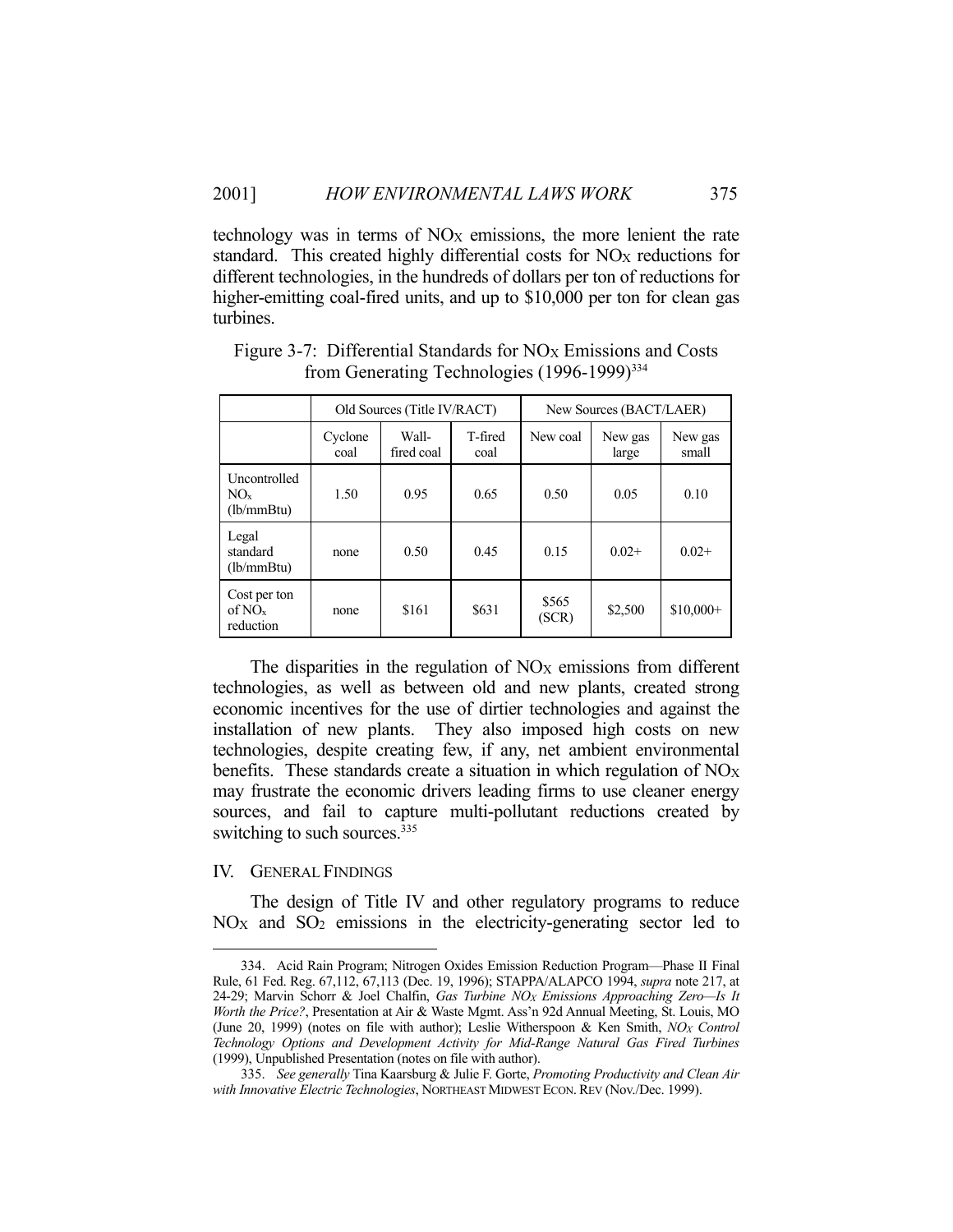technology was in terms of NOX emissions, the more lenient the rate standard. This created highly differential costs for NO<sub>X</sub> reductions for different technologies, in the hundreds of dollars per ton of reductions for higher-emitting coal-fired units, and up to \$10,000 per ton for clean gas turbines.

|                                                 | Old Sources (Title IV/RACT) |                     |                 | New Sources (BACT/LAER) |                  |                  |
|-------------------------------------------------|-----------------------------|---------------------|-----------------|-------------------------|------------------|------------------|
|                                                 | Cyclone<br>coal             | Wall-<br>fired coal | T-fired<br>coal | New coal                | New gas<br>large | New gas<br>small |
| Uncontrolled<br>$NO_{x}$<br>(lb/mm Btu)         | 1.50                        | 0.95                | 0.65            | 0.50                    | 0.05             | 0.10             |
| Legal<br>standard<br>(1b/mmBtu)                 | none                        | 0.50                | 0.45            | 0.15                    | $0.02+$          | $0.02+$          |
| Cost per ton<br>of NO <sub>x</sub><br>reduction | none                        | \$161               | \$631           | \$565<br>(SCR)          | \$2,500          | $$10,000+$       |

Figure 3-7: Differential Standards for NO<sub>X</sub> Emissions and Costs from Generating Technologies (1996-1999)<sup>334</sup>

The disparities in the regulation of  $NO<sub>X</sub>$  emissions from different technologies, as well as between old and new plants, created strong economic incentives for the use of dirtier technologies and against the installation of new plants. They also imposed high costs on new technologies, despite creating few, if any, net ambient environmental benefits. These standards create a situation in which regulation of  $NO<sub>X</sub>$ may frustrate the economic drivers leading firms to use cleaner energy sources, and fail to capture multi-pollutant reductions created by switching to such sources.<sup>335</sup>

### IV. GENERAL FINDINGS

1

 The design of Title IV and other regulatory programs to reduce NOX and SO2 emissions in the electricity-generating sector led to

 <sup>334.</sup> Acid Rain Program; Nitrogen Oxides Emission Reduction Program—Phase II Final Rule, 61 Fed. Reg. 67,112, 67,113 (Dec. 19, 1996); STAPPA/ALAPCO 1994, *supra* note 217, at 24-29; Marvin Schorr & Joel Chalfin, *Gas Turbine NOX Emissions Approaching Zero—Is It Worth the Price?*, Presentation at Air & Waste Mgmt. Ass'n 92d Annual Meeting, St. Louis, MO (June 20, 1999) (notes on file with author); Leslie Witherspoon & Ken Smith, *NOX Control Technology Options and Development Activity for Mid-Range Natural Gas Fired Turbines* (1999), Unpublished Presentation (notes on file with author).

 <sup>335.</sup> *See generally* Tina Kaarsburg & Julie F. Gorte, *Promoting Productivity and Clean Air with Innovative Electric Technologies*, NORTHEAST MIDWEST ECON. REV (Nov./Dec. 1999).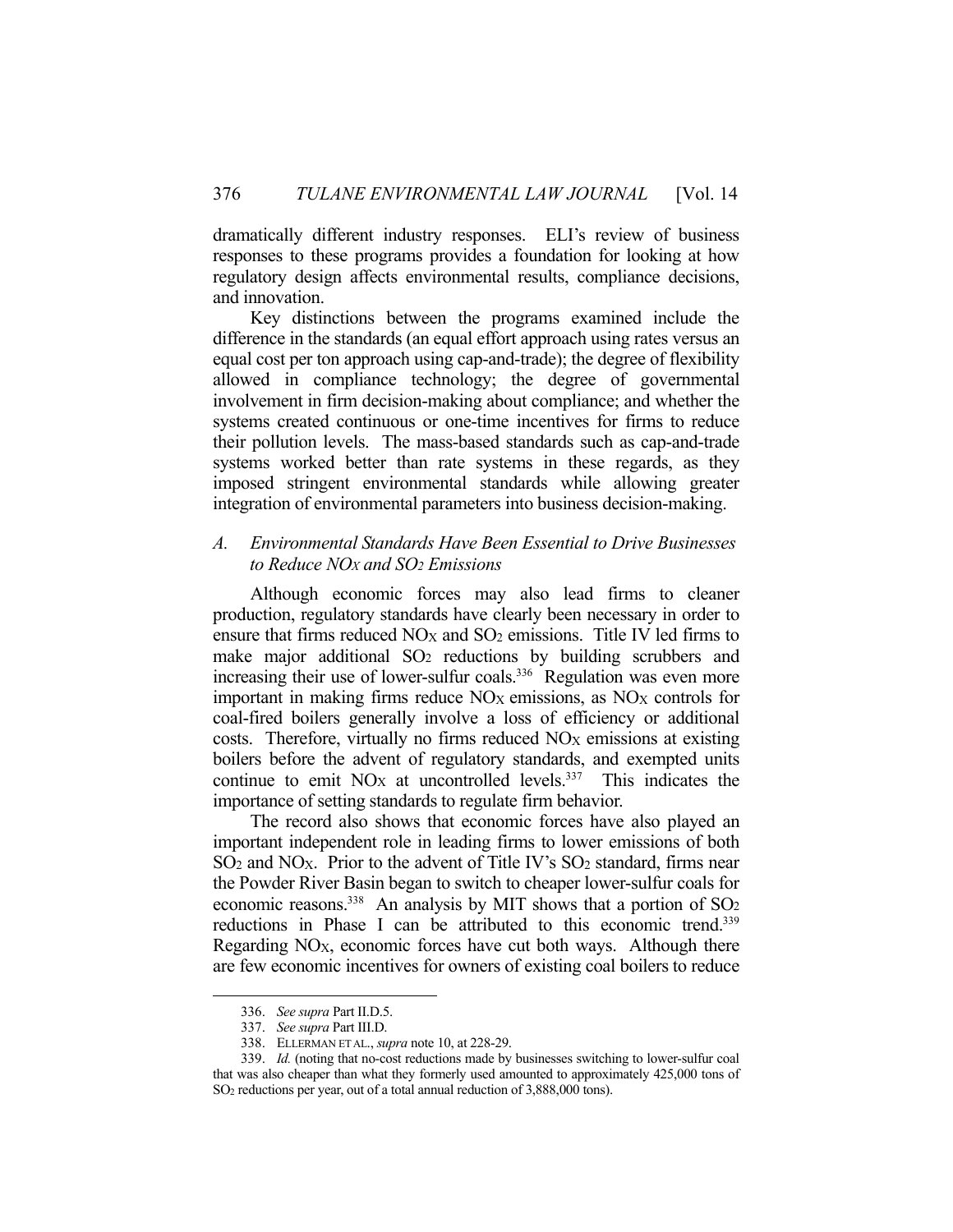dramatically different industry responses. ELI's review of business responses to these programs provides a foundation for looking at how regulatory design affects environmental results, compliance decisions, and innovation.

 Key distinctions between the programs examined include the difference in the standards (an equal effort approach using rates versus an equal cost per ton approach using cap-and-trade); the degree of flexibility allowed in compliance technology; the degree of governmental involvement in firm decision-making about compliance; and whether the systems created continuous or one-time incentives for firms to reduce their pollution levels. The mass-based standards such as cap-and-trade systems worked better than rate systems in these regards, as they imposed stringent environmental standards while allowing greater integration of environmental parameters into business decision-making.

# *A. Environmental Standards Have Been Essential to Drive Businesses to Reduce NOX and SO2 Emissions*

 Although economic forces may also lead firms to cleaner production, regulatory standards have clearly been necessary in order to ensure that firms reduced  $NOx$  and  $SO<sub>2</sub>$  emissions. Title IV led firms to make major additional SO<sub>2</sub> reductions by building scrubbers and increasing their use of lower-sulfur coals.<sup>336</sup> Regulation was even more important in making firms reduce  $NO<sub>X</sub>$  emissions, as  $NO<sub>X</sub>$  controls for coal-fired boilers generally involve a loss of efficiency or additional costs. Therefore, virtually no firms reduced  $NO<sub>X</sub>$  emissions at existing boilers before the advent of regulatory standards, and exempted units continue to emit  $NO<sub>X</sub>$  at uncontrolled levels.<sup>337</sup> This indicates the importance of setting standards to regulate firm behavior.

 The record also shows that economic forces have also played an important independent role in leading firms to lower emissions of both  $SO<sub>2</sub>$  and NO<sub>X</sub>. Prior to the advent of Title IV's  $SO<sub>2</sub>$  standard, firms near the Powder River Basin began to switch to cheaper lower-sulfur coals for economic reasons.<sup>338</sup> An analysis by MIT shows that a portion of SO<sub>2</sub> reductions in Phase I can be attributed to this economic trend.<sup>339</sup> Regarding NO<sub>X</sub>, economic forces have cut both ways. Although there are few economic incentives for owners of existing coal boilers to reduce

 <sup>336.</sup> *See supra* Part II.D.5.

 <sup>337.</sup> *See supra* Part III.D.

 <sup>338.</sup> ELLERMAN ET AL., *supra* note 10, at 228-29.

 <sup>339.</sup> *Id.* (noting that no-cost reductions made by businesses switching to lower-sulfur coal that was also cheaper than what they formerly used amounted to approximately 425,000 tons of SO2 reductions per year, out of a total annual reduction of 3,888,000 tons).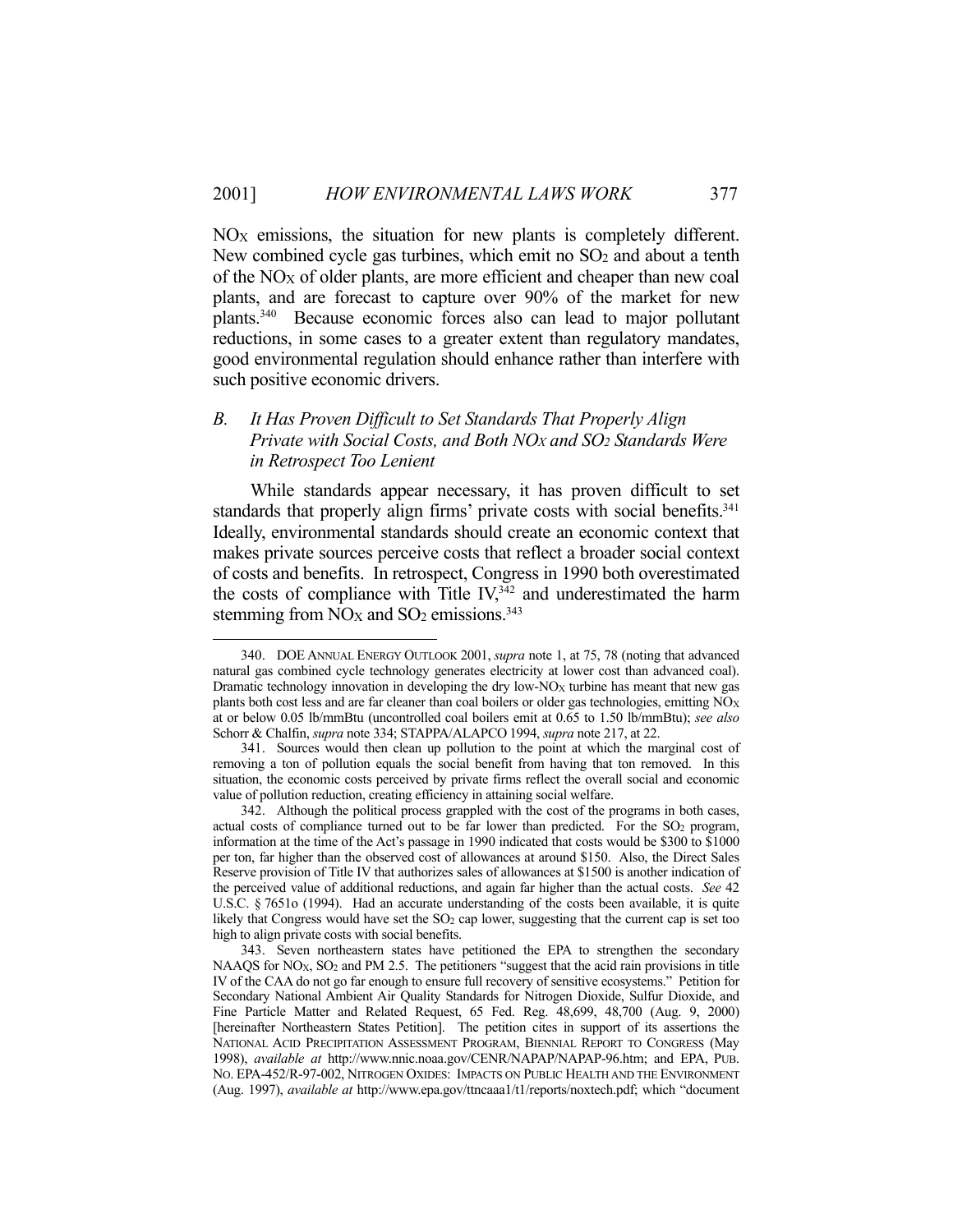NOX emissions, the situation for new plants is completely different. New combined cycle gas turbines, which emit no  $SO<sub>2</sub>$  and about a tenth of the  $NO_X$  of older plants, are more efficient and cheaper than new coal plants, and are forecast to capture over 90% of the market for new plants.340 Because economic forces also can lead to major pollutant reductions, in some cases to a greater extent than regulatory mandates, good environmental regulation should enhance rather than interfere with such positive economic drivers.

# *B. It Has Proven Difficult to Set Standards That Properly Align Private with Social Costs, and Both NOX and SO2 Standards Were in Retrospect Too Lenient*

 While standards appear necessary, it has proven difficult to set standards that properly align firms' private costs with social benefits.<sup>341</sup> Ideally, environmental standards should create an economic context that makes private sources perceive costs that reflect a broader social context of costs and benefits. In retrospect, Congress in 1990 both overestimated the costs of compliance with Title  $\rm IV,^{342}$  and underestimated the harm stemming from NO<sub>X</sub> and SO<sub>2</sub> emissions.<sup>343</sup>

 <sup>340.</sup> DOE ANNUAL ENERGY OUTLOOK 2001, *supra* note 1, at 75, 78 (noting that advanced natural gas combined cycle technology generates electricity at lower cost than advanced coal). Dramatic technology innovation in developing the dry low-NO<sub>X</sub> turbine has meant that new gas plants both cost less and are far cleaner than coal boilers or older gas technologies, emitting  $\overline{NO_{X}}$ at or below 0.05 lb/mmBtu (uncontrolled coal boilers emit at 0.65 to 1.50 lb/mmBtu); *see also* Schorr & Chalfin, *supra* note 334; STAPPA/ALAPCO 1994, *supra* note 217, at 22.

 <sup>341.</sup> Sources would then clean up pollution to the point at which the marginal cost of removing a ton of pollution equals the social benefit from having that ton removed. In this situation, the economic costs perceived by private firms reflect the overall social and economic value of pollution reduction, creating efficiency in attaining social welfare.

 <sup>342.</sup> Although the political process grappled with the cost of the programs in both cases, actual costs of compliance turned out to be far lower than predicted. For the  $SO<sub>2</sub>$  program, information at the time of the Act's passage in 1990 indicated that costs would be \$300 to \$1000 per ton, far higher than the observed cost of allowances at around \$150. Also, the Direct Sales Reserve provision of Title IV that authorizes sales of allowances at \$1500 is another indication of the perceived value of additional reductions, and again far higher than the actual costs. *See* 42 U.S.C. § 7651o (1994). Had an accurate understanding of the costs been available, it is quite likely that Congress would have set the  $SO<sub>2</sub>$  cap lower, suggesting that the current cap is set too high to align private costs with social benefits.

 <sup>343.</sup> Seven northeastern states have petitioned the EPA to strengthen the secondary NAAQS for NO<sub>X</sub>, SO<sub>2</sub> and PM 2.5. The petitioners "suggest that the acid rain provisions in title IV of the CAA do not go far enough to ensure full recovery of sensitive ecosystems." Petition for Secondary National Ambient Air Quality Standards for Nitrogen Dioxide, Sulfur Dioxide, and Fine Particle Matter and Related Request, 65 Fed. Reg. 48,699, 48,700 (Aug. 9, 2000) [hereinafter Northeastern States Petition]. The petition cites in support of its assertions the NATIONAL ACID PRECIPITATION ASSESSMENT PROGRAM, BIENNIAL REPORT TO CONGRESS (May 1998), *available at* http://www.nnic.noaa.gov/CENR/NAPAP/NAPAP-96.htm; and EPA, PUB. NO. EPA-452/R-97-002, NITROGEN OXIDES: IMPACTS ON PUBLIC HEALTH AND THE ENVIRONMENT (Aug. 1997), *available at* http://www.epa.gov/ttncaaa1/t1/reports/noxtech.pdf; which "document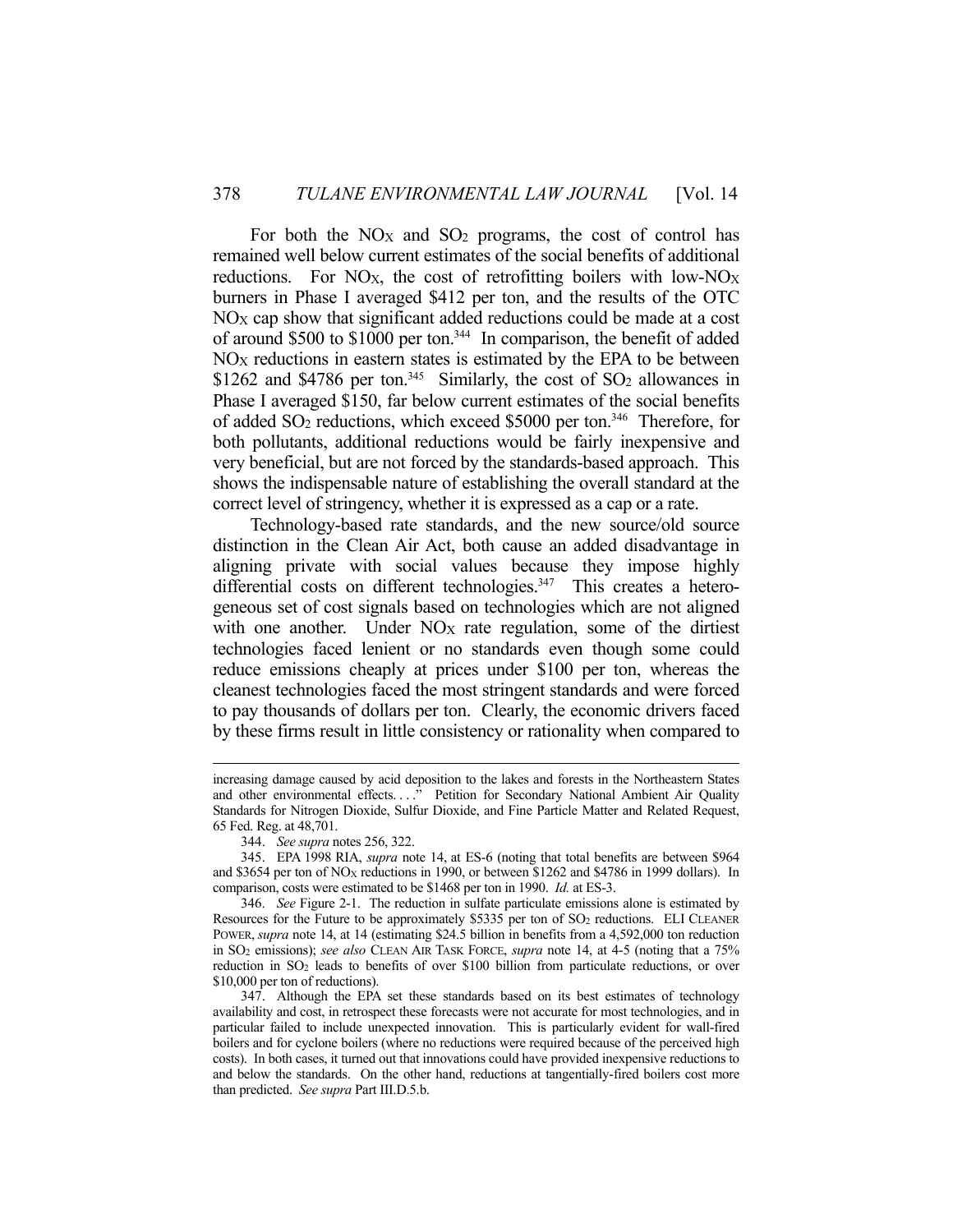For both the  $NOX$  and  $SO<sub>2</sub>$  programs, the cost of control has remained well below current estimates of the social benefits of additional reductions. For NO<sub>X</sub>, the cost of retrofitting boilers with low-NO<sub>X</sub> burners in Phase I averaged \$412 per ton, and the results of the OTC  $NO<sub>X</sub>$  cap show that significant added reductions could be made at a cost of around \$500 to \$1000 per ton.<sup>344</sup> In comparison, the benefit of added  $NO<sub>X</sub>$  reductions in eastern states is estimated by the EPA to be between \$1262 and \$4786 per ton.<sup>345</sup> Similarly, the cost of SO<sub>2</sub> allowances in Phase I averaged \$150, far below current estimates of the social benefits of added SO2 reductions, which exceed \$5000 per ton.346 Therefore, for both pollutants, additional reductions would be fairly inexpensive and very beneficial, but are not forced by the standards-based approach. This shows the indispensable nature of establishing the overall standard at the correct level of stringency, whether it is expressed as a cap or a rate.

 Technology-based rate standards, and the new source/old source distinction in the Clean Air Act, both cause an added disadvantage in aligning private with social values because they impose highly differential costs on different technologies.<sup>347</sup> This creates a heterogeneous set of cost signals based on technologies which are not aligned with one another. Under NO<sub>X</sub> rate regulation, some of the dirtiest technologies faced lenient or no standards even though some could reduce emissions cheaply at prices under \$100 per ton, whereas the cleanest technologies faced the most stringent standards and were forced to pay thousands of dollars per ton. Clearly, the economic drivers faced by these firms result in little consistency or rationality when compared to

increasing damage caused by acid deposition to the lakes and forests in the Northeastern States and other environmental effects...." Petition for Secondary National Ambient Air Quality Standards for Nitrogen Dioxide, Sulfur Dioxide, and Fine Particle Matter and Related Request, 65 Fed. Reg. at 48,701.

 <sup>344.</sup> *See supra* notes 256, 322.

 <sup>345.</sup> EPA 1998 RIA, *supra* note 14, at ES-6 (noting that total benefits are between \$964 and \$3654 per ton of NOX reductions in 1990, or between \$1262 and \$4786 in 1999 dollars). In comparison, costs were estimated to be \$1468 per ton in 1990. *Id.* at ES-3.

 <sup>346.</sup> *See* Figure 2-1. The reduction in sulfate particulate emissions alone is estimated by Resources for the Future to be approximately \$5335 per ton of SO2 reductions. ELI CLEANER POWER, *supra* note 14, at 14 (estimating \$24.5 billion in benefits from a 4,592,000 ton reduction in SO2 emissions); *see also* CLEAN AIR TASK FORCE, *supra* note 14, at 4-5 (noting that a 75% reduction in SO2 leads to benefits of over \$100 billion from particulate reductions, or over \$10,000 per ton of reductions).

 <sup>347.</sup> Although the EPA set these standards based on its best estimates of technology availability and cost, in retrospect these forecasts were not accurate for most technologies, and in particular failed to include unexpected innovation. This is particularly evident for wall-fired boilers and for cyclone boilers (where no reductions were required because of the perceived high costs). In both cases, it turned out that innovations could have provided inexpensive reductions to and below the standards. On the other hand, reductions at tangentially-fired boilers cost more than predicted. *See supra* Part III.D.5.b.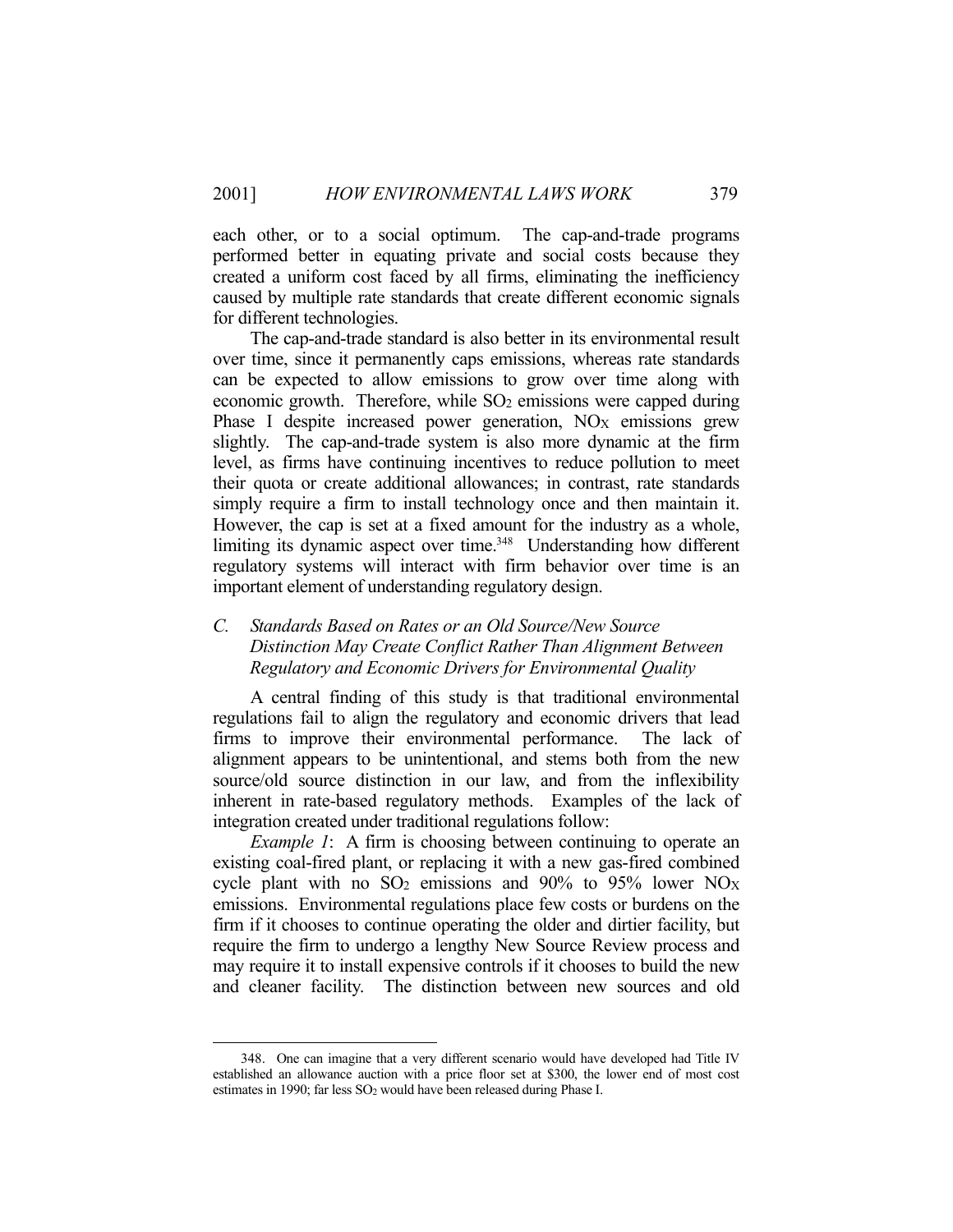each other, or to a social optimum. The cap-and-trade programs performed better in equating private and social costs because they created a uniform cost faced by all firms, eliminating the inefficiency caused by multiple rate standards that create different economic signals for different technologies.

 The cap-and-trade standard is also better in its environmental result over time, since it permanently caps emissions, whereas rate standards can be expected to allow emissions to grow over time along with economic growth. Therefore, while  $SO<sub>2</sub>$  emissions were capped during Phase I despite increased power generation,  $NO<sub>X</sub>$  emissions grew slightly. The cap-and-trade system is also more dynamic at the firm level, as firms have continuing incentives to reduce pollution to meet their quota or create additional allowances; in contrast, rate standards simply require a firm to install technology once and then maintain it. However, the cap is set at a fixed amount for the industry as a whole, limiting its dynamic aspect over time.<sup>348</sup> Understanding how different regulatory systems will interact with firm behavior over time is an important element of understanding regulatory design.

# *C. Standards Based on Rates or an Old Source/New Source Distinction May Create Conflict Rather Than Alignment Between Regulatory and Economic Drivers for Environmental Quality*

 A central finding of this study is that traditional environmental regulations fail to align the regulatory and economic drivers that lead firms to improve their environmental performance. The lack of alignment appears to be unintentional, and stems both from the new source/old source distinction in our law, and from the inflexibility inherent in rate-based regulatory methods. Examples of the lack of integration created under traditional regulations follow:

*Example 1*: A firm is choosing between continuing to operate an existing coal-fired plant, or replacing it with a new gas-fired combined cycle plant with no  $SO_2$  emissions and  $90\%$  to  $95\%$  lower  $NO<sub>X</sub>$ emissions. Environmental regulations place few costs or burdens on the firm if it chooses to continue operating the older and dirtier facility, but require the firm to undergo a lengthy New Source Review process and may require it to install expensive controls if it chooses to build the new and cleaner facility. The distinction between new sources and old

 <sup>348.</sup> One can imagine that a very different scenario would have developed had Title IV established an allowance auction with a price floor set at \$300, the lower end of most cost estimates in 1990; far less SO<sub>2</sub> would have been released during Phase I.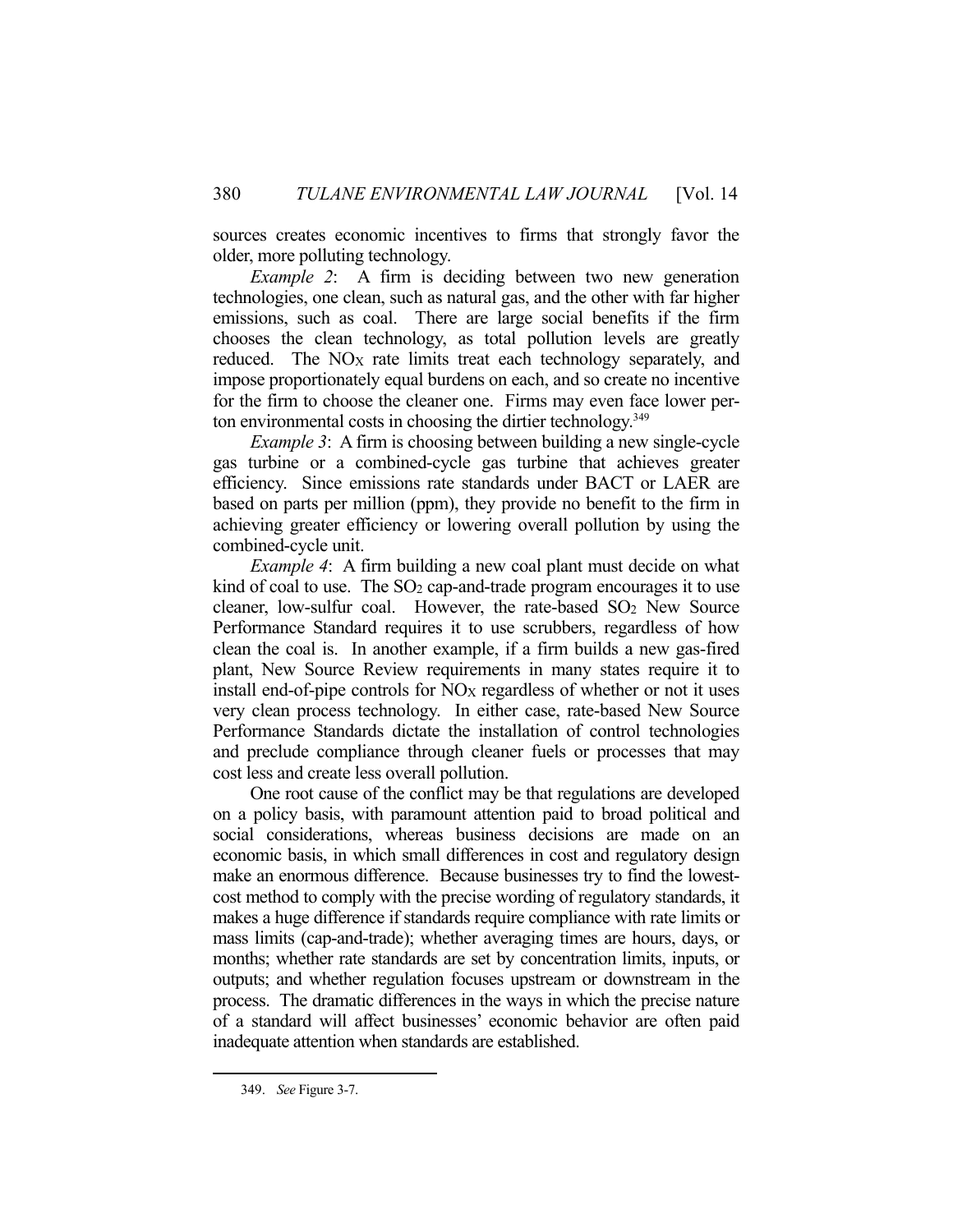sources creates economic incentives to firms that strongly favor the older, more polluting technology.

*Example 2*: A firm is deciding between two new generation technologies, one clean, such as natural gas, and the other with far higher emissions, such as coal. There are large social benefits if the firm chooses the clean technology, as total pollution levels are greatly reduced. The  $NO<sub>X</sub>$  rate limits treat each technology separately, and impose proportionately equal burdens on each, and so create no incentive for the firm to choose the cleaner one. Firms may even face lower perton environmental costs in choosing the dirtier technology.349

*Example 3*: A firm is choosing between building a new single-cycle gas turbine or a combined-cycle gas turbine that achieves greater efficiency. Since emissions rate standards under BACT or LAER are based on parts per million (ppm), they provide no benefit to the firm in achieving greater efficiency or lowering overall pollution by using the combined-cycle unit.

*Example 4*: A firm building a new coal plant must decide on what kind of coal to use. The  $SO<sub>2</sub>$  cap-and-trade program encourages it to use cleaner, low-sulfur coal. However, the rate-based SO2 New Source Performance Standard requires it to use scrubbers, regardless of how clean the coal is. In another example, if a firm builds a new gas-fired plant, New Source Review requirements in many states require it to install end-of-pipe controls for  $NO<sub>X</sub>$  regardless of whether or not it uses very clean process technology. In either case, rate-based New Source Performance Standards dictate the installation of control technologies and preclude compliance through cleaner fuels or processes that may cost less and create less overall pollution.

 One root cause of the conflict may be that regulations are developed on a policy basis, with paramount attention paid to broad political and social considerations, whereas business decisions are made on an economic basis, in which small differences in cost and regulatory design make an enormous difference. Because businesses try to find the lowestcost method to comply with the precise wording of regulatory standards, it makes a huge difference if standards require compliance with rate limits or mass limits (cap-and-trade); whether averaging times are hours, days, or months; whether rate standards are set by concentration limits, inputs, or outputs; and whether regulation focuses upstream or downstream in the process. The dramatic differences in the ways in which the precise nature of a standard will affect businesses' economic behavior are often paid inadequate attention when standards are established.

 <sup>349.</sup> *See* Figure 3-7.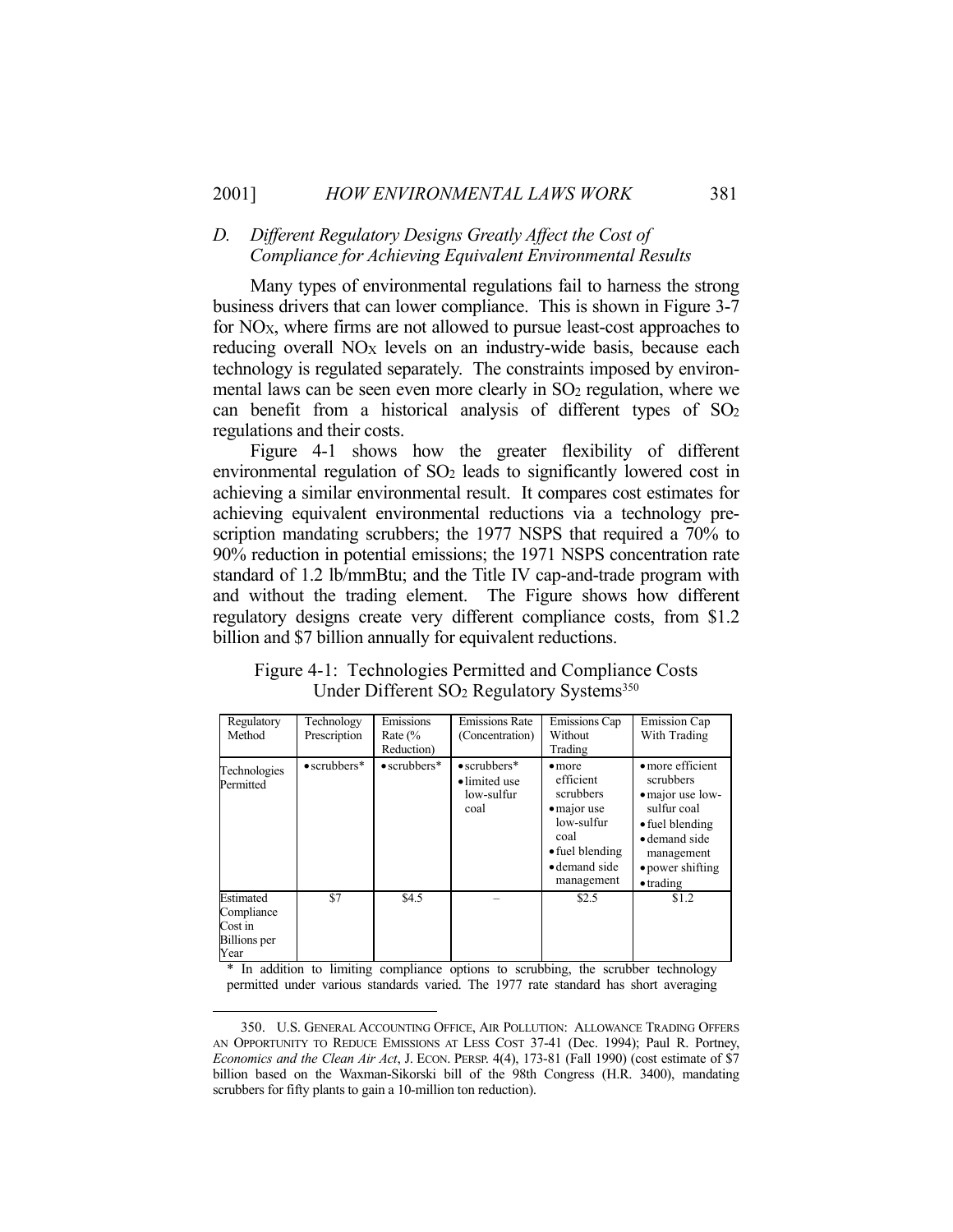# *D. Different Regulatory Designs Greatly Affect the Cost of Compliance for Achieving Equivalent Environmental Results*

 Many types of environmental regulations fail to harness the strong business drivers that can lower compliance. This is shown in Figure 3-7 for  $NO<sub>X</sub>$ , where firms are not allowed to pursue least-cost approaches to reducing overall NO<sub>X</sub> levels on an industry-wide basis, because each technology is regulated separately. The constraints imposed by environmental laws can be seen even more clearly in SO<sub>2</sub> regulation, where we can benefit from a historical analysis of different types of SO2 regulations and their costs.

 Figure 4-1 shows how the greater flexibility of different environmental regulation of SO<sub>2</sub> leads to significantly lowered cost in achieving a similar environmental result. It compares cost estimates for achieving equivalent environmental reductions via a technology prescription mandating scrubbers; the 1977 NSPS that required a 70% to 90% reduction in potential emissions; the 1971 NSPS concentration rate standard of 1.2 lb/mmBtu; and the Title IV cap-and-trade program with and without the trading element. The Figure shows how different regulatory designs create very different compliance costs, from \$1.2 billion and \$7 billion annually for equivalent reductions.

| Figure 4-1: Technologies Permitted and Compliance Costs |  |
|---------------------------------------------------------|--|
| Under Different $SO2$ Regulatory Systems <sup>350</sup> |  |

| Regulatory<br>Method                                       | Technology<br>Prescription | Emissions<br>Rate $\frac{6}{6}$<br>Reduction) | <b>Emissions Rate</b><br>(Concentration)                    | Emissions Cap<br>Without<br>Trading                                                                                                     | Emission Cap<br>With Trading                                                                                                                                |
|------------------------------------------------------------|----------------------------|-----------------------------------------------|-------------------------------------------------------------|-----------------------------------------------------------------------------------------------------------------------------------------|-------------------------------------------------------------------------------------------------------------------------------------------------------------|
| Technologies<br>Permitted                                  | $\bullet$ scrubbers*       | $\bullet$ scrubbers*                          | $\bullet$ scrubbers*<br>• limited use<br>low-sulfur<br>coal | $\bullet$ more<br>efficient<br>scrubbers<br>• major use<br>low-sulfur<br>coal<br>$\bullet$ fuel blending<br>• demand side<br>management | • more efficient<br>scrubbers<br>• major use low-<br>sulfur coal<br>• fuel blending<br>• demand side<br>management<br>• power shifting<br>$\bullet$ trading |
| Estimated<br>Compliance<br>Cost in<br>Billions per<br>Year | \$7                        | \$4.5                                         |                                                             | \$2.5                                                                                                                                   | \$1.2                                                                                                                                                       |

\* In addition to limiting compliance options to scrubbing, the scrubber technology permitted under various standards varied. The 1977 rate standard has short averaging

 <sup>350.</sup> U.S. GENERAL ACCOUNTING OFFICE, AIR POLLUTION: ALLOWANCE TRADING OFFERS AN OPPORTUNITY TO REDUCE EMISSIONS AT LESS COST 37-41 (Dec. 1994); Paul R. Portney, *Economics and the Clean Air Act*, J. ECON. PERSP. 4(4), 173-81 (Fall 1990) (cost estimate of \$7 billion based on the Waxman-Sikorski bill of the 98th Congress (H.R. 3400), mandating scrubbers for fifty plants to gain a 10-million ton reduction).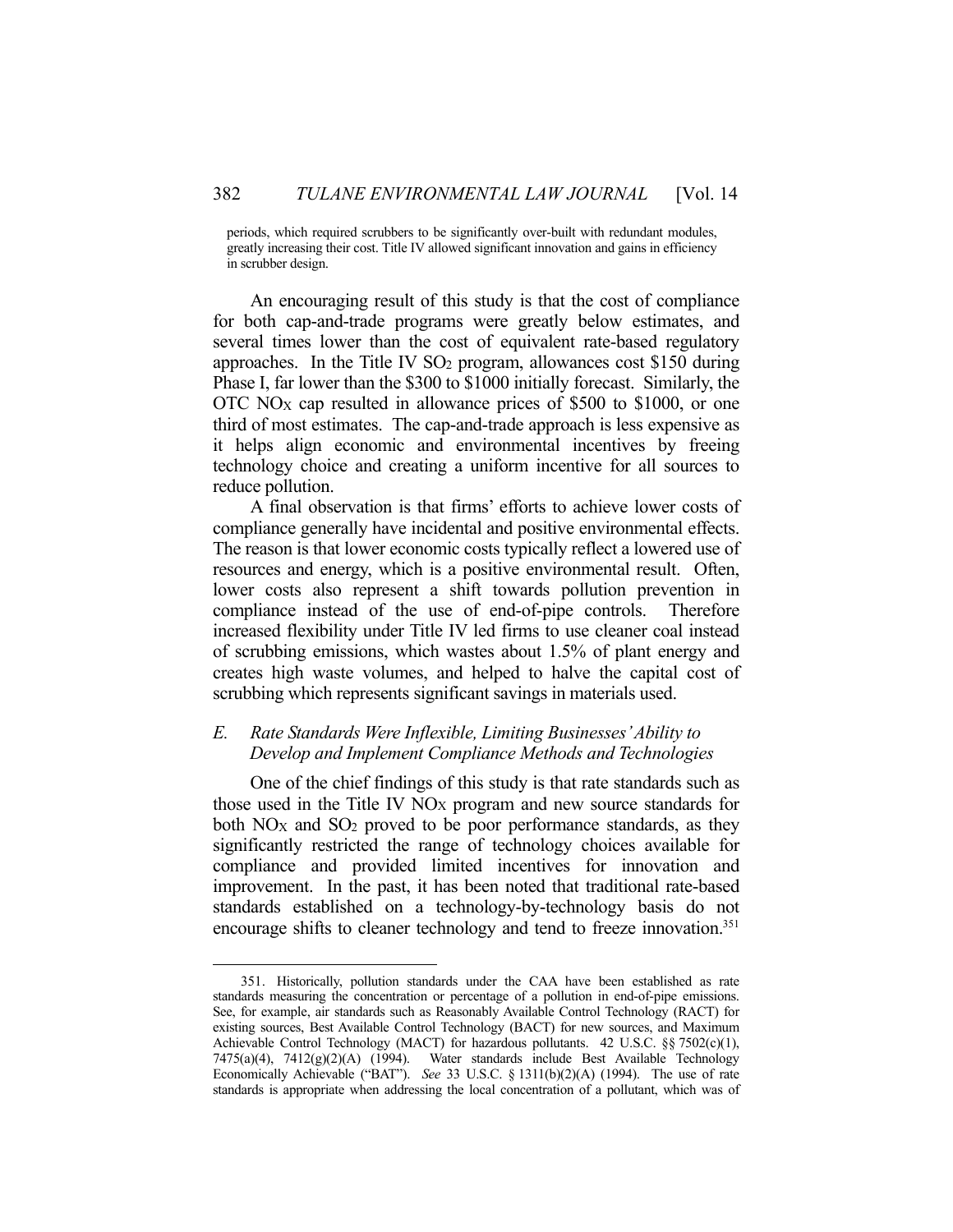periods, which required scrubbers to be significantly over-built with redundant modules, greatly increasing their cost. Title IV allowed significant innovation and gains in efficiency in scrubber design.

 An encouraging result of this study is that the cost of compliance for both cap-and-trade programs were greatly below estimates, and several times lower than the cost of equivalent rate-based regulatory approaches. In the Title IV SO2 program, allowances cost \$150 during Phase I, far lower than the \$300 to \$1000 initially forecast. Similarly, the OTC NOX cap resulted in allowance prices of \$500 to \$1000, or one third of most estimates. The cap-and-trade approach is less expensive as it helps align economic and environmental incentives by freeing technology choice and creating a uniform incentive for all sources to reduce pollution.

 A final observation is that firms' efforts to achieve lower costs of compliance generally have incidental and positive environmental effects. The reason is that lower economic costs typically reflect a lowered use of resources and energy, which is a positive environmental result. Often, lower costs also represent a shift towards pollution prevention in compliance instead of the use of end-of-pipe controls. Therefore increased flexibility under Title IV led firms to use cleaner coal instead of scrubbing emissions, which wastes about 1.5% of plant energy and creates high waste volumes, and helped to halve the capital cost of scrubbing which represents significant savings in materials used.

# *E. Rate Standards Were Inflexible, Limiting Businesses' Ability to Develop and Implement Compliance Methods and Technologies*

 One of the chief findings of this study is that rate standards such as those used in the Title IV  $NO_X$  program and new source standards for both NO<sub>X</sub> and SO<sub>2</sub> proved to be poor performance standards, as they significantly restricted the range of technology choices available for compliance and provided limited incentives for innovation and improvement. In the past, it has been noted that traditional rate-based standards established on a technology-by-technology basis do not encourage shifts to cleaner technology and tend to freeze innovation.<sup>351</sup>

 <sup>351.</sup> Historically, pollution standards under the CAA have been established as rate standards measuring the concentration or percentage of a pollution in end-of-pipe emissions. See, for example, air standards such as Reasonably Available Control Technology (RACT) for existing sources, Best Available Control Technology (BACT) for new sources, and Maximum Achievable Control Technology (MACT) for hazardous pollutants. 42 U.S.C. §§ 7502(c)(1),  $7475(a)(4)$ ,  $7412(g)(2)(A)$  (1994). Water standards include Best Available Technology Economically Achievable ("BAT"). *See* 33 U.S.C. § 1311(b)(2)(A) (1994). The use of rate standards is appropriate when addressing the local concentration of a pollutant, which was of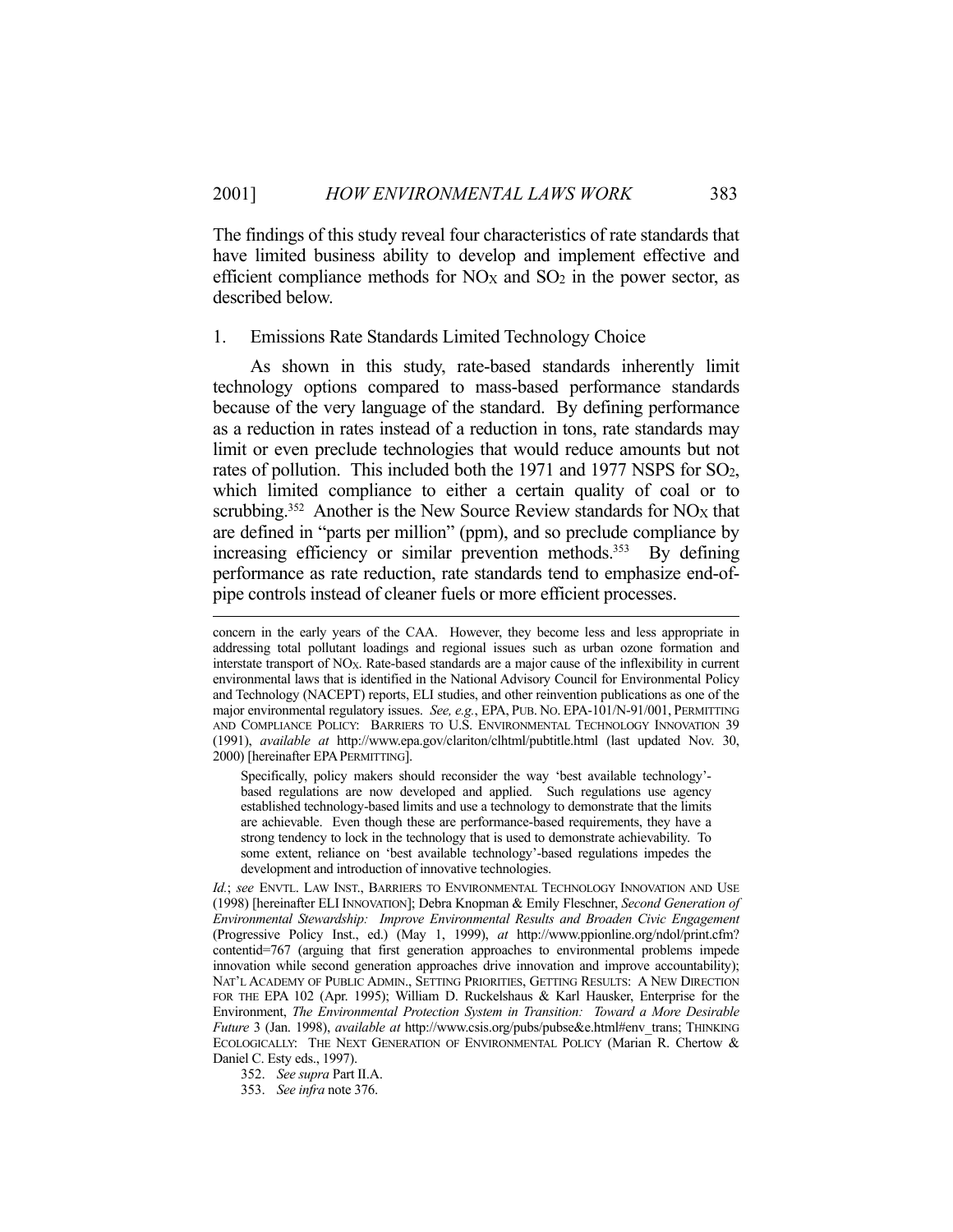The findings of this study reveal four characteristics of rate standards that have limited business ability to develop and implement effective and efficient compliance methods for  $NO<sub>X</sub>$  and  $SO<sub>2</sub>$  in the power sector, as described below.

### 1. Emissions Rate Standards Limited Technology Choice

 As shown in this study, rate-based standards inherently limit technology options compared to mass-based performance standards because of the very language of the standard. By defining performance as a reduction in rates instead of a reduction in tons, rate standards may limit or even preclude technologies that would reduce amounts but not rates of pollution. This included both the 1971 and 1977 NSPS for SO<sub>2</sub>, which limited compliance to either a certain quality of coal or to scrubbing.<sup>352</sup> Another is the New Source Review standards for NO<sub>X</sub> that are defined in "parts per million" (ppm), and so preclude compliance by increasing efficiency or similar prevention methods.<sup>353</sup> By defining performance as rate reduction, rate standards tend to emphasize end-ofpipe controls instead of cleaner fuels or more efficient processes.

Specifically, policy makers should reconsider the way 'best available technology' based regulations are now developed and applied. Such regulations use agency established technology-based limits and use a technology to demonstrate that the limits are achievable. Even though these are performance-based requirements, they have a strong tendency to lock in the technology that is used to demonstrate achievability. To some extent, reliance on 'best available technology'-based regulations impedes the development and introduction of innovative technologies.

*Id.*; *see* ENVTL. LAW INST., BARRIERS TO ENVIRONMENTAL TECHNOLOGY INNOVATION AND USE (1998) [hereinafter ELI INNOVATION]; Debra Knopman & Emily Fleschner, *Second Generation of Environmental Stewardship: Improve Environmental Results and Broaden Civic Engagement* (Progressive Policy Inst., ed.) (May 1, 1999), *at* http://www.ppionline.org/ndol/print.cfm? contentid=767 (arguing that first generation approaches to environmental problems impede innovation while second generation approaches drive innovation and improve accountability); NAT'L ACADEMY OF PUBLIC ADMIN., SETTING PRIORITIES, GETTING RESULTS: A NEW DIRECTION FOR THE EPA 102 (Apr. 1995); William D. Ruckelshaus & Karl Hausker, Enterprise for the Environment, *The Environmental Protection System in Transition: Toward a More Desirable Future* 3 (Jan. 1998), *available at* http://www.csis.org/pubs/pubse&e.html#env\_trans; THINKING ECOLOGICALLY: THE NEXT GENERATION OF ENVIRONMENTAL POLICY (Marian R. Chertow & Daniel C. Esty eds., 1997).

352. *See supra* Part II.A.

353. *See infra* note 376.

concern in the early years of the CAA. However, they become less and less appropriate in addressing total pollutant loadings and regional issues such as urban ozone formation and interstate transport of NOX. Rate-based standards are a major cause of the inflexibility in current environmental laws that is identified in the National Advisory Council for Environmental Policy and Technology (NACEPT) reports, ELI studies, and other reinvention publications as one of the major environmental regulatory issues. *See, e.g.*, EPA, PUB. NO. EPA-101/N-91/001, PERMITTING AND COMPLIANCE POLICY: BARRIERS TO U.S. ENVIRONMENTAL TECHNOLOGY INNOVATION 39 (1991), *available at* http://www.epa.gov/clariton/clhtml/pubtitle.html (last updated Nov. 30, 2000) [hereinafter EPAPERMITTING].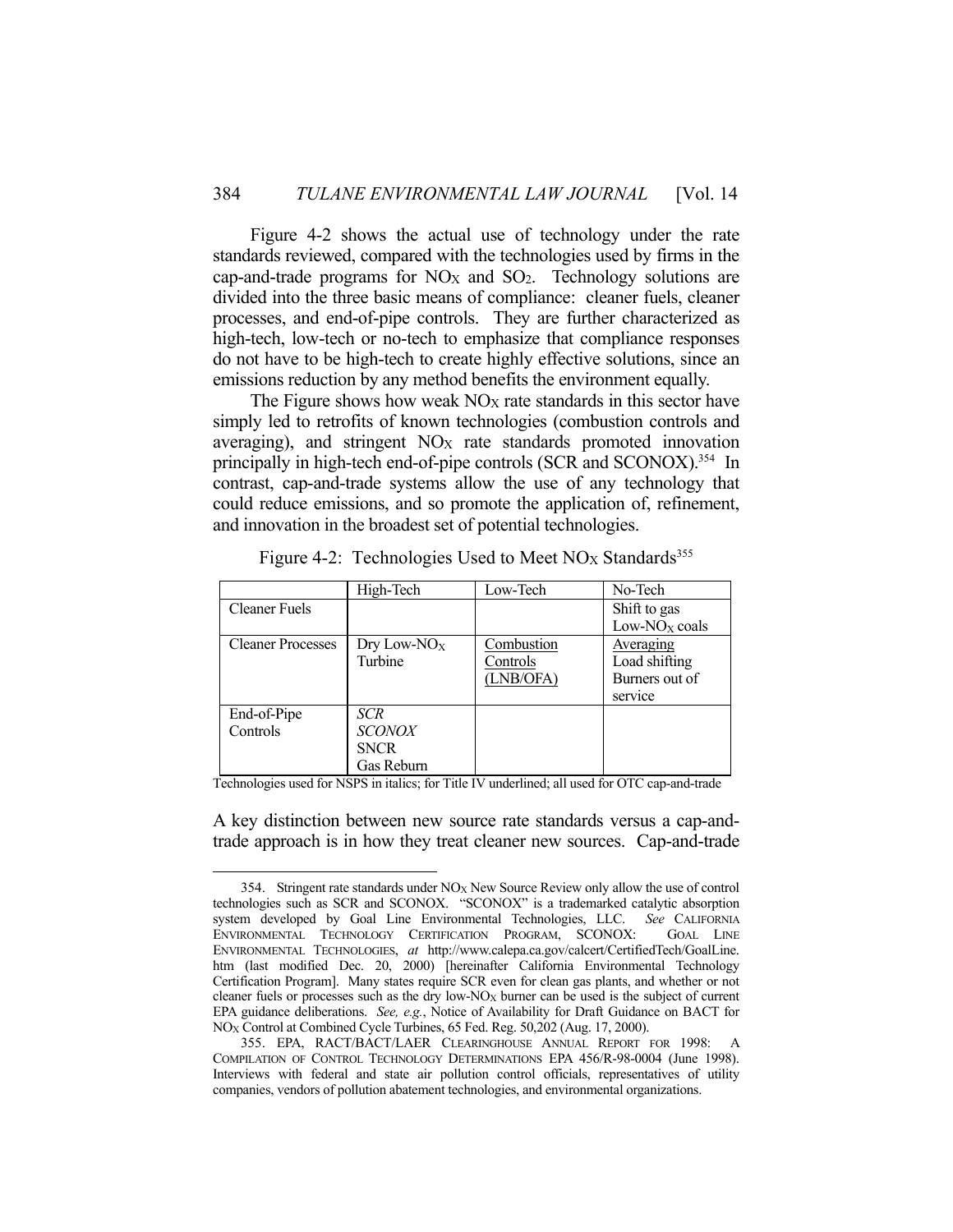Figure 4-2 shows the actual use of technology under the rate standards reviewed, compared with the technologies used by firms in the cap-and-trade programs for  $NO_X$  and  $SO_2$ . Technology solutions are divided into the three basic means of compliance: cleaner fuels, cleaner processes, and end-of-pipe controls. They are further characterized as high-tech, low-tech or no-tech to emphasize that compliance responses do not have to be high-tech to create highly effective solutions, since an emissions reduction by any method benefits the environment equally.

The Figure shows how weak  $NO<sub>X</sub>$  rate standards in this sector have simply led to retrofits of known technologies (combustion controls and averaging), and stringent NO<sub>X</sub> rate standards promoted innovation principally in high-tech end-of-pipe controls (SCR and SCONOX).<sup>354</sup> In contrast, cap-and-trade systems allow the use of any technology that could reduce emissions, and so promote the application of, refinement, and innovation in the broadest set of potential technologies.

|                          | High-Tech      | Low-Tech   | No-Tech                   |
|--------------------------|----------------|------------|---------------------------|
| Cleaner Fuels            |                |            | Shift to gas              |
|                          |                |            | Low-NO <sub>x</sub> coals |
| <b>Cleaner Processes</b> | Dry Low- $NOX$ | Combustion | Averaging                 |
|                          | Turbine        | Controls   | Load shifting             |
|                          |                | (LNB/OFA)  | Burners out of            |
|                          |                |            | service                   |
| End-of-Pipe              | <b>SCR</b>     |            |                           |
| Controls                 | <b>SCONOX</b>  |            |                           |
|                          | <b>SNCR</b>    |            |                           |
|                          | Gas Reburn     |            |                           |

Figure 4-2: Technologies Used to Meet  $NO<sub>X</sub>$  Standards<sup>355</sup>

Technologies used for NSPS in italics; for Title IV underlined; all used for OTC cap-and-trade

A key distinction between new source rate standards versus a cap-andtrade approach is in how they treat cleaner new sources. Cap-and-trade

<sup>354.</sup> Stringent rate standards under  $NO<sub>X</sub>$  New Source Review only allow the use of control technologies such as SCR and SCONOX. "SCONOX" is a trademarked catalytic absorption system developed by Goal Line Environmental Technologies, LLC. *See* CALIFORNIA ENVIRONMENTAL TECHNOLOGY CERTIFICATION PROGRAM, SCONOX: GOAL LINE ENVIRONMENTAL TECHNOLOGIES, *at* http://www.calepa.ca.gov/calcert/CertifiedTech/GoalLine. htm (last modified Dec. 20, 2000) [hereinafter California Environmental Technology Certification Program]. Many states require SCR even for clean gas plants, and whether or not cleaner fuels or processes such as the dry low- $NO_X$  burner can be used is the subject of current EPA guidance deliberations. *See, e.g.*, Notice of Availability for Draft Guidance on BACT for NOX Control at Combined Cycle Turbines, 65 Fed. Reg. 50,202 (Aug. 17, 2000).

 <sup>355.</sup> EPA, RACT/BACT/LAER CLEARINGHOUSE ANNUAL REPORT FOR 1998: A COMPILATION OF CONTROL TECHNOLOGY DETERMINATIONS EPA 456/R-98-0004 (June 1998). Interviews with federal and state air pollution control officials, representatives of utility companies, vendors of pollution abatement technologies, and environmental organizations.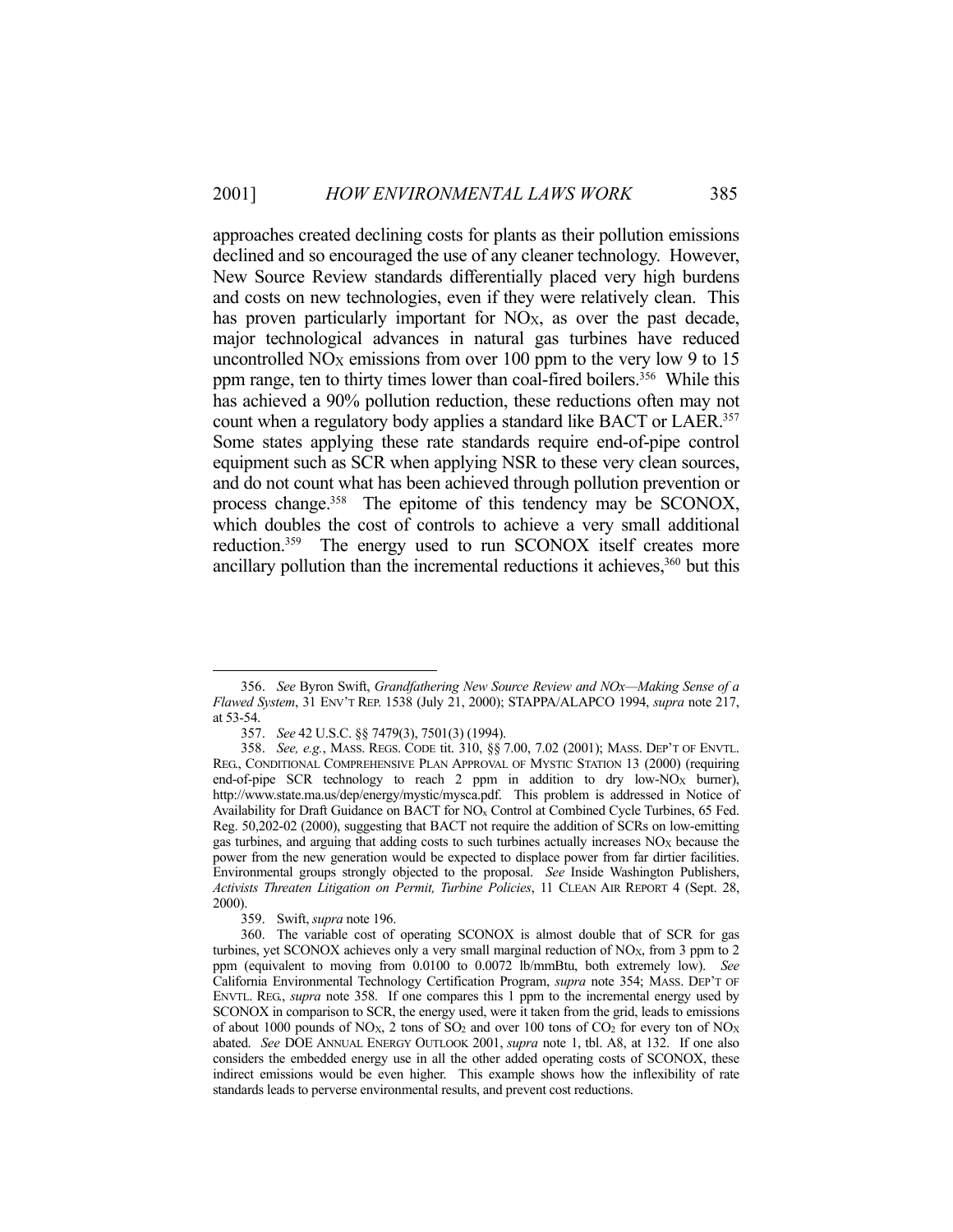approaches created declining costs for plants as their pollution emissions declined and so encouraged the use of any cleaner technology. However, New Source Review standards differentially placed very high burdens and costs on new technologies, even if they were relatively clean. This has proven particularly important for  $NO<sub>X</sub>$ , as over the past decade, major technological advances in natural gas turbines have reduced uncontrolled  $NO<sub>X</sub>$  emissions from over 100 ppm to the very low 9 to 15 ppm range, ten to thirty times lower than coal-fired boilers.<sup>356</sup> While this has achieved a 90% pollution reduction, these reductions often may not count when a regulatory body applies a standard like BACT or LAER.<sup>357</sup> Some states applying these rate standards require end-of-pipe control equipment such as SCR when applying NSR to these very clean sources, and do not count what has been achieved through pollution prevention or process change.358 The epitome of this tendency may be SCONOX, which doubles the cost of controls to achieve a very small additional reduction.359 The energy used to run SCONOX itself creates more ancillary pollution than the incremental reductions it achieves, 360 but this

 <sup>356.</sup> *See* Byron Swift, *Grandfathering New Source Review and NOx—Making Sense of a Flawed System*, 31 ENV'T REP. 1538 (July 21, 2000); STAPPA/ALAPCO 1994, *supra* note 217, at 53-54.

 <sup>357.</sup> *See* 42 U.S.C. §§ 7479(3), 7501(3) (1994).

 <sup>358.</sup> *See, e.g.*, MASS. REGS. CODE tit. 310, §§ 7.00, 7.02 (2001); MASS. DEP'T OF ENVTL. REG., CONDITIONAL COMPREHENSIVE PLAN APPROVAL OF MYSTIC STATION 13 (2000) (requiring end-of-pipe SCR technology to reach 2 ppm in addition to dry low-NO<sub>X</sub> burner), http://www.state.ma.us/dep/energy/mystic/mysca.pdf. This problem is addressed in Notice of Availability for Draft Guidance on BACT for NOx Control at Combined Cycle Turbines, 65 Fed. Reg. 50,202-02 (2000), suggesting that BACT not require the addition of SCRs on low-emitting gas turbines, and arguing that adding costs to such turbines actually increases  $NO<sub>X</sub>$  because the power from the new generation would be expected to displace power from far dirtier facilities. Environmental groups strongly objected to the proposal. *See* Inside Washington Publishers, *Activists Threaten Litigation on Permit, Turbine Policies*, 11 CLEAN AIR REPORT 4 (Sept. 28, 2000).

 <sup>359.</sup> Swift, *supra* note 196.

 <sup>360.</sup> The variable cost of operating SCONOX is almost double that of SCR for gas turbines, yet SCONOX achieves only a very small marginal reduction of NO<sub>X</sub>, from 3 ppm to 2 ppm (equivalent to moving from 0.0100 to 0.0072 lb/mmBtu, both extremely low). *See* California Environmental Technology Certification Program, *supra* note 354; MASS. DEP'T OF ENVTL. REG., *supra* note 358. If one compares this 1 ppm to the incremental energy used by SCONOX in comparison to SCR, the energy used, were it taken from the grid, leads to emissions of about 1000 pounds of NO<sub>X</sub>, 2 tons of  $SO_2$  and over 100 tons of  $CO_2$  for every ton of NO<sub>X</sub> abated. *See* DOE ANNUAL ENERGY OUTLOOK 2001, *supra* note 1, tbl. A8, at 132. If one also considers the embedded energy use in all the other added operating costs of SCONOX, these indirect emissions would be even higher. This example shows how the inflexibility of rate standards leads to perverse environmental results, and prevent cost reductions.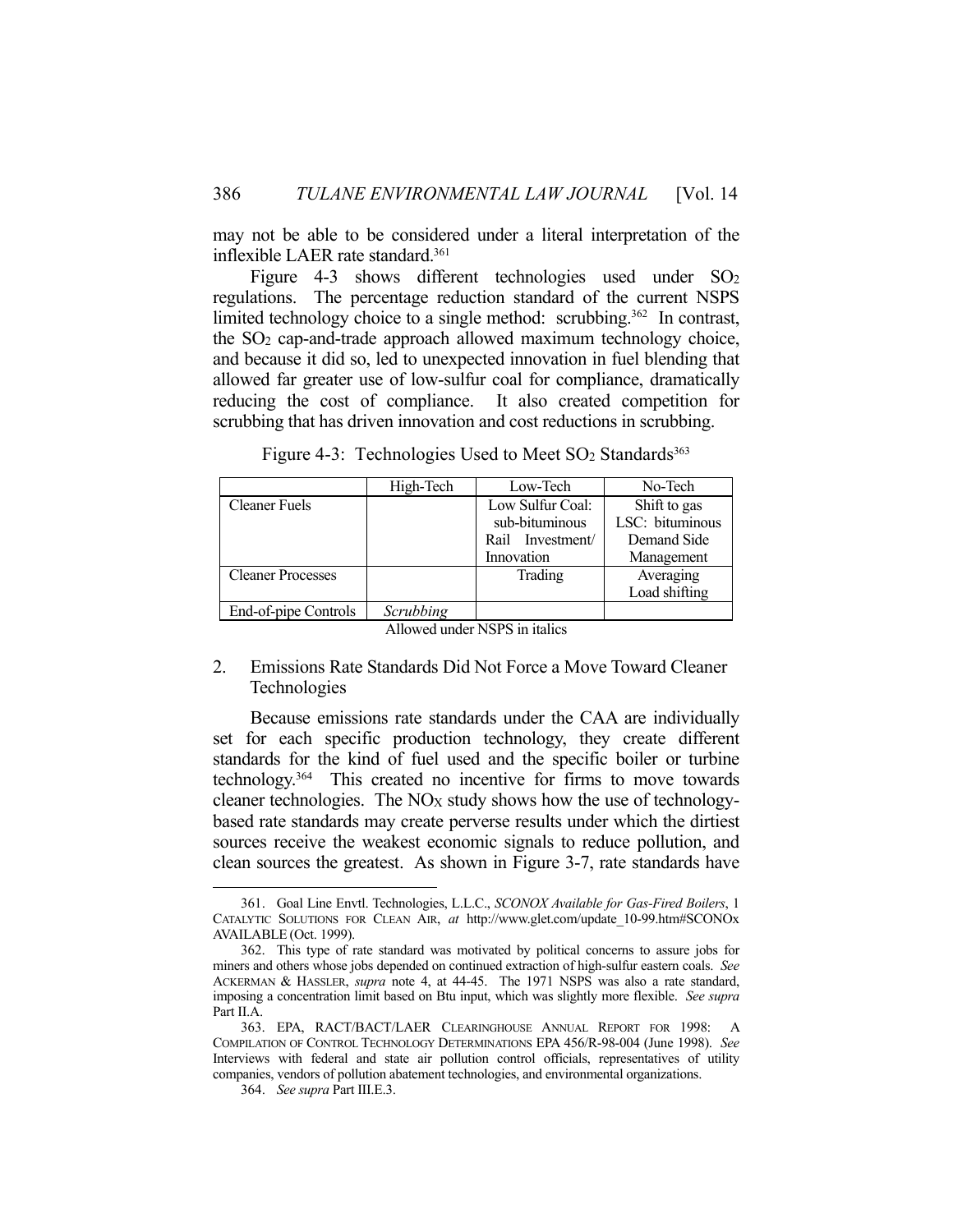may not be able to be considered under a literal interpretation of the inflexible LAER rate standard.<sup>361</sup>

Figure 4-3 shows different technologies used under  $SO_2$ regulations. The percentage reduction standard of the current NSPS limited technology choice to a single method: scrubbing.<sup>362</sup> In contrast, the SO2 cap-and-trade approach allowed maximum technology choice, and because it did so, led to unexpected innovation in fuel blending that allowed far greater use of low-sulfur coal for compliance, dramatically reducing the cost of compliance. It also created competition for scrubbing that has driven innovation and cost reductions in scrubbing.

| Figure 4-3: Technologies Used to Meet $SO_2$ Standards <sup>363</sup> |           |          |         |  |
|-----------------------------------------------------------------------|-----------|----------|---------|--|
|                                                                       | High-Tech | Low-Tech | No-Tech |  |

|                          | High-Tech | Low-lech         | No-Tech         |
|--------------------------|-----------|------------------|-----------------|
| <b>Cleaner Fuels</b>     |           | Low Sulfur Coal: | Shift to gas    |
|                          |           | sub-bituminous   | LSC: bituminous |
|                          |           | Rail Investment/ | Demand Side     |
|                          |           | Innovation       | Management      |
| <b>Cleaner Processes</b> |           | Trading          | Averaging       |
|                          |           |                  | Load shifting   |
| End-of-pipe Controls     | Scrubbing |                  |                 |

Allowed under NSPS in italics

# 2. Emissions Rate Standards Did Not Force a Move Toward Cleaner Technologies

 Because emissions rate standards under the CAA are individually set for each specific production technology, they create different standards for the kind of fuel used and the specific boiler or turbine technology.364 This created no incentive for firms to move towards cleaner technologies. The  $NO<sub>X</sub>$  study shows how the use of technologybased rate standards may create perverse results under which the dirtiest sources receive the weakest economic signals to reduce pollution, and clean sources the greatest. As shown in Figure 3-7, rate standards have

 <sup>361.</sup> Goal Line Envtl. Technologies, L.L.C., *SCONOX Available for Gas-Fired Boilers*, 1 CATALYTIC SOLUTIONS FOR CLEAN AIR, *at* http://www.glet.com/update\_10-99.htm#SCONOx AVAILABLE (Oct. 1999).

 <sup>362.</sup> This type of rate standard was motivated by political concerns to assure jobs for miners and others whose jobs depended on continued extraction of high-sulfur eastern coals. *See* ACKERMAN & HASSLER, *supra* note 4, at 44-45. The 1971 NSPS was also a rate standard, imposing a concentration limit based on Btu input, which was slightly more flexible. *See supra* Part II.A.

 <sup>363.</sup> EPA, RACT/BACT/LAER CLEARINGHOUSE ANNUAL REPORT FOR 1998: A COMPILATION OF CONTROL TECHNOLOGY DETERMINATIONS EPA 456/R-98-004 (June 1998). *See* Interviews with federal and state air pollution control officials, representatives of utility companies, vendors of pollution abatement technologies, and environmental organizations.

 <sup>364.</sup> *See supra* Part III.E.3.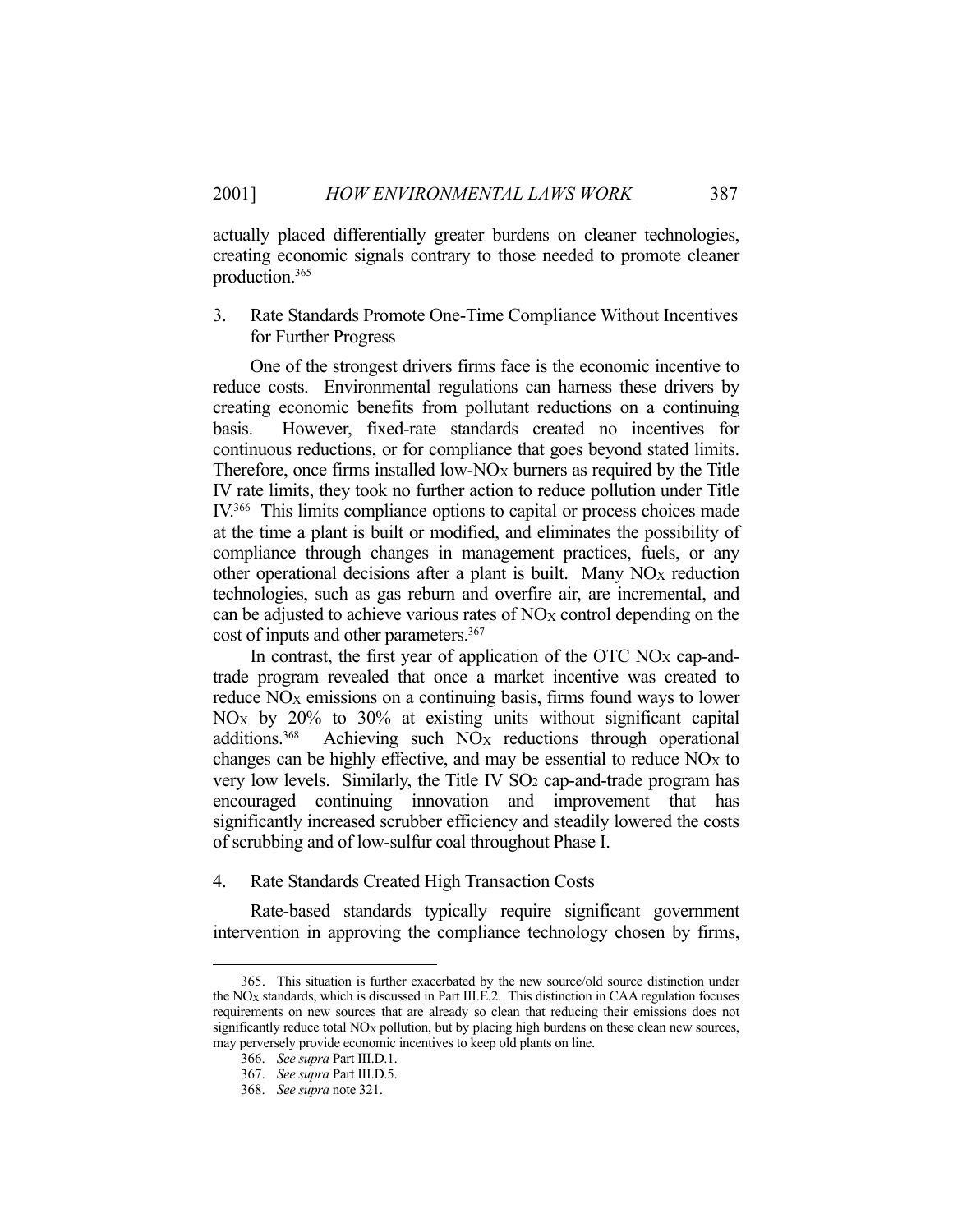actually placed differentially greater burdens on cleaner technologies, creating economic signals contrary to those needed to promote cleaner production.365

3. Rate Standards Promote One-Time Compliance Without Incentives for Further Progress

 One of the strongest drivers firms face is the economic incentive to reduce costs. Environmental regulations can harness these drivers by creating economic benefits from pollutant reductions on a continuing basis. However, fixed-rate standards created no incentives for continuous reductions, or for compliance that goes beyond stated limits. Therefore, once firms installed low- $NO_X$  burners as required by the Title IV rate limits, they took no further action to reduce pollution under Title IV.366 This limits compliance options to capital or process choices made at the time a plant is built or modified, and eliminates the possibility of compliance through changes in management practices, fuels, or any other operational decisions after a plant is built. Many NO<sub>X</sub> reduction technologies, such as gas reburn and overfire air, are incremental, and can be adjusted to achieve various rates of NO<sub>X</sub> control depending on the cost of inputs and other parameters.<sup>367</sup>

 In contrast, the first year of application of the OTC NOX cap-andtrade program revealed that once a market incentive was created to reduce NO<sub>X</sub> emissions on a continuing basis, firms found ways to lower NOX by 20% to 30% at existing units without significant capital additions.<sup>368</sup> Achieving such NO<sub>X</sub> reductions through operational changes can be highly effective, and may be essential to reduce  $NO<sub>X</sub>$  to very low levels. Similarly, the Title IV SO<sub>2</sub> cap-and-trade program has encouraged continuing innovation and improvement that has significantly increased scrubber efficiency and steadily lowered the costs of scrubbing and of low-sulfur coal throughout Phase I.

4. Rate Standards Created High Transaction Costs

 Rate-based standards typically require significant government intervention in approving the compliance technology chosen by firms,

 <sup>365.</sup> This situation is further exacerbated by the new source/old source distinction under the  $NO<sub>X</sub>$  standards, which is discussed in Part III.E.2. This distinction in CAA regulation focuses requirements on new sources that are already so clean that reducing their emissions does not significantly reduce total  $NO<sub>X</sub>$  pollution, but by placing high burdens on these clean new sources, may perversely provide economic incentives to keep old plants on line.

 <sup>366.</sup> *See supra* Part III.D.1.

 <sup>367.</sup> *See supra* Part III.D.5.

 <sup>368.</sup> *See supra* note 321.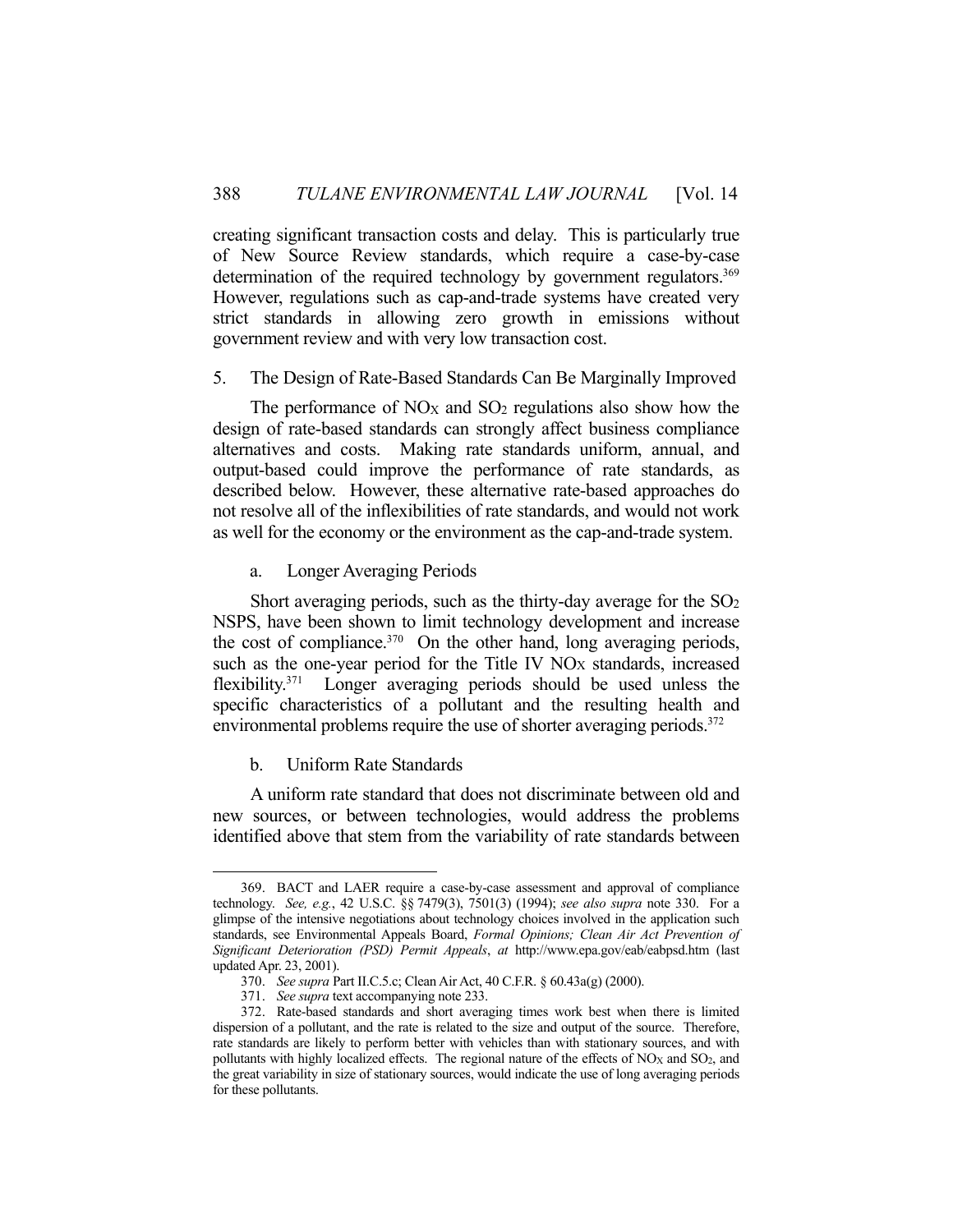creating significant transaction costs and delay. This is particularly true of New Source Review standards, which require a case-by-case determination of the required technology by government regulators.<sup>369</sup> However, regulations such as cap-and-trade systems have created very strict standards in allowing zero growth in emissions without government review and with very low transaction cost.

### 5. The Design of Rate-Based Standards Can Be Marginally Improved

The performance of  $NO<sub>X</sub>$  and  $SO<sub>2</sub>$  regulations also show how the design of rate-based standards can strongly affect business compliance alternatives and costs. Making rate standards uniform, annual, and output-based could improve the performance of rate standards, as described below. However, these alternative rate-based approaches do not resolve all of the inflexibilities of rate standards, and would not work as well for the economy or the environment as the cap-and-trade system.

## a. Longer Averaging Periods

Short averaging periods, such as the thirty-day average for the  $SO<sub>2</sub>$ NSPS, have been shown to limit technology development and increase the cost of compliance. $370$  On the other hand, long averaging periods, such as the one-year period for the Title IV NO<sub>X</sub> standards, increased flexibility.371 Longer averaging periods should be used unless the specific characteristics of a pollutant and the resulting health and environmental problems require the use of shorter averaging periods.<sup>372</sup>

## b. Uniform Rate Standards

1

 A uniform rate standard that does not discriminate between old and new sources, or between technologies, would address the problems identified above that stem from the variability of rate standards between

 <sup>369.</sup> BACT and LAER require a case-by-case assessment and approval of compliance technology. *See, e.g.*, 42 U.S.C. §§ 7479(3), 7501(3) (1994); *see also supra* note 330. For a glimpse of the intensive negotiations about technology choices involved in the application such standards, see Environmental Appeals Board, *Formal Opinions; Clean Air Act Prevention of Significant Deterioration (PSD) Permit Appeals*, *at* http://www.epa.gov/eab/eabpsd.htm (last updated Apr. 23, 2001).

 <sup>370.</sup> *See supra* Part II.C.5.c; Clean Air Act, 40 C.F.R. § 60.43a(g) (2000).

 <sup>371.</sup> *See supra* text accompanying note 233.

 <sup>372.</sup> Rate-based standards and short averaging times work best when there is limited dispersion of a pollutant, and the rate is related to the size and output of the source. Therefore, rate standards are likely to perform better with vehicles than with stationary sources, and with pollutants with highly localized effects. The regional nature of the effects of  $NO<sub>X</sub>$  and  $SO<sub>2</sub>$ , and the great variability in size of stationary sources, would indicate the use of long averaging periods for these pollutants.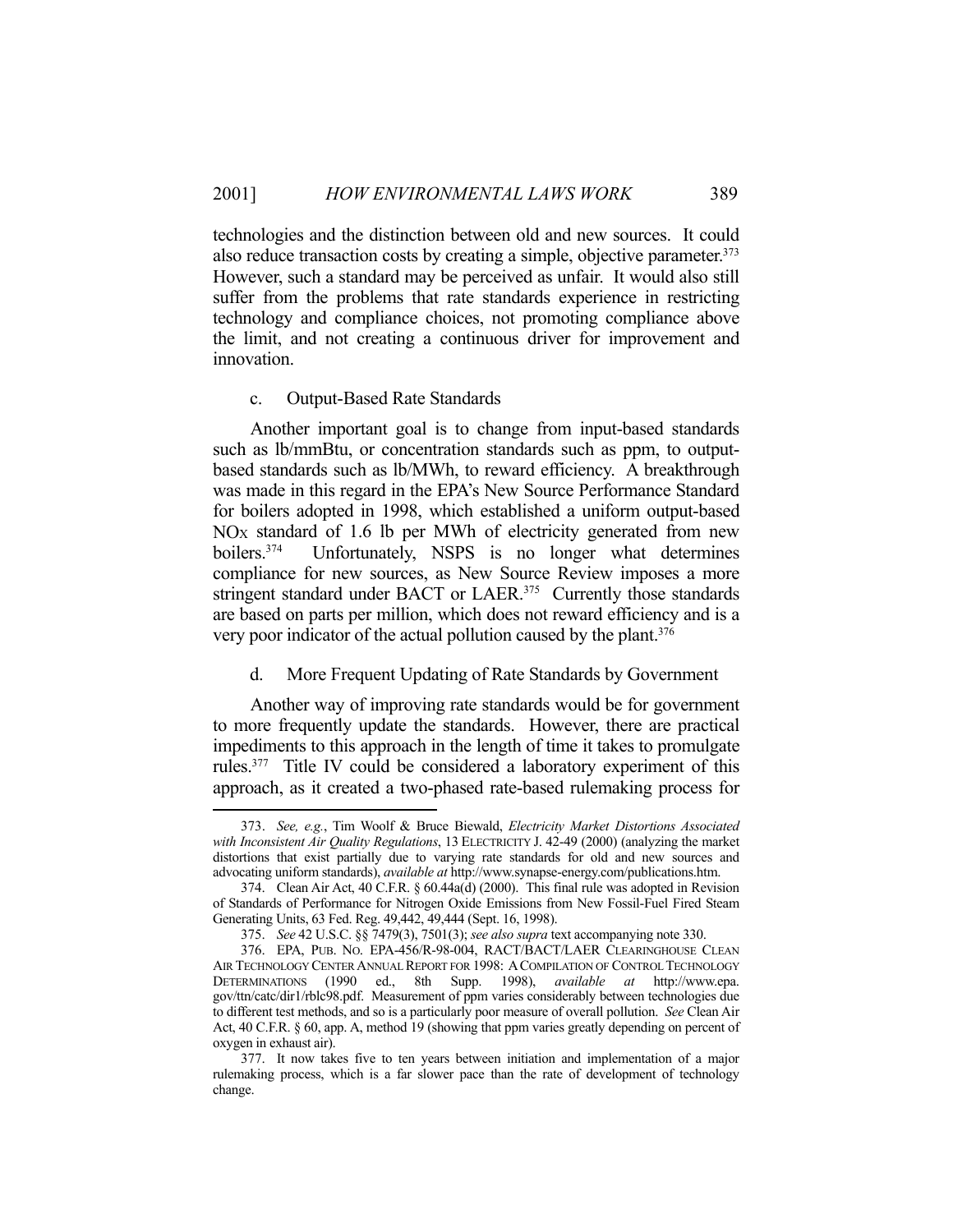technologies and the distinction between old and new sources. It could also reduce transaction costs by creating a simple, objective parameter.<sup>373</sup> However, such a standard may be perceived as unfair. It would also still suffer from the problems that rate standards experience in restricting technology and compliance choices, not promoting compliance above the limit, and not creating a continuous driver for improvement and innovation.

#### c. Output-Based Rate Standards

<u>.</u>

 Another important goal is to change from input-based standards such as lb/mmBtu, or concentration standards such as ppm, to outputbased standards such as lb/MWh, to reward efficiency. A breakthrough was made in this regard in the EPA's New Source Performance Standard for boilers adopted in 1998, which established a uniform output-based  $NO<sub>X</sub>$  standard of 1.6 lb per MWh of electricity generated from new boilers.<sup>374</sup> Unfortunately, NSPS is no longer what determines compliance for new sources, as New Source Review imposes a more stringent standard under BACT or LAER.<sup>375</sup> Currently those standards are based on parts per million, which does not reward efficiency and is a very poor indicator of the actual pollution caused by the plant.<sup>376</sup>

### d. More Frequent Updating of Rate Standards by Government

 Another way of improving rate standards would be for government to more frequently update the standards. However, there are practical impediments to this approach in the length of time it takes to promulgate rules.377 Title IV could be considered a laboratory experiment of this approach, as it created a two-phased rate-based rulemaking process for

 <sup>373.</sup> *See, e.g.*, Tim Woolf & Bruce Biewald, *Electricity Market Distortions Associated with Inconsistent Air Quality Regulations*, 13 ELECTRICITY J. 42-49 (2000) (analyzing the market distortions that exist partially due to varying rate standards for old and new sources and advocating uniform standards), *available at* http://www.synapse-energy.com/publications.htm.

 <sup>374.</sup> Clean Air Act, 40 C.F.R. § 60.44a(d) (2000). This final rule was adopted in Revision of Standards of Performance for Nitrogen Oxide Emissions from New Fossil-Fuel Fired Steam Generating Units, 63 Fed. Reg. 49,442, 49,444 (Sept. 16, 1998).

 <sup>375.</sup> *See* 42 U.S.C. §§ 7479(3), 7501(3); *see also supra* text accompanying note 330.

 <sup>376.</sup> EPA, PUB. NO. EPA-456/R-98-004, RACT/BACT/LAER CLEARINGHOUSE CLEAN AIR TECHNOLOGY CENTER ANNUAL REPORT FOR 1998: ACOMPILATION OF CONTROL TECHNOLOGY DETERMINATIONS (1990 ed., 8th Supp. 1998), *available at* http://www.epa. gov/ttn/catc/dir1/rblc98.pdf. Measurement of ppm varies considerably between technologies due to different test methods, and so is a particularly poor measure of overall pollution. *See* Clean Air Act, 40 C.F.R. § 60, app. A, method 19 (showing that ppm varies greatly depending on percent of oxygen in exhaust air).

 <sup>377.</sup> It now takes five to ten years between initiation and implementation of a major rulemaking process, which is a far slower pace than the rate of development of technology change.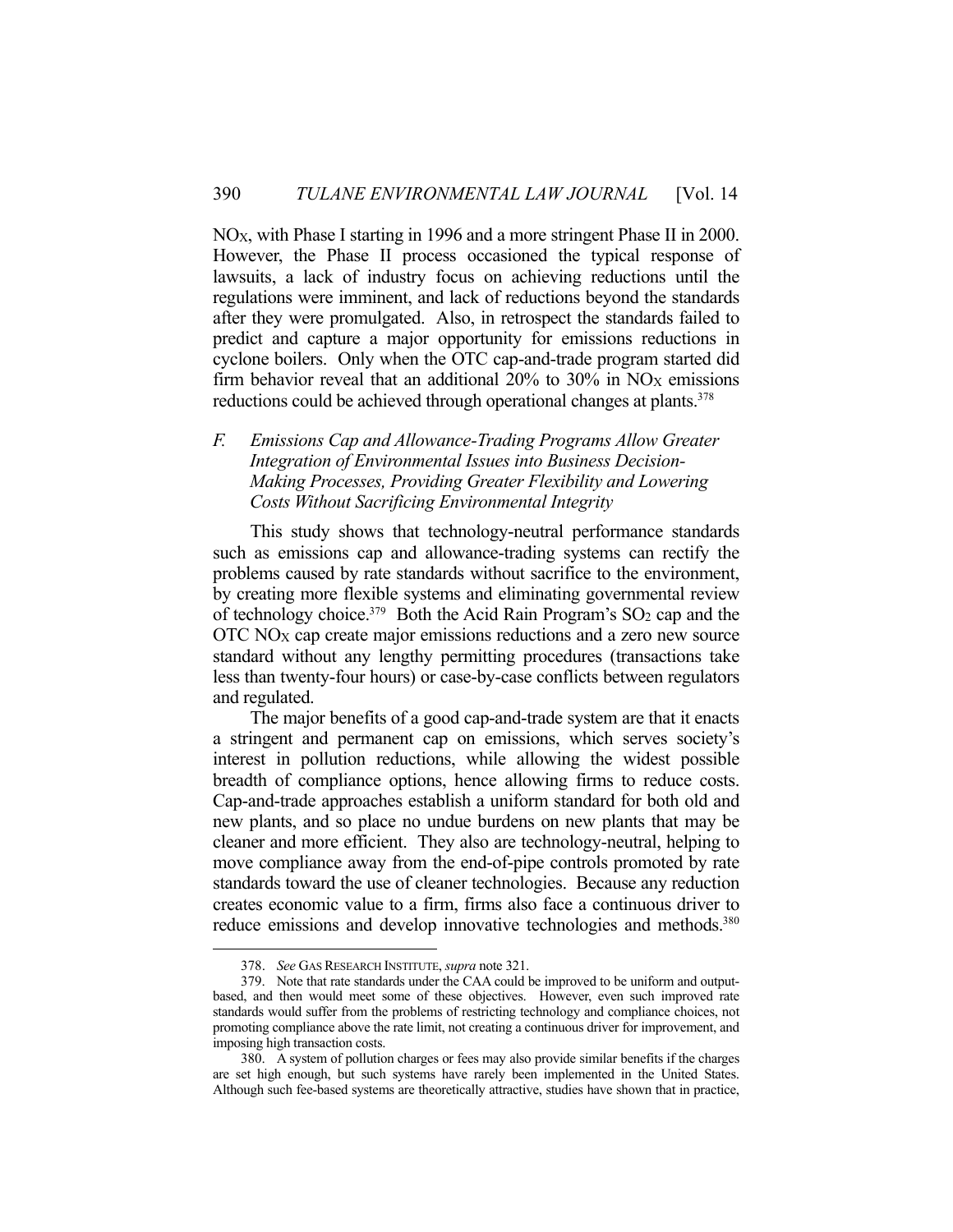NOX, with Phase I starting in 1996 and a more stringent Phase II in 2000. However, the Phase II process occasioned the typical response of lawsuits, a lack of industry focus on achieving reductions until the regulations were imminent, and lack of reductions beyond the standards after they were promulgated. Also, in retrospect the standards failed to predict and capture a major opportunity for emissions reductions in cyclone boilers. Only when the OTC cap-and-trade program started did firm behavior reveal that an additional  $20\%$  to  $30\%$  in NO<sub>X</sub> emissions reductions could be achieved through operational changes at plants.<sup>378</sup>

*F. Emissions Cap and Allowance-Trading Programs Allow Greater Integration of Environmental Issues into Business Decision-Making Processes, Providing Greater Flexibility and Lowering Costs Without Sacrificing Environmental Integrity* 

 This study shows that technology-neutral performance standards such as emissions cap and allowance-trading systems can rectify the problems caused by rate standards without sacrifice to the environment, by creating more flexible systems and eliminating governmental review of technology choice.<sup>379</sup> Both the Acid Rain Program's SO<sub>2</sub> cap and the OTC NOX cap create major emissions reductions and a zero new source standard without any lengthy permitting procedures (transactions take less than twenty-four hours) or case-by-case conflicts between regulators and regulated.

 The major benefits of a good cap-and-trade system are that it enacts a stringent and permanent cap on emissions, which serves society's interest in pollution reductions, while allowing the widest possible breadth of compliance options, hence allowing firms to reduce costs. Cap-and-trade approaches establish a uniform standard for both old and new plants, and so place no undue burdens on new plants that may be cleaner and more efficient. They also are technology-neutral, helping to move compliance away from the end-of-pipe controls promoted by rate standards toward the use of cleaner technologies. Because any reduction creates economic value to a firm, firms also face a continuous driver to reduce emissions and develop innovative technologies and methods.<sup>380</sup>

 <sup>378.</sup> *See* GAS RESEARCH INSTITUTE, *supra* note 321.

 <sup>379.</sup> Note that rate standards under the CAA could be improved to be uniform and outputbased, and then would meet some of these objectives. However, even such improved rate standards would suffer from the problems of restricting technology and compliance choices, not promoting compliance above the rate limit, not creating a continuous driver for improvement, and imposing high transaction costs.

 <sup>380.</sup> A system of pollution charges or fees may also provide similar benefits if the charges are set high enough, but such systems have rarely been implemented in the United States. Although such fee-based systems are theoretically attractive, studies have shown that in practice,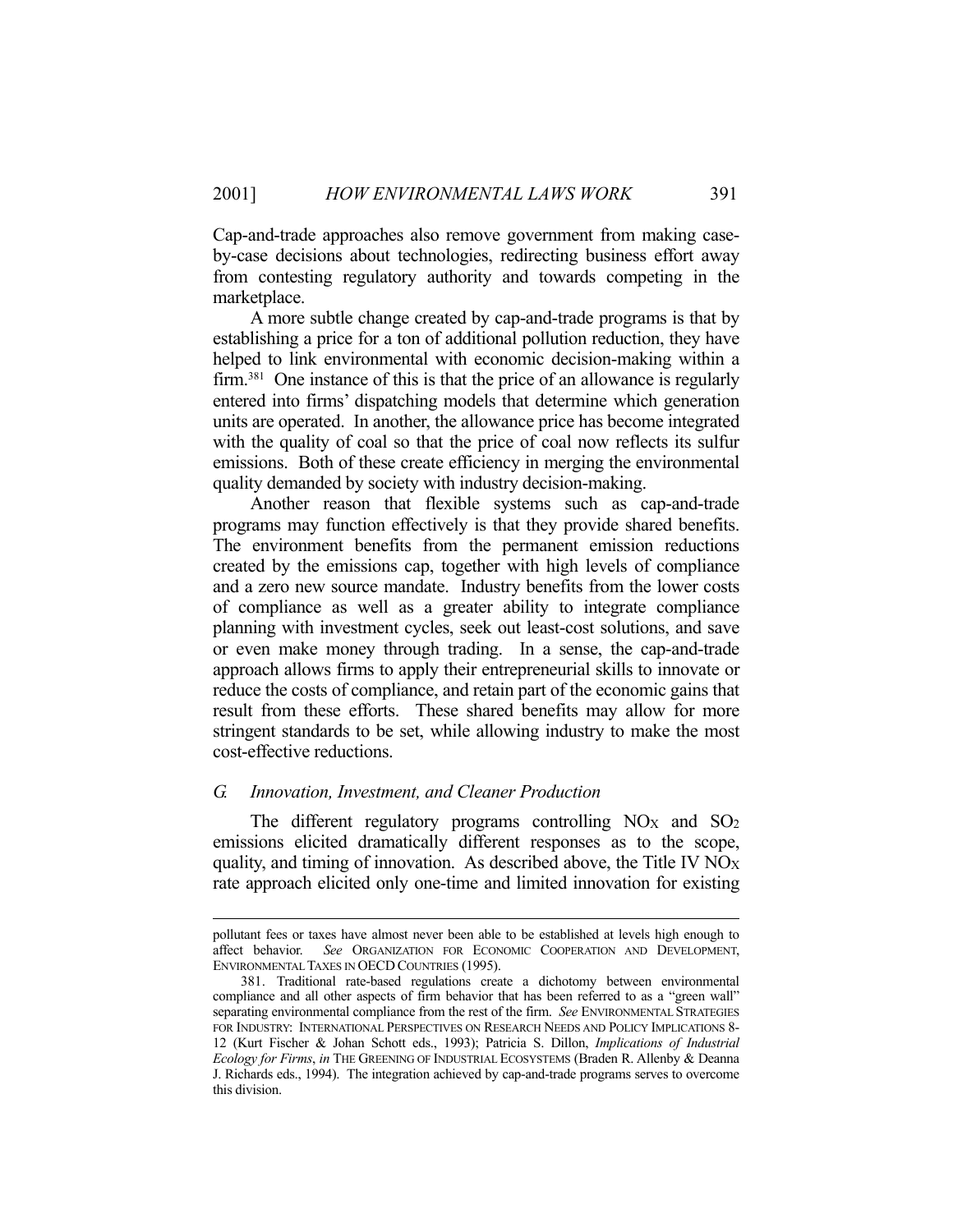Cap-and-trade approaches also remove government from making caseby-case decisions about technologies, redirecting business effort away from contesting regulatory authority and towards competing in the marketplace.

 A more subtle change created by cap-and-trade programs is that by establishing a price for a ton of additional pollution reduction, they have helped to link environmental with economic decision-making within a firm.<sup>381</sup> One instance of this is that the price of an allowance is regularly entered into firms' dispatching models that determine which generation units are operated. In another, the allowance price has become integrated with the quality of coal so that the price of coal now reflects its sulfur emissions. Both of these create efficiency in merging the environmental quality demanded by society with industry decision-making.

 Another reason that flexible systems such as cap-and-trade programs may function effectively is that they provide shared benefits. The environment benefits from the permanent emission reductions created by the emissions cap, together with high levels of compliance and a zero new source mandate. Industry benefits from the lower costs of compliance as well as a greater ability to integrate compliance planning with investment cycles, seek out least-cost solutions, and save or even make money through trading. In a sense, the cap-and-trade approach allows firms to apply their entrepreneurial skills to innovate or reduce the costs of compliance, and retain part of the economic gains that result from these efforts. These shared benefits may allow for more stringent standards to be set, while allowing industry to make the most cost-effective reductions.

### *G. Innovation, Investment, and Cleaner Production*

The different regulatory programs controlling  $NO<sub>X</sub>$  and  $SO<sub>2</sub>$ emissions elicited dramatically different responses as to the scope, quality, and timing of innovation. As described above, the Title IV  $NO<sub>X</sub>$ rate approach elicited only one-time and limited innovation for existing

pollutant fees or taxes have almost never been able to be established at levels high enough to affect behavior. *See* ORGANIZATION FOR ECONOMIC COOPERATION AND DEVELOPMENT, ENVIRONMENTAL TAXES IN OECD COUNTRIES (1995).

 <sup>381.</sup> Traditional rate-based regulations create a dichotomy between environmental compliance and all other aspects of firm behavior that has been referred to as a "green wall" separating environmental compliance from the rest of the firm. *See* ENVIRONMENTAL STRATEGIES FOR INDUSTRY: INTERNATIONAL PERSPECTIVES ON RESEARCH NEEDS AND POLICY IMPLICATIONS 8- 12 (Kurt Fischer & Johan Schott eds., 1993); Patricia S. Dillon, *Implications of Industrial Ecology for Firms*, *in* THE GREENING OF INDUSTRIAL ECOSYSTEMS (Braden R. Allenby & Deanna J. Richards eds., 1994). The integration achieved by cap-and-trade programs serves to overcome this division.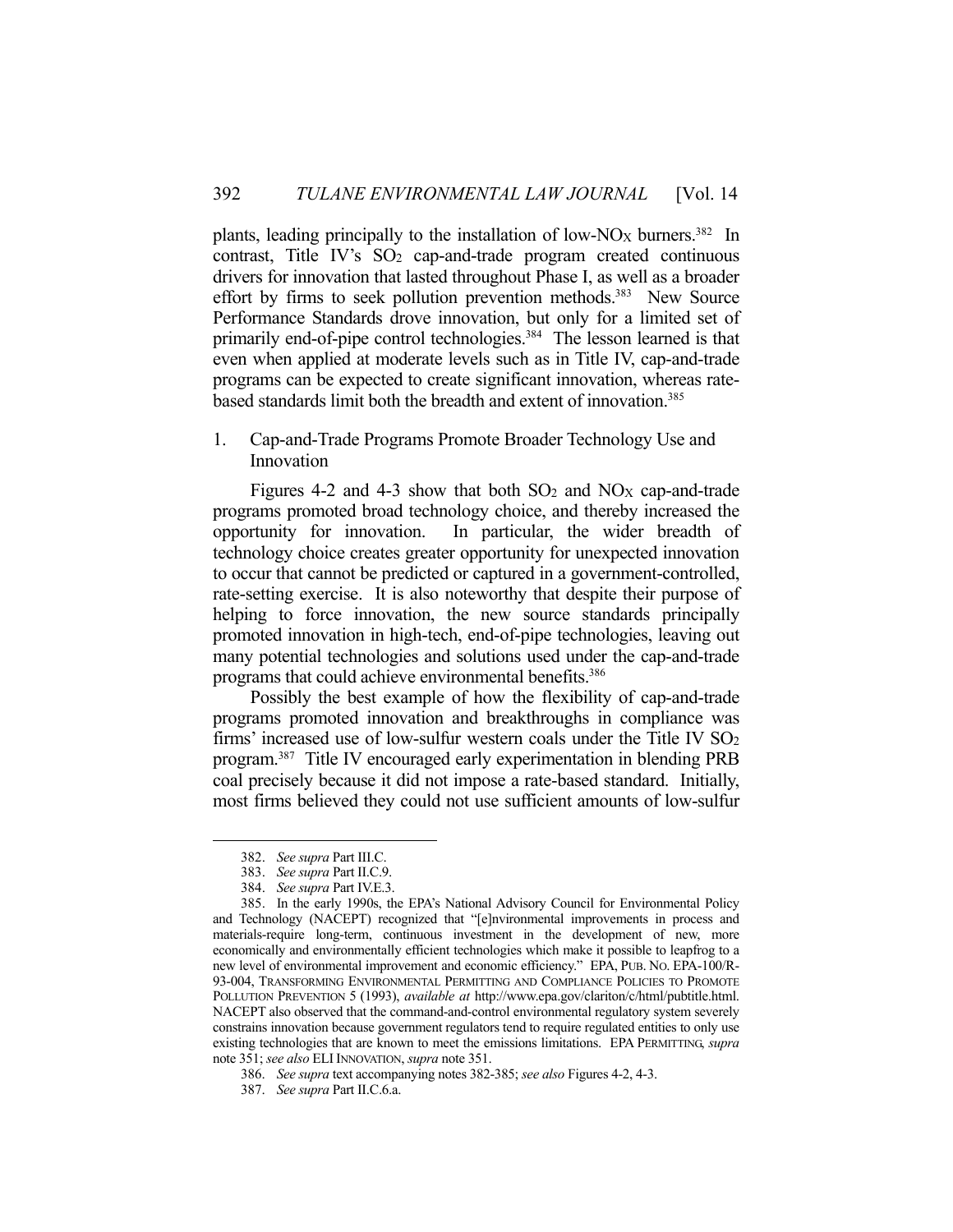plants, leading principally to the installation of low-NO<sub>X</sub> burners.<sup>382</sup> In contrast, Title IV's SO<sub>2</sub> cap-and-trade program created continuous drivers for innovation that lasted throughout Phase I, as well as a broader effort by firms to seek pollution prevention methods.<sup>383</sup> New Source Performance Standards drove innovation, but only for a limited set of primarily end-of-pipe control technologies.<sup>384</sup> The lesson learned is that even when applied at moderate levels such as in Title IV, cap-and-trade programs can be expected to create significant innovation, whereas ratebased standards limit both the breadth and extent of innovation. 385

# 1. Cap-and-Trade Programs Promote Broader Technology Use and Innovation

Figures 4-2 and 4-3 show that both  $SO_2$  and  $NO<sub>X</sub>$  cap-and-trade programs promoted broad technology choice, and thereby increased the opportunity for innovation. In particular, the wider breadth of technology choice creates greater opportunity for unexpected innovation to occur that cannot be predicted or captured in a government-controlled, rate-setting exercise. It is also noteworthy that despite their purpose of helping to force innovation, the new source standards principally promoted innovation in high-tech, end-of-pipe technologies, leaving out many potential technologies and solutions used under the cap-and-trade programs that could achieve environmental benefits.386

 Possibly the best example of how the flexibility of cap-and-trade programs promoted innovation and breakthroughs in compliance was firms' increased use of low-sulfur western coals under the Title IV  $SO<sub>2</sub>$ program.387 Title IV encouraged early experimentation in blending PRB coal precisely because it did not impose a rate-based standard. Initially, most firms believed they could not use sufficient amounts of low-sulfur

 <sup>382.</sup> *See supra* Part III.C.

 <sup>383.</sup> *See supra* Part II.C.9.

 <sup>384.</sup> *See supra* Part IV.E.3.

 <sup>385.</sup> In the early 1990s, the EPA's National Advisory Council for Environmental Policy and Technology (NACEPT) recognized that "[e]nvironmental improvements in process and materials-require long-term, continuous investment in the development of new, more economically and environmentally efficient technologies which make it possible to leapfrog to a new level of environmental improvement and economic efficiency." EPA, PUB. NO. EPA-100/R-93-004, TRANSFORMING ENVIRONMENTAL PERMITTING AND COMPLIANCE POLICIES TO PROMOTE POLLUTION PREVENTION 5 (1993), *available at* http://www.epa.gov/clariton/c/html/pubtitle.html. NACEPT also observed that the command-and-control environmental regulatory system severely constrains innovation because government regulators tend to require regulated entities to only use existing technologies that are known to meet the emissions limitations. EPA PERMITTING, *supra* note 351; *see also* ELIINNOVATION, *supra* note 351.

 <sup>386.</sup> *See supra* text accompanying notes 382-385; *see also* Figures 4-2, 4-3.

 <sup>387.</sup> *See supra* Part II.C.6.a.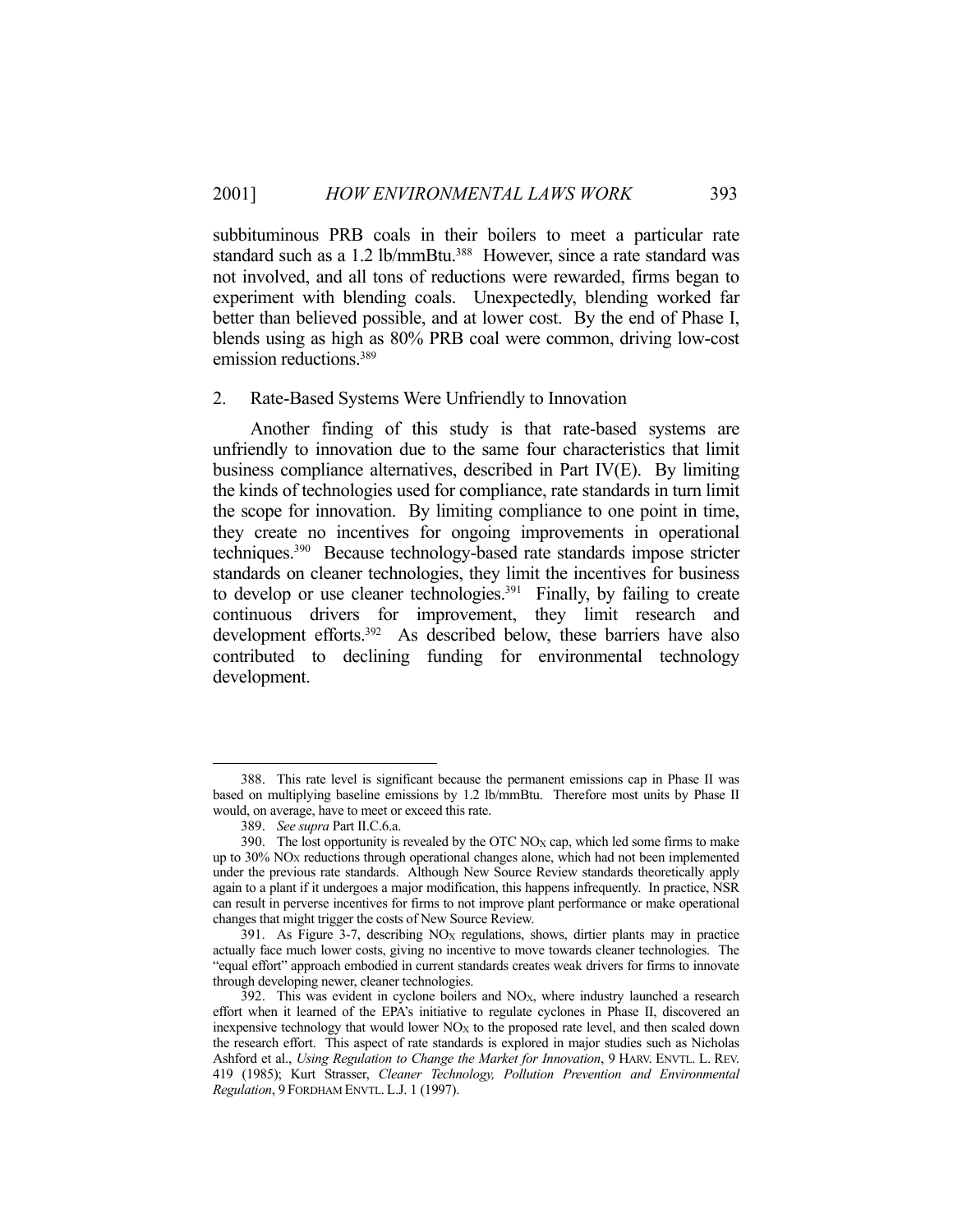subbituminous PRB coals in their boilers to meet a particular rate standard such as a 1.2 lb/mmBtu.<sup>388</sup> However, since a rate standard was not involved, and all tons of reductions were rewarded, firms began to experiment with blending coals. Unexpectedly, blending worked far better than believed possible, and at lower cost. By the end of Phase I, blends using as high as 80% PRB coal were common, driving low-cost emission reductions.<sup>389</sup>

#### 2. Rate-Based Systems Were Unfriendly to Innovation

 Another finding of this study is that rate-based systems are unfriendly to innovation due to the same four characteristics that limit business compliance alternatives, described in Part IV(E). By limiting the kinds of technologies used for compliance, rate standards in turn limit the scope for innovation. By limiting compliance to one point in time, they create no incentives for ongoing improvements in operational techniques.390 Because technology-based rate standards impose stricter standards on cleaner technologies, they limit the incentives for business to develop or use cleaner technologies.<sup>391</sup> Finally, by failing to create continuous drivers for improvement, they limit research and development efforts.<sup>392</sup> As described below, these barriers have also contributed to declining funding for environmental technology development.

 <sup>388.</sup> This rate level is significant because the permanent emissions cap in Phase II was based on multiplying baseline emissions by 1.2 lb/mmBtu. Therefore most units by Phase II would, on average, have to meet or exceed this rate.

 <sup>389.</sup> *See supra* Part II.C.6.a.

<sup>390.</sup> The lost opportunity is revealed by the OTC  $NO<sub>X</sub>$  cap, which led some firms to make up to 30% NOX reductions through operational changes alone, which had not been implemented under the previous rate standards. Although New Source Review standards theoretically apply again to a plant if it undergoes a major modification, this happens infrequently. In practice, NSR can result in perverse incentives for firms to not improve plant performance or make operational changes that might trigger the costs of New Source Review.

 <sup>391.</sup> As Figure 3-7, describing NOX regulations, shows, dirtier plants may in practice actually face much lower costs, giving no incentive to move towards cleaner technologies. The "equal effort" approach embodied in current standards creates weak drivers for firms to innovate through developing newer, cleaner technologies.

<sup>392.</sup> This was evident in cyclone boilers and  $NO<sub>X</sub>$ , where industry launched a research effort when it learned of the EPA's initiative to regulate cyclones in Phase II, discovered an inexpensive technology that would lower  $NO<sub>X</sub>$  to the proposed rate level, and then scaled down the research effort. This aspect of rate standards is explored in major studies such as Nicholas Ashford et al., *Using Regulation to Change the Market for Innovation*, 9 HARV. ENVTL. L. REV. 419 (1985); Kurt Strasser, *Cleaner Technology, Pollution Prevention and Environmental Regulation*, 9 FORDHAM ENVTL. L.J. 1 (1997).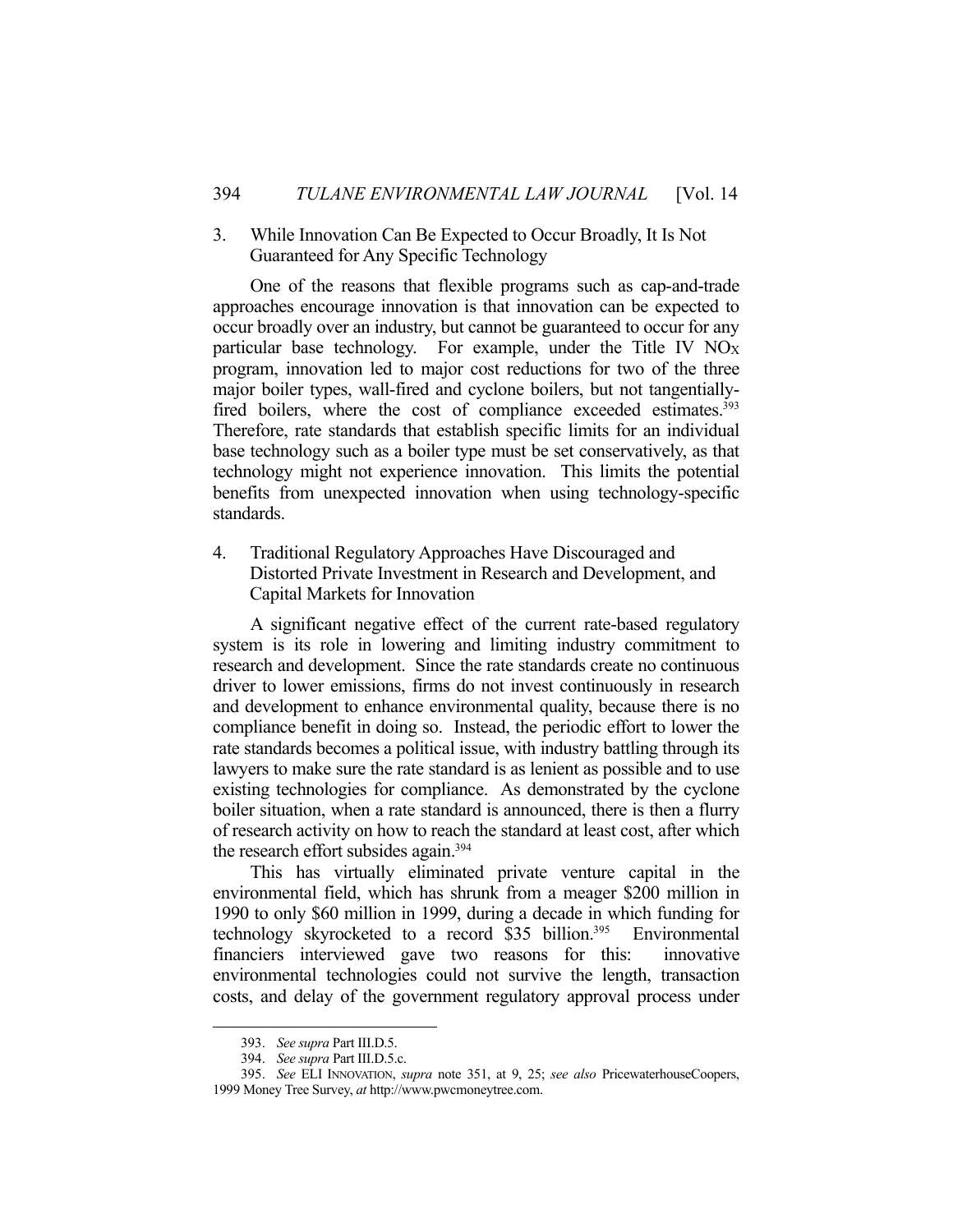## 3. While Innovation Can Be Expected to Occur Broadly, It Is Not Guaranteed for Any Specific Technology

 One of the reasons that flexible programs such as cap-and-trade approaches encourage innovation is that innovation can be expected to occur broadly over an industry, but cannot be guaranteed to occur for any particular base technology. For example, under the Title IV NO<sub>X</sub> program, innovation led to major cost reductions for two of the three major boiler types, wall-fired and cyclone boilers, but not tangentiallyfired boilers, where the cost of compliance exceeded estimates.<sup>393</sup> Therefore, rate standards that establish specific limits for an individual base technology such as a boiler type must be set conservatively, as that technology might not experience innovation. This limits the potential benefits from unexpected innovation when using technology-specific standards.

4. Traditional Regulatory Approaches Have Discouraged and Distorted Private Investment in Research and Development, and Capital Markets for Innovation

 A significant negative effect of the current rate-based regulatory system is its role in lowering and limiting industry commitment to research and development. Since the rate standards create no continuous driver to lower emissions, firms do not invest continuously in research and development to enhance environmental quality, because there is no compliance benefit in doing so. Instead, the periodic effort to lower the rate standards becomes a political issue, with industry battling through its lawyers to make sure the rate standard is as lenient as possible and to use existing technologies for compliance. As demonstrated by the cyclone boiler situation, when a rate standard is announced, there is then a flurry of research activity on how to reach the standard at least cost, after which the research effort subsides again.394

 This has virtually eliminated private venture capital in the environmental field, which has shrunk from a meager \$200 million in 1990 to only \$60 million in 1999, during a decade in which funding for technology skyrocketed to a record \$35 billion.<sup>395</sup> Environmental financiers interviewed gave two reasons for this: innovative environmental technologies could not survive the length, transaction costs, and delay of the government regulatory approval process under

 <sup>393.</sup> *See supra* Part III.D.5.

 <sup>394.</sup> *See supra* Part III.D.5.c.

 <sup>395.</sup> *See* ELI INNOVATION, *supra* note 351, at 9, 25; *see also* PricewaterhouseCoopers, 1999 Money Tree Survey, *at* http://www.pwcmoneytree.com.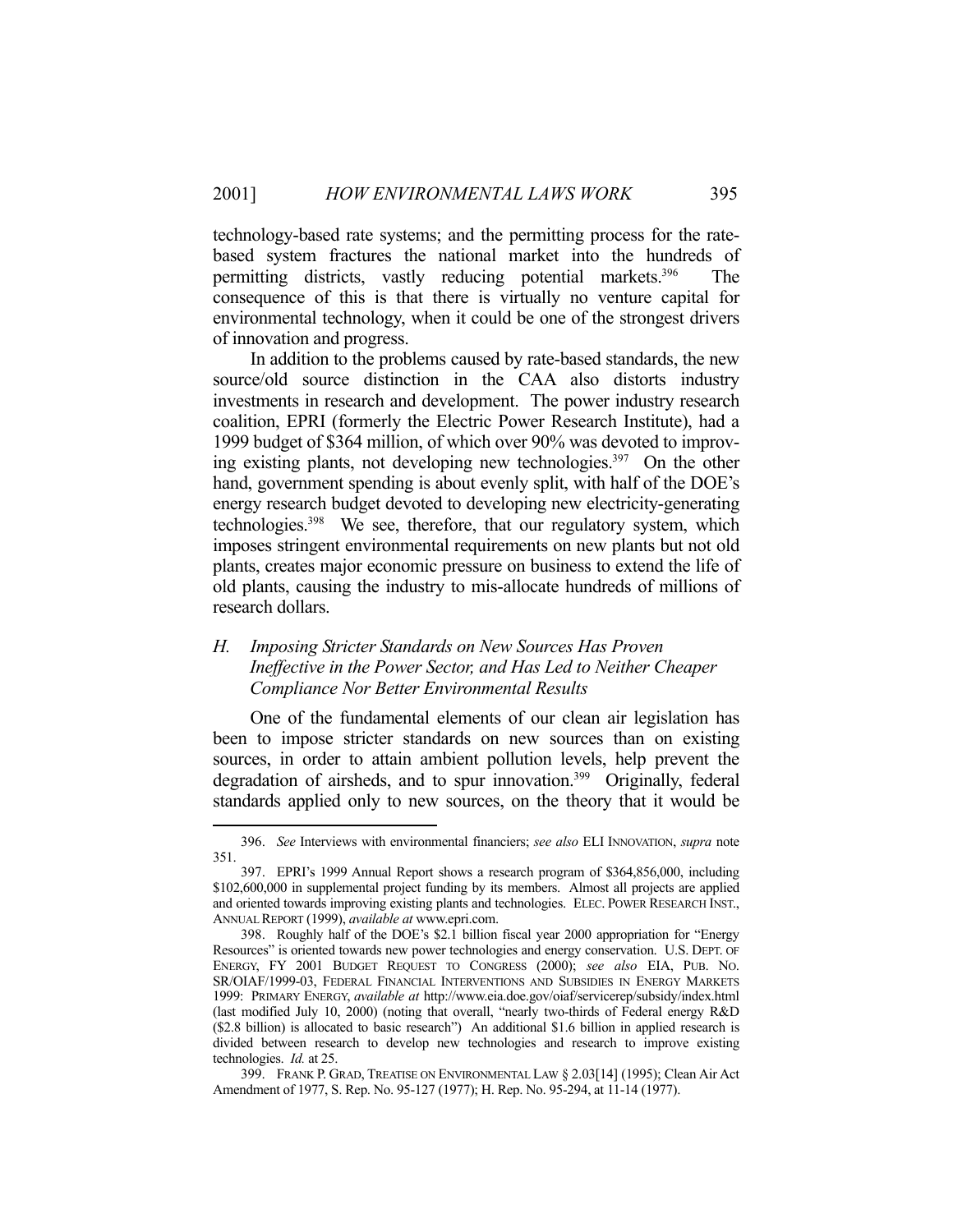technology-based rate systems; and the permitting process for the ratebased system fractures the national market into the hundreds of permitting districts, vastly reducing potential markets.396 The consequence of this is that there is virtually no venture capital for environmental technology, when it could be one of the strongest drivers of innovation and progress.

 In addition to the problems caused by rate-based standards, the new source/old source distinction in the CAA also distorts industry investments in research and development. The power industry research coalition, EPRI (formerly the Electric Power Research Institute), had a 1999 budget of \$364 million, of which over 90% was devoted to improving existing plants, not developing new technologies.397 On the other hand, government spending is about evenly split, with half of the DOE's energy research budget devoted to developing new electricity-generating technologies.398 We see, therefore, that our regulatory system, which imposes stringent environmental requirements on new plants but not old plants, creates major economic pressure on business to extend the life of old plants, causing the industry to mis-allocate hundreds of millions of research dollars.

## *H. Imposing Stricter Standards on New Sources Has Proven Ineffective in the Power Sector, and Has Led to Neither Cheaper Compliance Nor Better Environmental Results*

 One of the fundamental elements of our clean air legislation has been to impose stricter standards on new sources than on existing sources, in order to attain ambient pollution levels, help prevent the degradation of airsheds, and to spur innovation.<sup>399</sup> Originally, federal standards applied only to new sources, on the theory that it would be

 <sup>396.</sup> *See* Interviews with environmental financiers; *see also* ELI INNOVATION, *supra* note 351.

 <sup>397.</sup> EPRI's 1999 Annual Report shows a research program of \$364,856,000, including \$102,600,000 in supplemental project funding by its members. Almost all projects are applied and oriented towards improving existing plants and technologies. ELEC. POWER RESEARCH INST., ANNUAL REPORT (1999), *available at* www.epri.com.

 <sup>398.</sup> Roughly half of the DOE's \$2.1 billion fiscal year 2000 appropriation for "Energy Resources" is oriented towards new power technologies and energy conservation. U.S. DEPT. OF ENERGY, FY 2001 BUDGET REQUEST TO CONGRESS (2000); *see also* EIA, PUB. NO. SR/OIAF/1999-03, FEDERAL FINANCIAL INTERVENTIONS AND SUBSIDIES IN ENERGY MARKETS 1999: PRIMARY ENERGY, *available at* http://www.eia.doe.gov/oiaf/servicerep/subsidy/index.html (last modified July 10, 2000) (noting that overall, "nearly two-thirds of Federal energy R&D (\$2.8 billion) is allocated to basic research") An additional \$1.6 billion in applied research is divided between research to develop new technologies and research to improve existing technologies. *Id.* at 25.

 <sup>399.</sup> FRANK P. GRAD, TREATISE ON ENVIRONMENTAL LAW § 2.03[14] (1995); Clean Air Act Amendment of 1977, S. Rep. No. 95-127 (1977); H. Rep. No. 95-294, at 11-14 (1977).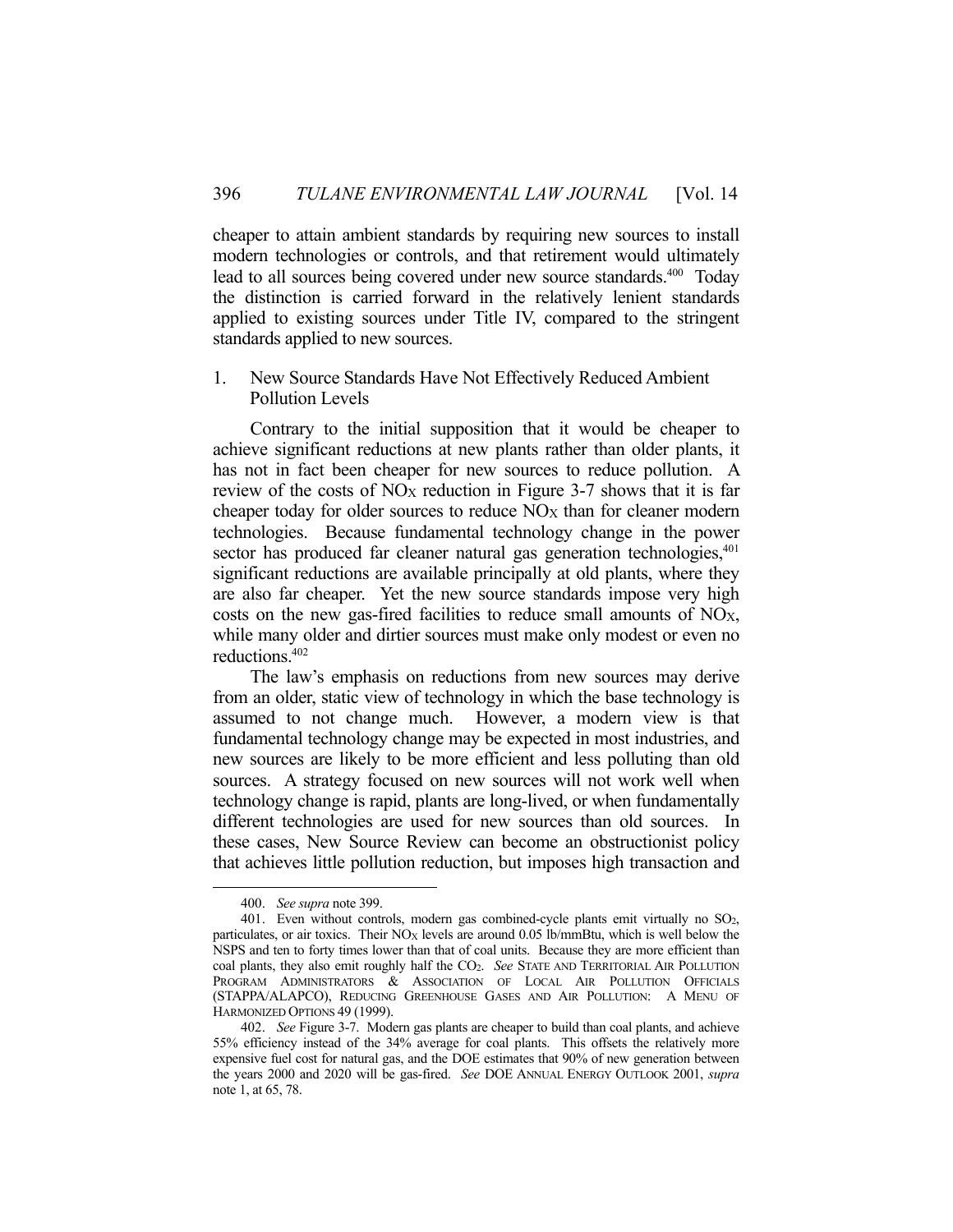cheaper to attain ambient standards by requiring new sources to install modern technologies or controls, and that retirement would ultimately lead to all sources being covered under new source standards.<sup>400</sup> Today the distinction is carried forward in the relatively lenient standards applied to existing sources under Title IV, compared to the stringent standards applied to new sources.

## 1. New Source Standards Have Not Effectively Reduced Ambient Pollution Levels

 Contrary to the initial supposition that it would be cheaper to achieve significant reductions at new plants rather than older plants, it has not in fact been cheaper for new sources to reduce pollution. A review of the costs of  $NO_X$  reduction in Figure 3-7 shows that it is far cheaper today for older sources to reduce  $NO<sub>X</sub>$  than for cleaner modern technologies. Because fundamental technology change in the power sector has produced far cleaner natural gas generation technologies,<sup>401</sup> significant reductions are available principally at old plants, where they are also far cheaper. Yet the new source standards impose very high costs on the new gas-fired facilities to reduce small amounts of NOX, while many older and dirtier sources must make only modest or even no reductions.402

 The law's emphasis on reductions from new sources may derive from an older, static view of technology in which the base technology is assumed to not change much. However, a modern view is that fundamental technology change may be expected in most industries, and new sources are likely to be more efficient and less polluting than old sources. A strategy focused on new sources will not work well when technology change is rapid, plants are long-lived, or when fundamentally different technologies are used for new sources than old sources. In these cases, New Source Review can become an obstructionist policy that achieves little pollution reduction, but imposes high transaction and

 <sup>400.</sup> *See supra* note 399.

 <sup>401.</sup> Even without controls, modern gas combined-cycle plants emit virtually no SO2, particulates, or air toxics. Their NO<sub>X</sub> levels are around 0.05 lb/mmBtu, which is well below the NSPS and ten to forty times lower than that of coal units. Because they are more efficient than coal plants, they also emit roughly half the CO2. *See* STATE AND TERRITORIAL AIR POLLUTION PROGRAM ADMINISTRATORS & ASSOCIATION OF LOCAL AIR POLLUTION OFFICIALS (STAPPA/ALAPCO), REDUCING GREENHOUSE GASES AND AIR POLLUTION: A MENU OF HARMONIZED OPTIONS 49 (1999).

 <sup>402.</sup> *See* Figure 3-7. Modern gas plants are cheaper to build than coal plants, and achieve 55% efficiency instead of the 34% average for coal plants. This offsets the relatively more expensive fuel cost for natural gas, and the DOE estimates that 90% of new generation between the years 2000 and 2020 will be gas-fired. *See* DOE ANNUAL ENERGY OUTLOOK 2001, *supra* note 1, at 65, 78.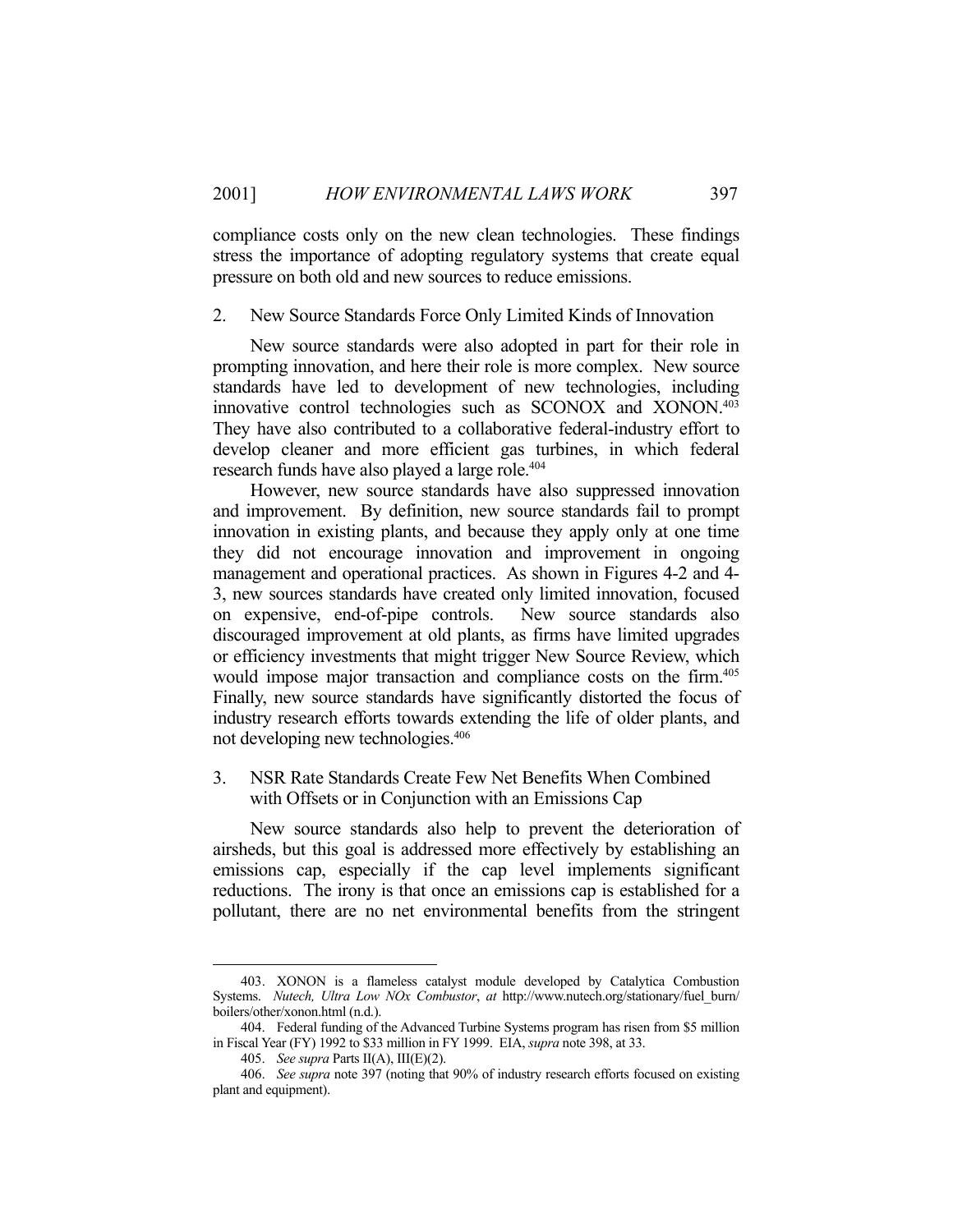compliance costs only on the new clean technologies. These findings stress the importance of adopting regulatory systems that create equal pressure on both old and new sources to reduce emissions.

### 2. New Source Standards Force Only Limited Kinds of Innovation

 New source standards were also adopted in part for their role in prompting innovation, and here their role is more complex. New source standards have led to development of new technologies, including innovative control technologies such as SCONOX and XONON.403 They have also contributed to a collaborative federal-industry effort to develop cleaner and more efficient gas turbines, in which federal research funds have also played a large role.<sup>404</sup>

 However, new source standards have also suppressed innovation and improvement. By definition, new source standards fail to prompt innovation in existing plants, and because they apply only at one time they did not encourage innovation and improvement in ongoing management and operational practices. As shown in Figures 4-2 and 4- 3, new sources standards have created only limited innovation, focused on expensive, end-of-pipe controls. New source standards also discouraged improvement at old plants, as firms have limited upgrades or efficiency investments that might trigger New Source Review, which would impose major transaction and compliance costs on the firm. 405 Finally, new source standards have significantly distorted the focus of industry research efforts towards extending the life of older plants, and not developing new technologies.406

## 3. NSR Rate Standards Create Few Net Benefits When Combined with Offsets or in Conjunction with an Emissions Cap

 New source standards also help to prevent the deterioration of airsheds, but this goal is addressed more effectively by establishing an emissions cap, especially if the cap level implements significant reductions. The irony is that once an emissions cap is established for a pollutant, there are no net environmental benefits from the stringent

 <sup>403.</sup> XONON is a flameless catalyst module developed by Catalytica Combustion Systems. *Nutech, Ultra Low NOx Combustor*, *at* http://www.nutech.org/stationary/fuel\_burn/ boilers/other/xonon.html (n.d.).

 <sup>404.</sup> Federal funding of the Advanced Turbine Systems program has risen from \$5 million in Fiscal Year (FY) 1992 to \$33 million in FY 1999. EIA, *supra* note 398, at 33.

 <sup>405.</sup> *See supra* Parts II(A), III(E)(2).

 <sup>406.</sup> *See supra* note 397 (noting that 90% of industry research efforts focused on existing plant and equipment).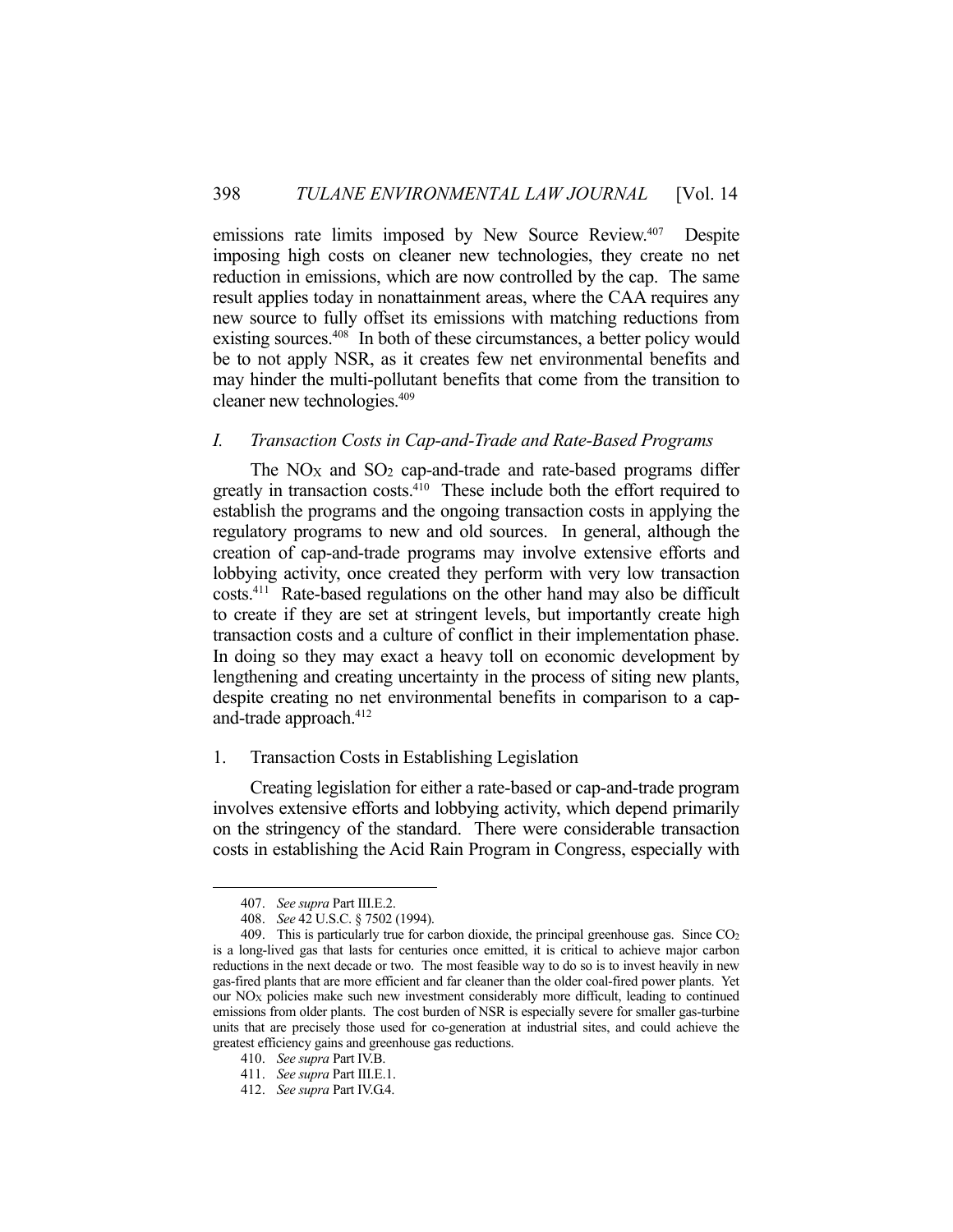emissions rate limits imposed by New Source Review.<sup>407</sup> Despite imposing high costs on cleaner new technologies, they create no net reduction in emissions, which are now controlled by the cap. The same result applies today in nonattainment areas, where the CAA requires any new source to fully offset its emissions with matching reductions from existing sources.<sup>408</sup> In both of these circumstances, a better policy would be to not apply NSR, as it creates few net environmental benefits and may hinder the multi-pollutant benefits that come from the transition to cleaner new technologies.409

### *I. Transaction Costs in Cap-and-Trade and Rate-Based Programs*

The  $NO<sub>X</sub>$  and  $SO<sub>2</sub>$  cap-and-trade and rate-based programs differ greatly in transaction costs.<sup>410</sup> These include both the effort required to establish the programs and the ongoing transaction costs in applying the regulatory programs to new and old sources. In general, although the creation of cap-and-trade programs may involve extensive efforts and lobbying activity, once created they perform with very low transaction costs.411 Rate-based regulations on the other hand may also be difficult to create if they are set at stringent levels, but importantly create high transaction costs and a culture of conflict in their implementation phase. In doing so they may exact a heavy toll on economic development by lengthening and creating uncertainty in the process of siting new plants, despite creating no net environmental benefits in comparison to a capand-trade approach.412

### 1. Transaction Costs in Establishing Legislation

 Creating legislation for either a rate-based or cap-and-trade program involves extensive efforts and lobbying activity, which depend primarily on the stringency of the standard. There were considerable transaction costs in establishing the Acid Rain Program in Congress, especially with

 <sup>407.</sup> *See supra* Part III.E.2.

 <sup>408.</sup> *See* 42 U.S.C. § 7502 (1994).

<sup>409.</sup> This is particularly true for carbon dioxide, the principal greenhouse gas. Since CO<sub>2</sub> is a long-lived gas that lasts for centuries once emitted, it is critical to achieve major carbon reductions in the next decade or two. The most feasible way to do so is to invest heavily in new gas-fired plants that are more efficient and far cleaner than the older coal-fired power plants. Yet our  $NO<sub>X</sub>$  policies make such new investment considerably more difficult, leading to continued emissions from older plants. The cost burden of NSR is especially severe for smaller gas-turbine units that are precisely those used for co-generation at industrial sites, and could achieve the greatest efficiency gains and greenhouse gas reductions.

 <sup>410.</sup> *See supra* Part IV.B.

 <sup>411.</sup> *See supra* Part III.E.1.

 <sup>412.</sup> *See supra* Part IV.G.4.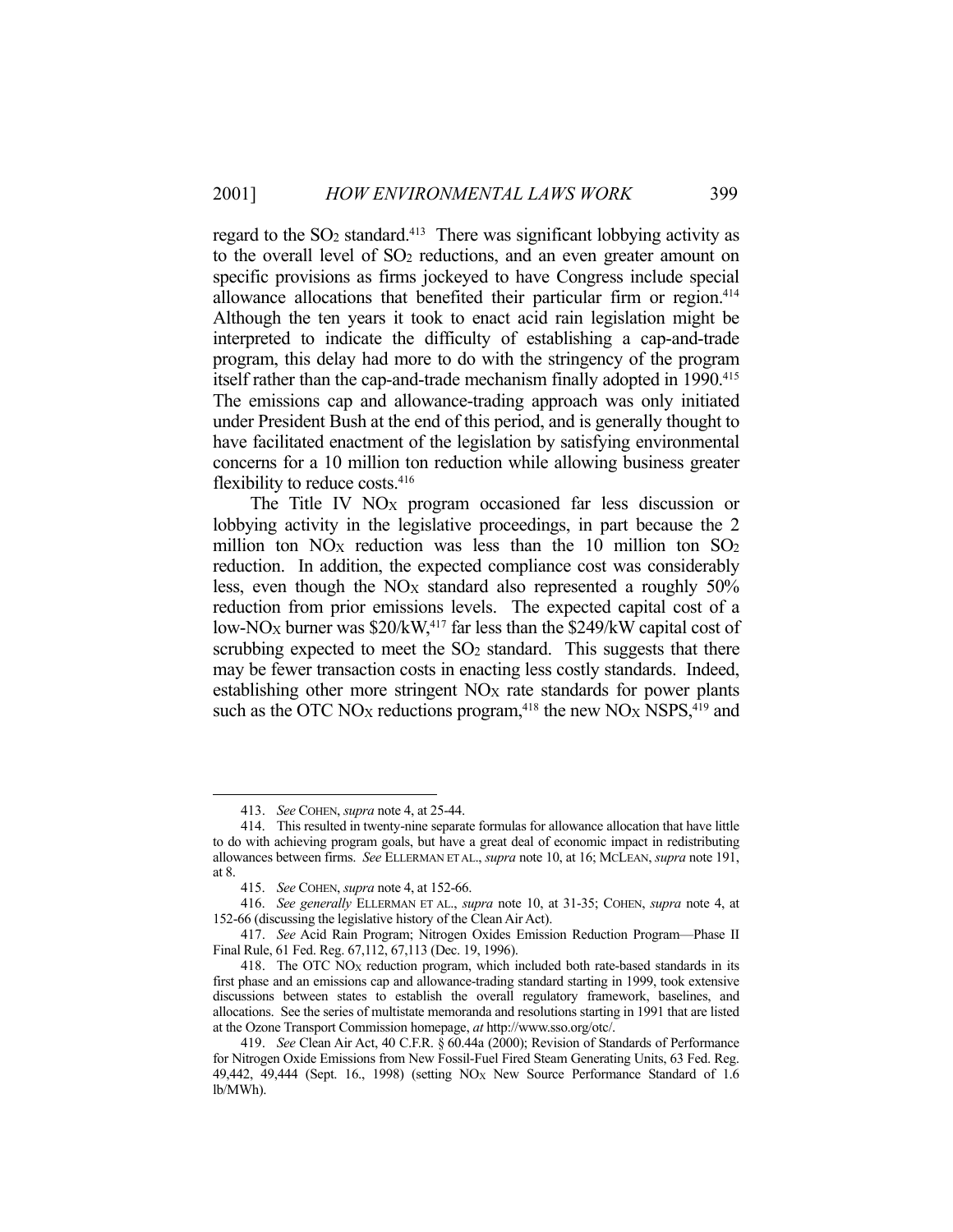regard to the  $SO<sub>2</sub>$  standard.<sup>413</sup> There was significant lobbying activity as to the overall level of SO2 reductions, and an even greater amount on specific provisions as firms jockeyed to have Congress include special allowance allocations that benefited their particular firm or region.<sup>414</sup> Although the ten years it took to enact acid rain legislation might be interpreted to indicate the difficulty of establishing a cap-and-trade program, this delay had more to do with the stringency of the program itself rather than the cap-and-trade mechanism finally adopted in 1990.<sup>415</sup> The emissions cap and allowance-trading approach was only initiated under President Bush at the end of this period, and is generally thought to have facilitated enactment of the legislation by satisfying environmental concerns for a 10 million ton reduction while allowing business greater flexibility to reduce costs.<sup>416</sup>

The Title IV  $NO<sub>X</sub>$  program occasioned far less discussion or lobbying activity in the legislative proceedings, in part because the 2 million ton  $NO<sub>X</sub>$  reduction was less than the 10 million ton  $SO<sub>2</sub>$ reduction. In addition, the expected compliance cost was considerably less, even though the  $NO<sub>X</sub>$  standard also represented a roughly  $50\%$ reduction from prior emissions levels. The expected capital cost of a low-NO<sub>X</sub> burner was  $$20/kW<sub>117</sub>$  far less than the  $$249/kW$  capital cost of scrubbing expected to meet the  $SO<sub>2</sub>$  standard. This suggests that there may be fewer transaction costs in enacting less costly standards. Indeed, establishing other more stringent  $NO<sub>X</sub>$  rate standards for power plants such as the OTC NO<sub>X</sub> reductions program,<sup>418</sup> the new NO<sub>X</sub> NSPS,<sup>419</sup> and

 <sup>413.</sup> *See* COHEN, *supra* note 4, at 25-44.

 <sup>414.</sup> This resulted in twenty-nine separate formulas for allowance allocation that have little to do with achieving program goals, but have a great deal of economic impact in redistributing allowances between firms. *See* ELLERMAN ET AL., *supra* note 10, at 16; MCLEAN, *supra* note 191, at 8.

 <sup>415.</sup> *See* COHEN, *supra* note 4, at 152-66.

 <sup>416.</sup> *See generally* ELLERMAN ET AL., *supra* note 10, at 31-35; COHEN, *supra* note 4, at 152-66 (discussing the legislative history of the Clean Air Act).

 <sup>417.</sup> *See* Acid Rain Program; Nitrogen Oxides Emission Reduction Program—Phase II Final Rule, 61 Fed. Reg. 67,112, 67,113 (Dec. 19, 1996).

 <sup>418.</sup> The OTC NOX reduction program, which included both rate-based standards in its first phase and an emissions cap and allowance-trading standard starting in 1999, took extensive discussions between states to establish the overall regulatory framework, baselines, and allocations. See the series of multistate memoranda and resolutions starting in 1991 that are listed at the Ozone Transport Commission homepage, *at* http://www.sso.org/otc/.

 <sup>419.</sup> *See* Clean Air Act, 40 C.F.R. § 60.44a (2000); Revision of Standards of Performance for Nitrogen Oxide Emissions from New Fossil-Fuel Fired Steam Generating Units, 63 Fed. Reg. 49,442, 49,444 (Sept. 16., 1998) (setting  $NO<sub>X</sub>$  New Source Performance Standard of 1.6 lb/MWh).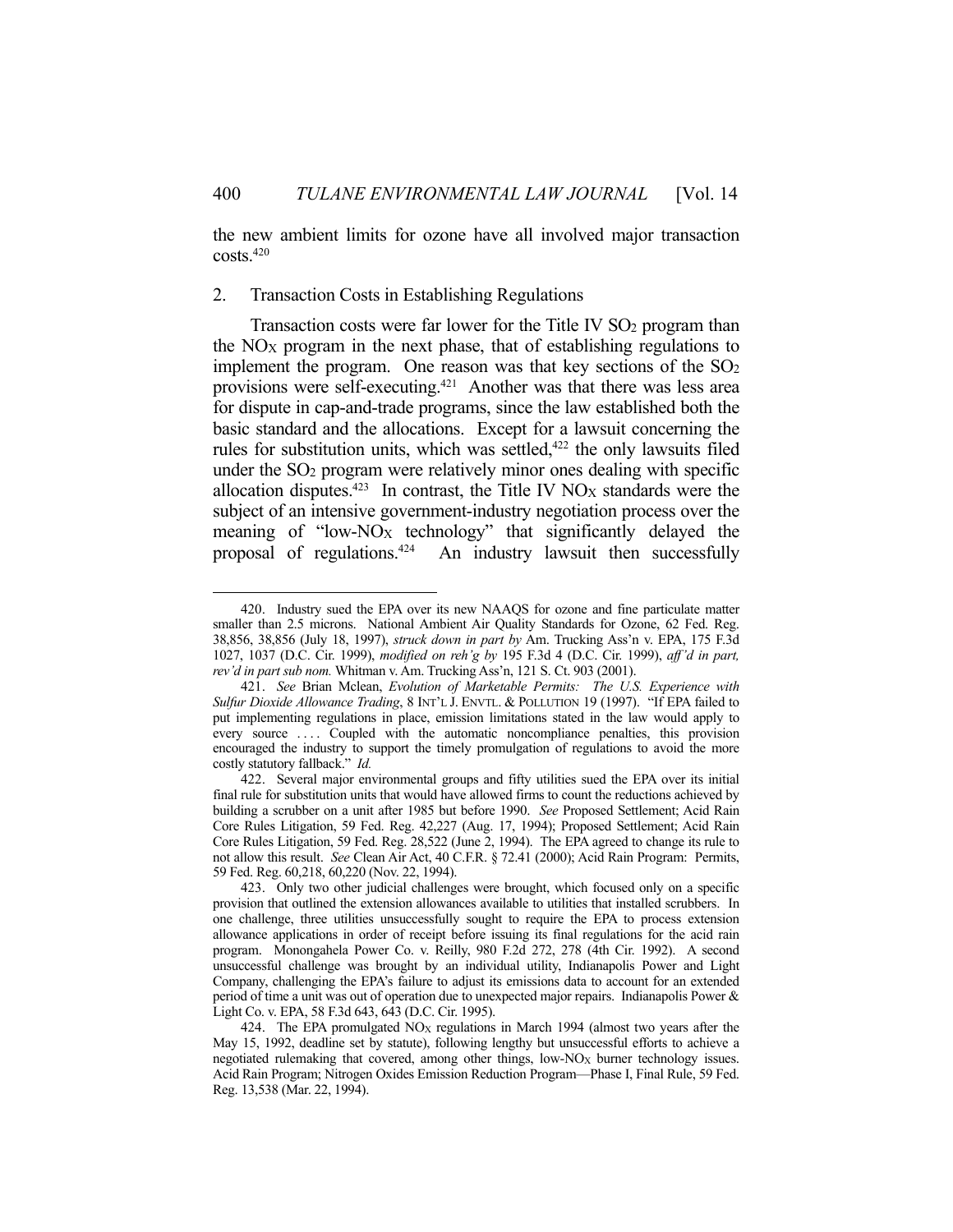the new ambient limits for ozone have all involved major transaction costs.420

### 2. Transaction Costs in Establishing Regulations

<u>.</u>

Transaction costs were far lower for the Title IV SO<sub>2</sub> program than the  $NO<sub>X</sub>$  program in the next phase, that of establishing regulations to implement the program. One reason was that key sections of the  $SO<sub>2</sub>$ provisions were self-executing.421 Another was that there was less area for dispute in cap-and-trade programs, since the law established both the basic standard and the allocations. Except for a lawsuit concerning the rules for substitution units, which was settled,<sup>422</sup> the only lawsuits filed under the SO2 program were relatively minor ones dealing with specific allocation disputes.<sup>423</sup> In contrast, the Title IV  $NO<sub>X</sub>$  standards were the subject of an intensive government-industry negotiation process over the meaning of "low- $NQ_X$  technology" that significantly delayed the proposal of regulations.<sup>424</sup> An industry lawsuit then successfully

 <sup>420.</sup> Industry sued the EPA over its new NAAQS for ozone and fine particulate matter smaller than 2.5 microns. National Ambient Air Quality Standards for Ozone, 62 Fed. Reg. 38,856, 38,856 (July 18, 1997), *struck down in part by* Am. Trucking Ass'n v. EPA, 175 F.3d 1027, 1037 (D.C. Cir. 1999), *modified on reh'g by* 195 F.3d 4 (D.C. Cir. 1999), *aff'd in part, rev'd in part sub nom.* Whitman v. Am. Trucking Ass'n, 121 S. Ct. 903 (2001).

 <sup>421.</sup> *See* Brian Mclean, *Evolution of Marketable Permits: The U.S. Experience with Sulfur Dioxide Allowance Trading*, 8 INT'L J. ENVTL. & POLLUTION 19 (1997). "If EPA failed to put implementing regulations in place, emission limitations stated in the law would apply to every source .... Coupled with the automatic noncompliance penalties, this provision encouraged the industry to support the timely promulgation of regulations to avoid the more costly statutory fallback." *Id.*

 <sup>422.</sup> Several major environmental groups and fifty utilities sued the EPA over its initial final rule for substitution units that would have allowed firms to count the reductions achieved by building a scrubber on a unit after 1985 but before 1990. *See* Proposed Settlement; Acid Rain Core Rules Litigation, 59 Fed. Reg. 42,227 (Aug. 17, 1994); Proposed Settlement; Acid Rain Core Rules Litigation, 59 Fed. Reg. 28,522 (June 2, 1994). The EPA agreed to change its rule to not allow this result. *See* Clean Air Act, 40 C.F.R. § 72.41 (2000); Acid Rain Program: Permits, 59 Fed. Reg. 60,218, 60,220 (Nov. 22, 1994).

 <sup>423.</sup> Only two other judicial challenges were brought, which focused only on a specific provision that outlined the extension allowances available to utilities that installed scrubbers. In one challenge, three utilities unsuccessfully sought to require the EPA to process extension allowance applications in order of receipt before issuing its final regulations for the acid rain program. Monongahela Power Co. v. Reilly, 980 F.2d 272, 278 (4th Cir. 1992). A second unsuccessful challenge was brought by an individual utility, Indianapolis Power and Light Company, challenging the EPA's failure to adjust its emissions data to account for an extended period of time a unit was out of operation due to unexpected major repairs. Indianapolis Power & Light Co. v. EPA, 58 F.3d 643, 643 (D.C. Cir. 1995).

<sup>424.</sup> The EPA promulgated  $NO<sub>X</sub>$  regulations in March 1994 (almost two years after the May 15, 1992, deadline set by statute), following lengthy but unsuccessful efforts to achieve a negotiated rulemaking that covered, among other things, low-NOX burner technology issues. Acid Rain Program; Nitrogen Oxides Emission Reduction Program—Phase I, Final Rule, 59 Fed. Reg. 13,538 (Mar. 22, 1994).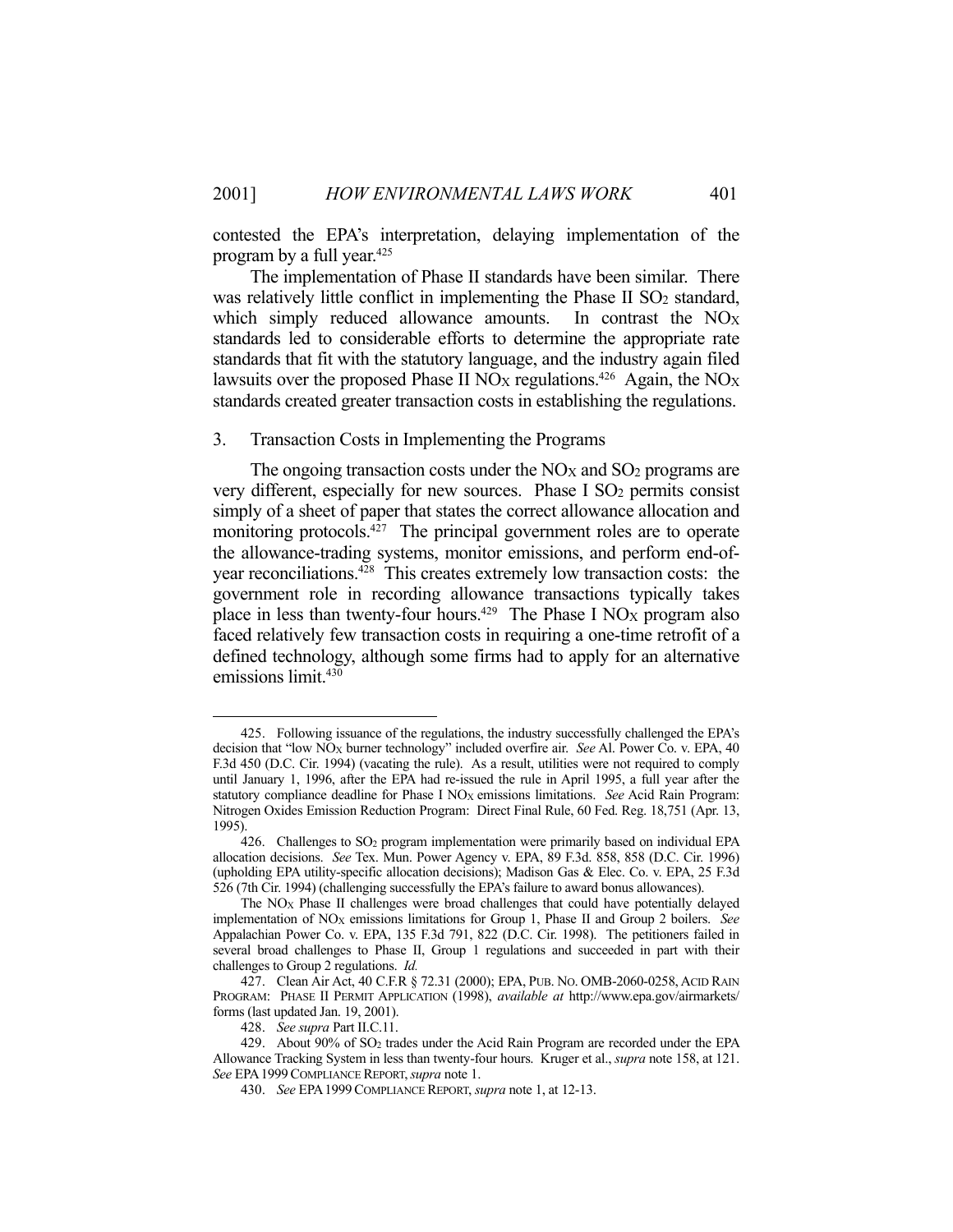contested the EPA's interpretation, delaying implementation of the program by a full year.425

 The implementation of Phase II standards have been similar. There was relatively little conflict in implementing the Phase II  $SO<sub>2</sub>$  standard, which simply reduced allowance amounts. In contrast the  $NO<sub>X</sub>$ standards led to considerable efforts to determine the appropriate rate standards that fit with the statutory language, and the industry again filed lawsuits over the proposed Phase II NO<sub>X</sub> regulations.<sup>426</sup> Again, the NO<sub>X</sub> standards created greater transaction costs in establishing the regulations.

### 3. Transaction Costs in Implementing the Programs

The ongoing transaction costs under the  $NO<sub>X</sub>$  and  $SO<sub>2</sub>$  programs are very different, especially for new sources. Phase I  $SO<sub>2</sub>$  permits consist simply of a sheet of paper that states the correct allowance allocation and monitoring protocols.<sup>427</sup> The principal government roles are to operate the allowance-trading systems, monitor emissions, and perform end-ofyear reconciliations.428 This creates extremely low transaction costs: the government role in recording allowance transactions typically takes place in less than twenty-four hours.<sup>429</sup> The Phase I NO<sub>X</sub> program also faced relatively few transaction costs in requiring a one-time retrofit of a defined technology, although some firms had to apply for an alternative emissions limit.<sup>430</sup>

 <sup>425.</sup> Following issuance of the regulations, the industry successfully challenged the EPA's decision that "low NOX burner technology" included overfire air. *See* Al. Power Co. v. EPA, 40 F.3d 450 (D.C. Cir. 1994) (vacating the rule). As a result, utilities were not required to comply until January 1, 1996, after the EPA had re-issued the rule in April 1995, a full year after the statutory compliance deadline for Phase I NO<sub>X</sub> emissions limitations. *See* Acid Rain Program: Nitrogen Oxides Emission Reduction Program: Direct Final Rule, 60 Fed. Reg. 18,751 (Apr. 13, 1995).

 <sup>426.</sup> Challenges to SO2 program implementation were primarily based on individual EPA allocation decisions. *See* Tex. Mun. Power Agency v. EPA, 89 F.3d. 858, 858 (D.C. Cir. 1996) (upholding EPA utility-specific allocation decisions); Madison Gas & Elec. Co. v. EPA, 25 F.3d 526 (7th Cir. 1994) (challenging successfully the EPA's failure to award bonus allowances).

The  $NO<sub>X</sub>$  Phase II challenges were broad challenges that could have potentially delayed implementation of NOX emissions limitations for Group 1, Phase II and Group 2 boilers. *See* Appalachian Power Co. v. EPA, 135 F.3d 791, 822 (D.C. Cir. 1998). The petitioners failed in several broad challenges to Phase II, Group 1 regulations and succeeded in part with their challenges to Group 2 regulations. *Id.*

 <sup>427.</sup> Clean Air Act, 40 C.F.R § 72.31 (2000); EPA, PUB. NO. OMB-2060-0258, ACID RAIN PROGRAM: PHASE II PERMIT APPLICATION (1998), *available at* http://www.epa.gov/airmarkets/ forms (last updated Jan. 19, 2001).

 <sup>428.</sup> *See supra* Part II.C.11.

 <sup>429.</sup> About 90% of SO2 trades under the Acid Rain Program are recorded under the EPA Allowance Tracking System in less than twenty-four hours. Kruger et al., *supra* note 158, at 121. *See* EPA1999COMPLIANCE REPORT,*supra* note 1.

 <sup>430.</sup> *See* EPA1999COMPLIANCE REPORT, *supra* note 1, at 12-13.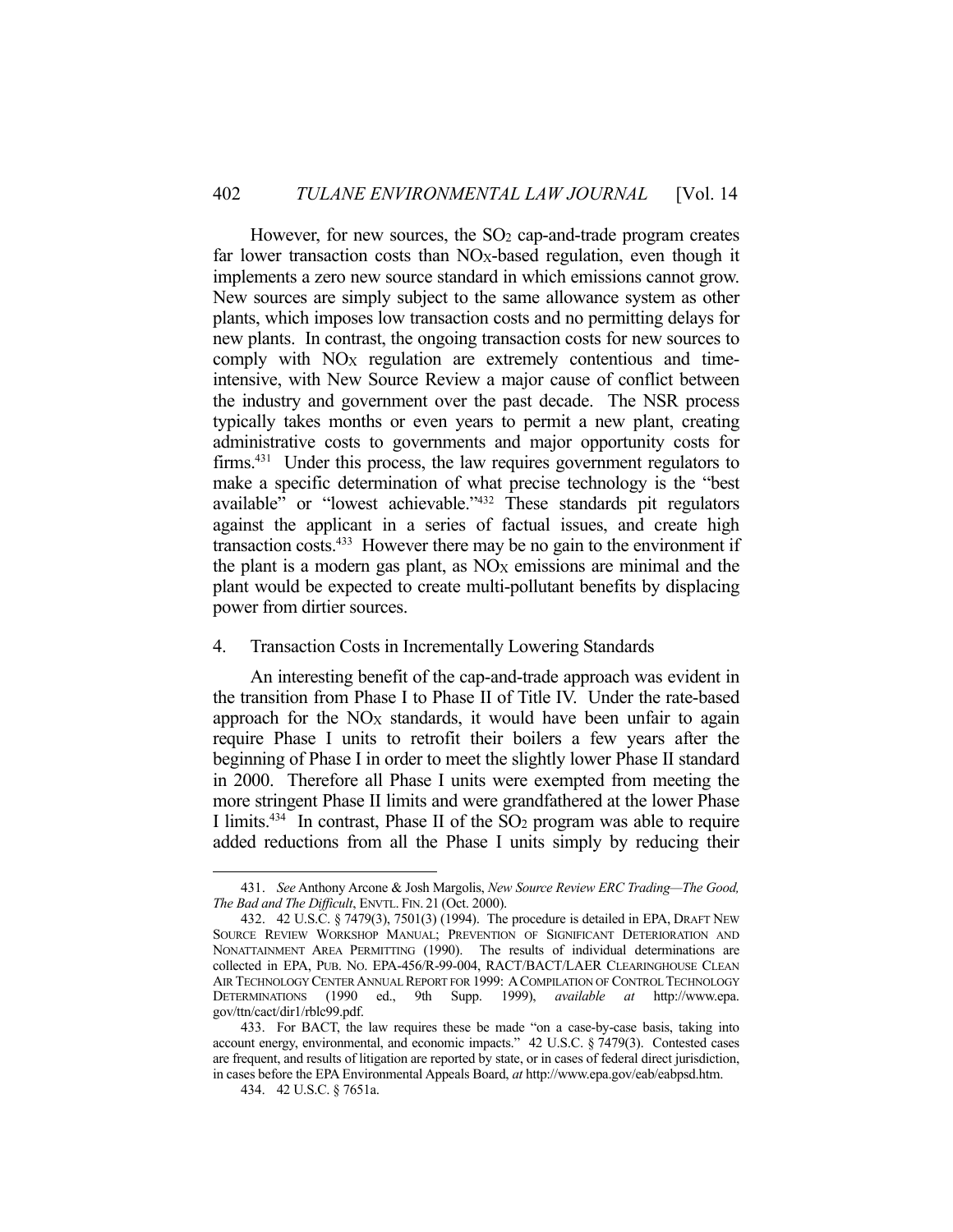However, for new sources, the  $SO<sub>2</sub>$  cap-and-trade program creates far lower transaction costs than NO<sub>X</sub>-based regulation, even though it implements a zero new source standard in which emissions cannot grow. New sources are simply subject to the same allowance system as other plants, which imposes low transaction costs and no permitting delays for new plants. In contrast, the ongoing transaction costs for new sources to comply with  $NO<sub>X</sub>$  regulation are extremely contentious and timeintensive, with New Source Review a major cause of conflict between the industry and government over the past decade. The NSR process typically takes months or even years to permit a new plant, creating administrative costs to governments and major opportunity costs for firms.<sup>431</sup> Under this process, the law requires government regulators to make a specific determination of what precise technology is the "best available" or "lowest achievable."432 These standards pit regulators against the applicant in a series of factual issues, and create high transaction costs. $433$  However there may be no gain to the environment if the plant is a modern gas plant, as  $NO<sub>X</sub>$  emissions are minimal and the plant would be expected to create multi-pollutant benefits by displacing power from dirtier sources.

### 4. Transaction Costs in Incrementally Lowering Standards

 An interesting benefit of the cap-and-trade approach was evident in the transition from Phase I to Phase II of Title IV. Under the rate-based approach for the  $NO<sub>X</sub>$  standards, it would have been unfair to again require Phase I units to retrofit their boilers a few years after the beginning of Phase I in order to meet the slightly lower Phase II standard in 2000. Therefore all Phase I units were exempted from meeting the more stringent Phase II limits and were grandfathered at the lower Phase I limits.<sup>434</sup> In contrast, Phase II of the  $SO<sub>2</sub>$  program was able to require added reductions from all the Phase I units simply by reducing their

 <sup>431.</sup> *See* Anthony Arcone & Josh Margolis, *New Source Review ERC Trading—The Good, The Bad and The Difficult*, ENVTL. FIN. 21 (Oct. 2000).

 <sup>432. 42</sup> U.S.C. § 7479(3), 7501(3) (1994). The procedure is detailed in EPA, DRAFT NEW SOURCE REVIEW WORKSHOP MANUAL; PREVENTION OF SIGNIFICANT DETERIORATION AND NONATTAINMENT AREA PERMITTING (1990). The results of individual determinations are collected in EPA, PUB. NO. EPA-456/R-99-004, RACT/BACT/LAER CLEARINGHOUSE CLEAN AIR TECHNOLOGY CENTER ANNUAL REPORT FOR 1999: ACOMPILATION OF CONTROL TECHNOLOGY DETERMINATIONS (1990 ed., 9th Supp. 1999), *available at* http://www.epa. gov/ttn/cact/dir1/rblc99.pdf.

 <sup>433.</sup> For BACT, the law requires these be made "on a case-by-case basis, taking into account energy, environmental, and economic impacts." 42 U.S.C. § 7479(3). Contested cases are frequent, and results of litigation are reported by state, or in cases of federal direct jurisdiction, in cases before the EPA Environmental Appeals Board, *at* http://www.epa.gov/eab/eabpsd.htm.

 <sup>434. 42</sup> U.S.C. § 7651a.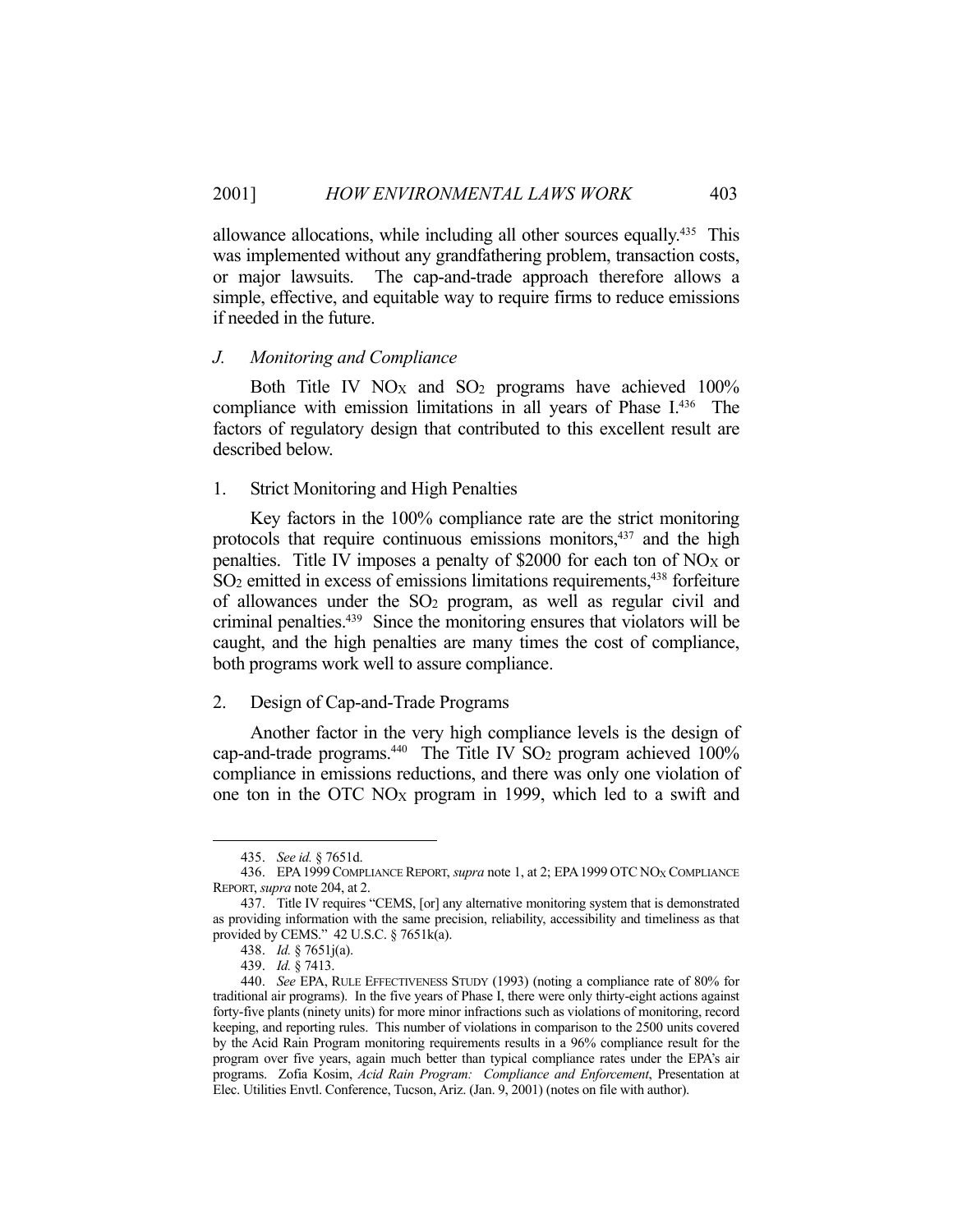allowance allocations, while including all other sources equally.<sup>435</sup> This was implemented without any grandfathering problem, transaction costs, or major lawsuits. The cap-and-trade approach therefore allows a simple, effective, and equitable way to require firms to reduce emissions if needed in the future.

### *J. Monitoring and Compliance*

Both Title IV  $NO<sub>X</sub>$  and  $SO<sub>2</sub>$  programs have achieved 100% compliance with emission limitations in all years of Phase I.<sup>436</sup> The factors of regulatory design that contributed to this excellent result are described below.

### 1. Strict Monitoring and High Penalties

 Key factors in the 100% compliance rate are the strict monitoring protocols that require continuous emissions monitors,<sup>437</sup> and the high penalties. Title IV imposes a penalty of \$2000 for each ton of  $NO<sub>X</sub>$  or SO<sub>2</sub> emitted in excess of emissions limitations requirements,<sup>438</sup> forfeiture of allowances under the SO2 program, as well as regular civil and criminal penalties.439 Since the monitoring ensures that violators will be caught, and the high penalties are many times the cost of compliance, both programs work well to assure compliance.

## 2. Design of Cap-and-Trade Programs

 Another factor in the very high compliance levels is the design of cap-and-trade programs.<sup>440</sup> The Title IV SO<sub>2</sub> program achieved  $100\%$ compliance in emissions reductions, and there was only one violation of one ton in the OTC NOX program in 1999, which led to a swift and

 <sup>435.</sup> *See id.* § 7651d.

 <sup>436.</sup> EPA1999 COMPLIANCE REPORT, *supra* note 1, at 2; EPA1999 OTC NOX COMPLIANCE REPORT, *supra* note 204, at 2.

 <sup>437.</sup> Title IV requires "CEMS, [or] any alternative monitoring system that is demonstrated as providing information with the same precision, reliability, accessibility and timeliness as that provided by CEMS." 42 U.S.C. § 7651k(a).

 <sup>438.</sup> *Id.* § 7651j(a).

 <sup>439.</sup> *Id.* § 7413.

 <sup>440.</sup> *See* EPA, RULE EFFECTIVENESS STUDY (1993) (noting a compliance rate of 80% for traditional air programs). In the five years of Phase I, there were only thirty-eight actions against forty-five plants (ninety units) for more minor infractions such as violations of monitoring, record keeping, and reporting rules. This number of violations in comparison to the 2500 units covered by the Acid Rain Program monitoring requirements results in a 96% compliance result for the program over five years, again much better than typical compliance rates under the EPA's air programs. Zofia Kosim, *Acid Rain Program: Compliance and Enforcement*, Presentation at Elec. Utilities Envtl. Conference, Tucson, Ariz. (Jan. 9, 2001) (notes on file with author).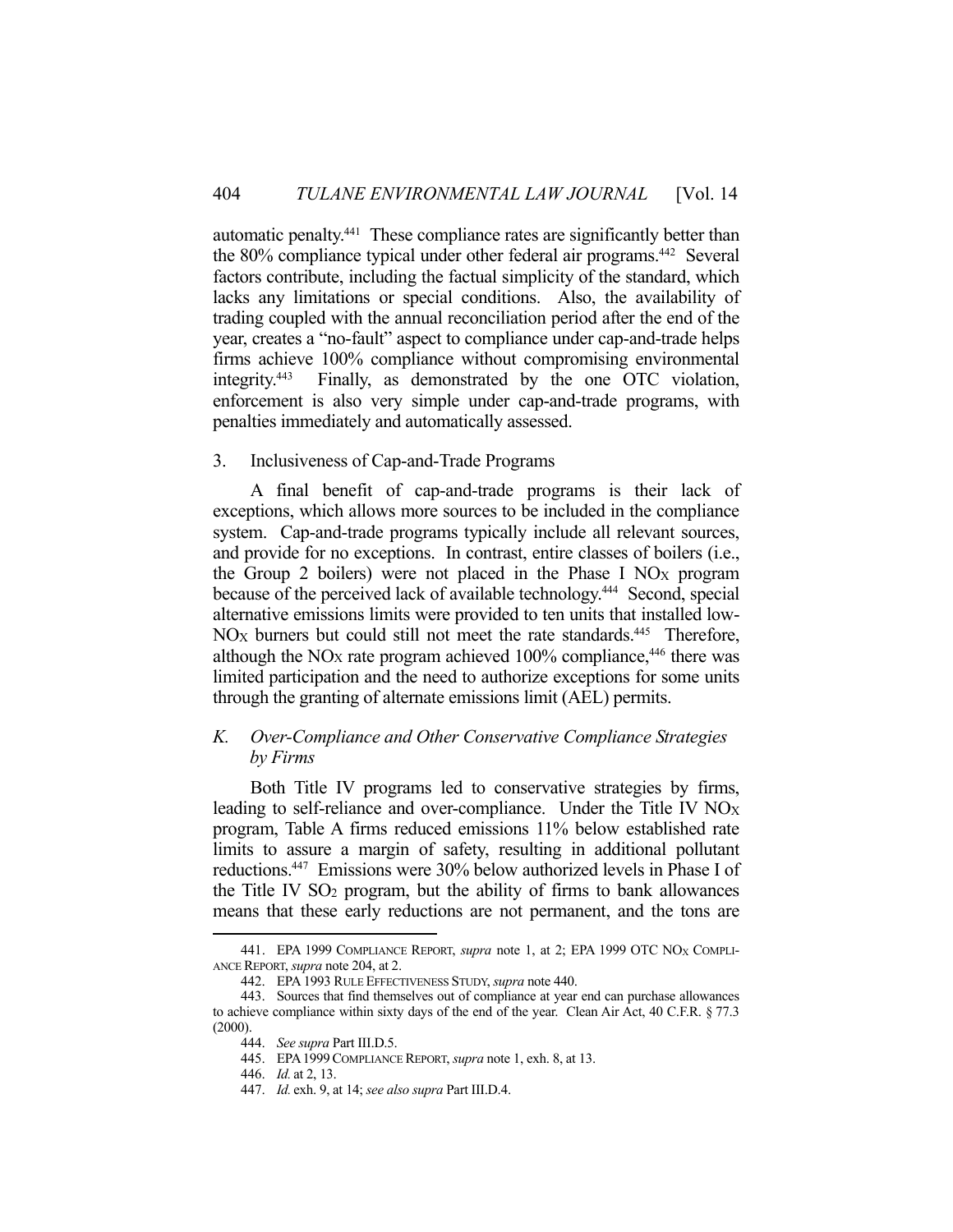automatic penalty.441 These compliance rates are significantly better than the 80% compliance typical under other federal air programs.442 Several factors contribute, including the factual simplicity of the standard, which lacks any limitations or special conditions. Also, the availability of trading coupled with the annual reconciliation period after the end of the year, creates a "no-fault" aspect to compliance under cap-and-trade helps firms achieve 100% compliance without compromising environmental integrity.443 Finally, as demonstrated by the one OTC violation, enforcement is also very simple under cap-and-trade programs, with penalties immediately and automatically assessed.

## 3. Inclusiveness of Cap-and-Trade Programs

 A final benefit of cap-and-trade programs is their lack of exceptions, which allows more sources to be included in the compliance system. Cap-and-trade programs typically include all relevant sources, and provide for no exceptions. In contrast, entire classes of boilers (i.e., the Group 2 boilers) were not placed in the Phase I  $NO<sub>X</sub>$  program because of the perceived lack of available technology.444 Second, special alternative emissions limits were provided to ten units that installed low-NO<sub>X</sub> burners but could still not meet the rate standards.<sup>445</sup> Therefore, although the NO<sub>X</sub> rate program achieved 100% compliance,<sup>446</sup> there was limited participation and the need to authorize exceptions for some units through the granting of alternate emissions limit (AEL) permits.

# *K. Over-Compliance and Other Conservative Compliance Strategies by Firms*

 Both Title IV programs led to conservative strategies by firms, leading to self-reliance and over-compliance. Under the Title IV NO<sub>X</sub> program, Table A firms reduced emissions 11% below established rate limits to assure a margin of safety, resulting in additional pollutant reductions.447 Emissions were 30% below authorized levels in Phase I of the Title IV SO2 program, but the ability of firms to bank allowances means that these early reductions are not permanent, and the tons are

<sup>441.</sup> EPA 1999 COMPLIANCE REPORT, *supra* note 1, at 2; EPA 1999 OTC NO<sub>X</sub> COMPLI-ANCE REPORT, *supra* note 204, at 2.

 <sup>442.</sup> EPA 1993 RULE EFFECTIVENESS STUDY, *supra* note 440.

 <sup>443.</sup> Sources that find themselves out of compliance at year end can purchase allowances to achieve compliance within sixty days of the end of the year. Clean Air Act, 40 C.F.R. § 77.3 (2000).

 <sup>444.</sup> *See supra* Part III.D.5.

 <sup>445.</sup> EPA1999COMPLIANCE REPORT, *supra* note 1, exh. 8, at 13.

 <sup>446.</sup> *Id.* at 2, 13.

 <sup>447.</sup> *Id.* exh. 9, at 14; *see also supra* Part III.D.4.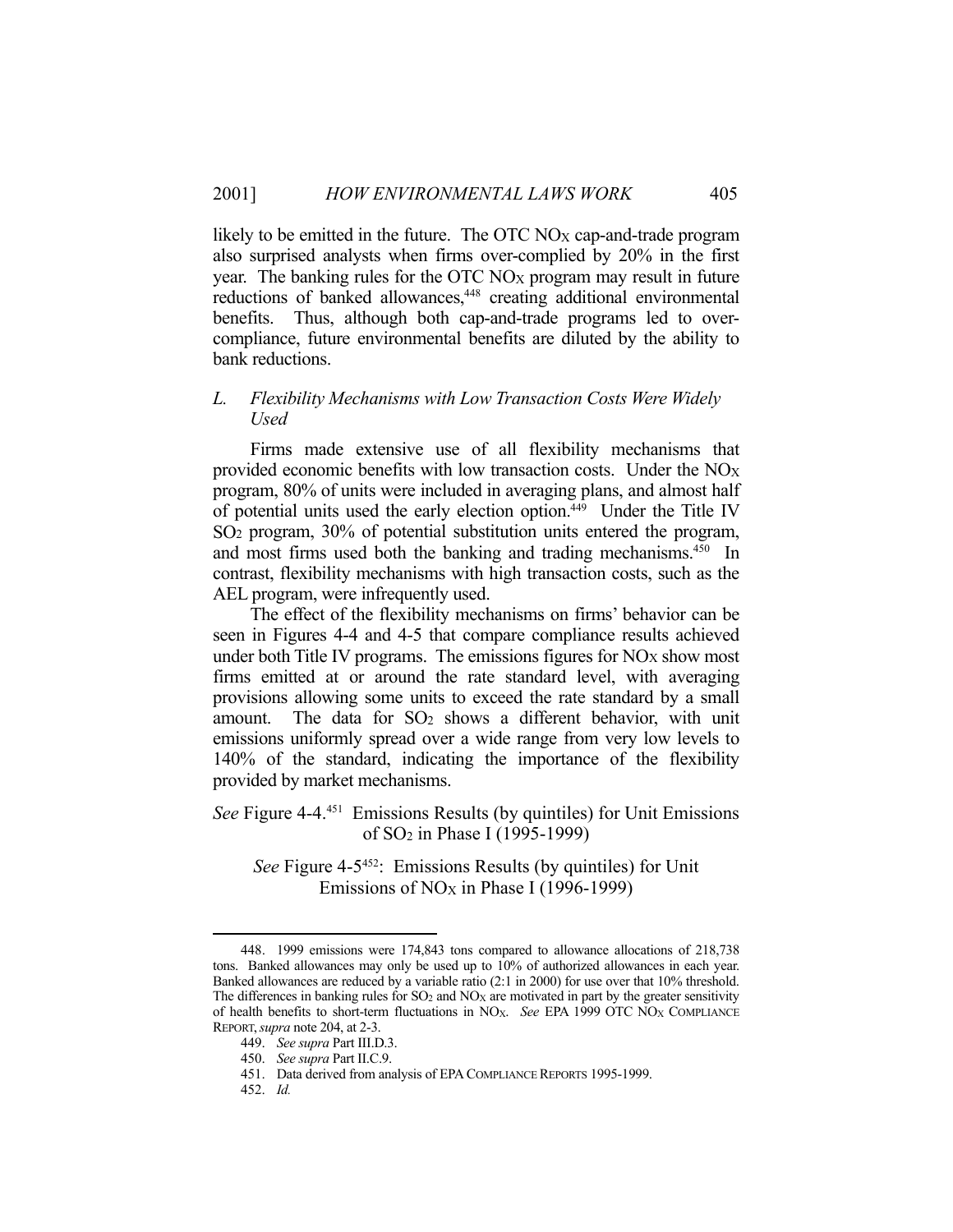likely to be emitted in the future. The OTC  $NO<sub>X</sub>$  cap-and-trade program also surprised analysts when firms over-complied by 20% in the first year. The banking rules for the  $\overline{OTC}$  NO<sub>X</sub> program may result in future reductions of banked allowances,<sup>448</sup> creating additional environmental benefits. Thus, although both cap-and-trade programs led to overcompliance, future environmental benefits are diluted by the ability to bank reductions.

## *L. Flexibility Mechanisms with Low Transaction Costs Were Widely Used*

 Firms made extensive use of all flexibility mechanisms that provided economic benefits with low transaction costs. Under the  $NO<sub>X</sub>$ program, 80% of units were included in averaging plans, and almost half of potential units used the early election option.<sup>449</sup> Under the Title IV SO2 program, 30% of potential substitution units entered the program, and most firms used both the banking and trading mechanisms.<sup>450</sup> In contrast, flexibility mechanisms with high transaction costs, such as the AEL program, were infrequently used.

 The effect of the flexibility mechanisms on firms' behavior can be seen in Figures 4-4 and 4-5 that compare compliance results achieved under both Title IV programs. The emissions figures for  $NO<sub>X</sub>$  show most firms emitted at or around the rate standard level, with averaging provisions allowing some units to exceed the rate standard by a small amount. The data for  $SO_2$  shows a different behavior, with unit emissions uniformly spread over a wide range from very low levels to 140% of the standard, indicating the importance of the flexibility provided by market mechanisms.

*See* Figure 4-4.451 Emissions Results (by quintiles) for Unit Emissions of SO2 in Phase I (1995-1999)

*See* Figure 4-5452: Emissions Results (by quintiles) for Unit Emissions of NOX in Phase I (1996-1999)

 <sup>448. 1999</sup> emissions were 174,843 tons compared to allowance allocations of 218,738 tons. Banked allowances may only be used up to 10% of authorized allowances in each year. Banked allowances are reduced by a variable ratio (2:1 in 2000) for use over that 10% threshold. The differences in banking rules for  $SO_2$  and  $NO<sub>X</sub>$  are motivated in part by the greater sensitivity of health benefits to short-term fluctuations in NOX. *See* EPA 1999 OTC NOX COMPLIANCE REPORT,*supra* note 204, at 2-3.

 <sup>449.</sup> *See supra* Part III.D.3.

 <sup>450.</sup> *See supra* Part II.C.9.

 <sup>451.</sup> Data derived from analysis of EPA COMPLIANCE REPORTS 1995-1999.

 <sup>452.</sup> *Id.*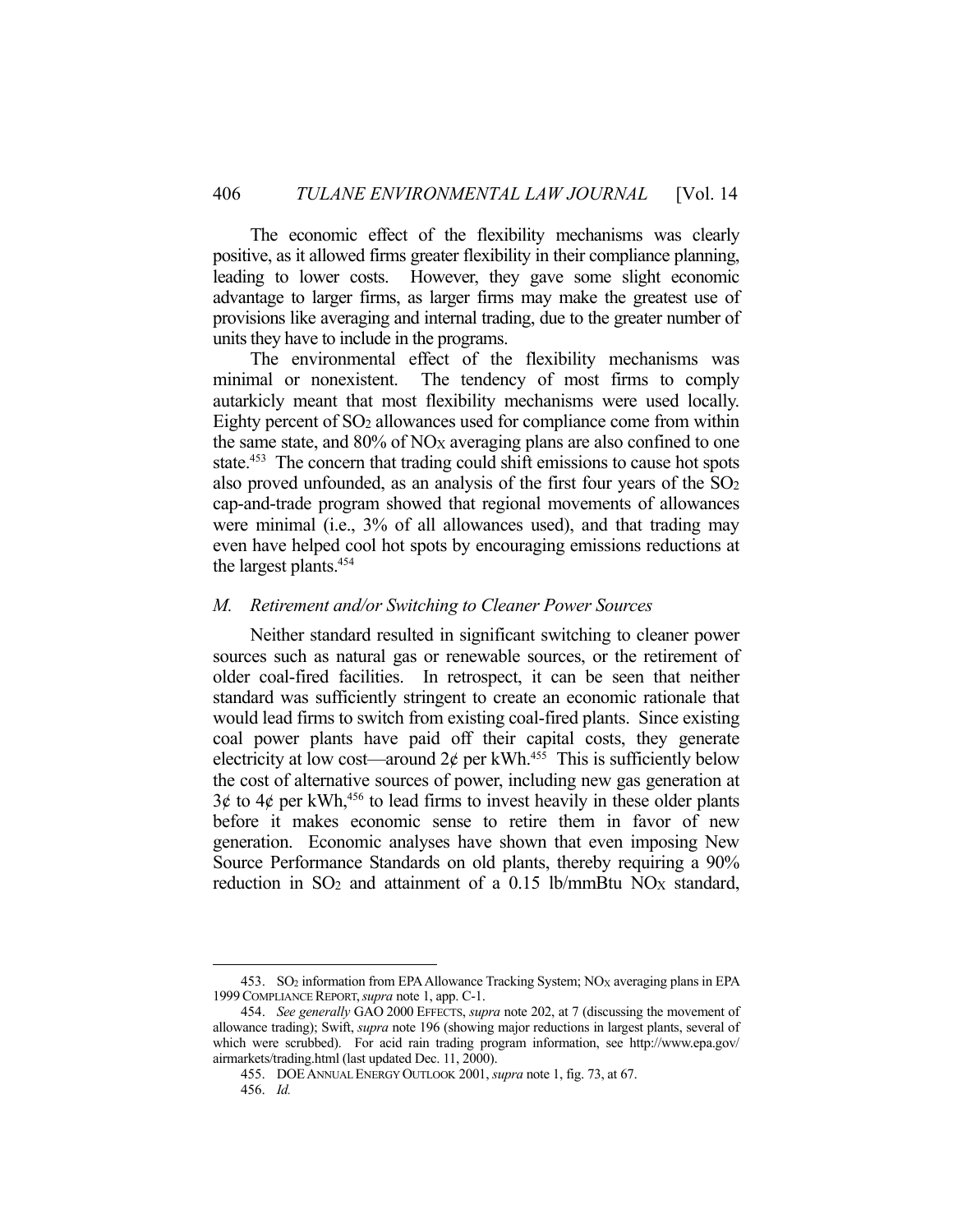The economic effect of the flexibility mechanisms was clearly positive, as it allowed firms greater flexibility in their compliance planning, leading to lower costs. However, they gave some slight economic advantage to larger firms, as larger firms may make the greatest use of provisions like averaging and internal trading, due to the greater number of units they have to include in the programs.

 The environmental effect of the flexibility mechanisms was minimal or nonexistent. The tendency of most firms to comply autarkicly meant that most flexibility mechanisms were used locally. Eighty percent of  $SO<sub>2</sub>$  allowances used for compliance come from within the same state, and  $80\%$  of NO<sub>X</sub> averaging plans are also confined to one state.<sup>453</sup> The concern that trading could shift emissions to cause hot spots also proved unfounded, as an analysis of the first four years of the  $SO<sub>2</sub>$ cap-and-trade program showed that regional movements of allowances were minimal (i.e., 3% of all allowances used), and that trading may even have helped cool hot spots by encouraging emissions reductions at the largest plants.454

### *M. Retirement and/or Switching to Cleaner Power Sources*

 Neither standard resulted in significant switching to cleaner power sources such as natural gas or renewable sources, or the retirement of older coal-fired facilities. In retrospect, it can be seen that neither standard was sufficiently stringent to create an economic rationale that would lead firms to switch from existing coal-fired plants. Since existing coal power plants have paid off their capital costs, they generate electricity at low cost—around  $2\phi$  per kWh.<sup>455</sup> This is sufficiently below the cost of alternative sources of power, including new gas generation at  $3¢$  to  $4¢$  per kWh,<sup>456</sup> to lead firms to invest heavily in these older plants before it makes economic sense to retire them in favor of new generation. Economic analyses have shown that even imposing New Source Performance Standards on old plants, thereby requiring a 90% reduction in  $SO<sub>2</sub>$  and attainment of a 0.15 lb/mmBtu NO<sub>X</sub> standard,

<sup>453.</sup> SO<sub>2</sub> information from EPA Allowance Tracking System; NO<sub>X</sub> averaging plans in EPA 1999COMPLIANCE REPORT,*supra* note 1, app. C-1.

 <sup>454.</sup> *See generally* GAO 2000 EFFECTS, *supra* note 202, at 7 (discussing the movement of allowance trading); Swift, *supra* note 196 (showing major reductions in largest plants, several of which were scrubbed). For acid rain trading program information, see http://www.epa.gov/ airmarkets/trading.html (last updated Dec. 11, 2000).

 <sup>455.</sup> DOEANNUAL ENERGY OUTLOOK 2001, *supra* note 1, fig. 73, at 67.

 <sup>456.</sup> *Id.*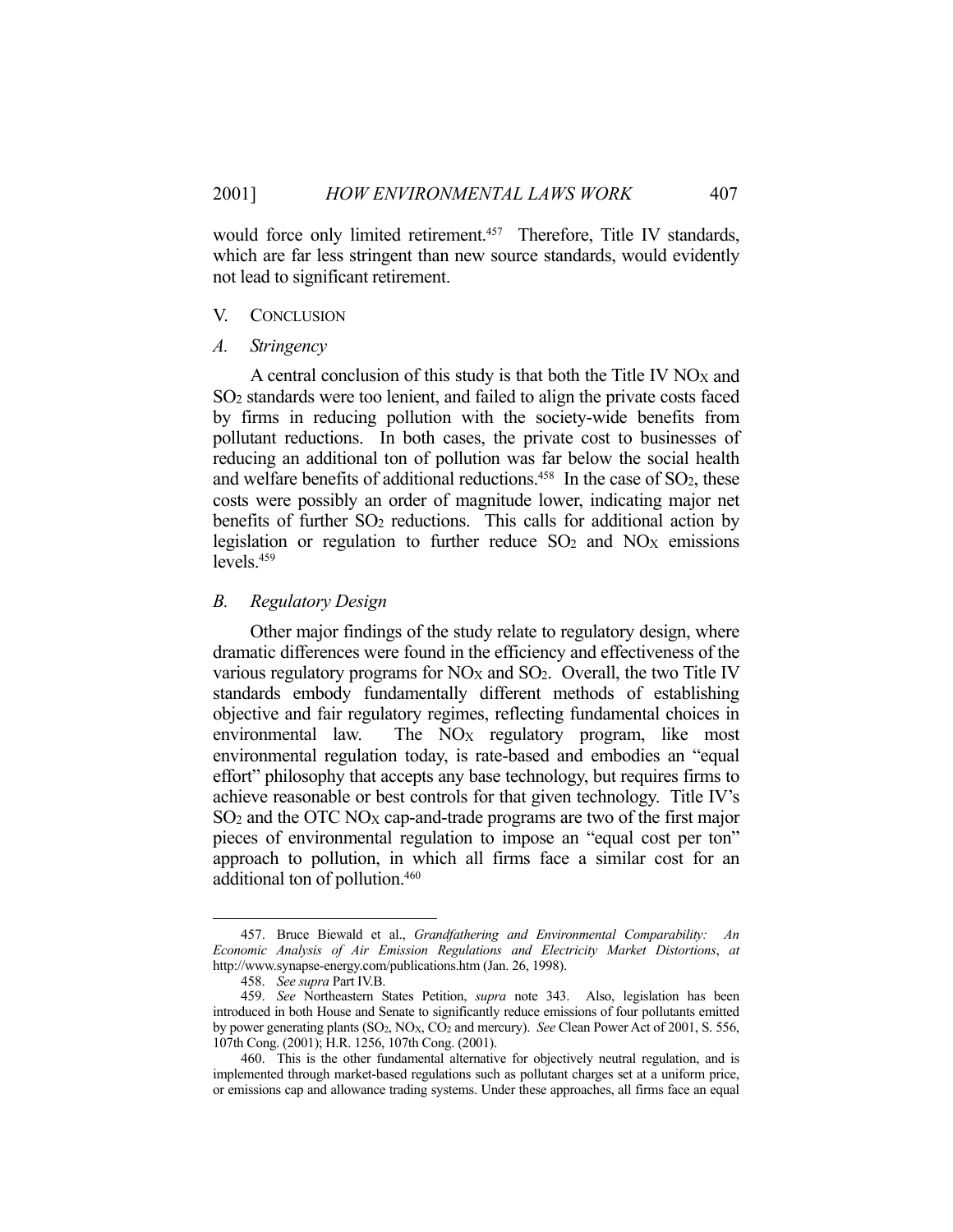would force only limited retirement.<sup>457</sup> Therefore, Title IV standards, which are far less stringent than new source standards, would evidently not lead to significant retirement.

### V. CONCLUSION

### *A. Stringency*

A central conclusion of this study is that both the Title IV  $NO<sub>X</sub>$  and SO2 standards were too lenient, and failed to align the private costs faced by firms in reducing pollution with the society-wide benefits from pollutant reductions. In both cases, the private cost to businesses of reducing an additional ton of pollution was far below the social health and welfare benefits of additional reductions.<sup>458</sup> In the case of  $SO<sub>2</sub>$ , these costs were possibly an order of magnitude lower, indicating major net benefits of further  $SO<sub>2</sub>$  reductions. This calls for additional action by legislation or regulation to further reduce  $SO_2$  and  $NO<sub>X</sub>$  emissions levels.459

# *B. Regulatory Design*

 Other major findings of the study relate to regulatory design, where dramatic differences were found in the efficiency and effectiveness of the various regulatory programs for  $NO<sub>X</sub>$  and  $SO<sub>2</sub>$ . Overall, the two Title IV standards embody fundamentally different methods of establishing objective and fair regulatory regimes, reflecting fundamental choices in environmental law. The NO<sub>X</sub> regulatory program, like most environmental regulation today, is rate-based and embodies an "equal effort" philosophy that accepts any base technology, but requires firms to achieve reasonable or best controls for that given technology. Title IV's SO<sub>2</sub> and the OTC NO<sub>X</sub> cap-and-trade programs are two of the first major pieces of environmental regulation to impose an "equal cost per ton" approach to pollution, in which all firms face a similar cost for an additional ton of pollution.460

 <sup>457.</sup> Bruce Biewald et al., *Grandfathering and Environmental Comparability: An Economic Analysis of Air Emission Regulations and Electricity Market Distortions*, *at* http://www.synapse-energy.com/publications.htm (Jan. 26, 1998).

 <sup>458.</sup> *See supra* Part IV.B.

 <sup>459.</sup> *See* Northeastern States Petition, *supra* note 343. Also, legislation has been introduced in both House and Senate to significantly reduce emissions of four pollutants emitted by power generating plants (SO<sub>2</sub>, NO<sub>X</sub>, CO<sub>2</sub> and mercury). *See* Clean Power Act of 2001, S. 556, 107th Cong. (2001); H.R. 1256, 107th Cong. (2001).

 <sup>460.</sup> This is the other fundamental alternative for objectively neutral regulation, and is implemented through market-based regulations such as pollutant charges set at a uniform price, or emissions cap and allowance trading systems. Under these approaches, all firms face an equal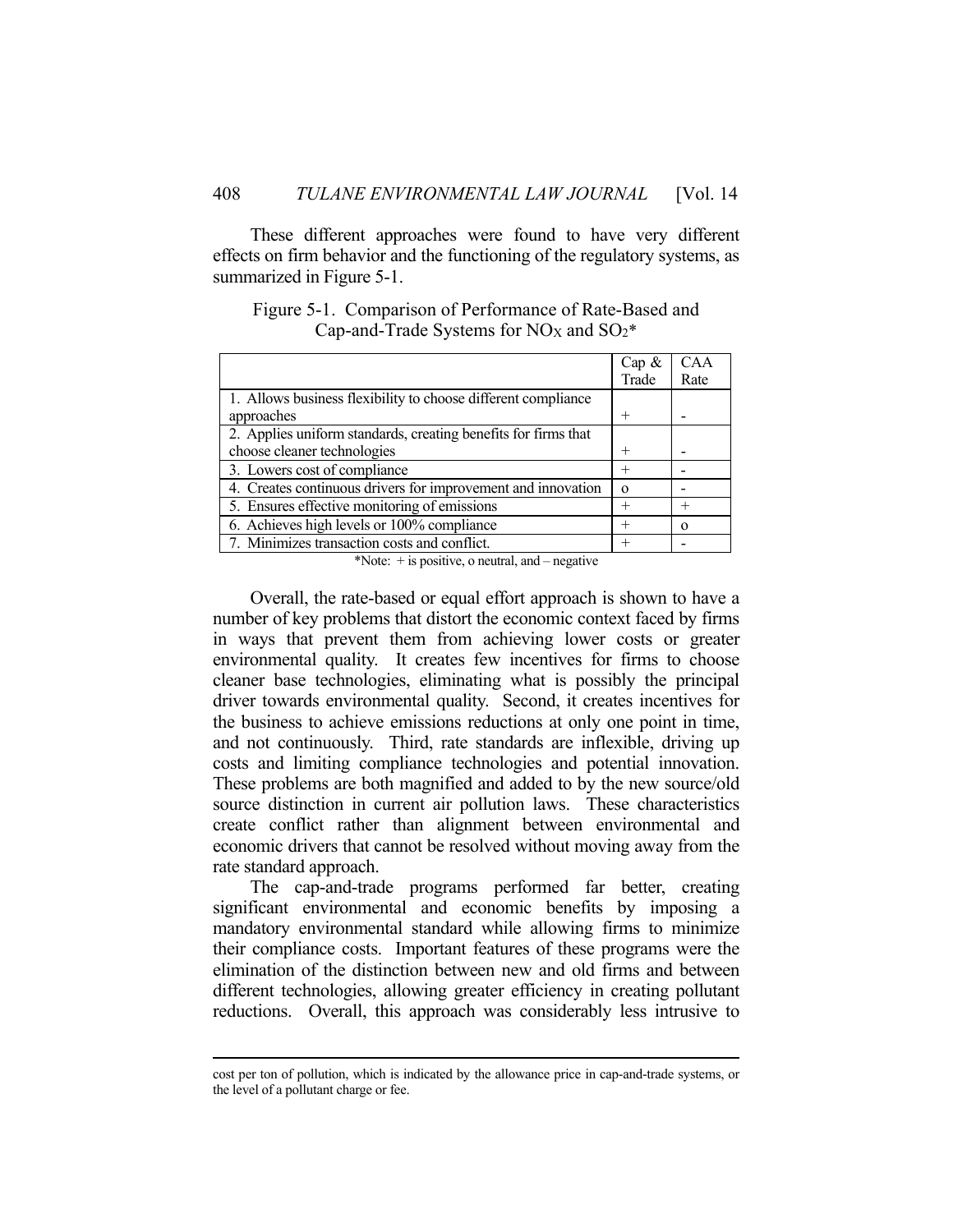These different approaches were found to have very different effects on firm behavior and the functioning of the regulatory systems, as summarized in Figure 5-1.

Figure 5-1. Comparison of Performance of Rate-Based and Cap-and-Trade Systems for  $NOX$  and  $SO_2^*$ 

|                                                                | Cap &    | <b>CAA</b> |
|----------------------------------------------------------------|----------|------------|
|                                                                | Trade    | Rate       |
| 1. Allows business flexibility to choose different compliance  |          |            |
| approaches                                                     |          |            |
| 2. Applies uniform standards, creating benefits for firms that |          |            |
| choose cleaner technologies                                    |          |            |
| 3. Lowers cost of compliance                                   |          |            |
| 4. Creates continuous drivers for improvement and innovation   | $\Omega$ |            |
| 5. Ensures effective monitoring of emissions                   |          | $^{+}$     |
| 6. Achieves high levels or 100% compliance                     |          | $\Omega$   |
| 7. Minimizes transaction costs and conflict.                   |          |            |

\*Note:  $+$  is positive, o neutral, and  $-$  negative

 Overall, the rate-based or equal effort approach is shown to have a number of key problems that distort the economic context faced by firms in ways that prevent them from achieving lower costs or greater environmental quality. It creates few incentives for firms to choose cleaner base technologies, eliminating what is possibly the principal driver towards environmental quality. Second, it creates incentives for the business to achieve emissions reductions at only one point in time, and not continuously. Third, rate standards are inflexible, driving up costs and limiting compliance technologies and potential innovation. These problems are both magnified and added to by the new source/old source distinction in current air pollution laws. These characteristics create conflict rather than alignment between environmental and economic drivers that cannot be resolved without moving away from the rate standard approach.

 The cap-and-trade programs performed far better, creating significant environmental and economic benefits by imposing a mandatory environmental standard while allowing firms to minimize their compliance costs. Important features of these programs were the elimination of the distinction between new and old firms and between different technologies, allowing greater efficiency in creating pollutant reductions. Overall, this approach was considerably less intrusive to

cost per ton of pollution, which is indicated by the allowance price in cap-and-trade systems, or the level of a pollutant charge or fee.